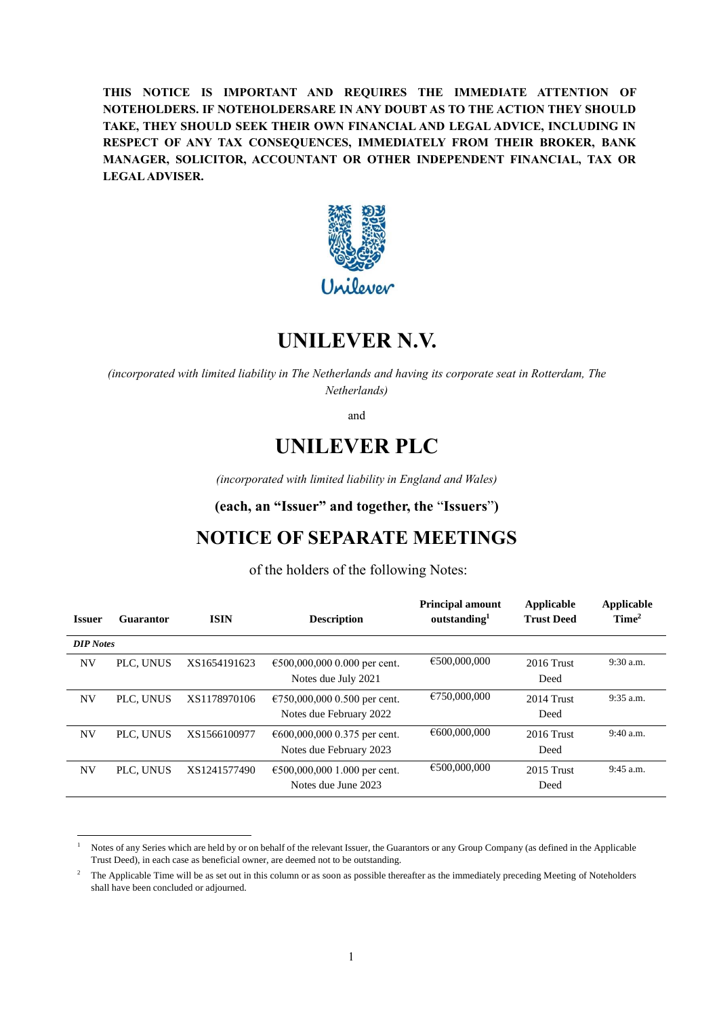**THIS NOTICE IS IMPORTANT AND REQUIRES THE IMMEDIATE ATTENTION OF NOTEHOLDERS. IF NOTEHOLDERSARE IN ANY DOUBT AS TO THE ACTION THEY SHOULD TAKE, THEY SHOULD SEEK THEIR OWN FINANCIAL AND LEGAL ADVICE, INCLUDING IN RESPECT OF ANY TAX CONSEQUENCES, IMMEDIATELY FROM THEIR BROKER, BANK MANAGER, SOLICITOR, ACCOUNTANT OR OTHER INDEPENDENT FINANCIAL, TAX OR LEGAL ADVISER.**



# **UNILEVER N.V.**

*(incorporated with limited liability in The Netherlands and having its corporate seat in Rotterdam, The Netherlands)*

and

# **UNILEVER PLC**

*(incorporated with limited liability in England and Wales)*

**(each, an "Issuer" and together, the** "**Issuers**"**)**

# **NOTICE OF SEPARATE MEETINGS**

of the holders of the following Notes:

| <b>Issuer</b>    | Guarantor | <b>ISIN</b>  | <b>Description</b>                                      | <b>Principal amount</b><br>outstanding <sup>1</sup> | Applicable<br><b>Trust Deed</b> | <b>Applicable</b><br>Time <sup>2</sup> |
|------------------|-----------|--------------|---------------------------------------------------------|-----------------------------------------------------|---------------------------------|----------------------------------------|
| <b>DIP</b> Notes |           |              |                                                         |                                                     |                                 |                                        |
| NV               | PLC, UNUS | XS1654191623 | €500,000,000 0.000 per cent.<br>Notes due July 2021     | €500,000,000                                        | $2016$ Trust<br>Deed            | $9:30$ a.m.                            |
| NV               | PLC. UNUS | XS1178970106 | €750,000,000 0.500 per cent.<br>Notes due February 2022 | €750,000,000                                        | $2014$ Trust<br>Deed            | $9:35$ a.m.                            |
| NV               | PLC. UNUS | XS1566100977 | €600,000,000 0.375 per cent.<br>Notes due February 2023 | €600,000,000                                        | $2016$ Trust<br>Deed            | 9:40 a.m.                              |
| NV               | PLC. UNUS | XS1241577490 | €500,000,000 1.000 per cent.<br>Notes due June 2023     | €500,000,000                                        | $2015$ Trust<br>Deed            | 9:45 a.m.                              |

<sup>1</sup> Notes of any Series which are held by or on behalf of the relevant Issuer, the Guarantors or any Group Company (as defined in the Applicable Trust Deed), in each case as beneficial owner, are deemed not to be outstanding.

<sup>2</sup> The Applicable Time will be as set out in this column or as soon as possible thereafter as the immediately preceding Meeting of Noteholders shall have been concluded or adjourned.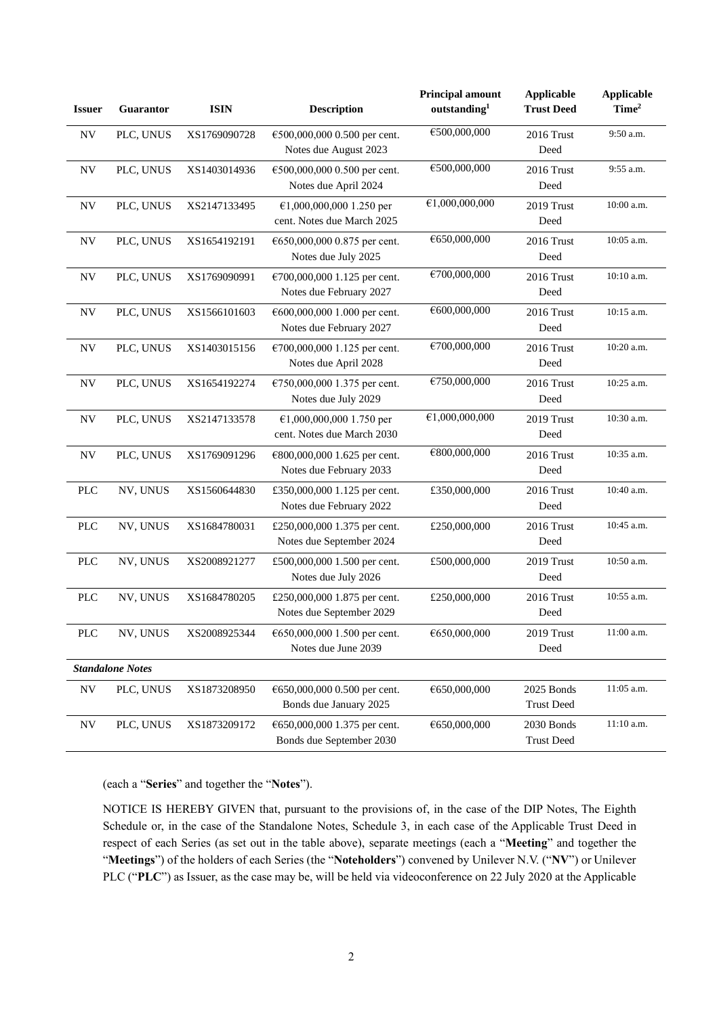| <b>Issuer</b>            | Guarantor               | <b>ISIN</b>  | <b>Description</b>                                       | <b>Principal amount</b><br>outstanding <sup>1</sup> | <b>Applicable</b><br><b>Trust Deed</b> | <b>Applicable</b><br>Time <sup>2</sup> |
|--------------------------|-------------------------|--------------|----------------------------------------------------------|-----------------------------------------------------|----------------------------------------|----------------------------------------|
| <b>NV</b>                | PLC, UNUS               | XS1769090728 | €500,000,000 0.500 per cent.<br>Notes due August 2023    | €500,000,000                                        | 2016 Trust<br>Deed                     | 9:50 a.m.                              |
| <b>NV</b>                | PLC, UNUS               | XS1403014936 | €500,000,000 0.500 per cent.<br>Notes due April 2024     | €500,000,000                                        | 2016 Trust<br>Deed                     | 9:55 a.m.                              |
| <b>NV</b>                | PLC, UNUS               | XS2147133495 | €1,000,000,000 1.250 per<br>cent. Notes due March 2025   | €1,000,000,000                                      | 2019 Trust<br>Deed                     | 10:00 a.m.                             |
| <b>NV</b>                | PLC, UNUS               | XS1654192191 | €650,000,000 0.875 per cent.<br>Notes due July 2025      | €650,000,000                                        | 2016 Trust<br>Deed                     | 10:05 a.m.                             |
| <b>NV</b>                | PLC, UNUS               | XS1769090991 | €700,000,000 1.125 per cent.<br>Notes due February 2027  | €700,000,000                                        | 2016 Trust<br>Deed                     | 10:10 a.m.                             |
| <b>NV</b>                | PLC, UNUS               | XS1566101603 | €600,000,000 1.000 per cent.<br>Notes due February 2027  | €600,000,000                                        | 2016 Trust<br>Deed                     | 10:15 a.m.                             |
| <b>NV</b>                | PLC, UNUS               | XS1403015156 | €700,000,000 1.125 per cent.<br>Notes due April 2028     | €700,000,000                                        | 2016 Trust<br>Deed                     | 10:20 a.m.                             |
| $\ensuremath{\text{NV}}$ | PLC, UNUS               | XS1654192274 | €750,000,000 1.375 per cent.<br>Notes due July 2029      | €750,000,000                                        | 2016 Trust<br>Deed                     | 10:25 a.m.                             |
| <b>NV</b>                | PLC, UNUS               | XS2147133578 | €1,000,000,000 1.750 per<br>cent. Notes due March 2030   | €1,000,000,000                                      | 2019 Trust<br>Deed                     | 10:30 a.m.                             |
| $\ensuremath{\text{NV}}$ | PLC, UNUS               | XS1769091296 | €800,000,000 1.625 per cent.<br>Notes due February 2033  | €800,000,000                                        | 2016 Trust<br>Deed                     | 10:35 a.m.                             |
| <b>PLC</b>               | NV, UNUS                | XS1560644830 | £350,000,000 1.125 per cent.<br>Notes due February 2022  | £350,000,000                                        | 2016 Trust<br>Deed                     | 10:40 a.m.                             |
| <b>PLC</b>               | NV, UNUS                | XS1684780031 | £250,000,000 1.375 per cent.<br>Notes due September 2024 | £250,000,000                                        | 2016 Trust<br>Deed                     | 10:45 a.m.                             |
| <b>PLC</b>               | NV, UNUS                | XS2008921277 | £500,000,000 1.500 per cent.<br>Notes due July 2026      | £500,000,000                                        | 2019 Trust<br>Deed                     | 10:50 a.m.                             |
| <b>PLC</b>               | NV, UNUS                | XS1684780205 | £250,000,000 1.875 per cent.<br>Notes due September 2029 | £250,000,000                                        | 2016 Trust<br>Deed                     | 10:55 a.m.                             |
| <b>PLC</b>               | NV, UNUS                | XS2008925344 | €650,000,000 1.500 per cent.<br>Notes due June 2039      | €650,000,000                                        | 2019 Trust<br>Deed                     | 11:00 a.m.                             |
|                          | <b>Standalone Notes</b> |              |                                                          |                                                     |                                        |                                        |
| NV                       | PLC, UNUS               | XS1873208950 | €650,000,000 0.500 per cent.<br>Bonds due January 2025   | €650,000,000                                        | 2025 Bonds<br><b>Trust Deed</b>        | 11:05 a.m.                             |
| NV                       | PLC, UNUS               | XS1873209172 | €650,000,000 1.375 per cent.<br>Bonds due September 2030 | €650,000,000                                        | 2030 Bonds<br><b>Trust Deed</b>        | 11:10 a.m.                             |

(each a "**Series**" and together the "**Notes**").

NOTICE IS HEREBY GIVEN that, pursuant to the provisions of, in the case of the DIP Notes, The Eighth Schedule or, in the case of the Standalone Notes, Schedule 3, in each case of the Applicable Trust Deed in respect of each Series (as set out in the table above), separate meetings (each a "**Meeting**" and together the "**Meetings**") of the holders of each Series (the "**Noteholders**") convened by Unilever N.V. ("**NV**") or Unilever PLC ("**PLC**") as Issuer, as the case may be, will be held via videoconference on 22 July 2020 at the Applicable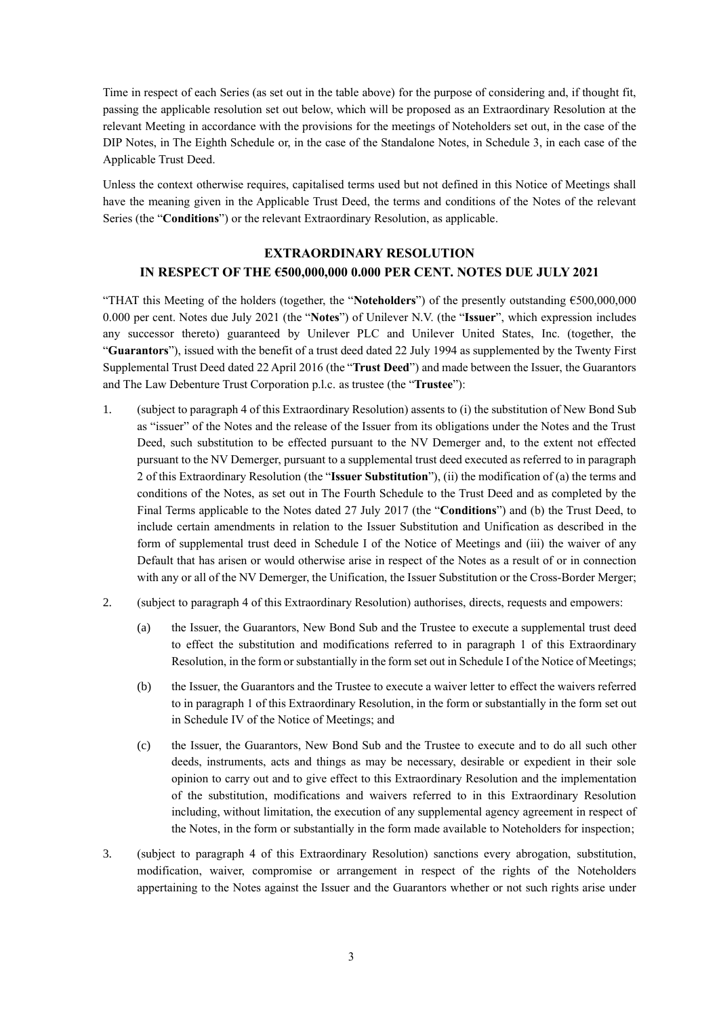Time in respect of each Series (as set out in the table above) for the purpose of considering and, if thought fit, passing the applicable resolution set out below, which will be proposed as an Extraordinary Resolution at the relevant Meeting in accordance with the provisions for the meetings of Noteholders set out, in the case of the DIP Notes, in The Eighth Schedule or, in the case of the Standalone Notes, in Schedule 3, in each case of the Applicable Trust Deed.

Unless the context otherwise requires, capitalised terms used but not defined in this Notice of Meetings shall have the meaning given in the Applicable Trust Deed, the terms and conditions of the Notes of the relevant Series (the "**Conditions**") or the relevant Extraordinary Resolution, as applicable.

### **EXTRAORDINARY RESOLUTION IN RESPECT OF THE €500,000,000 0.000 PER CENT. NOTES DUE JULY 2021**

"THAT this Meeting of the holders (together, the "**Noteholders**") of the presently outstanding €500,000,000 0.000 per cent. Notes due July 2021 (the "**Notes**") of Unilever N.V. (the "**Issuer**", which expression includes any successor thereto) guaranteed by Unilever PLC and Unilever United States, Inc. (together, the "**Guarantors**"), issued with the benefit of a trust deed dated 22 July 1994 as supplemented by the Twenty First Supplemental Trust Deed dated 22 April 2016 (the "**Trust Deed**") and made between the Issuer, the Guarantors and The Law Debenture Trust Corporation p.l.c. as trustee (the "**Trustee**"):

- 1. (subject to paragraph 4 of this Extraordinary Resolution) assents to (i) the substitution of New Bond Sub as "issuer" of the Notes and the release of the Issuer from its obligations under the Notes and the Trust Deed, such substitution to be effected pursuant to the NV Demerger and, to the extent not effected pursuant to the NV Demerger, pursuant to a supplemental trust deed executed as referred to in paragraph 2 of this Extraordinary Resolution (the "**Issuer Substitution**"), (ii) the modification of (a) the terms and conditions of the Notes, as set out in The Fourth Schedule to the Trust Deed and as completed by the Final Terms applicable to the Notes dated 27 July 2017 (the "**Conditions**") and (b) the Trust Deed, to include certain amendments in relation to the Issuer Substitution and Unification as described in the form of supplemental trust deed in Schedule I of the Notice of Meetings and (iii) the waiver of any Default that has arisen or would otherwise arise in respect of the Notes as a result of or in connection with any or all of the NV Demerger, the Unification, the Issuer Substitution or the Cross-Border Merger;
- 2. (subject to paragraph 4 of this Extraordinary Resolution) authorises, directs, requests and empowers:
	- (a) the Issuer, the Guarantors, New Bond Sub and the Trustee to execute a supplemental trust deed to effect the substitution and modifications referred to in paragraph 1 of this Extraordinary Resolution, in the form or substantially in the form set outin Schedule I of the Notice of Meetings;
	- (b) the Issuer, the Guarantors and the Trustee to execute a waiver letter to effect the waivers referred to in paragraph 1 of this Extraordinary Resolution, in the form or substantially in the form set out in Schedule IV of the Notice of Meetings; and
	- (c) the Issuer, the Guarantors, New Bond Sub and the Trustee to execute and to do all such other deeds, instruments, acts and things as may be necessary, desirable or expedient in their sole opinion to carry out and to give effect to this Extraordinary Resolution and the implementation of the substitution, modifications and waivers referred to in this Extraordinary Resolution including, without limitation, the execution of any supplemental agency agreement in respect of the Notes, in the form or substantially in the form made available to Noteholders for inspection;
- 3. (subject to paragraph 4 of this Extraordinary Resolution) sanctions every abrogation, substitution, modification, waiver, compromise or arrangement in respect of the rights of the Noteholders appertaining to the Notes against the Issuer and the Guarantors whether or not such rights arise under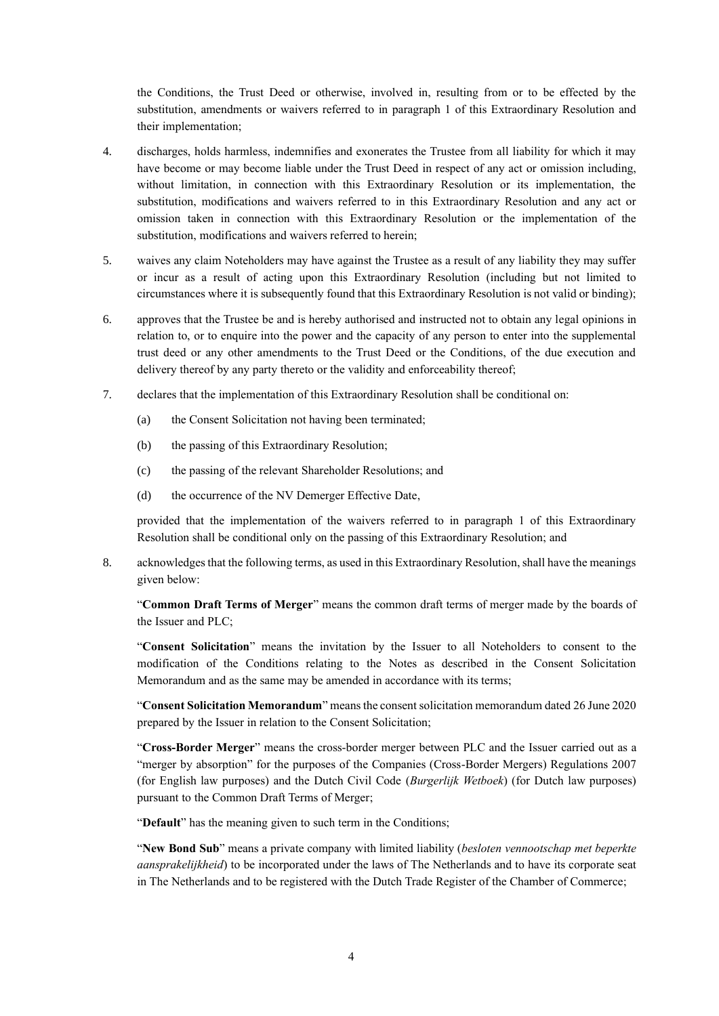the Conditions, the Trust Deed or otherwise, involved in, resulting from or to be effected by the substitution, amendments or waivers referred to in paragraph 1 of this Extraordinary Resolution and their implementation;

- 4. discharges, holds harmless, indemnifies and exonerates the Trustee from all liability for which it may have become or may become liable under the Trust Deed in respect of any act or omission including, without limitation, in connection with this Extraordinary Resolution or its implementation, the substitution, modifications and waivers referred to in this Extraordinary Resolution and any act or omission taken in connection with this Extraordinary Resolution or the implementation of the substitution, modifications and waivers referred to herein;
- 5. waives any claim Noteholders may have against the Trustee as a result of any liability they may suffer or incur as a result of acting upon this Extraordinary Resolution (including but not limited to circumstances where it is subsequently found that this Extraordinary Resolution is not valid or binding);
- 6. approves that the Trustee be and is hereby authorised and instructed not to obtain any legal opinions in relation to, or to enquire into the power and the capacity of any person to enter into the supplemental trust deed or any other amendments to the Trust Deed or the Conditions, of the due execution and delivery thereof by any party thereto or the validity and enforceability thereof;
- 7. declares that the implementation of this Extraordinary Resolution shall be conditional on:
	- (a) the Consent Solicitation not having been terminated;
	- (b) the passing of this Extraordinary Resolution;
	- (c) the passing of the relevant Shareholder Resolutions; and
	- (d) the occurrence of the NV Demerger Effective Date,

provided that the implementation of the waivers referred to in paragraph 1 of this Extraordinary Resolution shall be conditional only on the passing of this Extraordinary Resolution; and

8. acknowledges that the following terms, as used in this Extraordinary Resolution, shall have the meanings given below:

"**Common Draft Terms of Merger**" means the common draft terms of merger made by the boards of the Issuer and PLC;

"**Consent Solicitation**" means the invitation by the Issuer to all Noteholders to consent to the modification of the Conditions relating to the Notes as described in the Consent Solicitation Memorandum and as the same may be amended in accordance with its terms;

"**Consent Solicitation Memorandum**" means the consent solicitation memorandum dated 26 June 2020 prepared by the Issuer in relation to the Consent Solicitation;

"**Cross-Border Merger**" means the cross-border merger between PLC and the Issuer carried out as a "merger by absorption" for the purposes of the Companies (Cross-Border Mergers) Regulations 2007 (for English law purposes) and the Dutch Civil Code (*Burgerlijk Wetboek*) (for Dutch law purposes) pursuant to the Common Draft Terms of Merger;

"**Default**" has the meaning given to such term in the Conditions;

"**New Bond Sub**" means a private company with limited liability (*besloten vennootschap met beperkte aansprakelijkheid*) to be incorporated under the laws of The Netherlands and to have its corporate seat in The Netherlands and to be registered with the Dutch Trade Register of the Chamber of Commerce;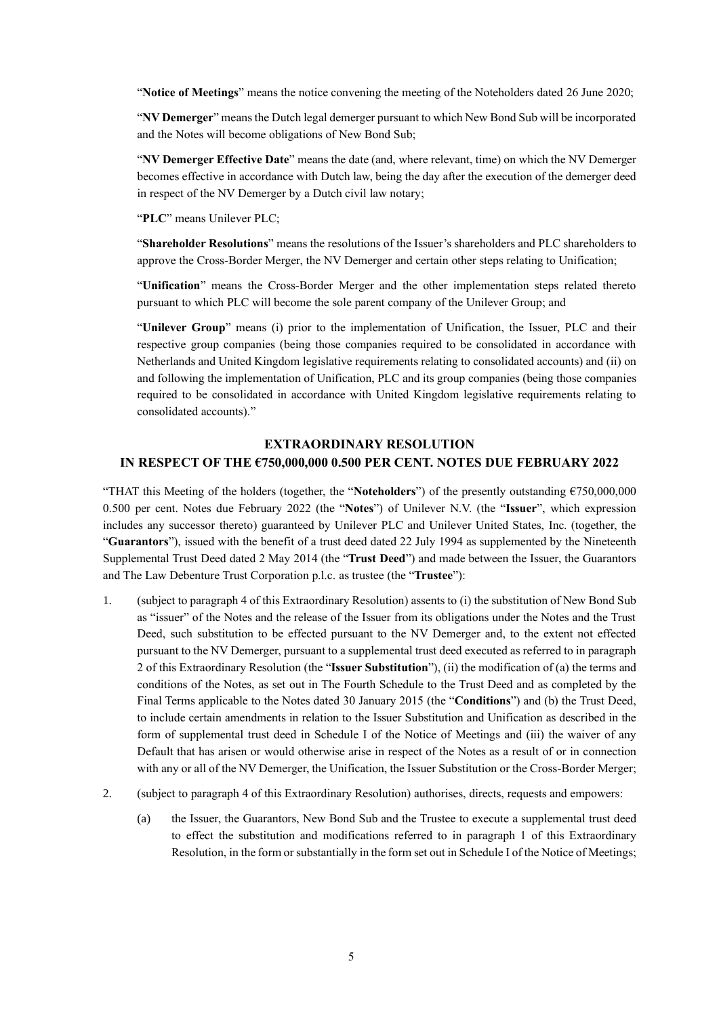"**Notice of Meetings**" means the notice convening the meeting of the Noteholders dated 26 June 2020;

"**NV Demerger**" means the Dutch legal demerger pursuant to which New Bond Sub will be incorporated and the Notes will become obligations of New Bond Sub;

"**NV Demerger Effective Date**" means the date (and, where relevant, time) on which the NV Demerger becomes effective in accordance with Dutch law, being the day after the execution of the demerger deed in respect of the NV Demerger by a Dutch civil law notary;

"**PLC**" means Unilever PLC;

"**Shareholder Resolutions**" means the resolutions of the Issuer's shareholders and PLC shareholders to approve the Cross-Border Merger, the NV Demerger and certain other steps relating to Unification;

"**Unification**" means the Cross-Border Merger and the other implementation steps related thereto pursuant to which PLC will become the sole parent company of the Unilever Group; and

"**Unilever Group**" means (i) prior to the implementation of Unification, the Issuer, PLC and their respective group companies (being those companies required to be consolidated in accordance with Netherlands and United Kingdom legislative requirements relating to consolidated accounts) and (ii) on and following the implementation of Unification, PLC and its group companies (being those companies required to be consolidated in accordance with United Kingdom legislative requirements relating to consolidated accounts)."

# **EXTRAORDINARY RESOLUTION IN RESPECT OF THE €750,000,000 0.500 PER CENT. NOTES DUE FEBRUARY 2022**

"THAT this Meeting of the holders (together, the "**Noteholders**") of the presently outstanding €750,000,000 0.500 per cent. Notes due February 2022 (the "**Notes**") of Unilever N.V. (the "**Issuer**", which expression includes any successor thereto) guaranteed by Unilever PLC and Unilever United States, Inc. (together, the "**Guarantors**"), issued with the benefit of a trust deed dated 22 July 1994 as supplemented by the Nineteenth Supplemental Trust Deed dated 2 May 2014 (the "**Trust Deed**") and made between the Issuer, the Guarantors and The Law Debenture Trust Corporation p.l.c. as trustee (the "**Trustee**"):

- 1. (subject to paragraph 4 of this Extraordinary Resolution) assents to (i) the substitution of New Bond Sub as "issuer" of the Notes and the release of the Issuer from its obligations under the Notes and the Trust Deed, such substitution to be effected pursuant to the NV Demerger and, to the extent not effected pursuant to the NV Demerger, pursuant to a supplemental trust deed executed as referred to in paragraph 2 of this Extraordinary Resolution (the "**Issuer Substitution**"), (ii) the modification of (a) the terms and conditions of the Notes, as set out in The Fourth Schedule to the Trust Deed and as completed by the Final Terms applicable to the Notes dated 30 January 2015 (the "**Conditions**") and (b) the Trust Deed, to include certain amendments in relation to the Issuer Substitution and Unification as described in the form of supplemental trust deed in Schedule I of the Notice of Meetings and (iii) the waiver of any Default that has arisen or would otherwise arise in respect of the Notes as a result of or in connection with any or all of the NV Demerger, the Unification, the Issuer Substitution or the Cross-Border Merger;
- 2. (subject to paragraph 4 of this Extraordinary Resolution) authorises, directs, requests and empowers:
	- (a) the Issuer, the Guarantors, New Bond Sub and the Trustee to execute a supplemental trust deed to effect the substitution and modifications referred to in paragraph 1 of this Extraordinary Resolution, in the form or substantially in the form set out in Schedule I of the Notice of Meetings;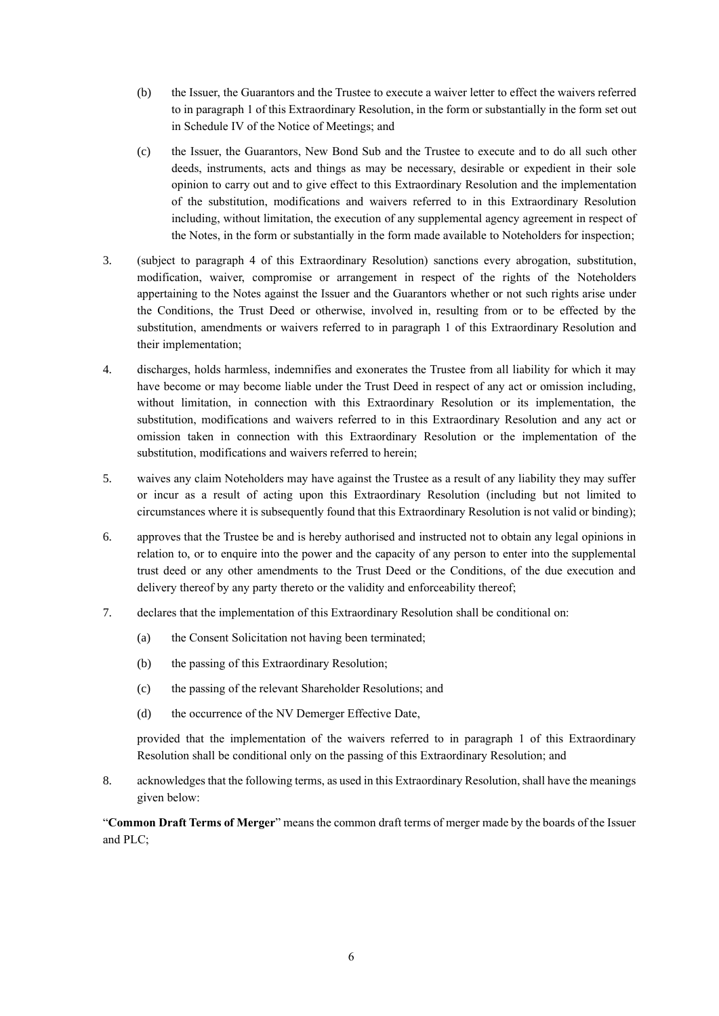- (b) the Issuer, the Guarantors and the Trustee to execute a waiver letter to effect the waivers referred to in paragraph 1 of this Extraordinary Resolution, in the form or substantially in the form set out in Schedule IV of the Notice of Meetings; and
- (c) the Issuer, the Guarantors, New Bond Sub and the Trustee to execute and to do all such other deeds, instruments, acts and things as may be necessary, desirable or expedient in their sole opinion to carry out and to give effect to this Extraordinary Resolution and the implementation of the substitution, modifications and waivers referred to in this Extraordinary Resolution including, without limitation, the execution of any supplemental agency agreement in respect of the Notes, in the form or substantially in the form made available to Noteholders for inspection;
- 3. (subject to paragraph 4 of this Extraordinary Resolution) sanctions every abrogation, substitution, modification, waiver, compromise or arrangement in respect of the rights of the Noteholders appertaining to the Notes against the Issuer and the Guarantors whether or not such rights arise under the Conditions, the Trust Deed or otherwise, involved in, resulting from or to be effected by the substitution, amendments or waivers referred to in paragraph 1 of this Extraordinary Resolution and their implementation;
- 4. discharges, holds harmless, indemnifies and exonerates the Trustee from all liability for which it may have become or may become liable under the Trust Deed in respect of any act or omission including, without limitation, in connection with this Extraordinary Resolution or its implementation, the substitution, modifications and waivers referred to in this Extraordinary Resolution and any act or omission taken in connection with this Extraordinary Resolution or the implementation of the substitution, modifications and waivers referred to herein;
- 5. waives any claim Noteholders may have against the Trustee as a result of any liability they may suffer or incur as a result of acting upon this Extraordinary Resolution (including but not limited to circumstances where it is subsequently found that this Extraordinary Resolution is not valid or binding);
- 6. approves that the Trustee be and is hereby authorised and instructed not to obtain any legal opinions in relation to, or to enquire into the power and the capacity of any person to enter into the supplemental trust deed or any other amendments to the Trust Deed or the Conditions, of the due execution and delivery thereof by any party thereto or the validity and enforceability thereof;
- 7. declares that the implementation of this Extraordinary Resolution shall be conditional on:
	- (a) the Consent Solicitation not having been terminated;
	- (b) the passing of this Extraordinary Resolution;
	- (c) the passing of the relevant Shareholder Resolutions; and
	- (d) the occurrence of the NV Demerger Effective Date,

8. acknowledges that the following terms, as used in this Extraordinary Resolution, shall have the meanings given below:

"**Common Draft Terms of Merger**" means the common draft terms of merger made by the boards of the Issuer and PLC;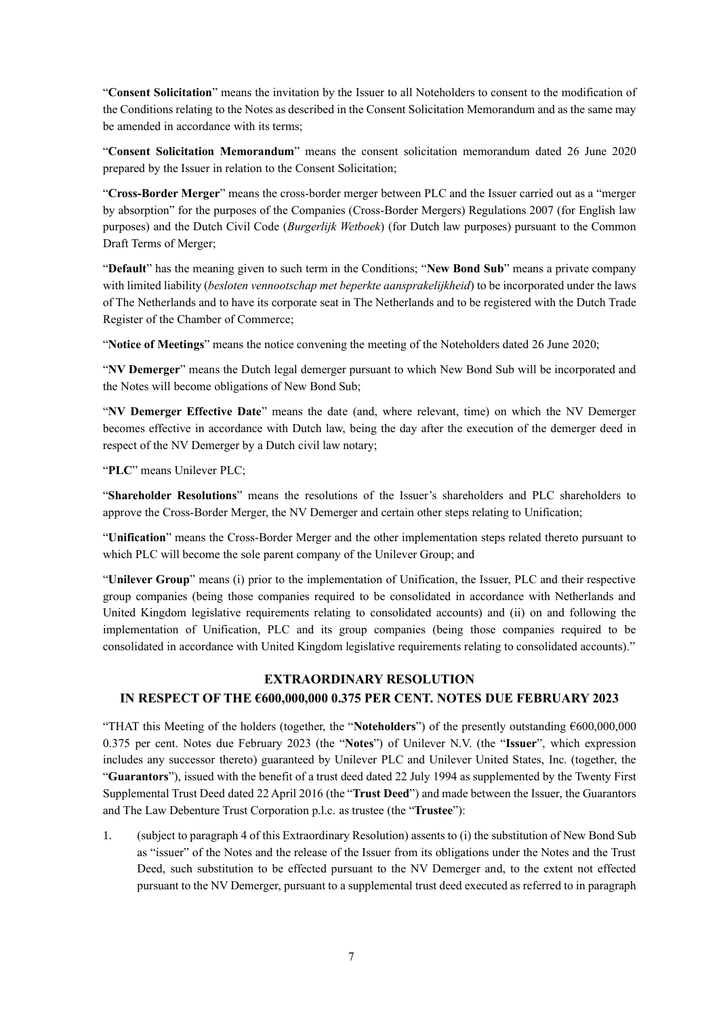"**Consent Solicitation**" means the invitation by the Issuer to all Noteholders to consent to the modification of the Conditions relating to the Notes as described in the Consent Solicitation Memorandum and as the same may be amended in accordance with its terms;

"**Consent Solicitation Memorandum**" means the consent solicitation memorandum dated 26 June 2020 prepared by the Issuer in relation to the Consent Solicitation;

"**Cross-Border Merger**" means the cross-border merger between PLC and the Issuer carried out as a "merger by absorption" for the purposes of the Companies (Cross-Border Mergers) Regulations 2007 (for English law purposes) and the Dutch Civil Code (*Burgerlijk Wetboek*) (for Dutch law purposes) pursuant to the Common Draft Terms of Merger;

"**Default**" has the meaning given to such term in the Conditions; "**New Bond Sub**" means a private company with limited liability (*besloten vennootschap met beperkte aansprakelijkheid*) to be incorporated under the laws of The Netherlands and to have its corporate seat in The Netherlands and to be registered with the Dutch Trade Register of the Chamber of Commerce;

"**Notice of Meetings**" means the notice convening the meeting of the Noteholders dated 26 June 2020;

"**NV Demerger**" means the Dutch legal demerger pursuant to which New Bond Sub will be incorporated and the Notes will become obligations of New Bond Sub;

"**NV Demerger Effective Date**" means the date (and, where relevant, time) on which the NV Demerger becomes effective in accordance with Dutch law, being the day after the execution of the demerger deed in respect of the NV Demerger by a Dutch civil law notary;

"**PLC**" means Unilever PLC;

"**Shareholder Resolutions**" means the resolutions of the Issuer's shareholders and PLC shareholders to approve the Cross-Border Merger, the NV Demerger and certain other steps relating to Unification;

"**Unification**" means the Cross-Border Merger and the other implementation steps related thereto pursuant to which PLC will become the sole parent company of the Unilever Group; and

"**Unilever Group**" means (i) prior to the implementation of Unification, the Issuer, PLC and their respective group companies (being those companies required to be consolidated in accordance with Netherlands and United Kingdom legislative requirements relating to consolidated accounts) and (ii) on and following the implementation of Unification, PLC and its group companies (being those companies required to be consolidated in accordance with United Kingdom legislative requirements relating to consolidated accounts)."

## **EXTRAORDINARY RESOLUTION IN RESPECT OF THE €600,000,000 0.375 PER CENT. NOTES DUE FEBRUARY 2023**

"THAT this Meeting of the holders (together, the "**Noteholders**") of the presently outstanding €600,000,000 0.375 per cent. Notes due February 2023 (the "**Notes**") of Unilever N.V. (the "**Issuer**", which expression includes any successor thereto) guaranteed by Unilever PLC and Unilever United States, Inc. (together, the "**Guarantors**"), issued with the benefit of a trust deed dated 22 July 1994 as supplemented by the Twenty First Supplemental Trust Deed dated 22 April 2016 (the "**Trust Deed**") and made between the Issuer, the Guarantors and The Law Debenture Trust Corporation p.l.c. as trustee (the "**Trustee**"):

1. (subject to paragraph 4 of this Extraordinary Resolution) assents to (i) the substitution of New Bond Sub as "issuer" of the Notes and the release of the Issuer from its obligations under the Notes and the Trust Deed, such substitution to be effected pursuant to the NV Demerger and, to the extent not effected pursuant to the NV Demerger, pursuant to a supplemental trust deed executed as referred to in paragraph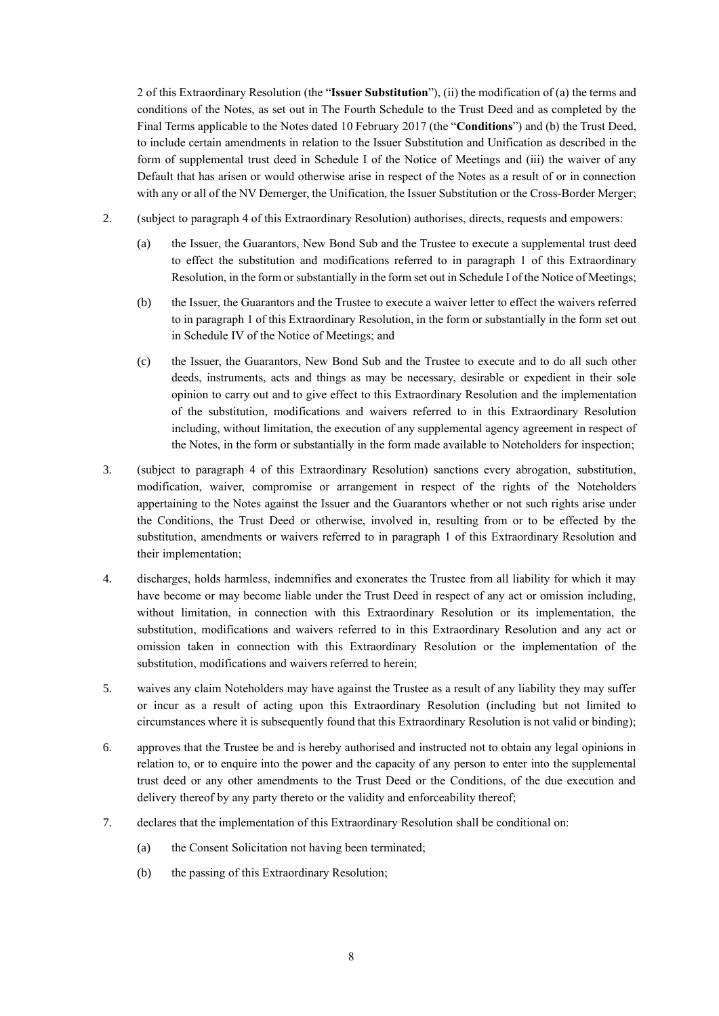2 of this Extraordinary Resolution (the "**Issuer Substitution**"), (ii) the modification of (a) the terms and conditions of the Notes, as set out in The Fourth Schedule to the Trust Deed and as completed by the Final Terms applicable to the Notes dated 10 February 2017 (the "**Conditions**") and (b) the Trust Deed, to include certain amendments in relation to the Issuer Substitution and Unification as described in the form of supplemental trust deed in Schedule I of the Notice of Meetings and (iii) the waiver of any Default that has arisen or would otherwise arise in respect of the Notes as a result of or in connection with any or all of the NV Demerger, the Unification, the Issuer Substitution or the Cross-Border Merger;

- 2. (subject to paragraph 4 of this Extraordinary Resolution) authorises, directs, requests and empowers:
	- (a) the Issuer, the Guarantors, New Bond Sub and the Trustee to execute a supplemental trust deed to effect the substitution and modifications referred to in paragraph 1 of this Extraordinary Resolution, in the form or substantially in the form set out in Schedule I of the Notice of Meetings;
	- (b) the Issuer, the Guarantors and the Trustee to execute a waiver letter to effect the waivers referred to in paragraph 1 of this Extraordinary Resolution, in the form or substantially in the form set out in Schedule IV of the Notice of Meetings; and
	- (c) the Issuer, the Guarantors, New Bond Sub and the Trustee to execute and to do all such other deeds, instruments, acts and things as may be necessary, desirable or expedient in their sole opinion to carry out and to give effect to this Extraordinary Resolution and the implementation of the substitution, modifications and waivers referred to in this Extraordinary Resolution including, without limitation, the execution of any supplemental agency agreement in respect of the Notes, in the form or substantially in the form made available to Noteholders for inspection;
- 3. (subject to paragraph 4 of this Extraordinary Resolution) sanctions every abrogation, substitution, modification, waiver, compromise or arrangement in respect of the rights of the Noteholders appertaining to the Notes against the Issuer and the Guarantors whether or not such rights arise under the Conditions, the Trust Deed or otherwise, involved in, resulting from or to be effected by the substitution, amendments or waivers referred to in paragraph 1 of this Extraordinary Resolution and their implementation;
- 4. discharges, holds harmless, indemnifies and exonerates the Trustee from all liability for which it may have become or may become liable under the Trust Deed in respect of any act or omission including, without limitation, in connection with this Extraordinary Resolution or its implementation, the substitution, modifications and waivers referred to in this Extraordinary Resolution and any act or omission taken in connection with this Extraordinary Resolution or the implementation of the substitution, modifications and waivers referred to herein;
- 5. waives any claim Noteholders may have against the Trustee as a result of any liability they may suffer or incur as a result of acting upon this Extraordinary Resolution (including but not limited to circumstances where it is subsequently found that this Extraordinary Resolution is not valid or binding);
- 6. approves that the Trustee be and is hereby authorised and instructed not to obtain any legal opinions in relation to, or to enquire into the power and the capacity of any person to enter into the supplemental trust deed or any other amendments to the Trust Deed or the Conditions, of the due execution and delivery thereof by any party thereto or the validity and enforceability thereof;
- 7. declares that the implementation of this Extraordinary Resolution shall be conditional on:
	- (a) the Consent Solicitation not having been terminated;
	- (b) the passing of this Extraordinary Resolution;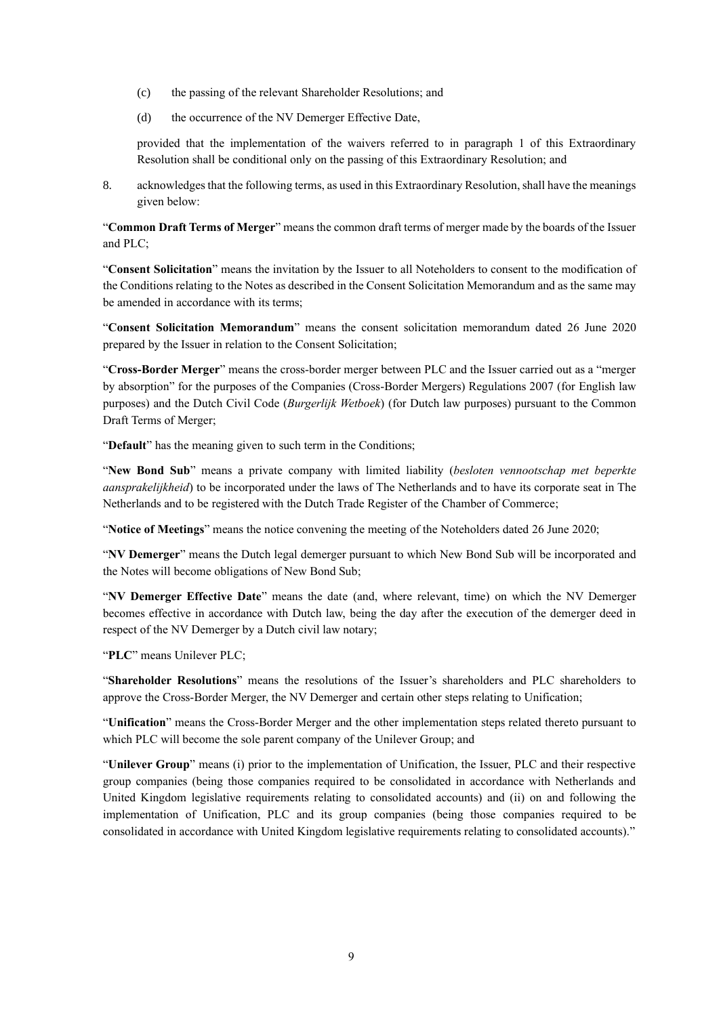- (c) the passing of the relevant Shareholder Resolutions; and
- (d) the occurrence of the NV Demerger Effective Date,

8. acknowledges that the following terms, as used in this Extraordinary Resolution, shall have the meanings given below:

"**Common Draft Terms of Merger**" means the common draft terms of merger made by the boards of the Issuer and PLC;

"**Consent Solicitation**" means the invitation by the Issuer to all Noteholders to consent to the modification of the Conditions relating to the Notes as described in the Consent Solicitation Memorandum and as the same may be amended in accordance with its terms:

"**Consent Solicitation Memorandum**" means the consent solicitation memorandum dated 26 June 2020 prepared by the Issuer in relation to the Consent Solicitation;

"**Cross-Border Merger**" means the cross-border merger between PLC and the Issuer carried out as a "merger by absorption" for the purposes of the Companies (Cross-Border Mergers) Regulations 2007 (for English law purposes) and the Dutch Civil Code (*Burgerlijk Wetboek*) (for Dutch law purposes) pursuant to the Common Draft Terms of Merger;

"**Default**" has the meaning given to such term in the Conditions;

"**New Bond Sub**" means a private company with limited liability (*besloten vennootschap met beperkte aansprakelijkheid*) to be incorporated under the laws of The Netherlands and to have its corporate seat in The Netherlands and to be registered with the Dutch Trade Register of the Chamber of Commerce;

"**Notice of Meetings**" means the notice convening the meeting of the Noteholders dated 26 June 2020;

"**NV Demerger**" means the Dutch legal demerger pursuant to which New Bond Sub will be incorporated and the Notes will become obligations of New Bond Sub;

"**NV Demerger Effective Date**" means the date (and, where relevant, time) on which the NV Demerger becomes effective in accordance with Dutch law, being the day after the execution of the demerger deed in respect of the NV Demerger by a Dutch civil law notary;

"**PLC**" means Unilever PLC;

"**Shareholder Resolutions**" means the resolutions of the Issuer's shareholders and PLC shareholders to approve the Cross-Border Merger, the NV Demerger and certain other steps relating to Unification;

"**Unification**" means the Cross-Border Merger and the other implementation steps related thereto pursuant to which PLC will become the sole parent company of the Unilever Group; and

"**Unilever Group**" means (i) prior to the implementation of Unification, the Issuer, PLC and their respective group companies (being those companies required to be consolidated in accordance with Netherlands and United Kingdom legislative requirements relating to consolidated accounts) and (ii) on and following the implementation of Unification, PLC and its group companies (being those companies required to be consolidated in accordance with United Kingdom legislative requirements relating to consolidated accounts)."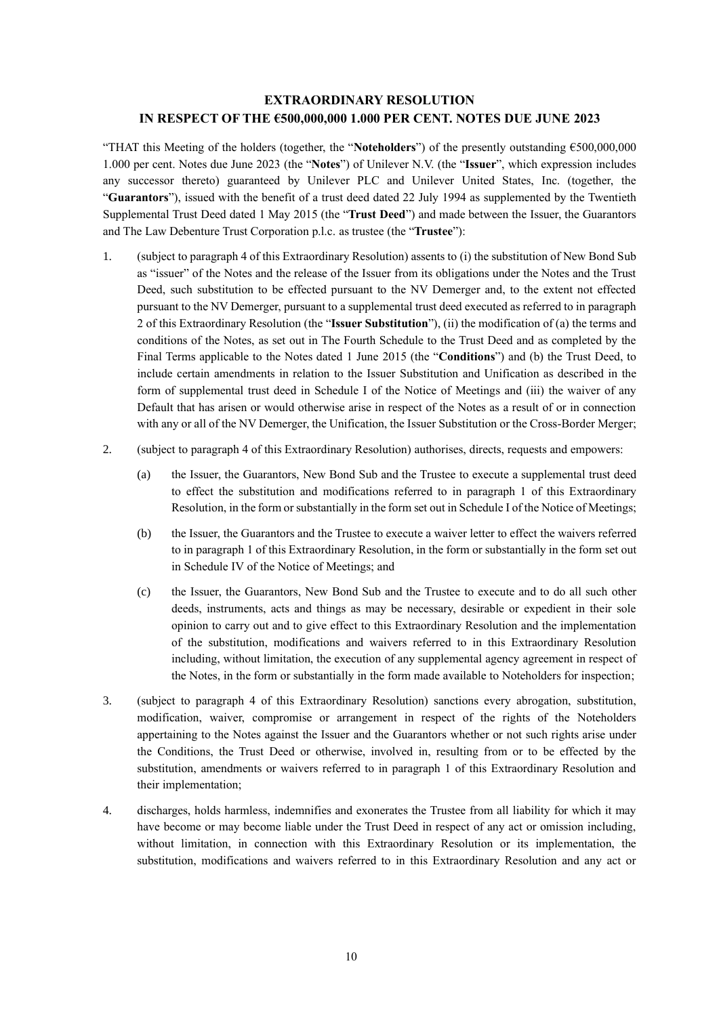#### **EXTRAORDINARY RESOLUTION IN RESPECT OF THE €500,000,000 1.000 PER CENT. NOTES DUE JUNE 2023**

"THAT this Meeting of the holders (together, the "**Noteholders**") of the presently outstanding €500,000,000 1.000 per cent. Notes due June 2023 (the "**Notes**") of Unilever N.V. (the "**Issuer**", which expression includes any successor thereto) guaranteed by Unilever PLC and Unilever United States, Inc. (together, the "**Guarantors**"), issued with the benefit of a trust deed dated 22 July 1994 as supplemented by the Twentieth Supplemental Trust Deed dated 1 May 2015 (the "**Trust Deed**") and made between the Issuer, the Guarantors and The Law Debenture Trust Corporation p.l.c. as trustee (the "**Trustee**"):

- 1. (subject to paragraph 4 of this Extraordinary Resolution) assents to (i) the substitution of New Bond Sub as "issuer" of the Notes and the release of the Issuer from its obligations under the Notes and the Trust Deed, such substitution to be effected pursuant to the NV Demerger and, to the extent not effected pursuant to the NV Demerger, pursuant to a supplemental trust deed executed as referred to in paragraph 2 of this Extraordinary Resolution (the "**Issuer Substitution**"), (ii) the modification of (a) the terms and conditions of the Notes, as set out in The Fourth Schedule to the Trust Deed and as completed by the Final Terms applicable to the Notes dated 1 June 2015 (the "**Conditions**") and (b) the Trust Deed, to include certain amendments in relation to the Issuer Substitution and Unification as described in the form of supplemental trust deed in Schedule I of the Notice of Meetings and (iii) the waiver of any Default that has arisen or would otherwise arise in respect of the Notes as a result of or in connection with any or all of the NV Demerger, the Unification, the Issuer Substitution or the Cross-Border Merger;
- 2. (subject to paragraph 4 of this Extraordinary Resolution) authorises, directs, requests and empowers:
	- (a) the Issuer, the Guarantors, New Bond Sub and the Trustee to execute a supplemental trust deed to effect the substitution and modifications referred to in paragraph 1 of this Extraordinary Resolution, in the form or substantially in the form set out in Schedule I of the Notice of Meetings;
	- (b) the Issuer, the Guarantors and the Trustee to execute a waiver letter to effect the waivers referred to in paragraph 1 of this Extraordinary Resolution, in the form or substantially in the form set out in Schedule IV of the Notice of Meetings; and
	- (c) the Issuer, the Guarantors, New Bond Sub and the Trustee to execute and to do all such other deeds, instruments, acts and things as may be necessary, desirable or expedient in their sole opinion to carry out and to give effect to this Extraordinary Resolution and the implementation of the substitution, modifications and waivers referred to in this Extraordinary Resolution including, without limitation, the execution of any supplemental agency agreement in respect of the Notes, in the form or substantially in the form made available to Noteholders for inspection;
- 3. (subject to paragraph 4 of this Extraordinary Resolution) sanctions every abrogation, substitution, modification, waiver, compromise or arrangement in respect of the rights of the Noteholders appertaining to the Notes against the Issuer and the Guarantors whether or not such rights arise under the Conditions, the Trust Deed or otherwise, involved in, resulting from or to be effected by the substitution, amendments or waivers referred to in paragraph 1 of this Extraordinary Resolution and their implementation;
- 4. discharges, holds harmless, indemnifies and exonerates the Trustee from all liability for which it may have become or may become liable under the Trust Deed in respect of any act or omission including, without limitation, in connection with this Extraordinary Resolution or its implementation, the substitution, modifications and waivers referred to in this Extraordinary Resolution and any act or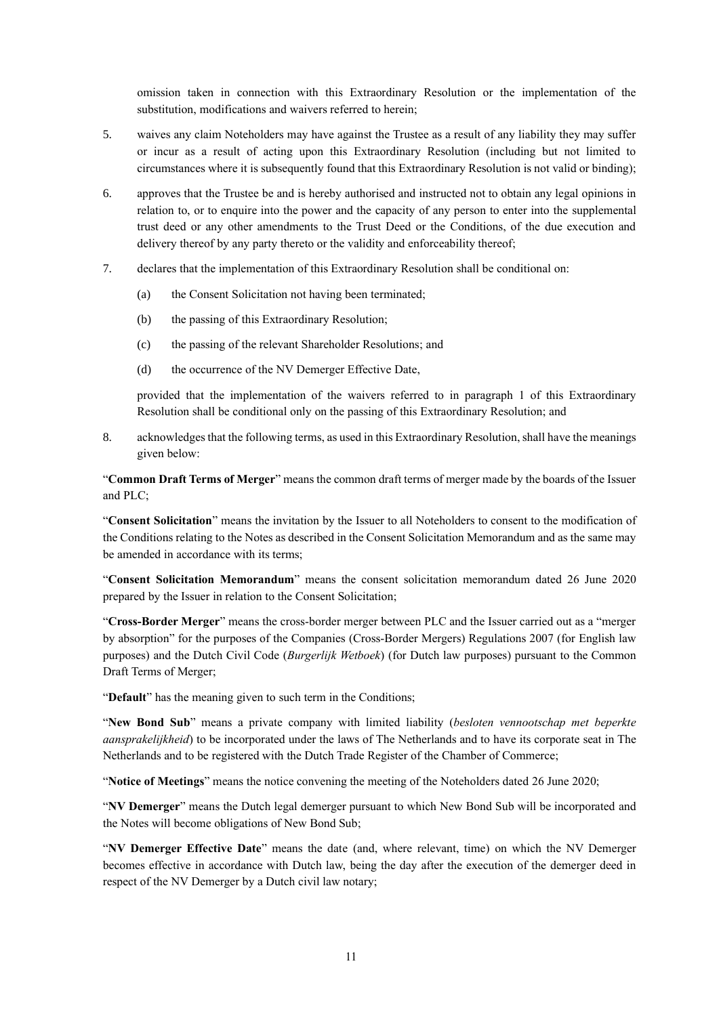omission taken in connection with this Extraordinary Resolution or the implementation of the substitution, modifications and waivers referred to herein;

- 5. waives any claim Noteholders may have against the Trustee as a result of any liability they may suffer or incur as a result of acting upon this Extraordinary Resolution (including but not limited to circumstances where it is subsequently found that this Extraordinary Resolution is not valid or binding);
- 6. approves that the Trustee be and is hereby authorised and instructed not to obtain any legal opinions in relation to, or to enquire into the power and the capacity of any person to enter into the supplemental trust deed or any other amendments to the Trust Deed or the Conditions, of the due execution and delivery thereof by any party thereto or the validity and enforceability thereof;
- 7. declares that the implementation of this Extraordinary Resolution shall be conditional on:
	- (a) the Consent Solicitation not having been terminated;
	- (b) the passing of this Extraordinary Resolution;
	- (c) the passing of the relevant Shareholder Resolutions; and
	- (d) the occurrence of the NV Demerger Effective Date,

provided that the implementation of the waivers referred to in paragraph 1 of this Extraordinary Resolution shall be conditional only on the passing of this Extraordinary Resolution; and

8. acknowledges that the following terms, as used in this Extraordinary Resolution, shall have the meanings given below:

"**Common Draft Terms of Merger**" means the common draft terms of merger made by the boards of the Issuer and PLC;

"**Consent Solicitation**" means the invitation by the Issuer to all Noteholders to consent to the modification of the Conditions relating to the Notes as described in the Consent Solicitation Memorandum and as the same may be amended in accordance with its terms;

"**Consent Solicitation Memorandum**" means the consent solicitation memorandum dated 26 June 2020 prepared by the Issuer in relation to the Consent Solicitation;

"**Cross-Border Merger**" means the cross-border merger between PLC and the Issuer carried out as a "merger by absorption" for the purposes of the Companies (Cross-Border Mergers) Regulations 2007 (for English law purposes) and the Dutch Civil Code (*Burgerlijk Wetboek*) (for Dutch law purposes) pursuant to the Common Draft Terms of Merger;

"**Default**" has the meaning given to such term in the Conditions;

"**New Bond Sub**" means a private company with limited liability (*besloten vennootschap met beperkte aansprakelijkheid*) to be incorporated under the laws of The Netherlands and to have its corporate seat in The Netherlands and to be registered with the Dutch Trade Register of the Chamber of Commerce;

"**Notice of Meetings**" means the notice convening the meeting of the Noteholders dated 26 June 2020;

"**NV Demerger**" means the Dutch legal demerger pursuant to which New Bond Sub will be incorporated and the Notes will become obligations of New Bond Sub;

"**NV Demerger Effective Date**" means the date (and, where relevant, time) on which the NV Demerger becomes effective in accordance with Dutch law, being the day after the execution of the demerger deed in respect of the NV Demerger by a Dutch civil law notary;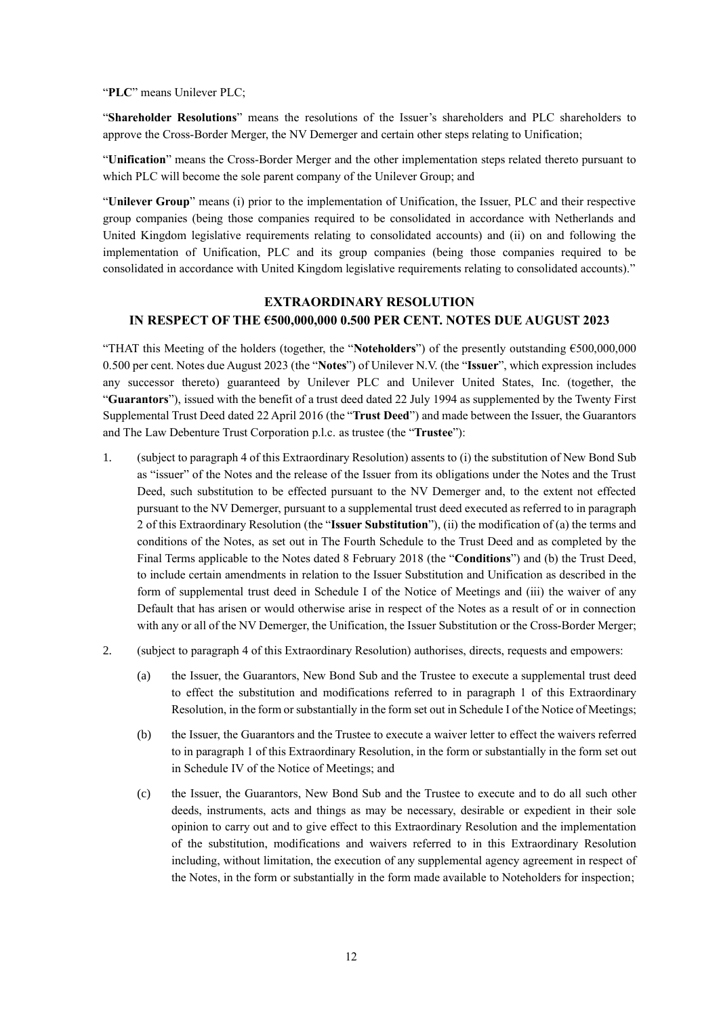"**PLC**" means Unilever PLC;

"**Shareholder Resolutions**" means the resolutions of the Issuer's shareholders and PLC shareholders to approve the Cross-Border Merger, the NV Demerger and certain other steps relating to Unification;

"**Unification**" means the Cross-Border Merger and the other implementation steps related thereto pursuant to which PLC will become the sole parent company of the Unilever Group; and

"**Unilever Group**" means (i) prior to the implementation of Unification, the Issuer, PLC and their respective group companies (being those companies required to be consolidated in accordance with Netherlands and United Kingdom legislative requirements relating to consolidated accounts) and (ii) on and following the implementation of Unification, PLC and its group companies (being those companies required to be consolidated in accordance with United Kingdom legislative requirements relating to consolidated accounts)."

### **EXTRAORDINARY RESOLUTION IN RESPECT OF THE €500,000,000 0.500 PER CENT. NOTES DUE AUGUST 2023**

"THAT this Meeting of the holders (together, the "**Noteholders**") of the presently outstanding €500,000,000 0.500 per cent. Notes due August 2023 (the "**Notes**") of Unilever N.V. (the "**Issuer**", which expression includes any successor thereto) guaranteed by Unilever PLC and Unilever United States, Inc. (together, the "**Guarantors**"), issued with the benefit of a trust deed dated 22 July 1994 as supplemented by the Twenty First Supplemental Trust Deed dated 22 April 2016 (the "**Trust Deed**") and made between the Issuer, the Guarantors and The Law Debenture Trust Corporation p.l.c. as trustee (the "**Trustee**"):

- 1. (subject to paragraph 4 of this Extraordinary Resolution) assents to (i) the substitution of New Bond Sub as "issuer" of the Notes and the release of the Issuer from its obligations under the Notes and the Trust Deed, such substitution to be effected pursuant to the NV Demerger and, to the extent not effected pursuant to the NV Demerger, pursuant to a supplemental trust deed executed as referred to in paragraph 2 of this Extraordinary Resolution (the "**Issuer Substitution**"), (ii) the modification of (a) the terms and conditions of the Notes, as set out in The Fourth Schedule to the Trust Deed and as completed by the Final Terms applicable to the Notes dated 8 February 2018 (the "**Conditions**") and (b) the Trust Deed, to include certain amendments in relation to the Issuer Substitution and Unification as described in the form of supplemental trust deed in Schedule I of the Notice of Meetings and (iii) the waiver of any Default that has arisen or would otherwise arise in respect of the Notes as a result of or in connection with any or all of the NV Demerger, the Unification, the Issuer Substitution or the Cross-Border Merger;
- 2. (subject to paragraph 4 of this Extraordinary Resolution) authorises, directs, requests and empowers:
	- (a) the Issuer, the Guarantors, New Bond Sub and the Trustee to execute a supplemental trust deed to effect the substitution and modifications referred to in paragraph 1 of this Extraordinary Resolution, in the form or substantially in the form set outin Schedule I of the Notice of Meetings;
	- (b) the Issuer, the Guarantors and the Trustee to execute a waiver letter to effect the waivers referred to in paragraph 1 of this Extraordinary Resolution, in the form or substantially in the form set out in Schedule IV of the Notice of Meetings; and
	- (c) the Issuer, the Guarantors, New Bond Sub and the Trustee to execute and to do all such other deeds, instruments, acts and things as may be necessary, desirable or expedient in their sole opinion to carry out and to give effect to this Extraordinary Resolution and the implementation of the substitution, modifications and waivers referred to in this Extraordinary Resolution including, without limitation, the execution of any supplemental agency agreement in respect of the Notes, in the form or substantially in the form made available to Noteholders for inspection;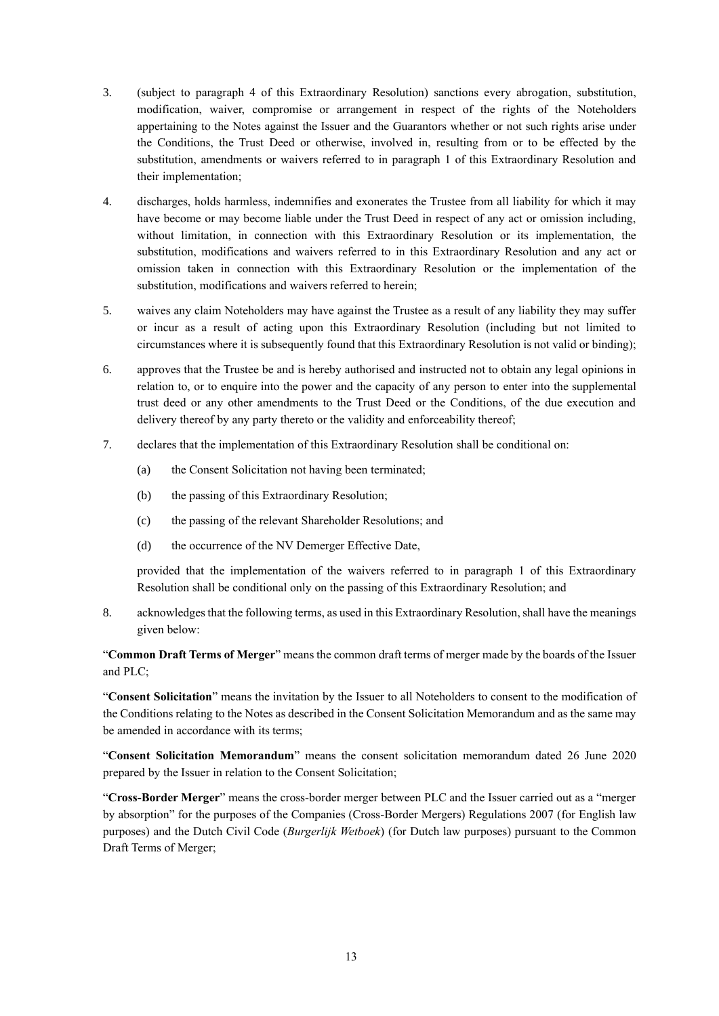- 3. (subject to paragraph 4 of this Extraordinary Resolution) sanctions every abrogation, substitution, modification, waiver, compromise or arrangement in respect of the rights of the Noteholders appertaining to the Notes against the Issuer and the Guarantors whether or not such rights arise under the Conditions, the Trust Deed or otherwise, involved in, resulting from or to be effected by the substitution, amendments or waivers referred to in paragraph 1 of this Extraordinary Resolution and their implementation;
- 4. discharges, holds harmless, indemnifies and exonerates the Trustee from all liability for which it may have become or may become liable under the Trust Deed in respect of any act or omission including, without limitation, in connection with this Extraordinary Resolution or its implementation, the substitution, modifications and waivers referred to in this Extraordinary Resolution and any act or omission taken in connection with this Extraordinary Resolution or the implementation of the substitution, modifications and waivers referred to herein;
- 5. waives any claim Noteholders may have against the Trustee as a result of any liability they may suffer or incur as a result of acting upon this Extraordinary Resolution (including but not limited to circumstances where it is subsequently found that this Extraordinary Resolution is not valid or binding);
- 6. approves that the Trustee be and is hereby authorised and instructed not to obtain any legal opinions in relation to, or to enquire into the power and the capacity of any person to enter into the supplemental trust deed or any other amendments to the Trust Deed or the Conditions, of the due execution and delivery thereof by any party thereto or the validity and enforceability thereof;
- 7. declares that the implementation of this Extraordinary Resolution shall be conditional on:
	- (a) the Consent Solicitation not having been terminated;
	- (b) the passing of this Extraordinary Resolution;
	- (c) the passing of the relevant Shareholder Resolutions; and
	- (d) the occurrence of the NV Demerger Effective Date,

8. acknowledges that the following terms, as used in this Extraordinary Resolution, shall have the meanings given below:

"**Common Draft Terms of Merger**" means the common draft terms of merger made by the boards of the Issuer and PLC;

"**Consent Solicitation**" means the invitation by the Issuer to all Noteholders to consent to the modification of the Conditions relating to the Notes as described in the Consent Solicitation Memorandum and as the same may be amended in accordance with its terms;

"**Consent Solicitation Memorandum**" means the consent solicitation memorandum dated 26 June 2020 prepared by the Issuer in relation to the Consent Solicitation;

"**Cross-Border Merger**" means the cross-border merger between PLC and the Issuer carried out as a "merger by absorption" for the purposes of the Companies (Cross-Border Mergers) Regulations 2007 (for English law purposes) and the Dutch Civil Code (*Burgerlijk Wetboek*) (for Dutch law purposes) pursuant to the Common Draft Terms of Merger;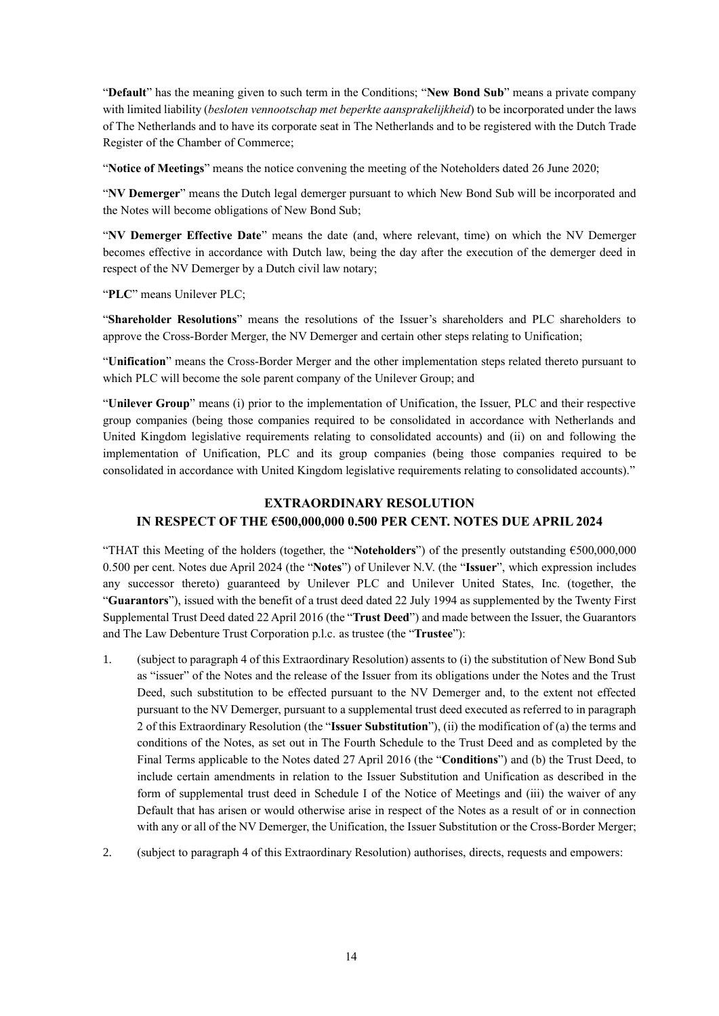"**Default**" has the meaning given to such term in the Conditions; "**New Bond Sub**" means a private company with limited liability (*besloten vennootschap met beperkte aansprakelijkheid*) to be incorporated under the laws of The Netherlands and to have its corporate seat in The Netherlands and to be registered with the Dutch Trade Register of the Chamber of Commerce;

"**Notice of Meetings**" means the notice convening the meeting of the Noteholders dated 26 June 2020;

"**NV Demerger**" means the Dutch legal demerger pursuant to which New Bond Sub will be incorporated and the Notes will become obligations of New Bond Sub;

"**NV Demerger Effective Date**" means the date (and, where relevant, time) on which the NV Demerger becomes effective in accordance with Dutch law, being the day after the execution of the demerger deed in respect of the NV Demerger by a Dutch civil law notary;

"**PLC**" means Unilever PLC;

"**Shareholder Resolutions**" means the resolutions of the Issuer's shareholders and PLC shareholders to approve the Cross-Border Merger, the NV Demerger and certain other steps relating to Unification;

"**Unification**" means the Cross-Border Merger and the other implementation steps related thereto pursuant to which PLC will become the sole parent company of the Unilever Group; and

"**Unilever Group**" means (i) prior to the implementation of Unification, the Issuer, PLC and their respective group companies (being those companies required to be consolidated in accordance with Netherlands and United Kingdom legislative requirements relating to consolidated accounts) and (ii) on and following the implementation of Unification, PLC and its group companies (being those companies required to be consolidated in accordance with United Kingdom legislative requirements relating to consolidated accounts)."

# **EXTRAORDINARY RESOLUTION IN RESPECT OF THE €500,000,000 0.500 PER CENT. NOTES DUE APRIL 2024**

"THAT this Meeting of the holders (together, the "**Noteholders**") of the presently outstanding €500,000,000 0.500 per cent. Notes due April 2024 (the "**Notes**") of Unilever N.V. (the "**Issuer**", which expression includes any successor thereto) guaranteed by Unilever PLC and Unilever United States, Inc. (together, the "**Guarantors**"), issued with the benefit of a trust deed dated 22 July 1994 as supplemented by the Twenty First Supplemental Trust Deed dated 22 April 2016 (the "**Trust Deed**") and made between the Issuer, the Guarantors and The Law Debenture Trust Corporation p.l.c. as trustee (the "**Trustee**"):

- 1. (subject to paragraph 4 of this Extraordinary Resolution) assents to (i) the substitution of New Bond Sub as "issuer" of the Notes and the release of the Issuer from its obligations under the Notes and the Trust Deed, such substitution to be effected pursuant to the NV Demerger and, to the extent not effected pursuant to the NV Demerger, pursuant to a supplemental trust deed executed as referred to in paragraph 2 of this Extraordinary Resolution (the "**Issuer Substitution**"), (ii) the modification of (a) the terms and conditions of the Notes, as set out in The Fourth Schedule to the Trust Deed and as completed by the Final Terms applicable to the Notes dated 27 April 2016 (the "**Conditions**") and (b) the Trust Deed, to include certain amendments in relation to the Issuer Substitution and Unification as described in the form of supplemental trust deed in Schedule I of the Notice of Meetings and (iii) the waiver of any Default that has arisen or would otherwise arise in respect of the Notes as a result of or in connection with any or all of the NV Demerger, the Unification, the Issuer Substitution or the Cross-Border Merger;
- 2. (subject to paragraph 4 of this Extraordinary Resolution) authorises, directs, requests and empowers: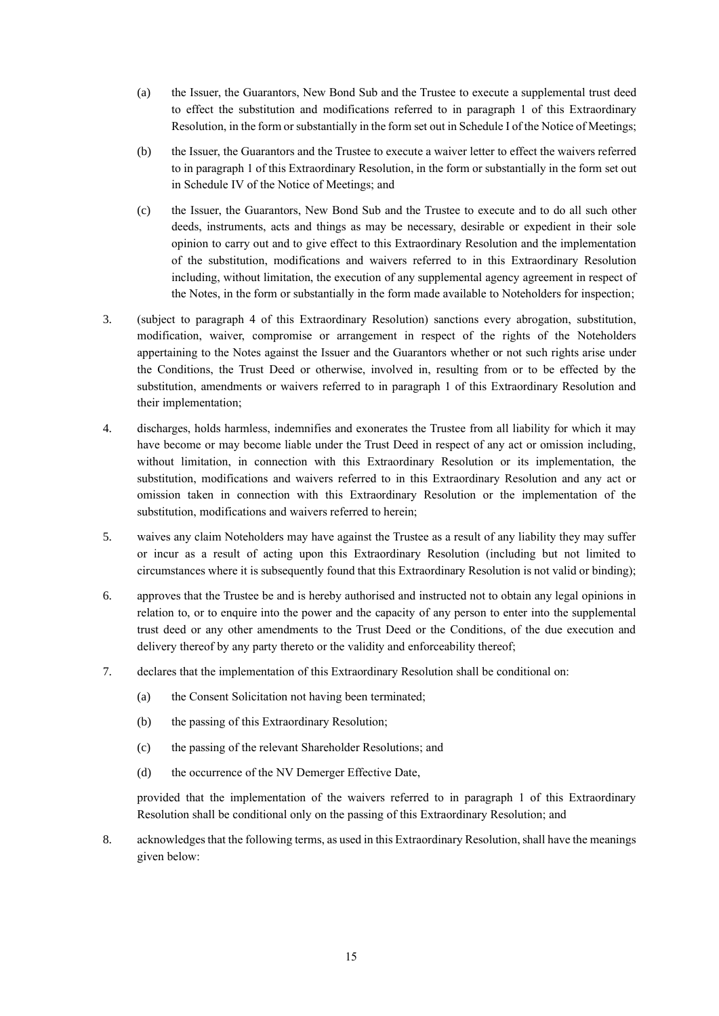- (a) the Issuer, the Guarantors, New Bond Sub and the Trustee to execute a supplemental trust deed to effect the substitution and modifications referred to in paragraph 1 of this Extraordinary Resolution, in the form or substantially in the form set out in Schedule I of the Notice of Meetings;
- (b) the Issuer, the Guarantors and the Trustee to execute a waiver letter to effect the waivers referred to in paragraph 1 of this Extraordinary Resolution, in the form or substantially in the form set out in Schedule IV of the Notice of Meetings; and
- (c) the Issuer, the Guarantors, New Bond Sub and the Trustee to execute and to do all such other deeds, instruments, acts and things as may be necessary, desirable or expedient in their sole opinion to carry out and to give effect to this Extraordinary Resolution and the implementation of the substitution, modifications and waivers referred to in this Extraordinary Resolution including, without limitation, the execution of any supplemental agency agreement in respect of the Notes, in the form or substantially in the form made available to Noteholders for inspection;
- 3. (subject to paragraph 4 of this Extraordinary Resolution) sanctions every abrogation, substitution, modification, waiver, compromise or arrangement in respect of the rights of the Noteholders appertaining to the Notes against the Issuer and the Guarantors whether or not such rights arise under the Conditions, the Trust Deed or otherwise, involved in, resulting from or to be effected by the substitution, amendments or waivers referred to in paragraph 1 of this Extraordinary Resolution and their implementation;
- 4. discharges, holds harmless, indemnifies and exonerates the Trustee from all liability for which it may have become or may become liable under the Trust Deed in respect of any act or omission including, without limitation, in connection with this Extraordinary Resolution or its implementation, the substitution, modifications and waivers referred to in this Extraordinary Resolution and any act or omission taken in connection with this Extraordinary Resolution or the implementation of the substitution, modifications and waivers referred to herein;
- 5. waives any claim Noteholders may have against the Trustee as a result of any liability they may suffer or incur as a result of acting upon this Extraordinary Resolution (including but not limited to circumstances where it is subsequently found that this Extraordinary Resolution is not valid or binding);
- 6. approves that the Trustee be and is hereby authorised and instructed not to obtain any legal opinions in relation to, or to enquire into the power and the capacity of any person to enter into the supplemental trust deed or any other amendments to the Trust Deed or the Conditions, of the due execution and delivery thereof by any party thereto or the validity and enforceability thereof;
- 7. declares that the implementation of this Extraordinary Resolution shall be conditional on:
	- (a) the Consent Solicitation not having been terminated;
	- (b) the passing of this Extraordinary Resolution;
	- (c) the passing of the relevant Shareholder Resolutions; and
	- (d) the occurrence of the NV Demerger Effective Date,

8. acknowledges that the following terms, as used in this Extraordinary Resolution, shall have the meanings given below: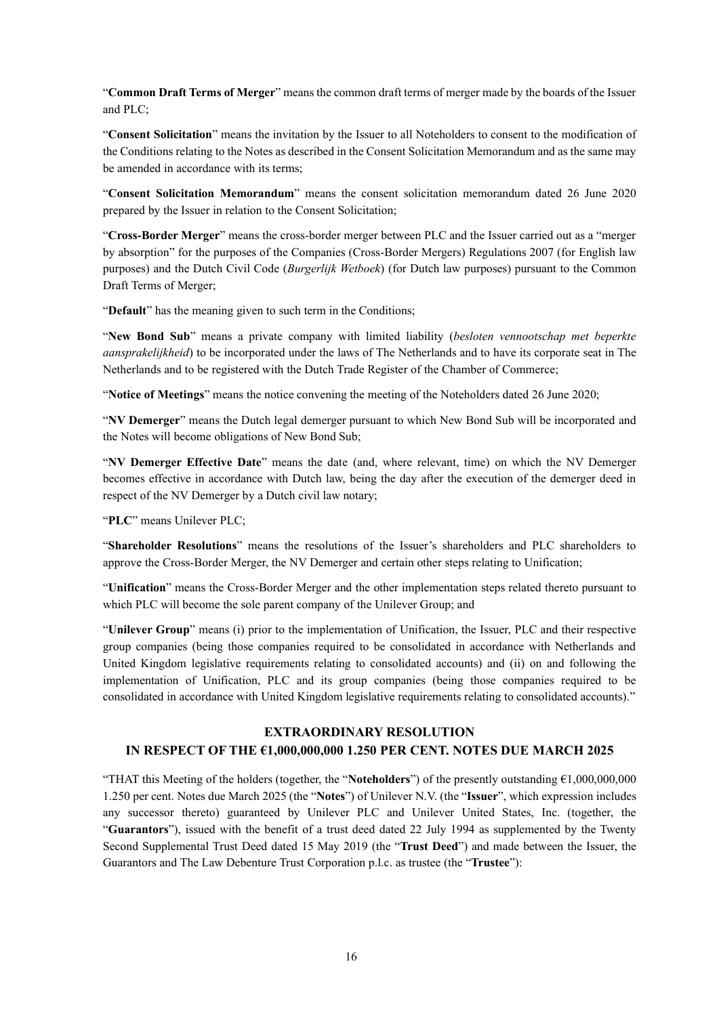"**Common Draft Terms of Merger**" means the common draft terms of merger made by the boards of the Issuer and PLC;

"**Consent Solicitation**" means the invitation by the Issuer to all Noteholders to consent to the modification of the Conditions relating to the Notes as described in the Consent Solicitation Memorandum and as the same may be amended in accordance with its terms;

"**Consent Solicitation Memorandum**" means the consent solicitation memorandum dated 26 June 2020 prepared by the Issuer in relation to the Consent Solicitation;

"**Cross-Border Merger**" means the cross-border merger between PLC and the Issuer carried out as a "merger by absorption" for the purposes of the Companies (Cross-Border Mergers) Regulations 2007 (for English law purposes) and the Dutch Civil Code (*Burgerlijk Wetboek*) (for Dutch law purposes) pursuant to the Common Draft Terms of Merger;

"**Default**" has the meaning given to such term in the Conditions;

"**New Bond Sub**" means a private company with limited liability (*besloten vennootschap met beperkte aansprakelijkheid*) to be incorporated under the laws of The Netherlands and to have its corporate seat in The Netherlands and to be registered with the Dutch Trade Register of the Chamber of Commerce;

"**Notice of Meetings**" means the notice convening the meeting of the Noteholders dated 26 June 2020;

"**NV Demerger**" means the Dutch legal demerger pursuant to which New Bond Sub will be incorporated and the Notes will become obligations of New Bond Sub;

"**NV Demerger Effective Date**" means the date (and, where relevant, time) on which the NV Demerger becomes effective in accordance with Dutch law, being the day after the execution of the demerger deed in respect of the NV Demerger by a Dutch civil law notary;

"**PLC**" means Unilever PLC;

"**Shareholder Resolutions**" means the resolutions of the Issuer's shareholders and PLC shareholders to approve the Cross-Border Merger, the NV Demerger and certain other steps relating to Unification;

"**Unification**" means the Cross-Border Merger and the other implementation steps related thereto pursuant to which PLC will become the sole parent company of the Unilever Group; and

"**Unilever Group**" means (i) prior to the implementation of Unification, the Issuer, PLC and their respective group companies (being those companies required to be consolidated in accordance with Netherlands and United Kingdom legislative requirements relating to consolidated accounts) and (ii) on and following the implementation of Unification, PLC and its group companies (being those companies required to be consolidated in accordance with United Kingdom legislative requirements relating to consolidated accounts)."

#### **EXTRAORDINARY RESOLUTION**

#### **IN RESPECT OF THE €1,000,000,000 1.250 PER CENT. NOTES DUE MARCH 2025**

"THAT this Meeting of the holders (together, the "**Noteholders**") of the presently outstanding €1,000,000,000 1.250 per cent. Notes due March 2025 (the "**Notes**") of Unilever N.V. (the "**Issuer**", which expression includes any successor thereto) guaranteed by Unilever PLC and Unilever United States, Inc. (together, the "**Guarantors**"), issued with the benefit of a trust deed dated 22 July 1994 as supplemented by the Twenty Second Supplemental Trust Deed dated 15 May 2019 (the "**Trust Deed**") and made between the Issuer, the Guarantors and The Law Debenture Trust Corporation p.l.c. as trustee (the "**Trustee**"):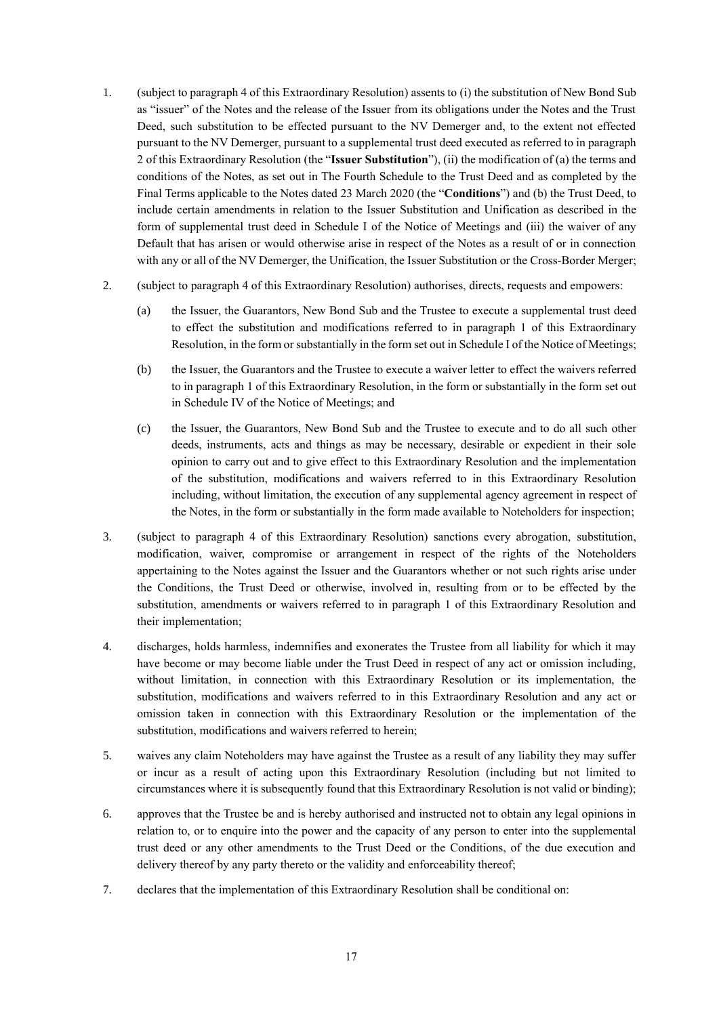- 1. (subject to paragraph 4 of this Extraordinary Resolution) assents to (i) the substitution of New Bond Sub as "issuer" of the Notes and the release of the Issuer from its obligations under the Notes and the Trust Deed, such substitution to be effected pursuant to the NV Demerger and, to the extent not effected pursuant to the NV Demerger, pursuant to a supplemental trust deed executed as referred to in paragraph 2 of this Extraordinary Resolution (the "**Issuer Substitution**"), (ii) the modification of (a) the terms and conditions of the Notes, as set out in The Fourth Schedule to the Trust Deed and as completed by the Final Terms applicable to the Notes dated 23 March 2020 (the "**Conditions**") and (b) the Trust Deed, to include certain amendments in relation to the Issuer Substitution and Unification as described in the form of supplemental trust deed in Schedule I of the Notice of Meetings and (iii) the waiver of any Default that has arisen or would otherwise arise in respect of the Notes as a result of or in connection with any or all of the NV Demerger, the Unification, the Issuer Substitution or the Cross-Border Merger;
- 2. (subject to paragraph 4 of this Extraordinary Resolution) authorises, directs, requests and empowers:
	- (a) the Issuer, the Guarantors, New Bond Sub and the Trustee to execute a supplemental trust deed to effect the substitution and modifications referred to in paragraph 1 of this Extraordinary Resolution, in the form or substantially in the form set out in Schedule I of the Notice of Meetings;
	- (b) the Issuer, the Guarantors and the Trustee to execute a waiver letter to effect the waivers referred to in paragraph 1 of this Extraordinary Resolution, in the form or substantially in the form set out in Schedule IV of the Notice of Meetings; and
	- (c) the Issuer, the Guarantors, New Bond Sub and the Trustee to execute and to do all such other deeds, instruments, acts and things as may be necessary, desirable or expedient in their sole opinion to carry out and to give effect to this Extraordinary Resolution and the implementation of the substitution, modifications and waivers referred to in this Extraordinary Resolution including, without limitation, the execution of any supplemental agency agreement in respect of the Notes, in the form or substantially in the form made available to Noteholders for inspection;
- 3. (subject to paragraph 4 of this Extraordinary Resolution) sanctions every abrogation, substitution, modification, waiver, compromise or arrangement in respect of the rights of the Noteholders appertaining to the Notes against the Issuer and the Guarantors whether or not such rights arise under the Conditions, the Trust Deed or otherwise, involved in, resulting from or to be effected by the substitution, amendments or waivers referred to in paragraph 1 of this Extraordinary Resolution and their implementation;
- 4. discharges, holds harmless, indemnifies and exonerates the Trustee from all liability for which it may have become or may become liable under the Trust Deed in respect of any act or omission including, without limitation, in connection with this Extraordinary Resolution or its implementation, the substitution, modifications and waivers referred to in this Extraordinary Resolution and any act or omission taken in connection with this Extraordinary Resolution or the implementation of the substitution, modifications and waivers referred to herein;
- 5. waives any claim Noteholders may have against the Trustee as a result of any liability they may suffer or incur as a result of acting upon this Extraordinary Resolution (including but not limited to circumstances where it is subsequently found that this Extraordinary Resolution is not valid or binding);
- 6. approves that the Trustee be and is hereby authorised and instructed not to obtain any legal opinions in relation to, or to enquire into the power and the capacity of any person to enter into the supplemental trust deed or any other amendments to the Trust Deed or the Conditions, of the due execution and delivery thereof by any party thereto or the validity and enforceability thereof;
- 7. declares that the implementation of this Extraordinary Resolution shall be conditional on: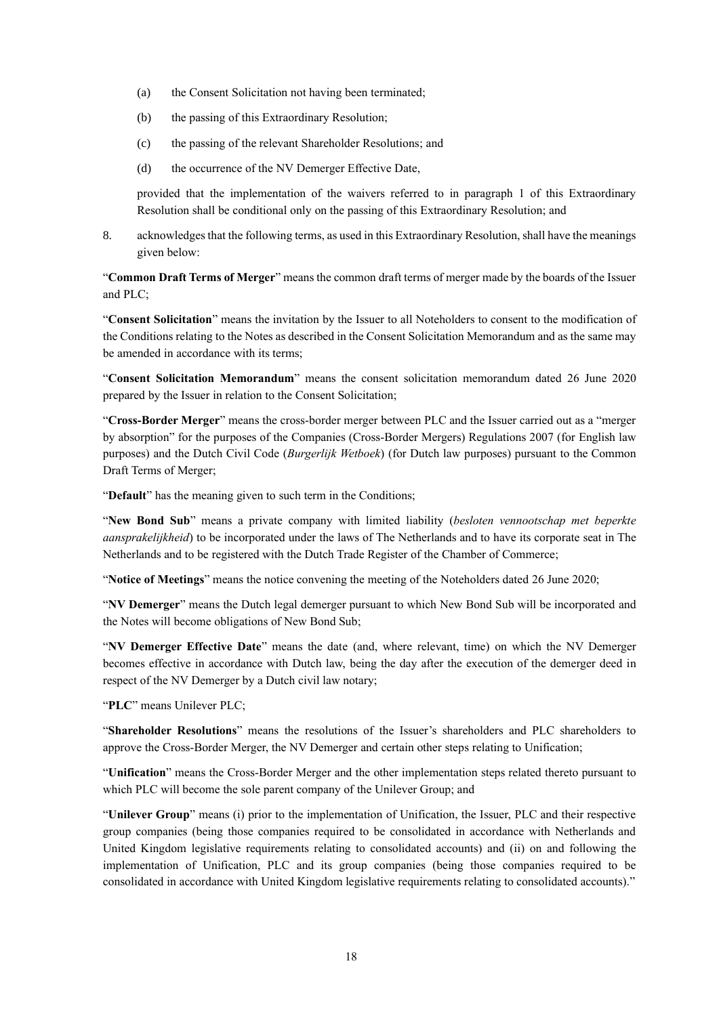- (a) the Consent Solicitation not having been terminated;
- (b) the passing of this Extraordinary Resolution;
- (c) the passing of the relevant Shareholder Resolutions; and
- (d) the occurrence of the NV Demerger Effective Date,

8. acknowledges that the following terms, as used in this Extraordinary Resolution, shall have the meanings given below:

"**Common Draft Terms of Merger**" means the common draft terms of merger made by the boards of the Issuer and PLC;

"**Consent Solicitation**" means the invitation by the Issuer to all Noteholders to consent to the modification of the Conditions relating to the Notes as described in the Consent Solicitation Memorandum and as the same may be amended in accordance with its terms;

"**Consent Solicitation Memorandum**" means the consent solicitation memorandum dated 26 June 2020 prepared by the Issuer in relation to the Consent Solicitation;

"**Cross-Border Merger**" means the cross-border merger between PLC and the Issuer carried out as a "merger by absorption" for the purposes of the Companies (Cross-Border Mergers) Regulations 2007 (for English law purposes) and the Dutch Civil Code (*Burgerlijk Wetboek*) (for Dutch law purposes) pursuant to the Common Draft Terms of Merger;

"**Default**" has the meaning given to such term in the Conditions;

"**New Bond Sub**" means a private company with limited liability (*besloten vennootschap met beperkte aansprakelijkheid*) to be incorporated under the laws of The Netherlands and to have its corporate seat in The Netherlands and to be registered with the Dutch Trade Register of the Chamber of Commerce;

"**Notice of Meetings**" means the notice convening the meeting of the Noteholders dated 26 June 2020;

"**NV Demerger**" means the Dutch legal demerger pursuant to which New Bond Sub will be incorporated and the Notes will become obligations of New Bond Sub;

"**NV Demerger Effective Date**" means the date (and, where relevant, time) on which the NV Demerger becomes effective in accordance with Dutch law, being the day after the execution of the demerger deed in respect of the NV Demerger by a Dutch civil law notary;

"**PLC**" means Unilever PLC;

"**Shareholder Resolutions**" means the resolutions of the Issuer's shareholders and PLC shareholders to approve the Cross-Border Merger, the NV Demerger and certain other steps relating to Unification;

"**Unification**" means the Cross-Border Merger and the other implementation steps related thereto pursuant to which PLC will become the sole parent company of the Unilever Group; and

"**Unilever Group**" means (i) prior to the implementation of Unification, the Issuer, PLC and their respective group companies (being those companies required to be consolidated in accordance with Netherlands and United Kingdom legislative requirements relating to consolidated accounts) and (ii) on and following the implementation of Unification, PLC and its group companies (being those companies required to be consolidated in accordance with United Kingdom legislative requirements relating to consolidated accounts)."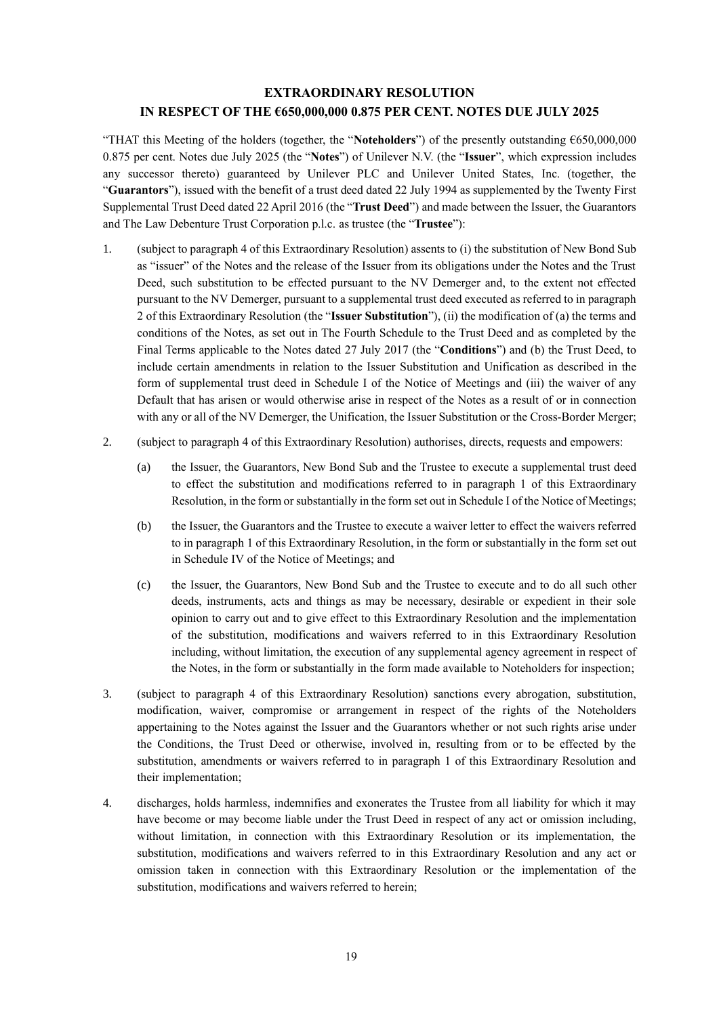### **EXTRAORDINARY RESOLUTION IN RESPECT OF THE €650,000,000 0.875 PER CENT. NOTES DUE JULY 2025**

"THAT this Meeting of the holders (together, the "**Noteholders**") of the presently outstanding €650,000,000 0.875 per cent. Notes due July 2025 (the "**Notes**") of Unilever N.V. (the "**Issuer**", which expression includes any successor thereto) guaranteed by Unilever PLC and Unilever United States, Inc. (together, the "**Guarantors**"), issued with the benefit of a trust deed dated 22 July 1994 as supplemented by the Twenty First Supplemental Trust Deed dated 22 April 2016 (the "**Trust Deed**") and made between the Issuer, the Guarantors and The Law Debenture Trust Corporation p.l.c. as trustee (the "**Trustee**"):

- 1. (subject to paragraph 4 of this Extraordinary Resolution) assents to (i) the substitution of New Bond Sub as "issuer" of the Notes and the release of the Issuer from its obligations under the Notes and the Trust Deed, such substitution to be effected pursuant to the NV Demerger and, to the extent not effected pursuant to the NV Demerger, pursuant to a supplemental trust deed executed as referred to in paragraph 2 of this Extraordinary Resolution (the "**Issuer Substitution**"), (ii) the modification of (a) the terms and conditions of the Notes, as set out in The Fourth Schedule to the Trust Deed and as completed by the Final Terms applicable to the Notes dated 27 July 2017 (the "**Conditions**") and (b) the Trust Deed, to include certain amendments in relation to the Issuer Substitution and Unification as described in the form of supplemental trust deed in Schedule I of the Notice of Meetings and (iii) the waiver of any Default that has arisen or would otherwise arise in respect of the Notes as a result of or in connection with any or all of the NV Demerger, the Unification, the Issuer Substitution or the Cross-Border Merger;
- 2. (subject to paragraph 4 of this Extraordinary Resolution) authorises, directs, requests and empowers:
	- (a) the Issuer, the Guarantors, New Bond Sub and the Trustee to execute a supplemental trust deed to effect the substitution and modifications referred to in paragraph 1 of this Extraordinary Resolution, in the form or substantially in the form set out in Schedule I of the Notice of Meetings;
	- (b) the Issuer, the Guarantors and the Trustee to execute a waiver letter to effect the waivers referred to in paragraph 1 of this Extraordinary Resolution, in the form or substantially in the form set out in Schedule IV of the Notice of Meetings; and
	- (c) the Issuer, the Guarantors, New Bond Sub and the Trustee to execute and to do all such other deeds, instruments, acts and things as may be necessary, desirable or expedient in their sole opinion to carry out and to give effect to this Extraordinary Resolution and the implementation of the substitution, modifications and waivers referred to in this Extraordinary Resolution including, without limitation, the execution of any supplemental agency agreement in respect of the Notes, in the form or substantially in the form made available to Noteholders for inspection;
- 3. (subject to paragraph 4 of this Extraordinary Resolution) sanctions every abrogation, substitution, modification, waiver, compromise or arrangement in respect of the rights of the Noteholders appertaining to the Notes against the Issuer and the Guarantors whether or not such rights arise under the Conditions, the Trust Deed or otherwise, involved in, resulting from or to be effected by the substitution, amendments or waivers referred to in paragraph 1 of this Extraordinary Resolution and their implementation;
- 4. discharges, holds harmless, indemnifies and exonerates the Trustee from all liability for which it may have become or may become liable under the Trust Deed in respect of any act or omission including, without limitation, in connection with this Extraordinary Resolution or its implementation, the substitution, modifications and waivers referred to in this Extraordinary Resolution and any act or omission taken in connection with this Extraordinary Resolution or the implementation of the substitution, modifications and waivers referred to herein;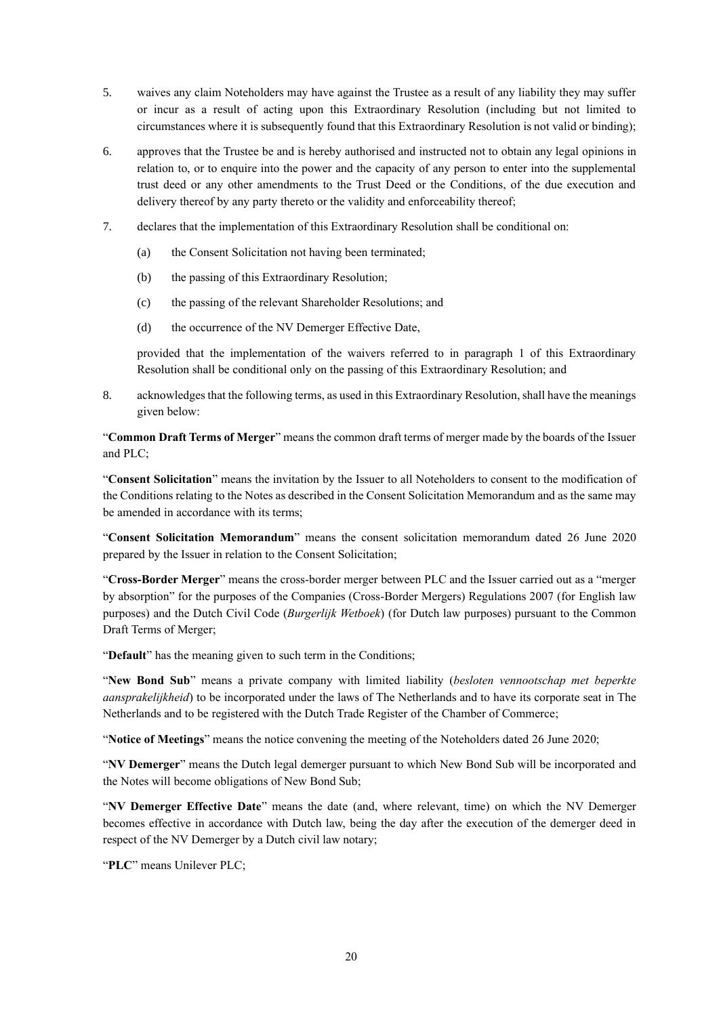- 5. waives any claim Noteholders may have against the Trustee as a result of any liability they may suffer or incur as a result of acting upon this Extraordinary Resolution (including but not limited to circumstances where it is subsequently found that this Extraordinary Resolution is not valid or binding);
- 6. approves that the Trustee be and is hereby authorised and instructed not to obtain any legal opinions in relation to, or to enquire into the power and the capacity of any person to enter into the supplemental trust deed or any other amendments to the Trust Deed or the Conditions, of the due execution and delivery thereof by any party thereto or the validity and enforceability thereof;
- 7. declares that the implementation of this Extraordinary Resolution shall be conditional on:
	- (a) the Consent Solicitation not having been terminated;
	- (b) the passing of this Extraordinary Resolution;
	- (c) the passing of the relevant Shareholder Resolutions; and
	- (d) the occurrence of the NV Demerger Effective Date,

8. acknowledges that the following terms, as used in this Extraordinary Resolution, shall have the meanings given below:

"**Common Draft Terms of Merger**" means the common draft terms of merger made by the boards of the Issuer and PLC;

"**Consent Solicitation**" means the invitation by the Issuer to all Noteholders to consent to the modification of the Conditions relating to the Notes as described in the Consent Solicitation Memorandum and as the same may be amended in accordance with its terms;

"**Consent Solicitation Memorandum**" means the consent solicitation memorandum dated 26 June 2020 prepared by the Issuer in relation to the Consent Solicitation;

"**Cross-Border Merger**" means the cross-border merger between PLC and the Issuer carried out as a "merger by absorption" for the purposes of the Companies (Cross-Border Mergers) Regulations 2007 (for English law purposes) and the Dutch Civil Code (*Burgerlijk Wetboek*) (for Dutch law purposes) pursuant to the Common Draft Terms of Merger;

"**Default**" has the meaning given to such term in the Conditions;

"**New Bond Sub**" means a private company with limited liability (*besloten vennootschap met beperkte aansprakelijkheid*) to be incorporated under the laws of The Netherlands and to have its corporate seat in The Netherlands and to be registered with the Dutch Trade Register of the Chamber of Commerce;

"**Notice of Meetings**" means the notice convening the meeting of the Noteholders dated 26 June 2020;

"**NV Demerger**" means the Dutch legal demerger pursuant to which New Bond Sub will be incorporated and the Notes will become obligations of New Bond Sub;

"**NV Demerger Effective Date**" means the date (and, where relevant, time) on which the NV Demerger becomes effective in accordance with Dutch law, being the day after the execution of the demerger deed in respect of the NV Demerger by a Dutch civil law notary;

"**PLC**" means Unilever PLC;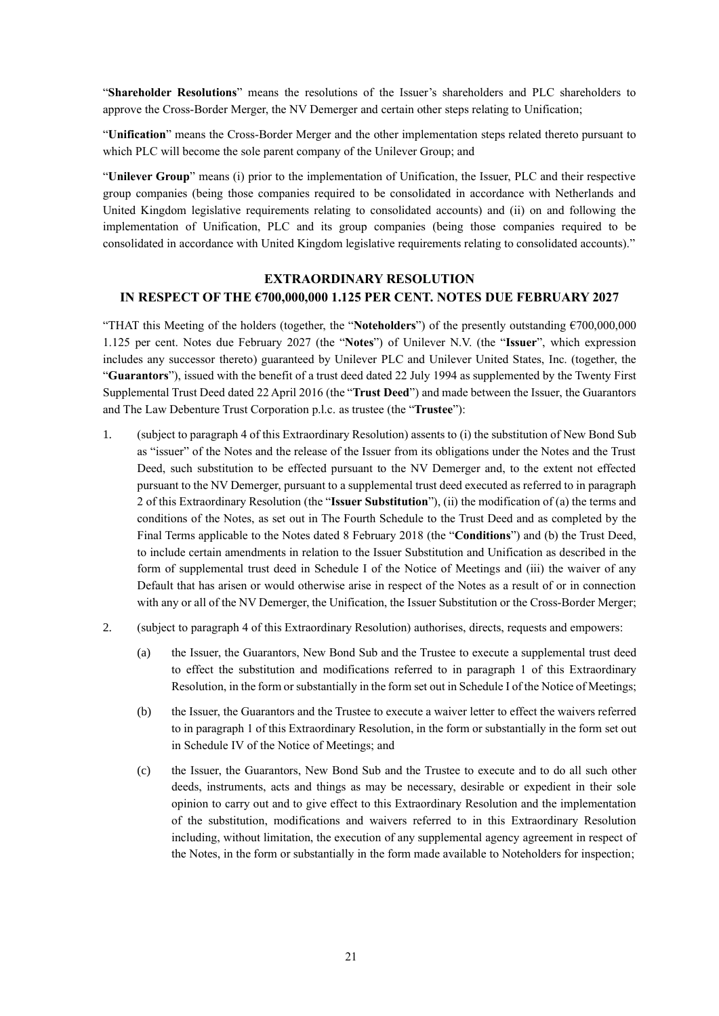"**Shareholder Resolutions**" means the resolutions of the Issuer's shareholders and PLC shareholders to approve the Cross-Border Merger, the NV Demerger and certain other steps relating to Unification;

"**Unification**" means the Cross-Border Merger and the other implementation steps related thereto pursuant to which PLC will become the sole parent company of the Unilever Group; and

"**Unilever Group**" means (i) prior to the implementation of Unification, the Issuer, PLC and their respective group companies (being those companies required to be consolidated in accordance with Netherlands and United Kingdom legislative requirements relating to consolidated accounts) and (ii) on and following the implementation of Unification, PLC and its group companies (being those companies required to be consolidated in accordance with United Kingdom legislative requirements relating to consolidated accounts)."

### **EXTRAORDINARY RESOLUTION IN RESPECT OF THE €700,000,000 1.125 PER CENT. NOTES DUE FEBRUARY 2027**

"THAT this Meeting of the holders (together, the "**Noteholders**") of the presently outstanding €700,000,000 1.125 per cent. Notes due February 2027 (the "**Notes**") of Unilever N.V. (the "**Issuer**", which expression includes any successor thereto) guaranteed by Unilever PLC and Unilever United States, Inc. (together, the "**Guarantors**"), issued with the benefit of a trust deed dated 22 July 1994 as supplemented by the Twenty First Supplemental Trust Deed dated 22 April 2016 (the "**Trust Deed**") and made between the Issuer, the Guarantors and The Law Debenture Trust Corporation p.l.c. as trustee (the "**Trustee**"):

- 1. (subject to paragraph 4 of this Extraordinary Resolution) assents to (i) the substitution of New Bond Sub as "issuer" of the Notes and the release of the Issuer from its obligations under the Notes and the Trust Deed, such substitution to be effected pursuant to the NV Demerger and, to the extent not effected pursuant to the NV Demerger, pursuant to a supplemental trust deed executed as referred to in paragraph 2 of this Extraordinary Resolution (the "**Issuer Substitution**"), (ii) the modification of (a) the terms and conditions of the Notes, as set out in The Fourth Schedule to the Trust Deed and as completed by the Final Terms applicable to the Notes dated 8 February 2018 (the "**Conditions**") and (b) the Trust Deed, to include certain amendments in relation to the Issuer Substitution and Unification as described in the form of supplemental trust deed in Schedule I of the Notice of Meetings and (iii) the waiver of any Default that has arisen or would otherwise arise in respect of the Notes as a result of or in connection with any or all of the NV Demerger, the Unification, the Issuer Substitution or the Cross-Border Merger;
- 2. (subject to paragraph 4 of this Extraordinary Resolution) authorises, directs, requests and empowers:
	- (a) the Issuer, the Guarantors, New Bond Sub and the Trustee to execute a supplemental trust deed to effect the substitution and modifications referred to in paragraph 1 of this Extraordinary Resolution, in the form or substantially in the form set outin Schedule I of the Notice of Meetings;
	- (b) the Issuer, the Guarantors and the Trustee to execute a waiver letter to effect the waivers referred to in paragraph 1 of this Extraordinary Resolution, in the form or substantially in the form set out in Schedule IV of the Notice of Meetings; and
	- (c) the Issuer, the Guarantors, New Bond Sub and the Trustee to execute and to do all such other deeds, instruments, acts and things as may be necessary, desirable or expedient in their sole opinion to carry out and to give effect to this Extraordinary Resolution and the implementation of the substitution, modifications and waivers referred to in this Extraordinary Resolution including, without limitation, the execution of any supplemental agency agreement in respect of the Notes, in the form or substantially in the form made available to Noteholders for inspection;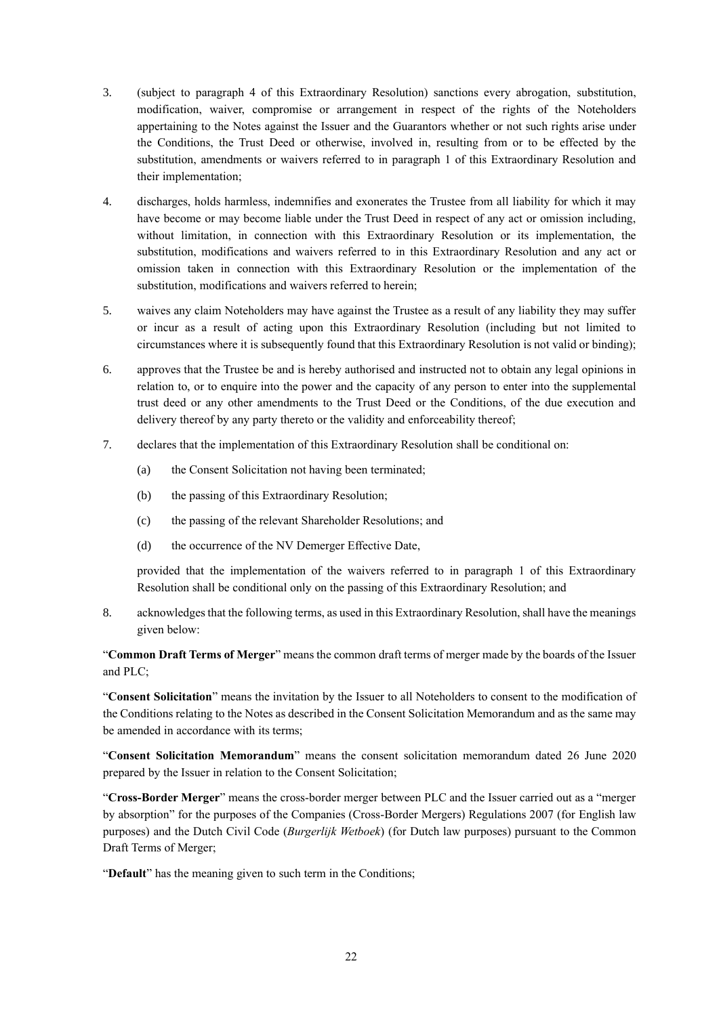- 3. (subject to paragraph 4 of this Extraordinary Resolution) sanctions every abrogation, substitution, modification, waiver, compromise or arrangement in respect of the rights of the Noteholders appertaining to the Notes against the Issuer and the Guarantors whether or not such rights arise under the Conditions, the Trust Deed or otherwise, involved in, resulting from or to be effected by the substitution, amendments or waivers referred to in paragraph 1 of this Extraordinary Resolution and their implementation;
- 4. discharges, holds harmless, indemnifies and exonerates the Trustee from all liability for which it may have become or may become liable under the Trust Deed in respect of any act or omission including, without limitation, in connection with this Extraordinary Resolution or its implementation, the substitution, modifications and waivers referred to in this Extraordinary Resolution and any act or omission taken in connection with this Extraordinary Resolution or the implementation of the substitution, modifications and waivers referred to herein;
- 5. waives any claim Noteholders may have against the Trustee as a result of any liability they may suffer or incur as a result of acting upon this Extraordinary Resolution (including but not limited to circumstances where it is subsequently found that this Extraordinary Resolution is not valid or binding);
- 6. approves that the Trustee be and is hereby authorised and instructed not to obtain any legal opinions in relation to, or to enquire into the power and the capacity of any person to enter into the supplemental trust deed or any other amendments to the Trust Deed or the Conditions, of the due execution and delivery thereof by any party thereto or the validity and enforceability thereof;
- 7. declares that the implementation of this Extraordinary Resolution shall be conditional on:
	- (a) the Consent Solicitation not having been terminated;
	- (b) the passing of this Extraordinary Resolution;
	- (c) the passing of the relevant Shareholder Resolutions; and
	- (d) the occurrence of the NV Demerger Effective Date,

8. acknowledges that the following terms, as used in this Extraordinary Resolution, shall have the meanings given below:

"**Common Draft Terms of Merger**" means the common draft terms of merger made by the boards of the Issuer and PLC;

"**Consent Solicitation**" means the invitation by the Issuer to all Noteholders to consent to the modification of the Conditions relating to the Notes as described in the Consent Solicitation Memorandum and as the same may be amended in accordance with its terms;

"**Consent Solicitation Memorandum**" means the consent solicitation memorandum dated 26 June 2020 prepared by the Issuer in relation to the Consent Solicitation;

"**Cross-Border Merger**" means the cross-border merger between PLC and the Issuer carried out as a "merger by absorption" for the purposes of the Companies (Cross-Border Mergers) Regulations 2007 (for English law purposes) and the Dutch Civil Code (*Burgerlijk Wetboek*) (for Dutch law purposes) pursuant to the Common Draft Terms of Merger;

"**Default**" has the meaning given to such term in the Conditions;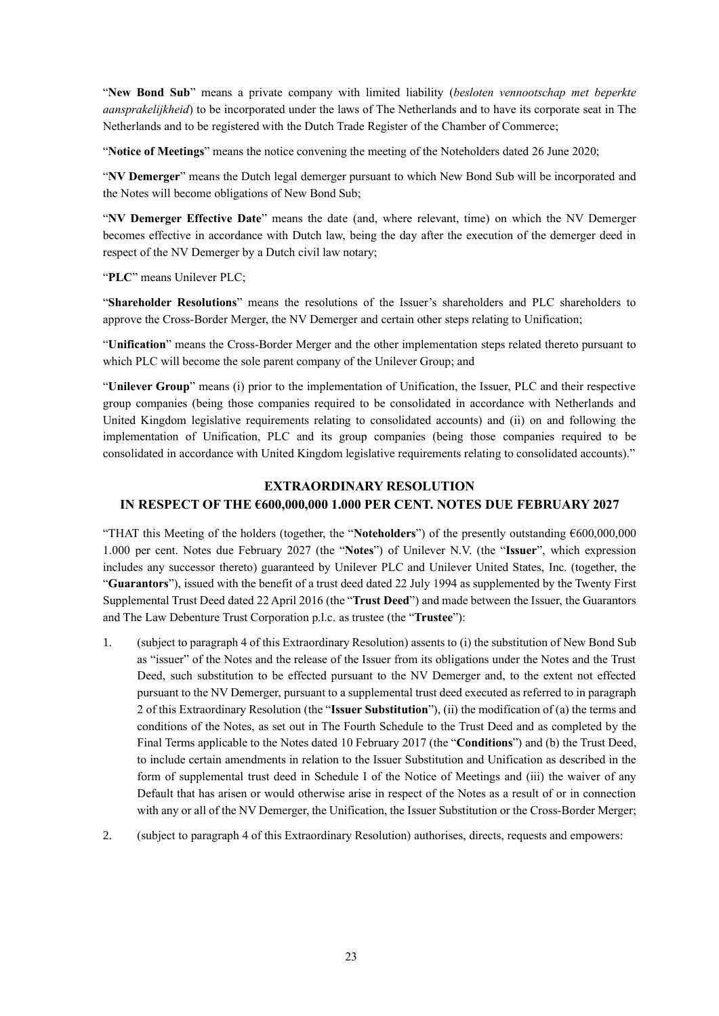"**New Bond Sub**" means a private company with limited liability (*besloten vennootschap met beperkte aansprakelijkheid*) to be incorporated under the laws of The Netherlands and to have its corporate seat in The Netherlands and to be registered with the Dutch Trade Register of the Chamber of Commerce;

"**Notice of Meetings**" means the notice convening the meeting of the Noteholders dated 26 June 2020;

"**NV Demerger**" means the Dutch legal demerger pursuant to which New Bond Sub will be incorporated and the Notes will become obligations of New Bond Sub;

"**NV Demerger Effective Date**" means the date (and, where relevant, time) on which the NV Demerger becomes effective in accordance with Dutch law, being the day after the execution of the demerger deed in respect of the NV Demerger by a Dutch civil law notary;

"**PLC**" means Unilever PLC;

"**Shareholder Resolutions**" means the resolutions of the Issuer's shareholders and PLC shareholders to approve the Cross-Border Merger, the NV Demerger and certain other steps relating to Unification;

"**Unification**" means the Cross-Border Merger and the other implementation steps related thereto pursuant to which PLC will become the sole parent company of the Unilever Group; and

"**Unilever Group**" means (i) prior to the implementation of Unification, the Issuer, PLC and their respective group companies (being those companies required to be consolidated in accordance with Netherlands and United Kingdom legislative requirements relating to consolidated accounts) and (ii) on and following the implementation of Unification, PLC and its group companies (being those companies required to be consolidated in accordance with United Kingdom legislative requirements relating to consolidated accounts)."

#### **EXTRAORDINARY RESOLUTION**

### **IN RESPECT OF THE €600,000,000 1.000 PER CENT. NOTES DUE FEBRUARY 2027**

"THAT this Meeting of the holders (together, the "**Noteholders**") of the presently outstanding €600,000,000 1.000 per cent. Notes due February 2027 (the "**Notes**") of Unilever N.V. (the "**Issuer**", which expression includes any successor thereto) guaranteed by Unilever PLC and Unilever United States, Inc. (together, the "**Guarantors**"), issued with the benefit of a trust deed dated 22 July 1994 as supplemented by the Twenty First Supplemental Trust Deed dated 22 April 2016 (the "**Trust Deed**") and made between the Issuer, the Guarantors and The Law Debenture Trust Corporation p.l.c. as trustee (the "**Trustee**"):

- 1. (subject to paragraph 4 of this Extraordinary Resolution) assents to (i) the substitution of New Bond Sub as "issuer" of the Notes and the release of the Issuer from its obligations under the Notes and the Trust Deed, such substitution to be effected pursuant to the NV Demerger and, to the extent not effected pursuant to the NV Demerger, pursuant to a supplemental trust deed executed as referred to in paragraph 2 of this Extraordinary Resolution (the "**Issuer Substitution**"), (ii) the modification of (a) the terms and conditions of the Notes, as set out in The Fourth Schedule to the Trust Deed and as completed by the Final Terms applicable to the Notes dated 10 February 2017 (the "**Conditions**") and (b) the Trust Deed, to include certain amendments in relation to the Issuer Substitution and Unification as described in the form of supplemental trust deed in Schedule I of the Notice of Meetings and (iii) the waiver of any Default that has arisen or would otherwise arise in respect of the Notes as a result of or in connection with any or all of the NV Demerger, the Unification, the Issuer Substitution or the Cross-Border Merger;
- 2. (subject to paragraph 4 of this Extraordinary Resolution) authorises, directs, requests and empowers: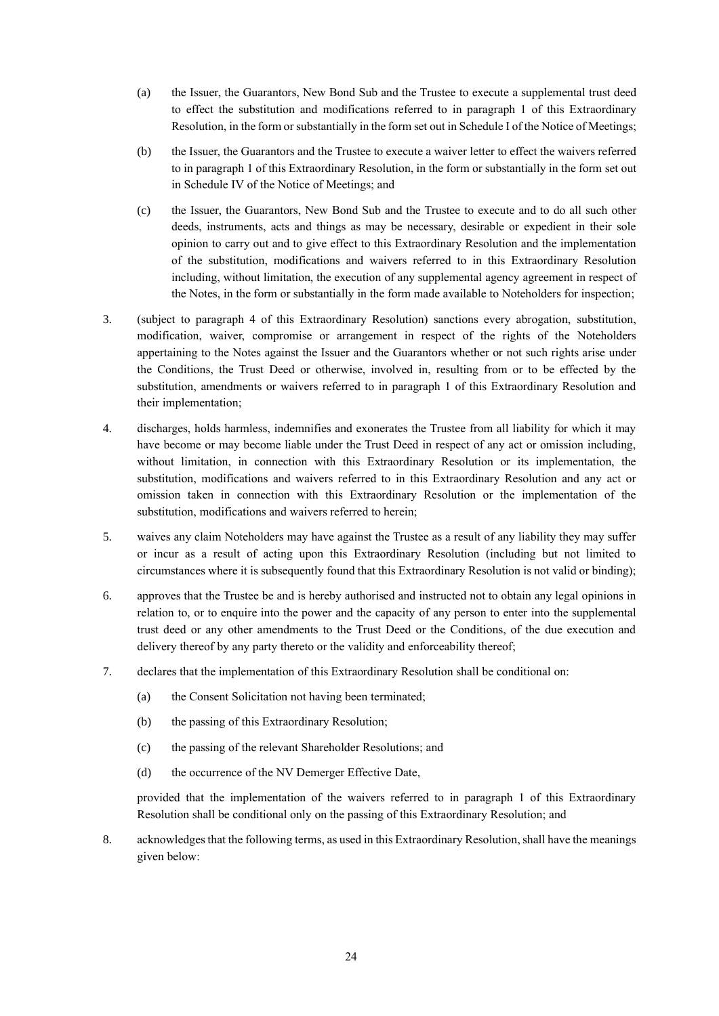- (a) the Issuer, the Guarantors, New Bond Sub and the Trustee to execute a supplemental trust deed to effect the substitution and modifications referred to in paragraph 1 of this Extraordinary Resolution, in the form or substantially in the form set outin Schedule I of the Notice of Meetings;
- (b) the Issuer, the Guarantors and the Trustee to execute a waiver letter to effect the waivers referred to in paragraph 1 of this Extraordinary Resolution, in the form or substantially in the form set out in Schedule IV of the Notice of Meetings; and
- (c) the Issuer, the Guarantors, New Bond Sub and the Trustee to execute and to do all such other deeds, instruments, acts and things as may be necessary, desirable or expedient in their sole opinion to carry out and to give effect to this Extraordinary Resolution and the implementation of the substitution, modifications and waivers referred to in this Extraordinary Resolution including, without limitation, the execution of any supplemental agency agreement in respect of the Notes, in the form or substantially in the form made available to Noteholders for inspection;
- 3. (subject to paragraph 4 of this Extraordinary Resolution) sanctions every abrogation, substitution, modification, waiver, compromise or arrangement in respect of the rights of the Noteholders appertaining to the Notes against the Issuer and the Guarantors whether or not such rights arise under the Conditions, the Trust Deed or otherwise, involved in, resulting from or to be effected by the substitution, amendments or waivers referred to in paragraph 1 of this Extraordinary Resolution and their implementation;
- 4. discharges, holds harmless, indemnifies and exonerates the Trustee from all liability for which it may have become or may become liable under the Trust Deed in respect of any act or omission including, without limitation, in connection with this Extraordinary Resolution or its implementation, the substitution, modifications and waivers referred to in this Extraordinary Resolution and any act or omission taken in connection with this Extraordinary Resolution or the implementation of the substitution, modifications and waivers referred to herein;
- 5. waives any claim Noteholders may have against the Trustee as a result of any liability they may suffer or incur as a result of acting upon this Extraordinary Resolution (including but not limited to circumstances where it is subsequently found that this Extraordinary Resolution is not valid or binding);
- 6. approves that the Trustee be and is hereby authorised and instructed not to obtain any legal opinions in relation to, or to enquire into the power and the capacity of any person to enter into the supplemental trust deed or any other amendments to the Trust Deed or the Conditions, of the due execution and delivery thereof by any party thereto or the validity and enforceability thereof;
- 7. declares that the implementation of this Extraordinary Resolution shall be conditional on:
	- (a) the Consent Solicitation not having been terminated;
	- (b) the passing of this Extraordinary Resolution;
	- (c) the passing of the relevant Shareholder Resolutions; and
	- (d) the occurrence of the NV Demerger Effective Date,

8. acknowledges that the following terms, as used in this Extraordinary Resolution, shall have the meanings given below: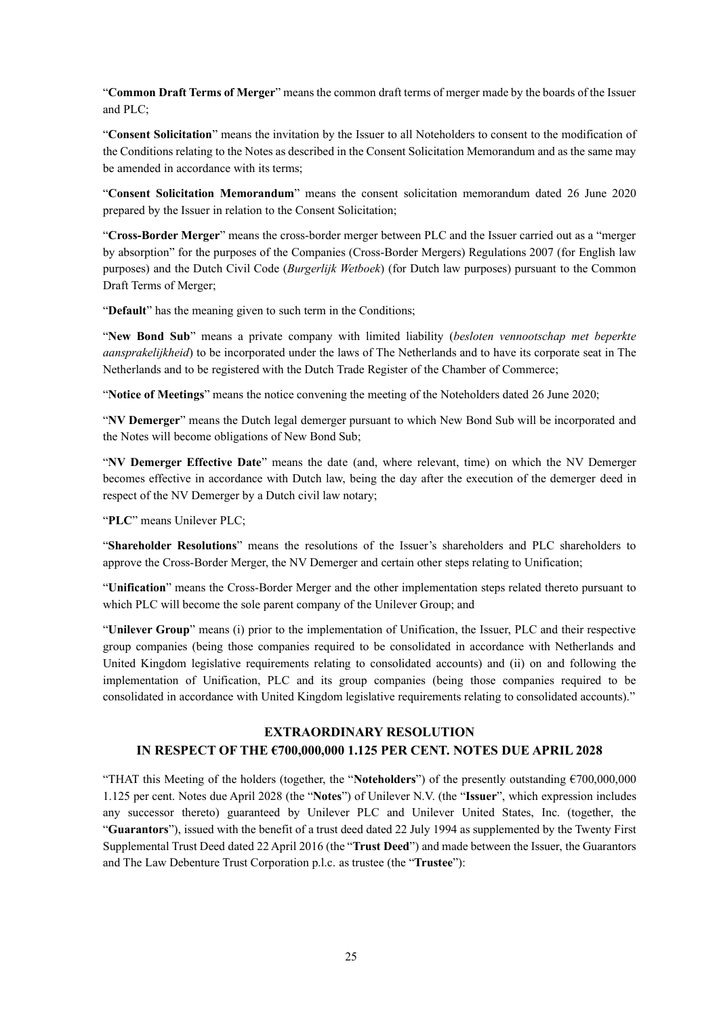"**Common Draft Terms of Merger**" means the common draft terms of merger made by the boards of the Issuer and PLC;

"**Consent Solicitation**" means the invitation by the Issuer to all Noteholders to consent to the modification of the Conditions relating to the Notes as described in the Consent Solicitation Memorandum and as the same may be amended in accordance with its terms;

"**Consent Solicitation Memorandum**" means the consent solicitation memorandum dated 26 June 2020 prepared by the Issuer in relation to the Consent Solicitation;

"**Cross-Border Merger**" means the cross-border merger between PLC and the Issuer carried out as a "merger by absorption" for the purposes of the Companies (Cross-Border Mergers) Regulations 2007 (for English law purposes) and the Dutch Civil Code (*Burgerlijk Wetboek*) (for Dutch law purposes) pursuant to the Common Draft Terms of Merger;

"**Default**" has the meaning given to such term in the Conditions;

"**New Bond Sub**" means a private company with limited liability (*besloten vennootschap met beperkte aansprakelijkheid*) to be incorporated under the laws of The Netherlands and to have its corporate seat in The Netherlands and to be registered with the Dutch Trade Register of the Chamber of Commerce;

"**Notice of Meetings**" means the notice convening the meeting of the Noteholders dated 26 June 2020;

"**NV Demerger**" means the Dutch legal demerger pursuant to which New Bond Sub will be incorporated and the Notes will become obligations of New Bond Sub;

"**NV Demerger Effective Date**" means the date (and, where relevant, time) on which the NV Demerger becomes effective in accordance with Dutch law, being the day after the execution of the demerger deed in respect of the NV Demerger by a Dutch civil law notary;

"**PLC**" means Unilever PLC;

"**Shareholder Resolutions**" means the resolutions of the Issuer's shareholders and PLC shareholders to approve the Cross-Border Merger, the NV Demerger and certain other steps relating to Unification;

"**Unification**" means the Cross-Border Merger and the other implementation steps related thereto pursuant to which PLC will become the sole parent company of the Unilever Group; and

"**Unilever Group**" means (i) prior to the implementation of Unification, the Issuer, PLC and their respective group companies (being those companies required to be consolidated in accordance with Netherlands and United Kingdom legislative requirements relating to consolidated accounts) and (ii) on and following the implementation of Unification, PLC and its group companies (being those companies required to be consolidated in accordance with United Kingdom legislative requirements relating to consolidated accounts)."

# **EXTRAORDINARY RESOLUTION**

## **IN RESPECT OF THE €700,000,000 1.125 PER CENT. NOTES DUE APRIL 2028**

"THAT this Meeting of the holders (together, the "**Noteholders**") of the presently outstanding €700,000,000 1.125 per cent. Notes due April 2028 (the "**Notes**") of Unilever N.V. (the "**Issuer**", which expression includes any successor thereto) guaranteed by Unilever PLC and Unilever United States, Inc. (together, the "**Guarantors**"), issued with the benefit of a trust deed dated 22 July 1994 as supplemented by the Twenty First Supplemental Trust Deed dated 22 April 2016 (the "**Trust Deed**") and made between the Issuer, the Guarantors and The Law Debenture Trust Corporation p.l.c. as trustee (the "**Trustee**"):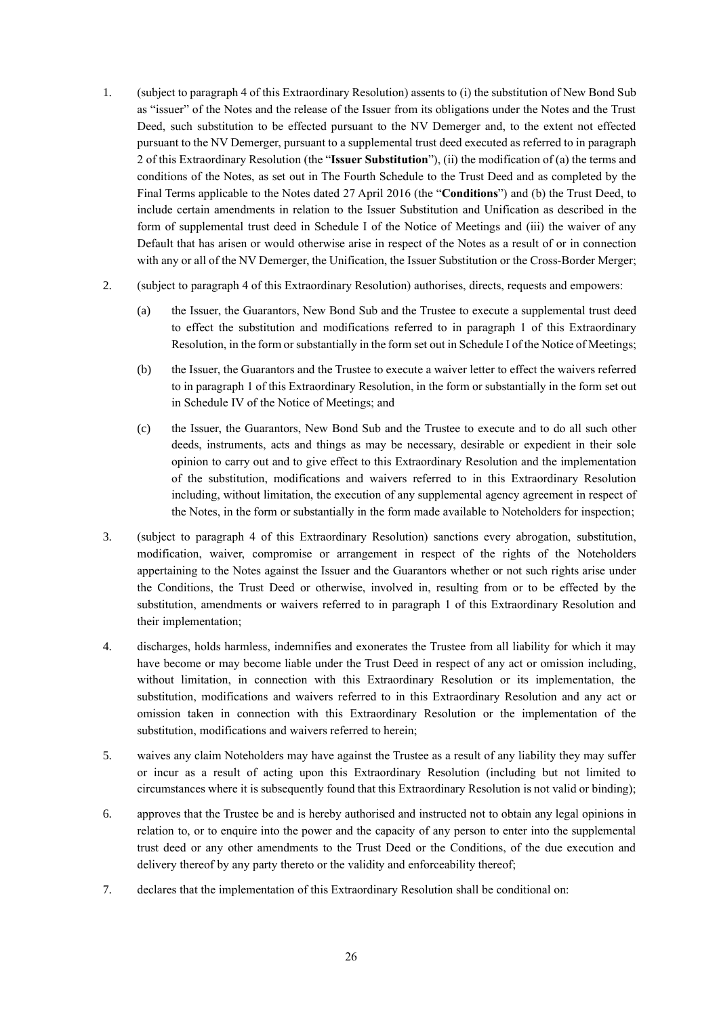- 1. (subject to paragraph 4 of this Extraordinary Resolution) assents to (i) the substitution of New Bond Sub as "issuer" of the Notes and the release of the Issuer from its obligations under the Notes and the Trust Deed, such substitution to be effected pursuant to the NV Demerger and, to the extent not effected pursuant to the NV Demerger, pursuant to a supplemental trust deed executed as referred to in paragraph 2 of this Extraordinary Resolution (the "**Issuer Substitution**"), (ii) the modification of (a) the terms and conditions of the Notes, as set out in The Fourth Schedule to the Trust Deed and as completed by the Final Terms applicable to the Notes dated 27 April 2016 (the "**Conditions**") and (b) the Trust Deed, to include certain amendments in relation to the Issuer Substitution and Unification as described in the form of supplemental trust deed in Schedule I of the Notice of Meetings and (iii) the waiver of any Default that has arisen or would otherwise arise in respect of the Notes as a result of or in connection with any or all of the NV Demerger, the Unification, the Issuer Substitution or the Cross-Border Merger;
- 2. (subject to paragraph 4 of this Extraordinary Resolution) authorises, directs, requests and empowers:
	- (a) the Issuer, the Guarantors, New Bond Sub and the Trustee to execute a supplemental trust deed to effect the substitution and modifications referred to in paragraph 1 of this Extraordinary Resolution, in the form or substantially in the form set outin Schedule I of the Notice of Meetings;
	- (b) the Issuer, the Guarantors and the Trustee to execute a waiver letter to effect the waivers referred to in paragraph 1 of this Extraordinary Resolution, in the form or substantially in the form set out in Schedule IV of the Notice of Meetings; and
	- (c) the Issuer, the Guarantors, New Bond Sub and the Trustee to execute and to do all such other deeds, instruments, acts and things as may be necessary, desirable or expedient in their sole opinion to carry out and to give effect to this Extraordinary Resolution and the implementation of the substitution, modifications and waivers referred to in this Extraordinary Resolution including, without limitation, the execution of any supplemental agency agreement in respect of the Notes, in the form or substantially in the form made available to Noteholders for inspection;
- 3. (subject to paragraph 4 of this Extraordinary Resolution) sanctions every abrogation, substitution, modification, waiver, compromise or arrangement in respect of the rights of the Noteholders appertaining to the Notes against the Issuer and the Guarantors whether or not such rights arise under the Conditions, the Trust Deed or otherwise, involved in, resulting from or to be effected by the substitution, amendments or waivers referred to in paragraph 1 of this Extraordinary Resolution and their implementation;
- 4. discharges, holds harmless, indemnifies and exonerates the Trustee from all liability for which it may have become or may become liable under the Trust Deed in respect of any act or omission including, without limitation, in connection with this Extraordinary Resolution or its implementation, the substitution, modifications and waivers referred to in this Extraordinary Resolution and any act or omission taken in connection with this Extraordinary Resolution or the implementation of the substitution, modifications and waivers referred to herein;
- 5. waives any claim Noteholders may have against the Trustee as a result of any liability they may suffer or incur as a result of acting upon this Extraordinary Resolution (including but not limited to circumstances where it is subsequently found that this Extraordinary Resolution is not valid or binding);
- 6. approves that the Trustee be and is hereby authorised and instructed not to obtain any legal opinions in relation to, or to enquire into the power and the capacity of any person to enter into the supplemental trust deed or any other amendments to the Trust Deed or the Conditions, of the due execution and delivery thereof by any party thereto or the validity and enforceability thereof;
- 7. declares that the implementation of this Extraordinary Resolution shall be conditional on: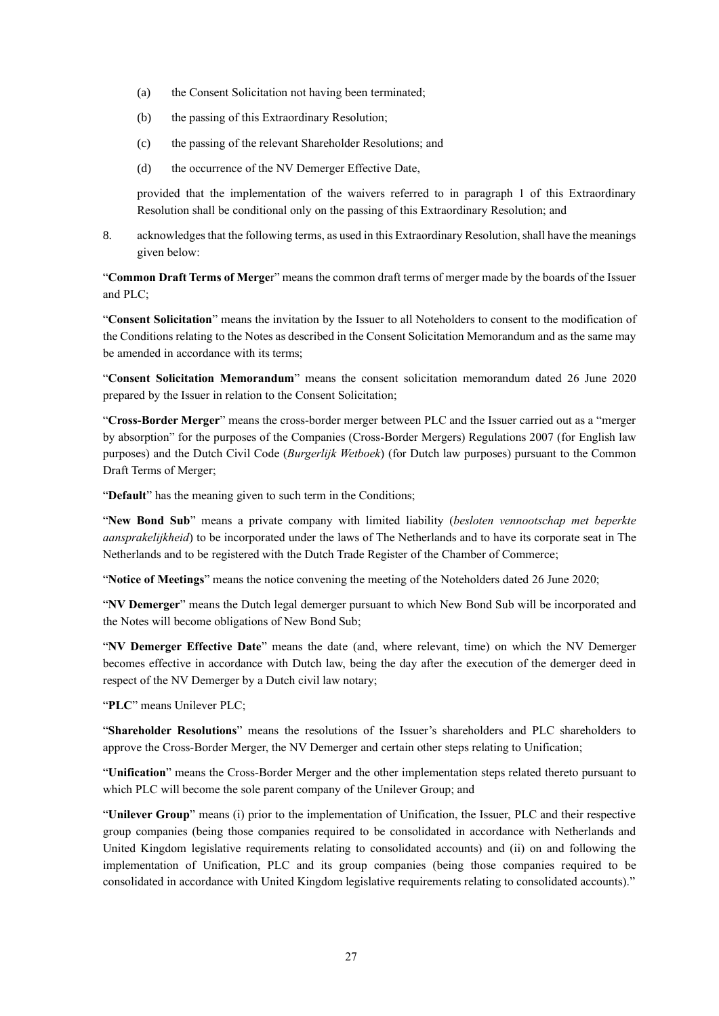- (a) the Consent Solicitation not having been terminated;
- (b) the passing of this Extraordinary Resolution;
- (c) the passing of the relevant Shareholder Resolutions; and
- (d) the occurrence of the NV Demerger Effective Date,

8. acknowledges that the following terms, as used in this Extraordinary Resolution, shall have the meanings given below:

"**Common Draft Terms of Merge**r" means the common draft terms of merger made by the boards of the Issuer and PLC;

"**Consent Solicitation**" means the invitation by the Issuer to all Noteholders to consent to the modification of the Conditions relating to the Notes as described in the Consent Solicitation Memorandum and as the same may be amended in accordance with its terms;

"**Consent Solicitation Memorandum**" means the consent solicitation memorandum dated 26 June 2020 prepared by the Issuer in relation to the Consent Solicitation;

"**Cross-Border Merger**" means the cross-border merger between PLC and the Issuer carried out as a "merger by absorption" for the purposes of the Companies (Cross-Border Mergers) Regulations 2007 (for English law purposes) and the Dutch Civil Code (*Burgerlijk Wetboek*) (for Dutch law purposes) pursuant to the Common Draft Terms of Merger;

"**Default**" has the meaning given to such term in the Conditions;

"**New Bond Sub**" means a private company with limited liability (*besloten vennootschap met beperkte aansprakelijkheid*) to be incorporated under the laws of The Netherlands and to have its corporate seat in The Netherlands and to be registered with the Dutch Trade Register of the Chamber of Commerce;

"**Notice of Meetings**" means the notice convening the meeting of the Noteholders dated 26 June 2020;

"**NV Demerger**" means the Dutch legal demerger pursuant to which New Bond Sub will be incorporated and the Notes will become obligations of New Bond Sub;

"**NV Demerger Effective Date**" means the date (and, where relevant, time) on which the NV Demerger becomes effective in accordance with Dutch law, being the day after the execution of the demerger deed in respect of the NV Demerger by a Dutch civil law notary;

"**PLC**" means Unilever PLC;

"**Shareholder Resolutions**" means the resolutions of the Issuer's shareholders and PLC shareholders to approve the Cross-Border Merger, the NV Demerger and certain other steps relating to Unification;

"**Unification**" means the Cross-Border Merger and the other implementation steps related thereto pursuant to which PLC will become the sole parent company of the Unilever Group; and

"**Unilever Group**" means (i) prior to the implementation of Unification, the Issuer, PLC and their respective group companies (being those companies required to be consolidated in accordance with Netherlands and United Kingdom legislative requirements relating to consolidated accounts) and (ii) on and following the implementation of Unification, PLC and its group companies (being those companies required to be consolidated in accordance with United Kingdom legislative requirements relating to consolidated accounts)."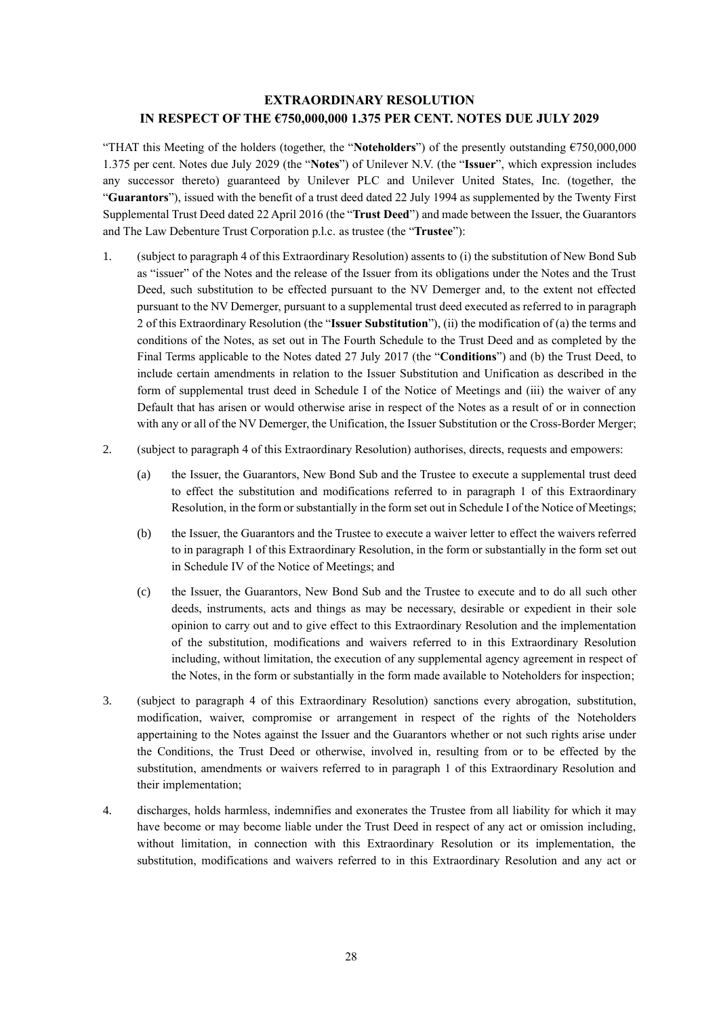### **EXTRAORDINARY RESOLUTION IN RESPECT OF THE €750,000,000 1.375 PER CENT. NOTES DUE JULY 2029**

"THAT this Meeting of the holders (together, the "**Noteholders**") of the presently outstanding €750,000,000 1.375 per cent. Notes due July 2029 (the "**Notes**") of Unilever N.V. (the "**Issuer**", which expression includes any successor thereto) guaranteed by Unilever PLC and Unilever United States, Inc. (together, the "**Guarantors**"), issued with the benefit of a trust deed dated 22 July 1994 as supplemented by the Twenty First Supplemental Trust Deed dated 22 April 2016 (the "**Trust Deed**") and made between the Issuer, the Guarantors and The Law Debenture Trust Corporation p.l.c. as trustee (the "**Trustee**"):

- 1. (subject to paragraph 4 of this Extraordinary Resolution) assents to (i) the substitution of New Bond Sub as "issuer" of the Notes and the release of the Issuer from its obligations under the Notes and the Trust Deed, such substitution to be effected pursuant to the NV Demerger and, to the extent not effected pursuant to the NV Demerger, pursuant to a supplemental trust deed executed as referred to in paragraph 2 of this Extraordinary Resolution (the "**Issuer Substitution**"), (ii) the modification of (a) the terms and conditions of the Notes, as set out in The Fourth Schedule to the Trust Deed and as completed by the Final Terms applicable to the Notes dated 27 July 2017 (the "**Conditions**") and (b) the Trust Deed, to include certain amendments in relation to the Issuer Substitution and Unification as described in the form of supplemental trust deed in Schedule I of the Notice of Meetings and (iii) the waiver of any Default that has arisen or would otherwise arise in respect of the Notes as a result of or in connection with any or all of the NV Demerger, the Unification, the Issuer Substitution or the Cross-Border Merger;
- 2. (subject to paragraph 4 of this Extraordinary Resolution) authorises, directs, requests and empowers:
	- (a) the Issuer, the Guarantors, New Bond Sub and the Trustee to execute a supplemental trust deed to effect the substitution and modifications referred to in paragraph 1 of this Extraordinary Resolution, in the form or substantially in the form set out in Schedule I of the Notice of Meetings;
	- (b) the Issuer, the Guarantors and the Trustee to execute a waiver letter to effect the waivers referred to in paragraph 1 of this Extraordinary Resolution, in the form or substantially in the form set out in Schedule IV of the Notice of Meetings; and
	- (c) the Issuer, the Guarantors, New Bond Sub and the Trustee to execute and to do all such other deeds, instruments, acts and things as may be necessary, desirable or expedient in their sole opinion to carry out and to give effect to this Extraordinary Resolution and the implementation of the substitution, modifications and waivers referred to in this Extraordinary Resolution including, without limitation, the execution of any supplemental agency agreement in respect of the Notes, in the form or substantially in the form made available to Noteholders for inspection;
- 3. (subject to paragraph 4 of this Extraordinary Resolution) sanctions every abrogation, substitution, modification, waiver, compromise or arrangement in respect of the rights of the Noteholders appertaining to the Notes against the Issuer and the Guarantors whether or not such rights arise under the Conditions, the Trust Deed or otherwise, involved in, resulting from or to be effected by the substitution, amendments or waivers referred to in paragraph 1 of this Extraordinary Resolution and their implementation;
- 4. discharges, holds harmless, indemnifies and exonerates the Trustee from all liability for which it may have become or may become liable under the Trust Deed in respect of any act or omission including, without limitation, in connection with this Extraordinary Resolution or its implementation, the substitution, modifications and waivers referred to in this Extraordinary Resolution and any act or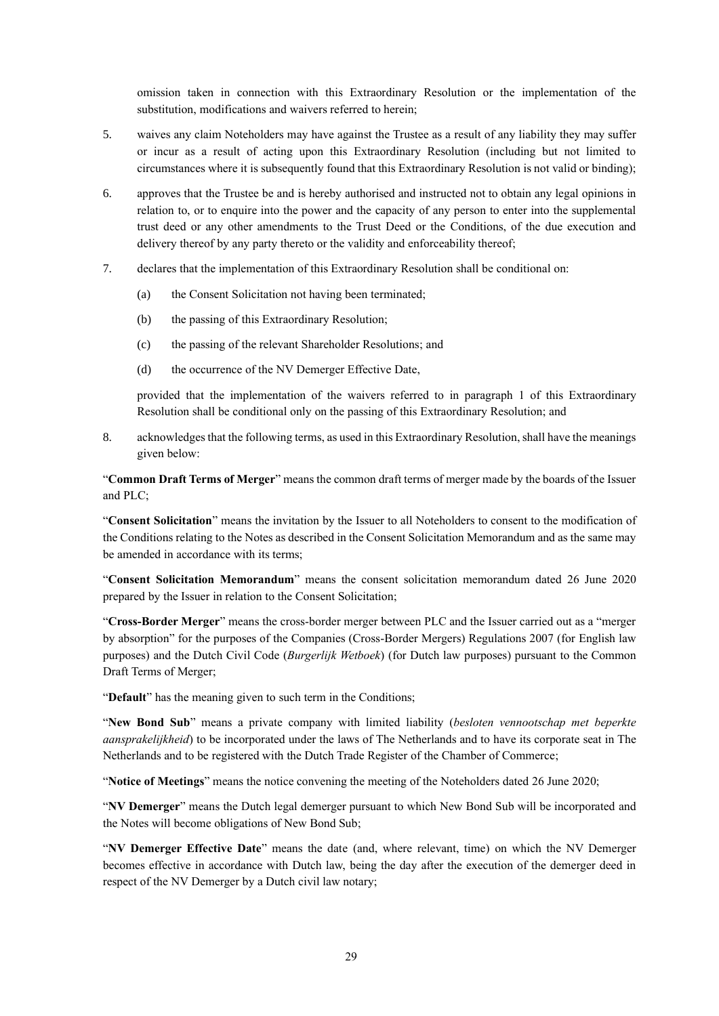omission taken in connection with this Extraordinary Resolution or the implementation of the substitution, modifications and waivers referred to herein;

- 5. waives any claim Noteholders may have against the Trustee as a result of any liability they may suffer or incur as a result of acting upon this Extraordinary Resolution (including but not limited to circumstances where it is subsequently found that this Extraordinary Resolution is not valid or binding);
- 6. approves that the Trustee be and is hereby authorised and instructed not to obtain any legal opinions in relation to, or to enquire into the power and the capacity of any person to enter into the supplemental trust deed or any other amendments to the Trust Deed or the Conditions, of the due execution and delivery thereof by any party thereto or the validity and enforceability thereof;
- 7. declares that the implementation of this Extraordinary Resolution shall be conditional on:
	- (a) the Consent Solicitation not having been terminated;
	- (b) the passing of this Extraordinary Resolution;
	- (c) the passing of the relevant Shareholder Resolutions; and
	- (d) the occurrence of the NV Demerger Effective Date,

provided that the implementation of the waivers referred to in paragraph 1 of this Extraordinary Resolution shall be conditional only on the passing of this Extraordinary Resolution; and

8. acknowledges that the following terms, as used in this Extraordinary Resolution, shall have the meanings given below:

"**Common Draft Terms of Merger**" means the common draft terms of merger made by the boards of the Issuer and PLC;

"**Consent Solicitation**" means the invitation by the Issuer to all Noteholders to consent to the modification of the Conditions relating to the Notes as described in the Consent Solicitation Memorandum and as the same may be amended in accordance with its terms;

"**Consent Solicitation Memorandum**" means the consent solicitation memorandum dated 26 June 2020 prepared by the Issuer in relation to the Consent Solicitation;

"**Cross-Border Merger**" means the cross-border merger between PLC and the Issuer carried out as a "merger by absorption" for the purposes of the Companies (Cross-Border Mergers) Regulations 2007 (for English law purposes) and the Dutch Civil Code (*Burgerlijk Wetboek*) (for Dutch law purposes) pursuant to the Common Draft Terms of Merger;

"**Default**" has the meaning given to such term in the Conditions;

"**New Bond Sub**" means a private company with limited liability (*besloten vennootschap met beperkte aansprakelijkheid*) to be incorporated under the laws of The Netherlands and to have its corporate seat in The Netherlands and to be registered with the Dutch Trade Register of the Chamber of Commerce;

"**Notice of Meetings**" means the notice convening the meeting of the Noteholders dated 26 June 2020;

"**NV Demerger**" means the Dutch legal demerger pursuant to which New Bond Sub will be incorporated and the Notes will become obligations of New Bond Sub;

"**NV Demerger Effective Date**" means the date (and, where relevant, time) on which the NV Demerger becomes effective in accordance with Dutch law, being the day after the execution of the demerger deed in respect of the NV Demerger by a Dutch civil law notary;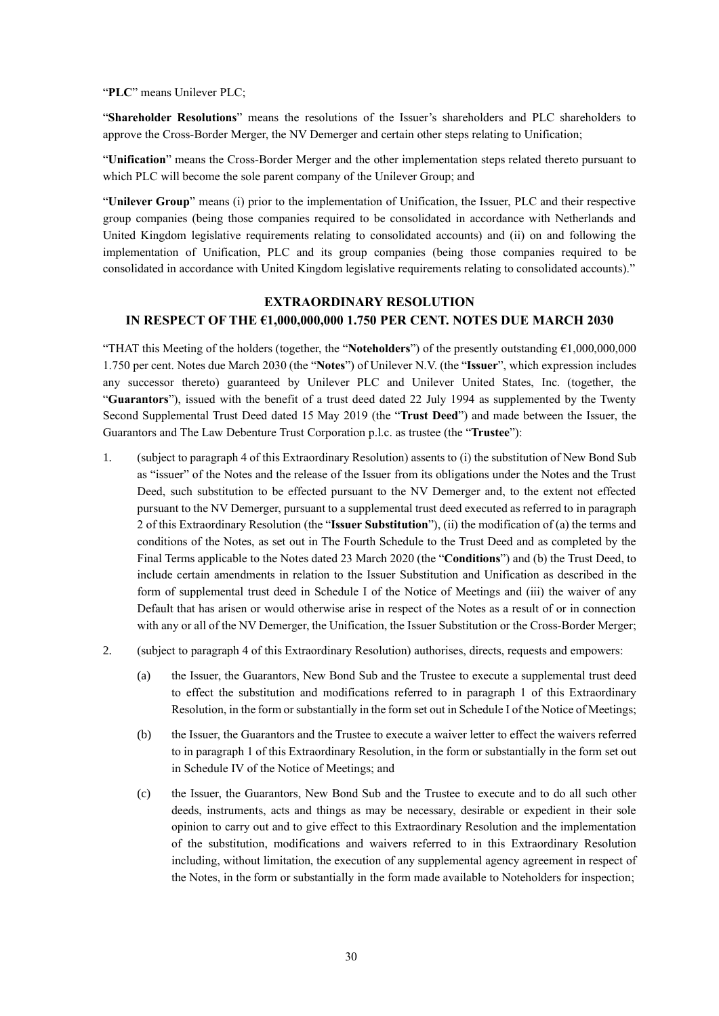"**PLC**" means Unilever PLC;

"**Shareholder Resolutions**" means the resolutions of the Issuer's shareholders and PLC shareholders to approve the Cross-Border Merger, the NV Demerger and certain other steps relating to Unification;

"**Unification**" means the Cross-Border Merger and the other implementation steps related thereto pursuant to which PLC will become the sole parent company of the Unilever Group; and

"**Unilever Group**" means (i) prior to the implementation of Unification, the Issuer, PLC and their respective group companies (being those companies required to be consolidated in accordance with Netherlands and United Kingdom legislative requirements relating to consolidated accounts) and (ii) on and following the implementation of Unification, PLC and its group companies (being those companies required to be consolidated in accordance with United Kingdom legislative requirements relating to consolidated accounts)."

### **EXTRAORDINARY RESOLUTION IN RESPECT OF THE €1,000,000,000 1.750 PER CENT. NOTES DUE MARCH 2030**

"THAT this Meeting of the holders (together, the "**Noteholders**") of the presently outstanding €1,000,000,000 1.750 per cent. Notes due March 2030 (the "**Notes**") of Unilever N.V. (the "**Issuer**", which expression includes any successor thereto) guaranteed by Unilever PLC and Unilever United States, Inc. (together, the "**Guarantors**"), issued with the benefit of a trust deed dated 22 July 1994 as supplemented by the Twenty Second Supplemental Trust Deed dated 15 May 2019 (the "**Trust Deed**") and made between the Issuer, the Guarantors and The Law Debenture Trust Corporation p.l.c. as trustee (the "**Trustee**"):

- 1. (subject to paragraph 4 of this Extraordinary Resolution) assents to (i) the substitution of New Bond Sub as "issuer" of the Notes and the release of the Issuer from its obligations under the Notes and the Trust Deed, such substitution to be effected pursuant to the NV Demerger and, to the extent not effected pursuant to the NV Demerger, pursuant to a supplemental trust deed executed as referred to in paragraph 2 of this Extraordinary Resolution (the "**Issuer Substitution**"), (ii) the modification of (a) the terms and conditions of the Notes, as set out in The Fourth Schedule to the Trust Deed and as completed by the Final Terms applicable to the Notes dated 23 March 2020 (the "**Conditions**") and (b) the Trust Deed, to include certain amendments in relation to the Issuer Substitution and Unification as described in the form of supplemental trust deed in Schedule I of the Notice of Meetings and (iii) the waiver of any Default that has arisen or would otherwise arise in respect of the Notes as a result of or in connection with any or all of the NV Demerger, the Unification, the Issuer Substitution or the Cross-Border Merger;
- 2. (subject to paragraph 4 of this Extraordinary Resolution) authorises, directs, requests and empowers:
	- (a) the Issuer, the Guarantors, New Bond Sub and the Trustee to execute a supplemental trust deed to effect the substitution and modifications referred to in paragraph 1 of this Extraordinary Resolution, in the form or substantially in the form set out in Schedule I of the Notice of Meetings;
	- (b) the Issuer, the Guarantors and the Trustee to execute a waiver letter to effect the waivers referred to in paragraph 1 of this Extraordinary Resolution, in the form or substantially in the form set out in Schedule IV of the Notice of Meetings; and
	- (c) the Issuer, the Guarantors, New Bond Sub and the Trustee to execute and to do all such other deeds, instruments, acts and things as may be necessary, desirable or expedient in their sole opinion to carry out and to give effect to this Extraordinary Resolution and the implementation of the substitution, modifications and waivers referred to in this Extraordinary Resolution including, without limitation, the execution of any supplemental agency agreement in respect of the Notes, in the form or substantially in the form made available to Noteholders for inspection;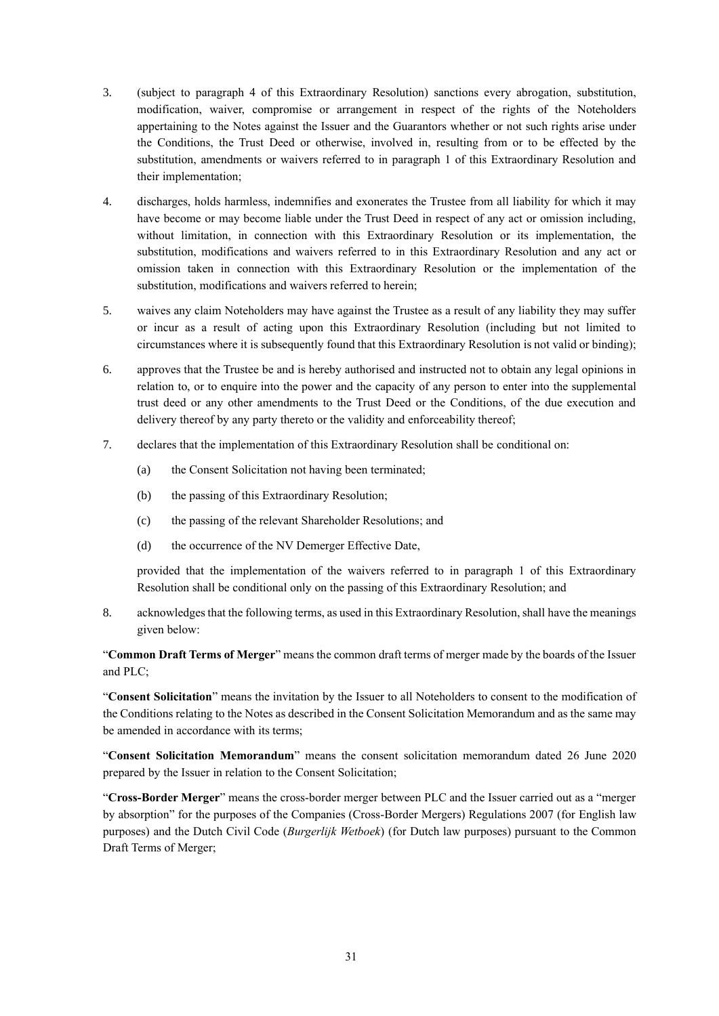- 3. (subject to paragraph 4 of this Extraordinary Resolution) sanctions every abrogation, substitution, modification, waiver, compromise or arrangement in respect of the rights of the Noteholders appertaining to the Notes against the Issuer and the Guarantors whether or not such rights arise under the Conditions, the Trust Deed or otherwise, involved in, resulting from or to be effected by the substitution, amendments or waivers referred to in paragraph 1 of this Extraordinary Resolution and their implementation;
- 4. discharges, holds harmless, indemnifies and exonerates the Trustee from all liability for which it may have become or may become liable under the Trust Deed in respect of any act or omission including, without limitation, in connection with this Extraordinary Resolution or its implementation, the substitution, modifications and waivers referred to in this Extraordinary Resolution and any act or omission taken in connection with this Extraordinary Resolution or the implementation of the substitution, modifications and waivers referred to herein;
- 5. waives any claim Noteholders may have against the Trustee as a result of any liability they may suffer or incur as a result of acting upon this Extraordinary Resolution (including but not limited to circumstances where it is subsequently found that this Extraordinary Resolution is not valid or binding);
- 6. approves that the Trustee be and is hereby authorised and instructed not to obtain any legal opinions in relation to, or to enquire into the power and the capacity of any person to enter into the supplemental trust deed or any other amendments to the Trust Deed or the Conditions, of the due execution and delivery thereof by any party thereto or the validity and enforceability thereof;
- 7. declares that the implementation of this Extraordinary Resolution shall be conditional on:
	- (a) the Consent Solicitation not having been terminated;
	- (b) the passing of this Extraordinary Resolution;
	- (c) the passing of the relevant Shareholder Resolutions; and
	- (d) the occurrence of the NV Demerger Effective Date,

8. acknowledges that the following terms, as used in this Extraordinary Resolution, shall have the meanings given below:

"**Common Draft Terms of Merger**" means the common draft terms of merger made by the boards of the Issuer and PLC;

"**Consent Solicitation**" means the invitation by the Issuer to all Noteholders to consent to the modification of the Conditions relating to the Notes as described in the Consent Solicitation Memorandum and as the same may be amended in accordance with its terms;

"**Consent Solicitation Memorandum**" means the consent solicitation memorandum dated 26 June 2020 prepared by the Issuer in relation to the Consent Solicitation;

"**Cross-Border Merger**" means the cross-border merger between PLC and the Issuer carried out as a "merger by absorption" for the purposes of the Companies (Cross-Border Mergers) Regulations 2007 (for English law purposes) and the Dutch Civil Code (*Burgerlijk Wetboek*) (for Dutch law purposes) pursuant to the Common Draft Terms of Merger;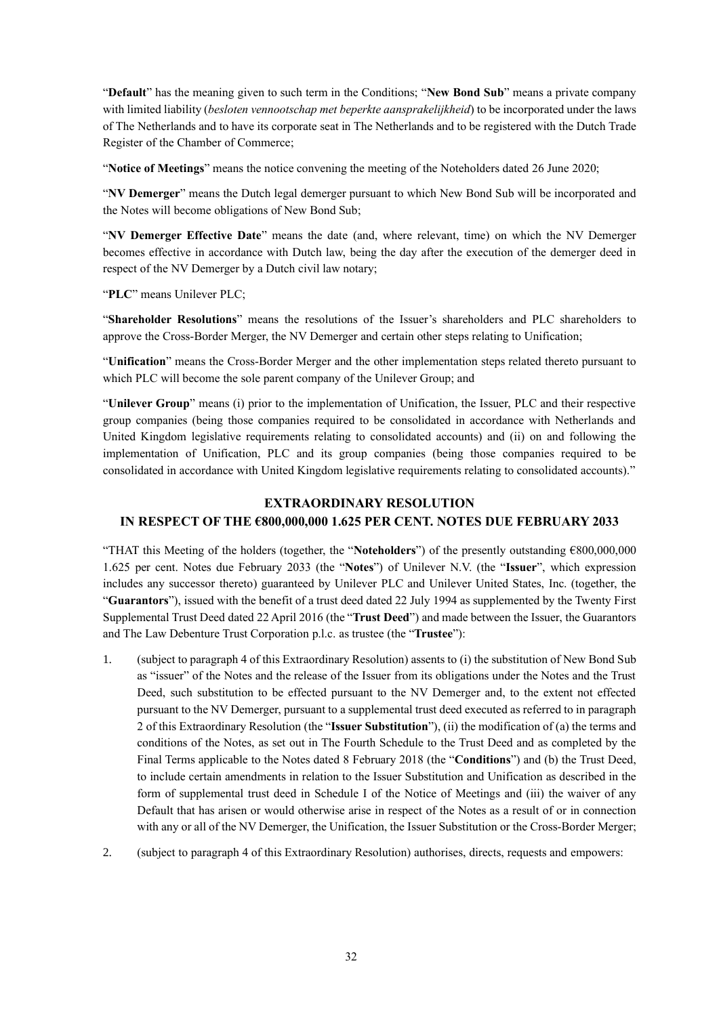"**Default**" has the meaning given to such term in the Conditions; "**New Bond Sub**" means a private company with limited liability (*besloten vennootschap met beperkte aansprakelijkheid*) to be incorporated under the laws of The Netherlands and to have its corporate seat in The Netherlands and to be registered with the Dutch Trade Register of the Chamber of Commerce;

"**Notice of Meetings**" means the notice convening the meeting of the Noteholders dated 26 June 2020;

"**NV Demerger**" means the Dutch legal demerger pursuant to which New Bond Sub will be incorporated and the Notes will become obligations of New Bond Sub;

"**NV Demerger Effective Date**" means the date (and, where relevant, time) on which the NV Demerger becomes effective in accordance with Dutch law, being the day after the execution of the demerger deed in respect of the NV Demerger by a Dutch civil law notary;

"**PLC**" means Unilever PLC;

"**Shareholder Resolutions**" means the resolutions of the Issuer's shareholders and PLC shareholders to approve the Cross-Border Merger, the NV Demerger and certain other steps relating to Unification;

"**Unification**" means the Cross-Border Merger and the other implementation steps related thereto pursuant to which PLC will become the sole parent company of the Unilever Group; and

"**Unilever Group**" means (i) prior to the implementation of Unification, the Issuer, PLC and their respective group companies (being those companies required to be consolidated in accordance with Netherlands and United Kingdom legislative requirements relating to consolidated accounts) and (ii) on and following the implementation of Unification, PLC and its group companies (being those companies required to be consolidated in accordance with United Kingdom legislative requirements relating to consolidated accounts)."

# **EXTRAORDINARY RESOLUTION IN RESPECT OF THE €800,000,000 1.625 PER CENT. NOTES DUE FEBRUARY 2033**

"THAT this Meeting of the holders (together, the "**Noteholders**") of the presently outstanding €800,000,000 1.625 per cent. Notes due February 2033 (the "**Notes**") of Unilever N.V. (the "**Issuer**", which expression includes any successor thereto) guaranteed by Unilever PLC and Unilever United States, Inc. (together, the "**Guarantors**"), issued with the benefit of a trust deed dated 22 July 1994 as supplemented by the Twenty First Supplemental Trust Deed dated 22 April 2016 (the "**Trust Deed**") and made between the Issuer, the Guarantors and The Law Debenture Trust Corporation p.l.c. as trustee (the "**Trustee**"):

- 1. (subject to paragraph 4 of this Extraordinary Resolution) assents to (i) the substitution of New Bond Sub as "issuer" of the Notes and the release of the Issuer from its obligations under the Notes and the Trust Deed, such substitution to be effected pursuant to the NV Demerger and, to the extent not effected pursuant to the NV Demerger, pursuant to a supplemental trust deed executed as referred to in paragraph 2 of this Extraordinary Resolution (the "**Issuer Substitution**"), (ii) the modification of (a) the terms and conditions of the Notes, as set out in The Fourth Schedule to the Trust Deed and as completed by the Final Terms applicable to the Notes dated 8 February 2018 (the "**Conditions**") and (b) the Trust Deed, to include certain amendments in relation to the Issuer Substitution and Unification as described in the form of supplemental trust deed in Schedule I of the Notice of Meetings and (iii) the waiver of any Default that has arisen or would otherwise arise in respect of the Notes as a result of or in connection with any or all of the NV Demerger, the Unification, the Issuer Substitution or the Cross-Border Merger;
- 2. (subject to paragraph 4 of this Extraordinary Resolution) authorises, directs, requests and empowers: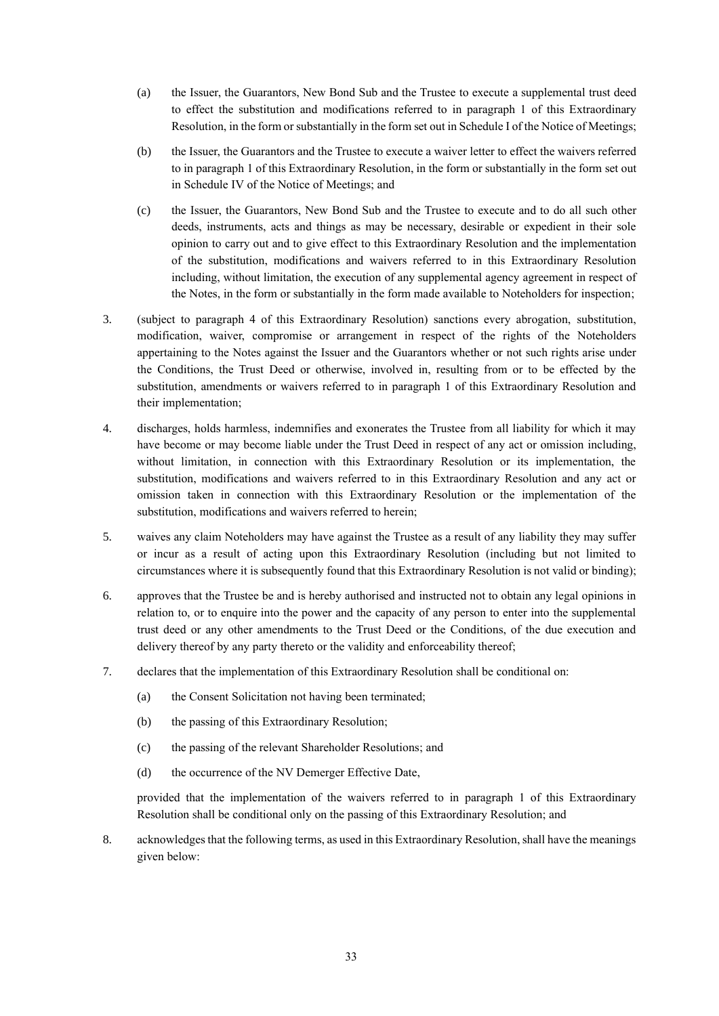- (a) the Issuer, the Guarantors, New Bond Sub and the Trustee to execute a supplemental trust deed to effect the substitution and modifications referred to in paragraph 1 of this Extraordinary Resolution, in the form or substantially in the form set outin Schedule I of the Notice of Meetings;
- (b) the Issuer, the Guarantors and the Trustee to execute a waiver letter to effect the waivers referred to in paragraph 1 of this Extraordinary Resolution, in the form or substantially in the form set out in Schedule IV of the Notice of Meetings; and
- (c) the Issuer, the Guarantors, New Bond Sub and the Trustee to execute and to do all such other deeds, instruments, acts and things as may be necessary, desirable or expedient in their sole opinion to carry out and to give effect to this Extraordinary Resolution and the implementation of the substitution, modifications and waivers referred to in this Extraordinary Resolution including, without limitation, the execution of any supplemental agency agreement in respect of the Notes, in the form or substantially in the form made available to Noteholders for inspection;
- 3. (subject to paragraph 4 of this Extraordinary Resolution) sanctions every abrogation, substitution, modification, waiver, compromise or arrangement in respect of the rights of the Noteholders appertaining to the Notes against the Issuer and the Guarantors whether or not such rights arise under the Conditions, the Trust Deed or otherwise, involved in, resulting from or to be effected by the substitution, amendments or waivers referred to in paragraph 1 of this Extraordinary Resolution and their implementation;
- 4. discharges, holds harmless, indemnifies and exonerates the Trustee from all liability for which it may have become or may become liable under the Trust Deed in respect of any act or omission including, without limitation, in connection with this Extraordinary Resolution or its implementation, the substitution, modifications and waivers referred to in this Extraordinary Resolution and any act or omission taken in connection with this Extraordinary Resolution or the implementation of the substitution, modifications and waivers referred to herein;
- 5. waives any claim Noteholders may have against the Trustee as a result of any liability they may suffer or incur as a result of acting upon this Extraordinary Resolution (including but not limited to circumstances where it is subsequently found that this Extraordinary Resolution is not valid or binding);
- 6. approves that the Trustee be and is hereby authorised and instructed not to obtain any legal opinions in relation to, or to enquire into the power and the capacity of any person to enter into the supplemental trust deed or any other amendments to the Trust Deed or the Conditions, of the due execution and delivery thereof by any party thereto or the validity and enforceability thereof;
- 7. declares that the implementation of this Extraordinary Resolution shall be conditional on:
	- (a) the Consent Solicitation not having been terminated;
	- (b) the passing of this Extraordinary Resolution;
	- (c) the passing of the relevant Shareholder Resolutions; and
	- (d) the occurrence of the NV Demerger Effective Date,

8. acknowledges that the following terms, as used in this Extraordinary Resolution, shall have the meanings given below: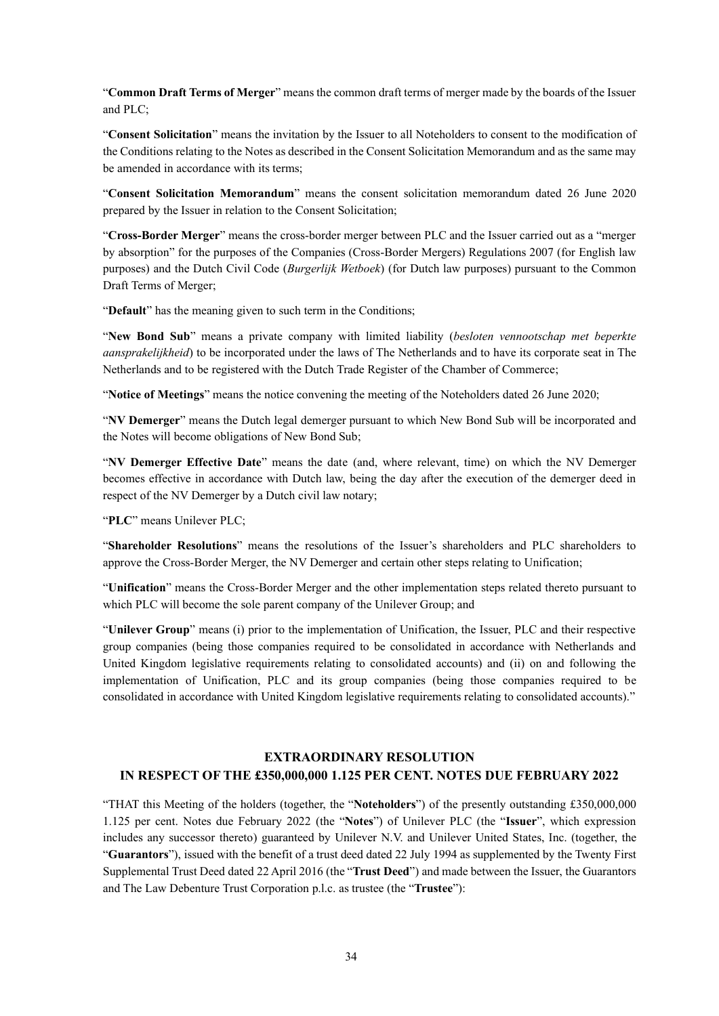"**Common Draft Terms of Merger**" means the common draft terms of merger made by the boards of the Issuer and PLC;

"**Consent Solicitation**" means the invitation by the Issuer to all Noteholders to consent to the modification of the Conditions relating to the Notes as described in the Consent Solicitation Memorandum and as the same may be amended in accordance with its terms:

"**Consent Solicitation Memorandum**" means the consent solicitation memorandum dated 26 June 2020 prepared by the Issuer in relation to the Consent Solicitation;

"**Cross-Border Merger**" means the cross-border merger between PLC and the Issuer carried out as a "merger by absorption" for the purposes of the Companies (Cross-Border Mergers) Regulations 2007 (for English law purposes) and the Dutch Civil Code (*Burgerlijk Wetboek*) (for Dutch law purposes) pursuant to the Common Draft Terms of Merger;

"**Default**" has the meaning given to such term in the Conditions;

"**New Bond Sub**" means a private company with limited liability (*besloten vennootschap met beperkte aansprakelijkheid*) to be incorporated under the laws of The Netherlands and to have its corporate seat in The Netherlands and to be registered with the Dutch Trade Register of the Chamber of Commerce;

"**Notice of Meetings**" means the notice convening the meeting of the Noteholders dated 26 June 2020;

"**NV Demerger**" means the Dutch legal demerger pursuant to which New Bond Sub will be incorporated and the Notes will become obligations of New Bond Sub;

"**NV Demerger Effective Date**" means the date (and, where relevant, time) on which the NV Demerger becomes effective in accordance with Dutch law, being the day after the execution of the demerger deed in respect of the NV Demerger by a Dutch civil law notary;

"**PLC**" means Unilever PLC;

"**Shareholder Resolutions**" means the resolutions of the Issuer's shareholders and PLC shareholders to approve the Cross-Border Merger, the NV Demerger and certain other steps relating to Unification;

"**Unification**" means the Cross-Border Merger and the other implementation steps related thereto pursuant to which PLC will become the sole parent company of the Unilever Group; and

"**Unilever Group**" means (i) prior to the implementation of Unification, the Issuer, PLC and their respective group companies (being those companies required to be consolidated in accordance with Netherlands and United Kingdom legislative requirements relating to consolidated accounts) and (ii) on and following the implementation of Unification, PLC and its group companies (being those companies required to be consolidated in accordance with United Kingdom legislative requirements relating to consolidated accounts)."

## **EXTRAORDINARY RESOLUTION IN RESPECT OF THE £350,000,000 1.125 PER CENT. NOTES DUE FEBRUARY 2022**

"THAT this Meeting of the holders (together, the "**Noteholders**") of the presently outstanding £350,000,000 1.125 per cent. Notes due February 2022 (the "**Notes**") of Unilever PLC (the "**Issuer**", which expression includes any successor thereto) guaranteed by Unilever N.V. and Unilever United States, Inc. (together, the "**Guarantors**"), issued with the benefit of a trust deed dated 22 July 1994 as supplemented by the Twenty First Supplemental Trust Deed dated 22 April 2016 (the "**Trust Deed**") and made between the Issuer, the Guarantors and The Law Debenture Trust Corporation p.l.c. as trustee (the "**Trustee**"):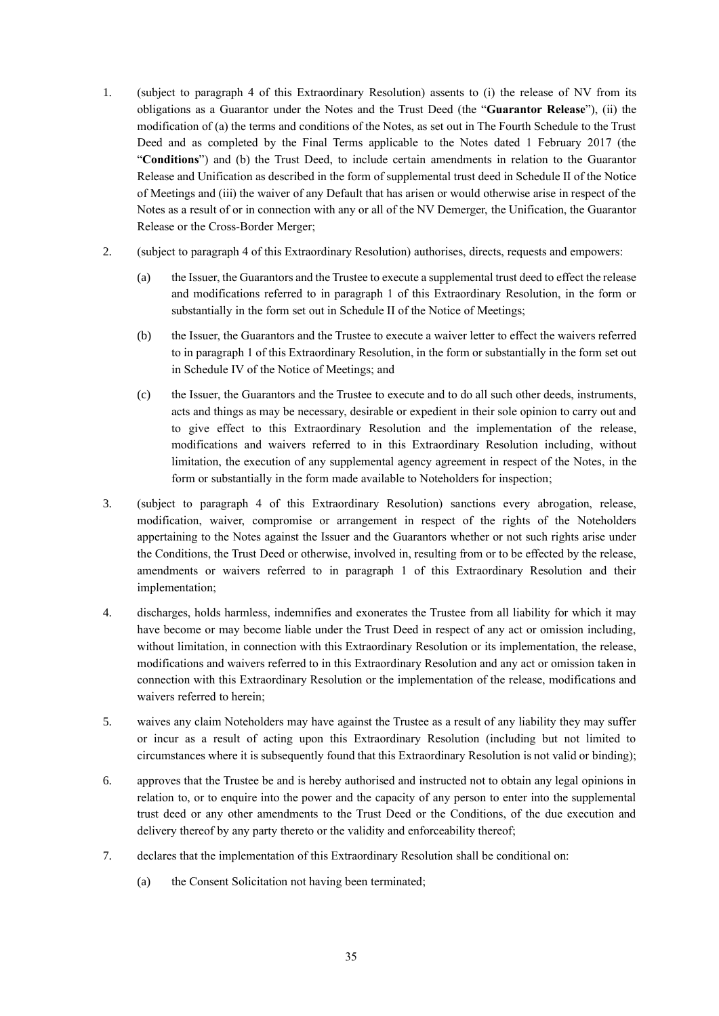- 1. (subject to paragraph 4 of this Extraordinary Resolution) assents to (i) the release of NV from its obligations as a Guarantor under the Notes and the Trust Deed (the "**Guarantor Release**"), (ii) the modification of (a) the terms and conditions of the Notes, as set out in The Fourth Schedule to the Trust Deed and as completed by the Final Terms applicable to the Notes dated 1 February 2017 (the "**Conditions**") and (b) the Trust Deed, to include certain amendments in relation to the Guarantor Release and Unification as described in the form of supplemental trust deed in Schedule II of the Notice of Meetings and (iii) the waiver of any Default that has arisen or would otherwise arise in respect of the Notes as a result of or in connection with any or all of the NV Demerger, the Unification, the Guarantor Release or the Cross-Border Merger;
- 2. (subject to paragraph 4 of this Extraordinary Resolution) authorises, directs, requests and empowers:
	- (a) the Issuer, the Guarantors and the Trustee to execute a supplemental trust deed to effect the release and modifications referred to in paragraph 1 of this Extraordinary Resolution, in the form or substantially in the form set out in Schedule II of the Notice of Meetings;
	- (b) the Issuer, the Guarantors and the Trustee to execute a waiver letter to effect the waivers referred to in paragraph 1 of this Extraordinary Resolution, in the form or substantially in the form set out in Schedule IV of the Notice of Meetings; and
	- (c) the Issuer, the Guarantors and the Trustee to execute and to do all such other deeds, instruments, acts and things as may be necessary, desirable or expedient in their sole opinion to carry out and to give effect to this Extraordinary Resolution and the implementation of the release, modifications and waivers referred to in this Extraordinary Resolution including, without limitation, the execution of any supplemental agency agreement in respect of the Notes, in the form or substantially in the form made available to Noteholders for inspection;
- 3. (subject to paragraph 4 of this Extraordinary Resolution) sanctions every abrogation, release, modification, waiver, compromise or arrangement in respect of the rights of the Noteholders appertaining to the Notes against the Issuer and the Guarantors whether or not such rights arise under the Conditions, the Trust Deed or otherwise, involved in, resulting from or to be effected by the release, amendments or waivers referred to in paragraph 1 of this Extraordinary Resolution and their implementation;
- 4. discharges, holds harmless, indemnifies and exonerates the Trustee from all liability for which it may have become or may become liable under the Trust Deed in respect of any act or omission including, without limitation, in connection with this Extraordinary Resolution or its implementation, the release, modifications and waivers referred to in this Extraordinary Resolution and any act or omission taken in connection with this Extraordinary Resolution or the implementation of the release, modifications and waivers referred to herein;
- 5. waives any claim Noteholders may have against the Trustee as a result of any liability they may suffer or incur as a result of acting upon this Extraordinary Resolution (including but not limited to circumstances where it is subsequently found that this Extraordinary Resolution is not valid or binding);
- 6. approves that the Trustee be and is hereby authorised and instructed not to obtain any legal opinions in relation to, or to enquire into the power and the capacity of any person to enter into the supplemental trust deed or any other amendments to the Trust Deed or the Conditions, of the due execution and delivery thereof by any party thereto or the validity and enforceability thereof;
- 7. declares that the implementation of this Extraordinary Resolution shall be conditional on:
	- (a) the Consent Solicitation not having been terminated;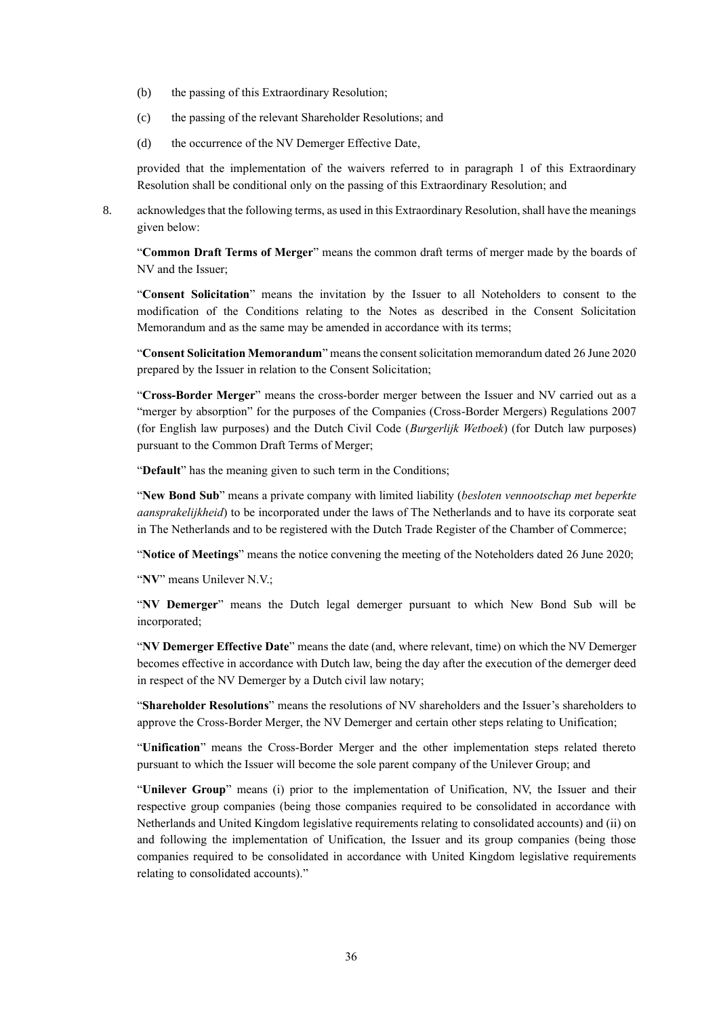- (b) the passing of this Extraordinary Resolution;
- (c) the passing of the relevant Shareholder Resolutions; and
- (d) the occurrence of the NV Demerger Effective Date,

8. acknowledges that the following terms, as used in this Extraordinary Resolution, shall have the meanings given below:

"**Common Draft Terms of Merger**" means the common draft terms of merger made by the boards of NV and the Issuer;

"**Consent Solicitation**" means the invitation by the Issuer to all Noteholders to consent to the modification of the Conditions relating to the Notes as described in the Consent Solicitation Memorandum and as the same may be amended in accordance with its terms;

"**Consent Solicitation Memorandum**" means the consent solicitation memorandum dated 26 June 2020 prepared by the Issuer in relation to the Consent Solicitation;

"**Cross-Border Merger**" means the cross-border merger between the Issuer and NV carried out as a "merger by absorption" for the purposes of the Companies (Cross-Border Mergers) Regulations 2007 (for English law purposes) and the Dutch Civil Code (*Burgerlijk Wetboek*) (for Dutch law purposes) pursuant to the Common Draft Terms of Merger;

"**Default**" has the meaning given to such term in the Conditions;

"**New Bond Sub**" means a private company with limited liability (*besloten vennootschap met beperkte aansprakelijkheid*) to be incorporated under the laws of The Netherlands and to have its corporate seat in The Netherlands and to be registered with the Dutch Trade Register of the Chamber of Commerce;

"**Notice of Meetings**" means the notice convening the meeting of the Noteholders dated 26 June 2020;

"**NV**" means Unilever N.V.;

"**NV Demerger**" means the Dutch legal demerger pursuant to which New Bond Sub will be incorporated;

"**NV Demerger Effective Date**" means the date (and, where relevant, time) on which the NV Demerger becomes effective in accordance with Dutch law, being the day after the execution of the demerger deed in respect of the NV Demerger by a Dutch civil law notary;

"**Shareholder Resolutions**" means the resolutions of NV shareholders and the Issuer's shareholders to approve the Cross-Border Merger, the NV Demerger and certain other steps relating to Unification;

"**Unification**" means the Cross-Border Merger and the other implementation steps related thereto pursuant to which the Issuer will become the sole parent company of the Unilever Group; and

"**Unilever Group**" means (i) prior to the implementation of Unification, NV, the Issuer and their respective group companies (being those companies required to be consolidated in accordance with Netherlands and United Kingdom legislative requirements relating to consolidated accounts) and (ii) on and following the implementation of Unification, the Issuer and its group companies (being those companies required to be consolidated in accordance with United Kingdom legislative requirements relating to consolidated accounts)."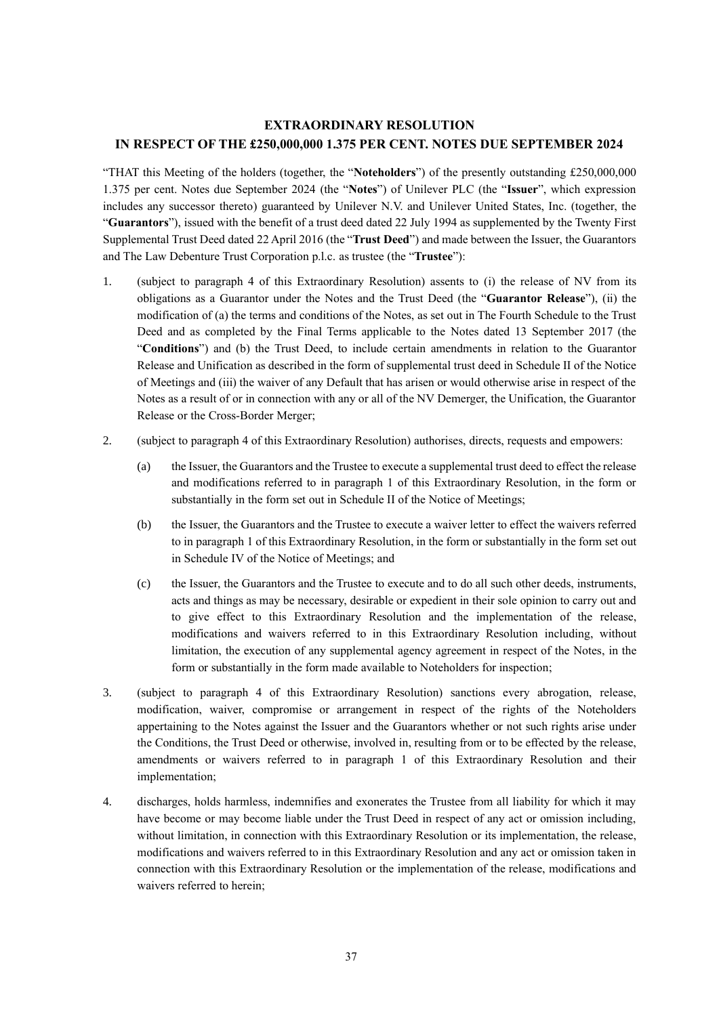# **EXTRAORDINARY RESOLUTION IN RESPECT OF THE £250,000,000 1.375 PER CENT. NOTES DUE SEPTEMBER 2024**

"THAT this Meeting of the holders (together, the "**Noteholders**") of the presently outstanding £250,000,000 1.375 per cent. Notes due September 2024 (the "**Notes**") of Unilever PLC (the "**Issuer**", which expression includes any successor thereto) guaranteed by Unilever N.V. and Unilever United States, Inc. (together, the "**Guarantors**"), issued with the benefit of a trust deed dated 22 July 1994 as supplemented by the Twenty First Supplemental Trust Deed dated 22 April 2016 (the "**Trust Deed**") and made between the Issuer, the Guarantors and The Law Debenture Trust Corporation p.l.c. as trustee (the "**Trustee**"):

- 1. (subject to paragraph 4 of this Extraordinary Resolution) assents to (i) the release of NV from its obligations as a Guarantor under the Notes and the Trust Deed (the "**Guarantor Release**"), (ii) the modification of (a) the terms and conditions of the Notes, as set out in The Fourth Schedule to the Trust Deed and as completed by the Final Terms applicable to the Notes dated 13 September 2017 (the "**Conditions**") and (b) the Trust Deed, to include certain amendments in relation to the Guarantor Release and Unification as described in the form of supplemental trust deed in Schedule II of the Notice of Meetings and (iii) the waiver of any Default that has arisen or would otherwise arise in respect of the Notes as a result of or in connection with any or all of the NV Demerger, the Unification, the Guarantor Release or the Cross-Border Merger;
- 2. (subject to paragraph 4 of this Extraordinary Resolution) authorises, directs, requests and empowers:
	- (a) the Issuer, the Guarantors and the Trustee to execute a supplemental trust deed to effect the release and modifications referred to in paragraph 1 of this Extraordinary Resolution, in the form or substantially in the form set out in Schedule II of the Notice of Meetings;
	- (b) the Issuer, the Guarantors and the Trustee to execute a waiver letter to effect the waivers referred to in paragraph 1 of this Extraordinary Resolution, in the form or substantially in the form set out in Schedule IV of the Notice of Meetings; and
	- (c) the Issuer, the Guarantors and the Trustee to execute and to do all such other deeds, instruments, acts and things as may be necessary, desirable or expedient in their sole opinion to carry out and to give effect to this Extraordinary Resolution and the implementation of the release, modifications and waivers referred to in this Extraordinary Resolution including, without limitation, the execution of any supplemental agency agreement in respect of the Notes, in the form or substantially in the form made available to Noteholders for inspection;
- 3. (subject to paragraph 4 of this Extraordinary Resolution) sanctions every abrogation, release, modification, waiver, compromise or arrangement in respect of the rights of the Noteholders appertaining to the Notes against the Issuer and the Guarantors whether or not such rights arise under the Conditions, the Trust Deed or otherwise, involved in, resulting from or to be effected by the release, amendments or waivers referred to in paragraph 1 of this Extraordinary Resolution and their implementation;
- 4. discharges, holds harmless, indemnifies and exonerates the Trustee from all liability for which it may have become or may become liable under the Trust Deed in respect of any act or omission including, without limitation, in connection with this Extraordinary Resolution or its implementation, the release, modifications and waivers referred to in this Extraordinary Resolution and any act or omission taken in connection with this Extraordinary Resolution or the implementation of the release, modifications and waivers referred to herein;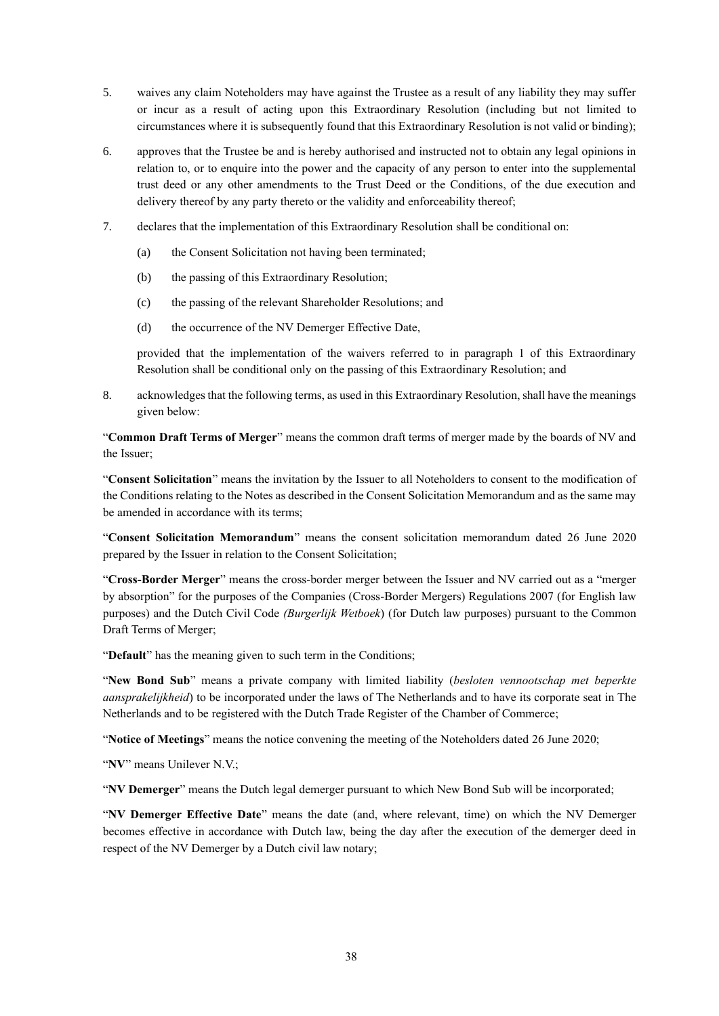- 5. waives any claim Noteholders may have against the Trustee as a result of any liability they may suffer or incur as a result of acting upon this Extraordinary Resolution (including but not limited to circumstances where it is subsequently found that this Extraordinary Resolution is not valid or binding);
- 6. approves that the Trustee be and is hereby authorised and instructed not to obtain any legal opinions in relation to, or to enquire into the power and the capacity of any person to enter into the supplemental trust deed or any other amendments to the Trust Deed or the Conditions, of the due execution and delivery thereof by any party thereto or the validity and enforceability thereof;
- 7. declares that the implementation of this Extraordinary Resolution shall be conditional on:
	- (a) the Consent Solicitation not having been terminated;
	- (b) the passing of this Extraordinary Resolution;
	- (c) the passing of the relevant Shareholder Resolutions; and
	- (d) the occurrence of the NV Demerger Effective Date,

provided that the implementation of the waivers referred to in paragraph 1 of this Extraordinary Resolution shall be conditional only on the passing of this Extraordinary Resolution; and

8. acknowledges that the following terms, as used in this Extraordinary Resolution, shall have the meanings given below:

"**Common Draft Terms of Merger**" means the common draft terms of merger made by the boards of NV and the Issuer;

"**Consent Solicitation**" means the invitation by the Issuer to all Noteholders to consent to the modification of the Conditions relating to the Notes as described in the Consent Solicitation Memorandum and as the same may be amended in accordance with its terms;

"**Consent Solicitation Memorandum**" means the consent solicitation memorandum dated 26 June 2020 prepared by the Issuer in relation to the Consent Solicitation;

"**Cross-Border Merger**" means the cross-border merger between the Issuer and NV carried out as a "merger by absorption" for the purposes of the Companies (Cross-Border Mergers) Regulations 2007 (for English law purposes) and the Dutch Civil Code *(Burgerlijk Wetboek*) (for Dutch law purposes) pursuant to the Common Draft Terms of Merger;

"**Default**" has the meaning given to such term in the Conditions;

"**New Bond Sub**" means a private company with limited liability (*besloten vennootschap met beperkte aansprakelijkheid*) to be incorporated under the laws of The Netherlands and to have its corporate seat in The Netherlands and to be registered with the Dutch Trade Register of the Chamber of Commerce;

"**Notice of Meetings**" means the notice convening the meeting of the Noteholders dated 26 June 2020;

"**NV**" means Unilever N.V.;

"**NV Demerger**" means the Dutch legal demerger pursuant to which New Bond Sub will be incorporated;

"**NV Demerger Effective Date**" means the date (and, where relevant, time) on which the NV Demerger becomes effective in accordance with Dutch law, being the day after the execution of the demerger deed in respect of the NV Demerger by a Dutch civil law notary;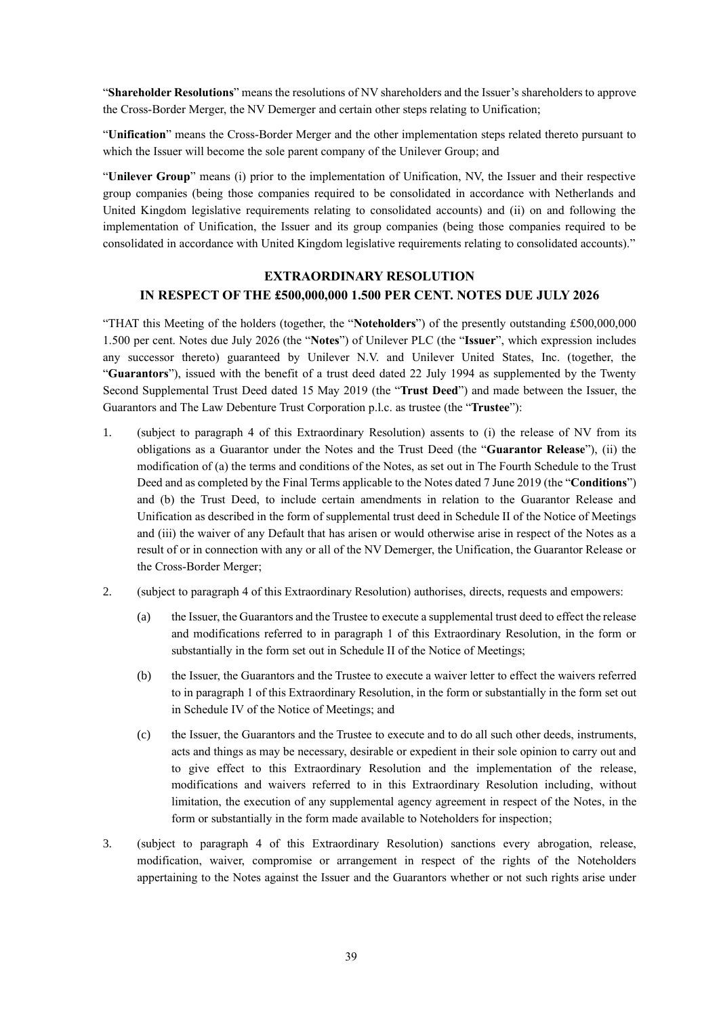"**Shareholder Resolutions**" means the resolutions of NV shareholders and the Issuer's shareholders to approve the Cross-Border Merger, the NV Demerger and certain other steps relating to Unification;

"**Unification**" means the Cross-Border Merger and the other implementation steps related thereto pursuant to which the Issuer will become the sole parent company of the Unilever Group; and

"**Unilever Group**" means (i) prior to the implementation of Unification, NV, the Issuer and their respective group companies (being those companies required to be consolidated in accordance with Netherlands and United Kingdom legislative requirements relating to consolidated accounts) and (ii) on and following the implementation of Unification, the Issuer and its group companies (being those companies required to be consolidated in accordance with United Kingdom legislative requirements relating to consolidated accounts)."

# **EXTRAORDINARY RESOLUTION IN RESPECT OF THE £500,000,000 1.500 PER CENT. NOTES DUE JULY 2026**

"THAT this Meeting of the holders (together, the "**Noteholders**") of the presently outstanding £500,000,000 1.500 per cent. Notes due July 2026 (the "**Notes**") of Unilever PLC (the "**Issuer**", which expression includes any successor thereto) guaranteed by Unilever N.V. and Unilever United States, Inc. (together, the "**Guarantors**"), issued with the benefit of a trust deed dated 22 July 1994 as supplemented by the Twenty Second Supplemental Trust Deed dated 15 May 2019 (the "**Trust Deed**") and made between the Issuer, the Guarantors and The Law Debenture Trust Corporation p.l.c. as trustee (the "**Trustee**"):

- 1. (subject to paragraph 4 of this Extraordinary Resolution) assents to (i) the release of NV from its obligations as a Guarantor under the Notes and the Trust Deed (the "**Guarantor Release**"), (ii) the modification of (a) the terms and conditions of the Notes, as set out in The Fourth Schedule to the Trust Deed and as completed by the Final Terms applicable to the Notes dated 7 June 2019 (the "**Conditions**") and (b) the Trust Deed, to include certain amendments in relation to the Guarantor Release and Unification as described in the form of supplemental trust deed in Schedule II of the Notice of Meetings and (iii) the waiver of any Default that has arisen or would otherwise arise in respect of the Notes as a result of or in connection with any or all of the NV Demerger, the Unification, the Guarantor Release or the Cross-Border Merger;
- 2. (subject to paragraph 4 of this Extraordinary Resolution) authorises, directs, requests and empowers:
	- (a) the Issuer, the Guarantors and the Trustee to execute a supplemental trust deed to effect the release and modifications referred to in paragraph 1 of this Extraordinary Resolution, in the form or substantially in the form set out in Schedule II of the Notice of Meetings;
	- (b) the Issuer, the Guarantors and the Trustee to execute a waiver letter to effect the waivers referred to in paragraph 1 of this Extraordinary Resolution, in the form or substantially in the form set out in Schedule IV of the Notice of Meetings; and
	- (c) the Issuer, the Guarantors and the Trustee to execute and to do all such other deeds, instruments, acts and things as may be necessary, desirable or expedient in their sole opinion to carry out and to give effect to this Extraordinary Resolution and the implementation of the release, modifications and waivers referred to in this Extraordinary Resolution including, without limitation, the execution of any supplemental agency agreement in respect of the Notes, in the form or substantially in the form made available to Noteholders for inspection;
- 3. (subject to paragraph 4 of this Extraordinary Resolution) sanctions every abrogation, release, modification, waiver, compromise or arrangement in respect of the rights of the Noteholders appertaining to the Notes against the Issuer and the Guarantors whether or not such rights arise under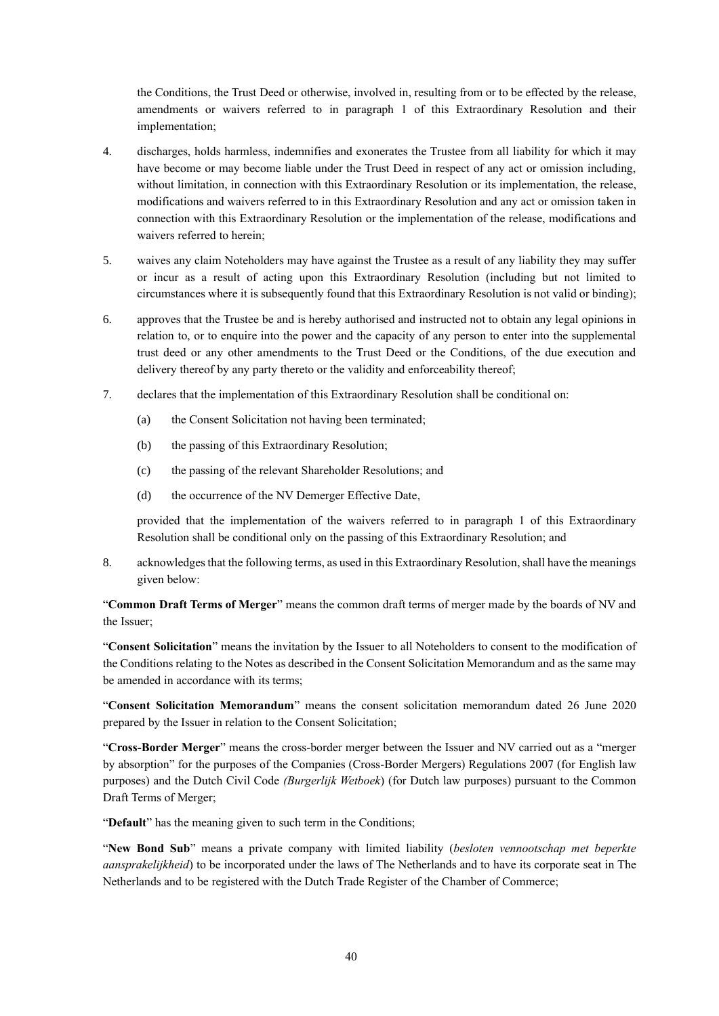the Conditions, the Trust Deed or otherwise, involved in, resulting from or to be effected by the release, amendments or waivers referred to in paragraph 1 of this Extraordinary Resolution and their implementation;

- 4. discharges, holds harmless, indemnifies and exonerates the Trustee from all liability for which it may have become or may become liable under the Trust Deed in respect of any act or omission including, without limitation, in connection with this Extraordinary Resolution or its implementation, the release, modifications and waivers referred to in this Extraordinary Resolution and any act or omission taken in connection with this Extraordinary Resolution or the implementation of the release, modifications and waivers referred to herein;
- 5. waives any claim Noteholders may have against the Trustee as a result of any liability they may suffer or incur as a result of acting upon this Extraordinary Resolution (including but not limited to circumstances where it is subsequently found that this Extraordinary Resolution is not valid or binding);
- 6. approves that the Trustee be and is hereby authorised and instructed not to obtain any legal opinions in relation to, or to enquire into the power and the capacity of any person to enter into the supplemental trust deed or any other amendments to the Trust Deed or the Conditions, of the due execution and delivery thereof by any party thereto or the validity and enforceability thereof;
- 7. declares that the implementation of this Extraordinary Resolution shall be conditional on:
	- (a) the Consent Solicitation not having been terminated;
	- (b) the passing of this Extraordinary Resolution;
	- (c) the passing of the relevant Shareholder Resolutions; and
	- (d) the occurrence of the NV Demerger Effective Date,

provided that the implementation of the waivers referred to in paragraph 1 of this Extraordinary Resolution shall be conditional only on the passing of this Extraordinary Resolution; and

8. acknowledges that the following terms, as used in this Extraordinary Resolution, shall have the meanings given below:

"**Common Draft Terms of Merger**" means the common draft terms of merger made by the boards of NV and the Issuer;

"**Consent Solicitation**" means the invitation by the Issuer to all Noteholders to consent to the modification of the Conditions relating to the Notes as described in the Consent Solicitation Memorandum and as the same may be amended in accordance with its terms;

"**Consent Solicitation Memorandum**" means the consent solicitation memorandum dated 26 June 2020 prepared by the Issuer in relation to the Consent Solicitation;

"**Cross-Border Merger**" means the cross-border merger between the Issuer and NV carried out as a "merger by absorption" for the purposes of the Companies (Cross-Border Mergers) Regulations 2007 (for English law purposes) and the Dutch Civil Code *(Burgerlijk Wetboek*) (for Dutch law purposes) pursuant to the Common Draft Terms of Merger;

"**Default**" has the meaning given to such term in the Conditions;

"**New Bond Sub**" means a private company with limited liability (*besloten vennootschap met beperkte aansprakelijkheid*) to be incorporated under the laws of The Netherlands and to have its corporate seat in The Netherlands and to be registered with the Dutch Trade Register of the Chamber of Commerce;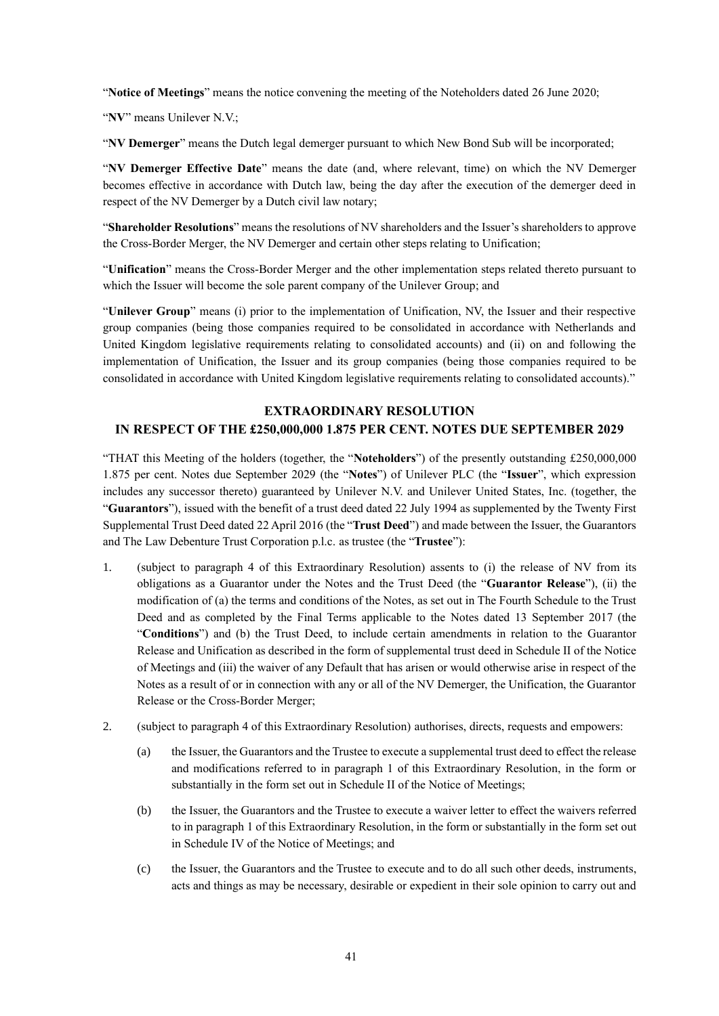"**Notice of Meetings**" means the notice convening the meeting of the Noteholders dated 26 June 2020;

"**NV**" means Unilever N.V.;

"**NV Demerger**" means the Dutch legal demerger pursuant to which New Bond Sub will be incorporated;

"**NV Demerger Effective Date**" means the date (and, where relevant, time) on which the NV Demerger becomes effective in accordance with Dutch law, being the day after the execution of the demerger deed in respect of the NV Demerger by a Dutch civil law notary;

"**Shareholder Resolutions**" means the resolutions of NV shareholders and the Issuer's shareholders to approve the Cross-Border Merger, the NV Demerger and certain other steps relating to Unification;

"**Unification**" means the Cross-Border Merger and the other implementation steps related thereto pursuant to which the Issuer will become the sole parent company of the Unilever Group; and

"**Unilever Group**" means (i) prior to the implementation of Unification, NV, the Issuer and their respective group companies (being those companies required to be consolidated in accordance with Netherlands and United Kingdom legislative requirements relating to consolidated accounts) and (ii) on and following the implementation of Unification, the Issuer and its group companies (being those companies required to be consolidated in accordance with United Kingdom legislative requirements relating to consolidated accounts)."

#### **EXTRAORDINARY RESOLUTION**

#### **IN RESPECT OF THE £250,000,000 1.875 PER CENT. NOTES DUE SEPTEMBER 2029**

"THAT this Meeting of the holders (together, the "**Noteholders**") of the presently outstanding £250,000,000 1.875 per cent. Notes due September 2029 (the "**Notes**") of Unilever PLC (the "**Issuer**", which expression includes any successor thereto) guaranteed by Unilever N.V. and Unilever United States, Inc. (together, the "**Guarantors**"), issued with the benefit of a trust deed dated 22 July 1994 as supplemented by the Twenty First Supplemental Trust Deed dated 22 April 2016 (the "**Trust Deed**") and made between the Issuer, the Guarantors and The Law Debenture Trust Corporation p.l.c. as trustee (the "**Trustee**"):

- 1. (subject to paragraph 4 of this Extraordinary Resolution) assents to (i) the release of NV from its obligations as a Guarantor under the Notes and the Trust Deed (the "**Guarantor Release**"), (ii) the modification of (a) the terms and conditions of the Notes, as set out in The Fourth Schedule to the Trust Deed and as completed by the Final Terms applicable to the Notes dated 13 September 2017 (the "**Conditions**") and (b) the Trust Deed, to include certain amendments in relation to the Guarantor Release and Unification as described in the form of supplemental trust deed in Schedule II of the Notice of Meetings and (iii) the waiver of any Default that has arisen or would otherwise arise in respect of the Notes as a result of or in connection with any or all of the NV Demerger, the Unification, the Guarantor Release or the Cross-Border Merger;
- 2. (subject to paragraph 4 of this Extraordinary Resolution) authorises, directs, requests and empowers:
	- (a) the Issuer, the Guarantors and the Trustee to execute a supplemental trust deed to effect the release and modifications referred to in paragraph 1 of this Extraordinary Resolution, in the form or substantially in the form set out in Schedule II of the Notice of Meetings;
	- (b) the Issuer, the Guarantors and the Trustee to execute a waiver letter to effect the waivers referred to in paragraph 1 of this Extraordinary Resolution, in the form or substantially in the form set out in Schedule IV of the Notice of Meetings; and
	- (c) the Issuer, the Guarantors and the Trustee to execute and to do all such other deeds, instruments, acts and things as may be necessary, desirable or expedient in their sole opinion to carry out and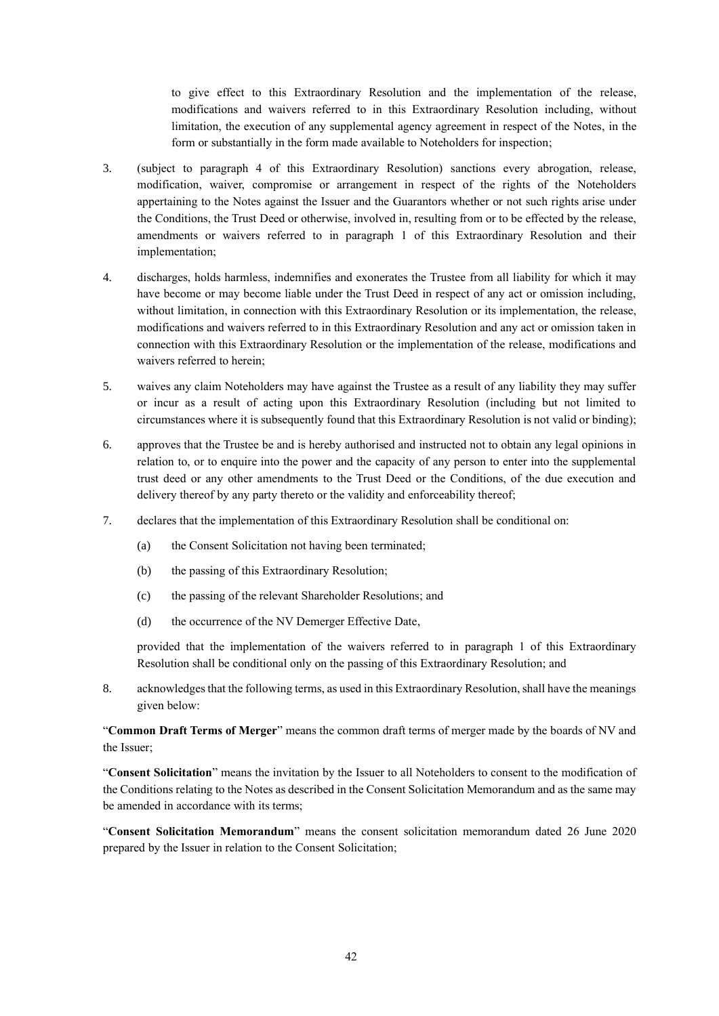to give effect to this Extraordinary Resolution and the implementation of the release, modifications and waivers referred to in this Extraordinary Resolution including, without limitation, the execution of any supplemental agency agreement in respect of the Notes, in the form or substantially in the form made available to Noteholders for inspection;

- 3. (subject to paragraph 4 of this Extraordinary Resolution) sanctions every abrogation, release, modification, waiver, compromise or arrangement in respect of the rights of the Noteholders appertaining to the Notes against the Issuer and the Guarantors whether or not such rights arise under the Conditions, the Trust Deed or otherwise, involved in, resulting from or to be effected by the release, amendments or waivers referred to in paragraph 1 of this Extraordinary Resolution and their implementation;
- 4. discharges, holds harmless, indemnifies and exonerates the Trustee from all liability for which it may have become or may become liable under the Trust Deed in respect of any act or omission including, without limitation, in connection with this Extraordinary Resolution or its implementation, the release, modifications and waivers referred to in this Extraordinary Resolution and any act or omission taken in connection with this Extraordinary Resolution or the implementation of the release, modifications and waivers referred to herein;
- 5. waives any claim Noteholders may have against the Trustee as a result of any liability they may suffer or incur as a result of acting upon this Extraordinary Resolution (including but not limited to circumstances where it is subsequently found that this Extraordinary Resolution is not valid or binding);
- 6. approves that the Trustee be and is hereby authorised and instructed not to obtain any legal opinions in relation to, or to enquire into the power and the capacity of any person to enter into the supplemental trust deed or any other amendments to the Trust Deed or the Conditions, of the due execution and delivery thereof by any party thereto or the validity and enforceability thereof;
- 7. declares that the implementation of this Extraordinary Resolution shall be conditional on:
	- (a) the Consent Solicitation not having been terminated;
	- (b) the passing of this Extraordinary Resolution;
	- (c) the passing of the relevant Shareholder Resolutions; and
	- (d) the occurrence of the NV Demerger Effective Date,

provided that the implementation of the waivers referred to in paragraph 1 of this Extraordinary Resolution shall be conditional only on the passing of this Extraordinary Resolution; and

8. acknowledges that the following terms, as used in this Extraordinary Resolution, shall have the meanings given below:

"**Common Draft Terms of Merger**" means the common draft terms of merger made by the boards of NV and the Issuer;

"**Consent Solicitation**" means the invitation by the Issuer to all Noteholders to consent to the modification of the Conditions relating to the Notes as described in the Consent Solicitation Memorandum and as the same may be amended in accordance with its terms;

"**Consent Solicitation Memorandum**" means the consent solicitation memorandum dated 26 June 2020 prepared by the Issuer in relation to the Consent Solicitation;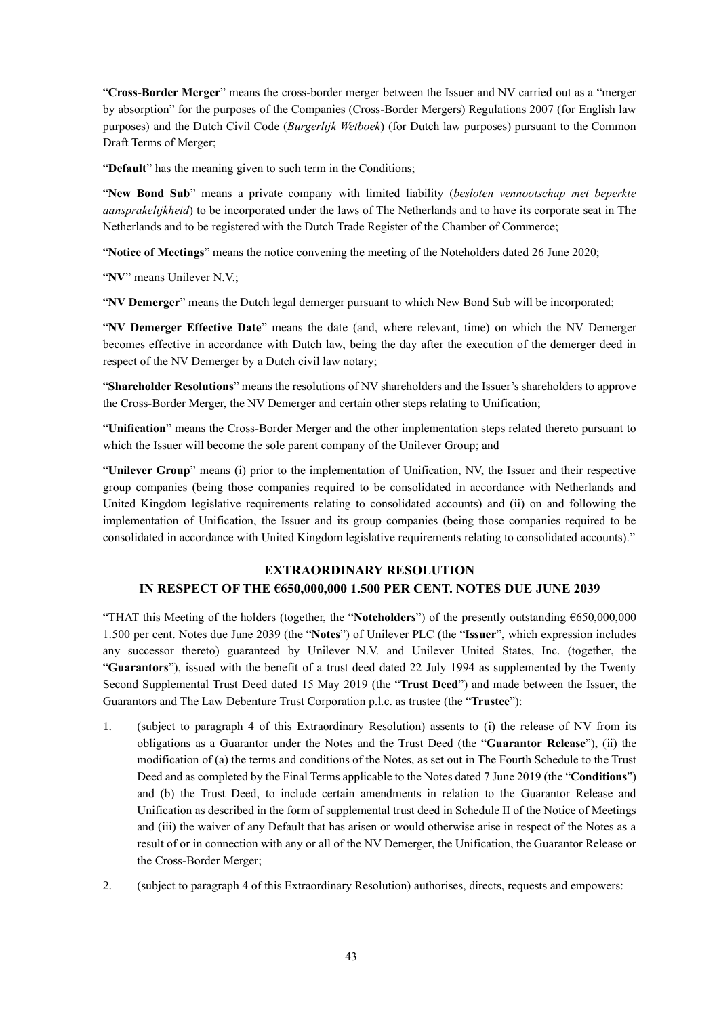"**Cross-Border Merger**" means the cross-border merger between the Issuer and NV carried out as a "merger by absorption" for the purposes of the Companies (Cross-Border Mergers) Regulations 2007 (for English law purposes) and the Dutch Civil Code (*Burgerlijk Wetboek*) (for Dutch law purposes) pursuant to the Common Draft Terms of Merger;

"**Default**" has the meaning given to such term in the Conditions;

"**New Bond Sub**" means a private company with limited liability (*besloten vennootschap met beperkte aansprakelijkheid*) to be incorporated under the laws of The Netherlands and to have its corporate seat in The Netherlands and to be registered with the Dutch Trade Register of the Chamber of Commerce;

"**Notice of Meetings**" means the notice convening the meeting of the Noteholders dated 26 June 2020;

"**NV**" means Unilever N.V.;

"**NV Demerger**" means the Dutch legal demerger pursuant to which New Bond Sub will be incorporated;

"**NV Demerger Effective Date**" means the date (and, where relevant, time) on which the NV Demerger becomes effective in accordance with Dutch law, being the day after the execution of the demerger deed in respect of the NV Demerger by a Dutch civil law notary;

"**Shareholder Resolutions**" means the resolutions of NV shareholders and the Issuer's shareholders to approve the Cross-Border Merger, the NV Demerger and certain other steps relating to Unification;

"**Unification**" means the Cross-Border Merger and the other implementation steps related thereto pursuant to which the Issuer will become the sole parent company of the Unilever Group; and

"**Unilever Group**" means (i) prior to the implementation of Unification, NV, the Issuer and their respective group companies (being those companies required to be consolidated in accordance with Netherlands and United Kingdom legislative requirements relating to consolidated accounts) and (ii) on and following the implementation of Unification, the Issuer and its group companies (being those companies required to be consolidated in accordance with United Kingdom legislative requirements relating to consolidated accounts)."

# **EXTRAORDINARY RESOLUTION IN RESPECT OF THE €650,000,000 1.500 PER CENT. NOTES DUE JUNE 2039**

"THAT this Meeting of the holders (together, the "**Noteholders**") of the presently outstanding €650,000,000 1.500 per cent. Notes due June 2039 (the "**Notes**") of Unilever PLC (the "**Issuer**", which expression includes any successor thereto) guaranteed by Unilever N.V. and Unilever United States, Inc. (together, the "**Guarantors**"), issued with the benefit of a trust deed dated 22 July 1994 as supplemented by the Twenty Second Supplemental Trust Deed dated 15 May 2019 (the "**Trust Deed**") and made between the Issuer, the Guarantors and The Law Debenture Trust Corporation p.l.c. as trustee (the "**Trustee**"):

- 1. (subject to paragraph 4 of this Extraordinary Resolution) assents to (i) the release of NV from its obligations as a Guarantor under the Notes and the Trust Deed (the "**Guarantor Release**"), (ii) the modification of (a) the terms and conditions of the Notes, as set out in The Fourth Schedule to the Trust Deed and as completed by the Final Terms applicable to the Notes dated 7 June 2019 (the "**Conditions**") and (b) the Trust Deed, to include certain amendments in relation to the Guarantor Release and Unification as described in the form of supplemental trust deed in Schedule II of the Notice of Meetings and (iii) the waiver of any Default that has arisen or would otherwise arise in respect of the Notes as a result of or in connection with any or all of the NV Demerger, the Unification, the Guarantor Release or the Cross-Border Merger;
- 2. (subject to paragraph 4 of this Extraordinary Resolution) authorises, directs, requests and empowers: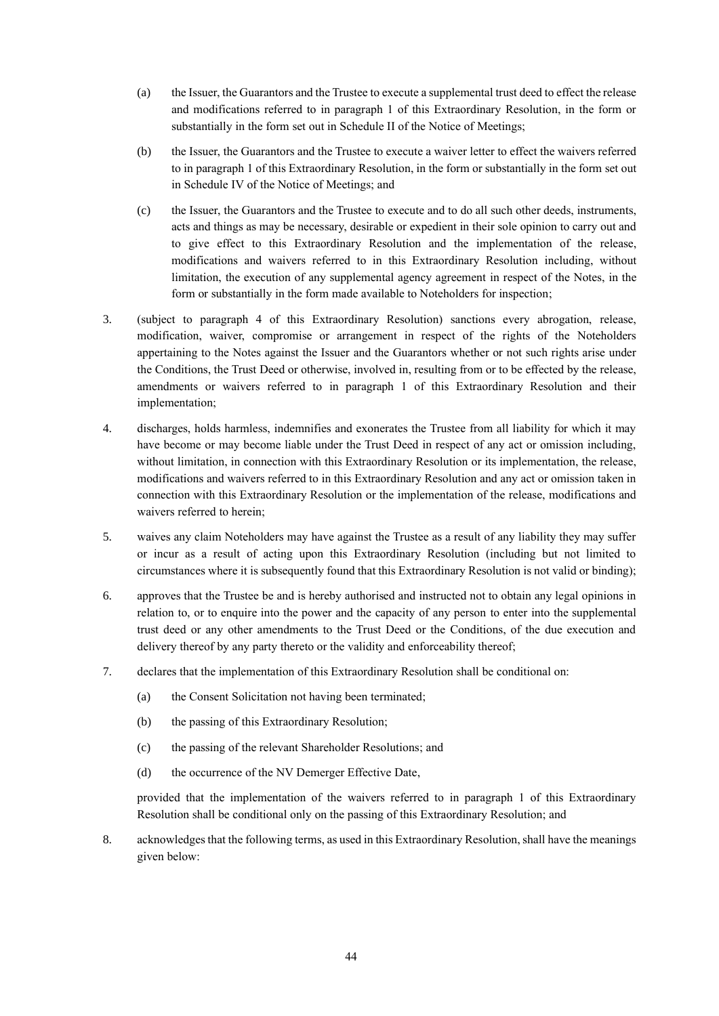- (a) the Issuer, the Guarantors and the Trustee to execute a supplemental trust deed to effect the release and modifications referred to in paragraph 1 of this Extraordinary Resolution, in the form or substantially in the form set out in Schedule II of the Notice of Meetings;
- (b) the Issuer, the Guarantors and the Trustee to execute a waiver letter to effect the waivers referred to in paragraph 1 of this Extraordinary Resolution, in the form or substantially in the form set out in Schedule IV of the Notice of Meetings; and
- (c) the Issuer, the Guarantors and the Trustee to execute and to do all such other deeds, instruments, acts and things as may be necessary, desirable or expedient in their sole opinion to carry out and to give effect to this Extraordinary Resolution and the implementation of the release, modifications and waivers referred to in this Extraordinary Resolution including, without limitation, the execution of any supplemental agency agreement in respect of the Notes, in the form or substantially in the form made available to Noteholders for inspection;
- 3. (subject to paragraph 4 of this Extraordinary Resolution) sanctions every abrogation, release, modification, waiver, compromise or arrangement in respect of the rights of the Noteholders appertaining to the Notes against the Issuer and the Guarantors whether or not such rights arise under the Conditions, the Trust Deed or otherwise, involved in, resulting from or to be effected by the release, amendments or waivers referred to in paragraph 1 of this Extraordinary Resolution and their implementation;
- 4. discharges, holds harmless, indemnifies and exonerates the Trustee from all liability for which it may have become or may become liable under the Trust Deed in respect of any act or omission including, without limitation, in connection with this Extraordinary Resolution or its implementation, the release, modifications and waivers referred to in this Extraordinary Resolution and any act or omission taken in connection with this Extraordinary Resolution or the implementation of the release, modifications and waivers referred to herein;
- 5. waives any claim Noteholders may have against the Trustee as a result of any liability they may suffer or incur as a result of acting upon this Extraordinary Resolution (including but not limited to circumstances where it is subsequently found that this Extraordinary Resolution is not valid or binding);
- 6. approves that the Trustee be and is hereby authorised and instructed not to obtain any legal opinions in relation to, or to enquire into the power and the capacity of any person to enter into the supplemental trust deed or any other amendments to the Trust Deed or the Conditions, of the due execution and delivery thereof by any party thereto or the validity and enforceability thereof;
- 7. declares that the implementation of this Extraordinary Resolution shall be conditional on:
	- (a) the Consent Solicitation not having been terminated;
	- (b) the passing of this Extraordinary Resolution;
	- (c) the passing of the relevant Shareholder Resolutions; and
	- (d) the occurrence of the NV Demerger Effective Date,

provided that the implementation of the waivers referred to in paragraph 1 of this Extraordinary Resolution shall be conditional only on the passing of this Extraordinary Resolution; and

8. acknowledges that the following terms, as used in this Extraordinary Resolution, shall have the meanings given below: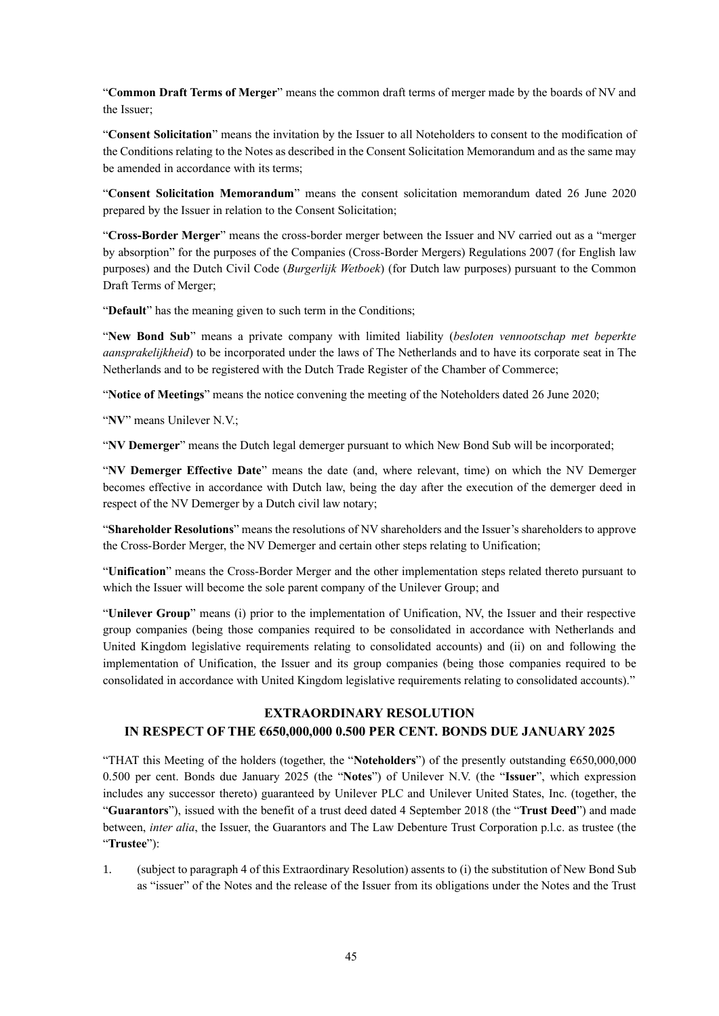"**Common Draft Terms of Merger**" means the common draft terms of merger made by the boards of NV and the Issuer;

"**Consent Solicitation**" means the invitation by the Issuer to all Noteholders to consent to the modification of the Conditions relating to the Notes as described in the Consent Solicitation Memorandum and as the same may be amended in accordance with its terms;

"**Consent Solicitation Memorandum**" means the consent solicitation memorandum dated 26 June 2020 prepared by the Issuer in relation to the Consent Solicitation;

"**Cross-Border Merger**" means the cross-border merger between the Issuer and NV carried out as a "merger by absorption" for the purposes of the Companies (Cross-Border Mergers) Regulations 2007 (for English law purposes) and the Dutch Civil Code (*Burgerlijk Wetboek*) (for Dutch law purposes) pursuant to the Common Draft Terms of Merger;

"**Default**" has the meaning given to such term in the Conditions;

"**New Bond Sub**" means a private company with limited liability (*besloten vennootschap met beperkte aansprakelijkheid*) to be incorporated under the laws of The Netherlands and to have its corporate seat in The Netherlands and to be registered with the Dutch Trade Register of the Chamber of Commerce;

"**Notice of Meetings**" means the notice convening the meeting of the Noteholders dated 26 June 2020;

"**NV**" means Unilever N.V.;

"**NV Demerger**" means the Dutch legal demerger pursuant to which New Bond Sub will be incorporated;

"**NV Demerger Effective Date**" means the date (and, where relevant, time) on which the NV Demerger becomes effective in accordance with Dutch law, being the day after the execution of the demerger deed in respect of the NV Demerger by a Dutch civil law notary;

"**Shareholder Resolutions**" means the resolutions of NV shareholders and the Issuer's shareholders to approve the Cross-Border Merger, the NV Demerger and certain other steps relating to Unification;

"**Unification**" means the Cross-Border Merger and the other implementation steps related thereto pursuant to which the Issuer will become the sole parent company of the Unilever Group; and

"**Unilever Group**" means (i) prior to the implementation of Unification, NV, the Issuer and their respective group companies (being those companies required to be consolidated in accordance with Netherlands and United Kingdom legislative requirements relating to consolidated accounts) and (ii) on and following the implementation of Unification, the Issuer and its group companies (being those companies required to be consolidated in accordance with United Kingdom legislative requirements relating to consolidated accounts)."

#### **EXTRAORDINARY RESOLUTION**

# **IN RESPECT OF THE €650,000,000 0.500 PER CENT. BONDS DUE JANUARY 2025**

"THAT this Meeting of the holders (together, the "**Noteholders**") of the presently outstanding €650,000,000 0.500 per cent. Bonds due January 2025 (the "**Notes**") of Unilever N.V. (the "**Issuer**", which expression includes any successor thereto) guaranteed by Unilever PLC and Unilever United States, Inc. (together, the "**Guarantors**"), issued with the benefit of a trust deed dated 4 September 2018 (the "**Trust Deed**") and made between, *inter alia*, the Issuer, the Guarantors and The Law Debenture Trust Corporation p.l.c. as trustee (the "**Trustee**"):

1. (subject to paragraph 4 of this Extraordinary Resolution) assents to (i) the substitution of New Bond Sub as "issuer" of the Notes and the release of the Issuer from its obligations under the Notes and the Trust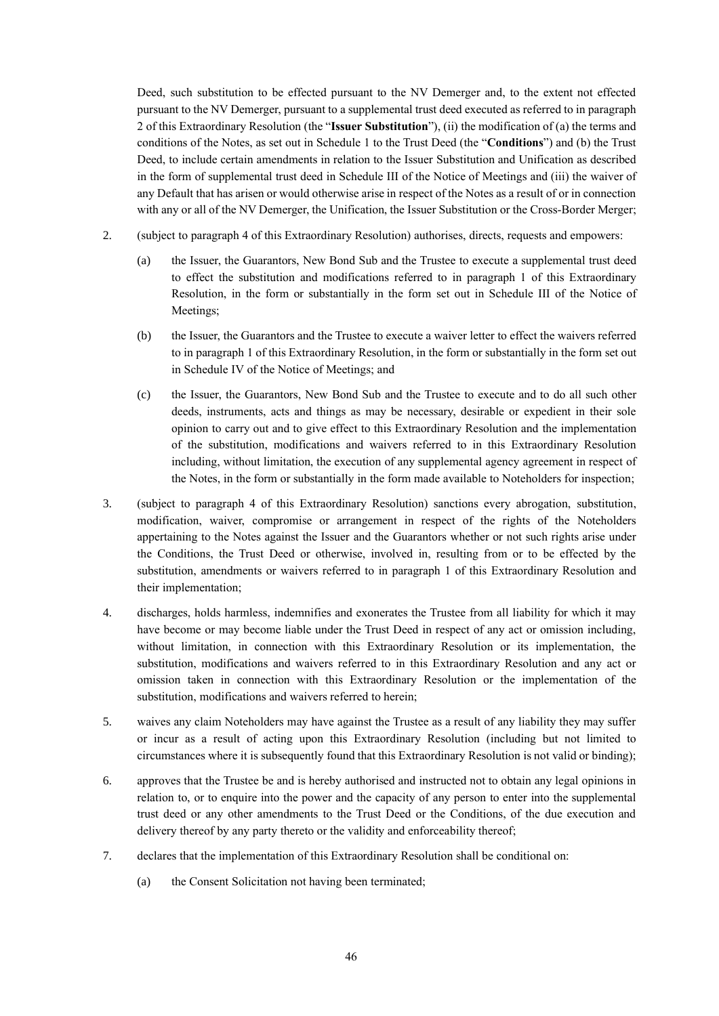Deed, such substitution to be effected pursuant to the NV Demerger and, to the extent not effected pursuant to the NV Demerger, pursuant to a supplemental trust deed executed as referred to in paragraph 2 of this Extraordinary Resolution (the "**Issuer Substitution**"), (ii) the modification of (a) the terms and conditions of the Notes, as set out in Schedule 1 to the Trust Deed (the "**Conditions**") and (b) the Trust Deed, to include certain amendments in relation to the Issuer Substitution and Unification as described in the form of supplemental trust deed in Schedule III of the Notice of Meetings and (iii) the waiver of any Default that has arisen or would otherwise arise in respect of the Notes as a result of or in connection with any or all of the NV Demerger, the Unification, the Issuer Substitution or the Cross-Border Merger;

- 2. (subject to paragraph 4 of this Extraordinary Resolution) authorises, directs, requests and empowers:
	- (a) the Issuer, the Guarantors, New Bond Sub and the Trustee to execute a supplemental trust deed to effect the substitution and modifications referred to in paragraph 1 of this Extraordinary Resolution, in the form or substantially in the form set out in Schedule III of the Notice of Meetings;
	- (b) the Issuer, the Guarantors and the Trustee to execute a waiver letter to effect the waivers referred to in paragraph 1 of this Extraordinary Resolution, in the form or substantially in the form set out in Schedule IV of the Notice of Meetings; and
	- (c) the Issuer, the Guarantors, New Bond Sub and the Trustee to execute and to do all such other deeds, instruments, acts and things as may be necessary, desirable or expedient in their sole opinion to carry out and to give effect to this Extraordinary Resolution and the implementation of the substitution, modifications and waivers referred to in this Extraordinary Resolution including, without limitation, the execution of any supplemental agency agreement in respect of the Notes, in the form or substantially in the form made available to Noteholders for inspection;
- 3. (subject to paragraph 4 of this Extraordinary Resolution) sanctions every abrogation, substitution, modification, waiver, compromise or arrangement in respect of the rights of the Noteholders appertaining to the Notes against the Issuer and the Guarantors whether or not such rights arise under the Conditions, the Trust Deed or otherwise, involved in, resulting from or to be effected by the substitution, amendments or waivers referred to in paragraph 1 of this Extraordinary Resolution and their implementation;
- 4. discharges, holds harmless, indemnifies and exonerates the Trustee from all liability for which it may have become or may become liable under the Trust Deed in respect of any act or omission including, without limitation, in connection with this Extraordinary Resolution or its implementation, the substitution, modifications and waivers referred to in this Extraordinary Resolution and any act or omission taken in connection with this Extraordinary Resolution or the implementation of the substitution, modifications and waivers referred to herein;
- 5. waives any claim Noteholders may have against the Trustee as a result of any liability they may suffer or incur as a result of acting upon this Extraordinary Resolution (including but not limited to circumstances where it is subsequently found that this Extraordinary Resolution is not valid or binding);
- 6. approves that the Trustee be and is hereby authorised and instructed not to obtain any legal opinions in relation to, or to enquire into the power and the capacity of any person to enter into the supplemental trust deed or any other amendments to the Trust Deed or the Conditions, of the due execution and delivery thereof by any party thereto or the validity and enforceability thereof;
- 7. declares that the implementation of this Extraordinary Resolution shall be conditional on:
	- (a) the Consent Solicitation not having been terminated;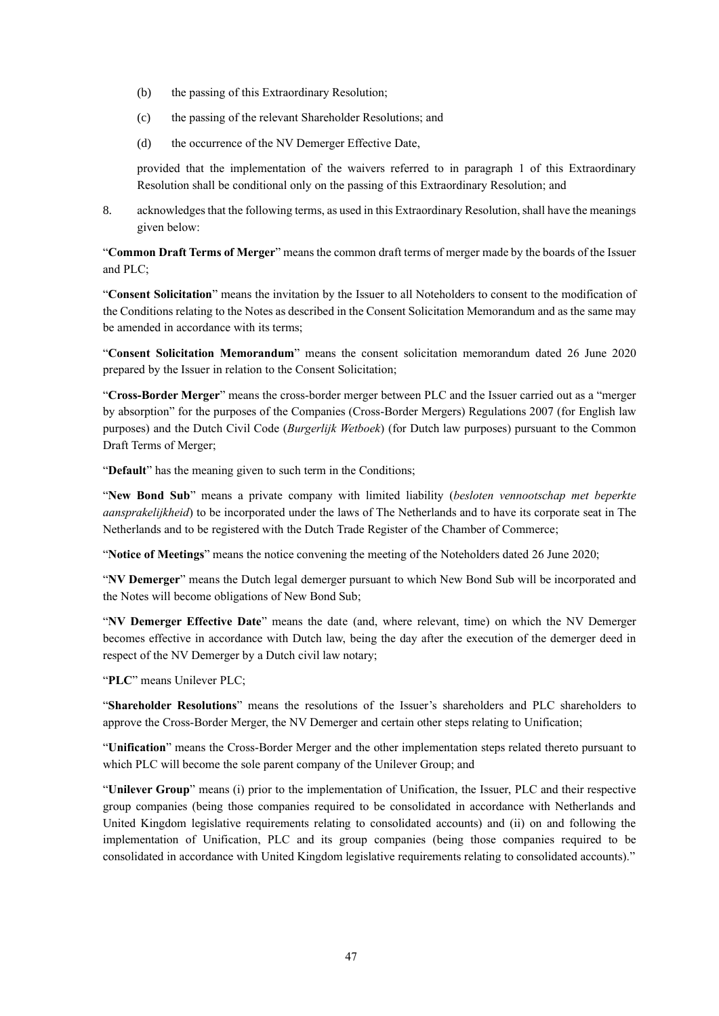- (b) the passing of this Extraordinary Resolution;
- (c) the passing of the relevant Shareholder Resolutions; and
- (d) the occurrence of the NV Demerger Effective Date,

provided that the implementation of the waivers referred to in paragraph 1 of this Extraordinary Resolution shall be conditional only on the passing of this Extraordinary Resolution; and

8. acknowledges that the following terms, as used in this Extraordinary Resolution, shall have the meanings given below:

"**Common Draft Terms of Merger**" means the common draft terms of merger made by the boards of the Issuer and PLC;

"**Consent Solicitation**" means the invitation by the Issuer to all Noteholders to consent to the modification of the Conditions relating to the Notes as described in the Consent Solicitation Memorandum and as the same may be amended in accordance with its terms;

"**Consent Solicitation Memorandum**" means the consent solicitation memorandum dated 26 June 2020 prepared by the Issuer in relation to the Consent Solicitation;

"**Cross-Border Merger**" means the cross-border merger between PLC and the Issuer carried out as a "merger by absorption" for the purposes of the Companies (Cross-Border Mergers) Regulations 2007 (for English law purposes) and the Dutch Civil Code (*Burgerlijk Wetboek*) (for Dutch law purposes) pursuant to the Common Draft Terms of Merger;

"**Default**" has the meaning given to such term in the Conditions;

"**New Bond Sub**" means a private company with limited liability (*besloten vennootschap met beperkte aansprakelijkheid*) to be incorporated under the laws of The Netherlands and to have its corporate seat in The Netherlands and to be registered with the Dutch Trade Register of the Chamber of Commerce;

"**Notice of Meetings**" means the notice convening the meeting of the Noteholders dated 26 June 2020;

"**NV Demerger**" means the Dutch legal demerger pursuant to which New Bond Sub will be incorporated and the Notes will become obligations of New Bond Sub;

"**NV Demerger Effective Date**" means the date (and, where relevant, time) on which the NV Demerger becomes effective in accordance with Dutch law, being the day after the execution of the demerger deed in respect of the NV Demerger by a Dutch civil law notary;

"**PLC**" means Unilever PLC;

"**Shareholder Resolutions**" means the resolutions of the Issuer's shareholders and PLC shareholders to approve the Cross-Border Merger, the NV Demerger and certain other steps relating to Unification;

"**Unification**" means the Cross-Border Merger and the other implementation steps related thereto pursuant to which PLC will become the sole parent company of the Unilever Group; and

"**Unilever Group**" means (i) prior to the implementation of Unification, the Issuer, PLC and their respective group companies (being those companies required to be consolidated in accordance with Netherlands and United Kingdom legislative requirements relating to consolidated accounts) and (ii) on and following the implementation of Unification, PLC and its group companies (being those companies required to be consolidated in accordance with United Kingdom legislative requirements relating to consolidated accounts)."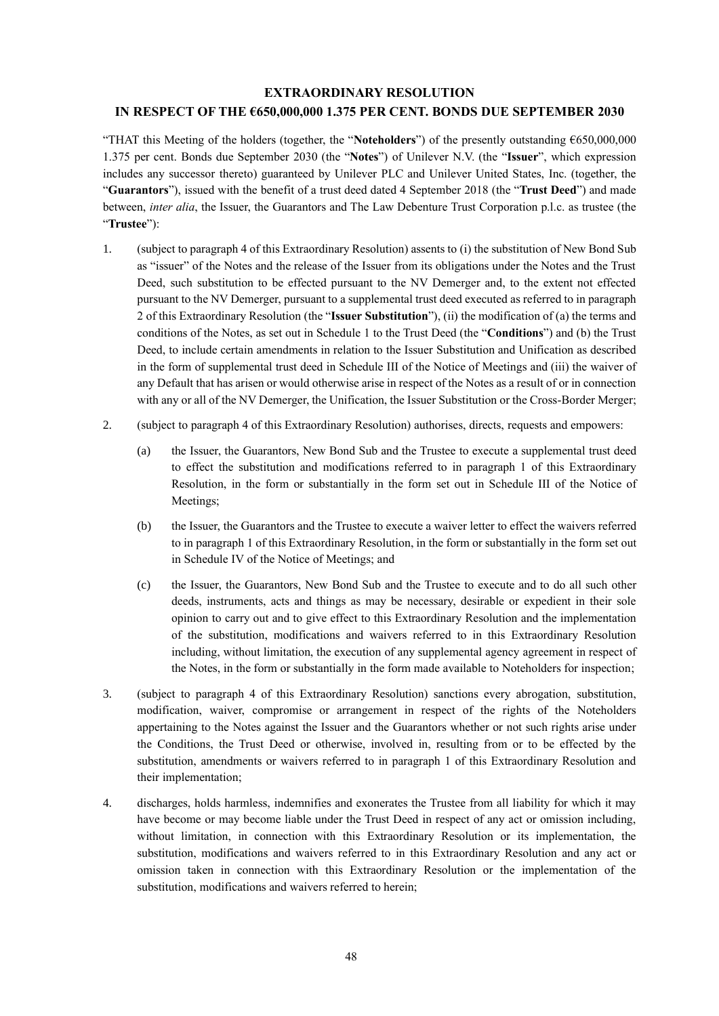# **EXTRAORDINARY RESOLUTION IN RESPECT OF THE €650,000,000 1.375 PER CENT. BONDS DUE SEPTEMBER 2030**

"THAT this Meeting of the holders (together, the "**Noteholders**") of the presently outstanding €650,000,000 1.375 per cent. Bonds due September 2030 (the "**Notes**") of Unilever N.V. (the "**Issuer**", which expression includes any successor thereto) guaranteed by Unilever PLC and Unilever United States, Inc. (together, the "**Guarantors**"), issued with the benefit of a trust deed dated 4 September 2018 (the "**Trust Deed**") and made between, *inter alia*, the Issuer, the Guarantors and The Law Debenture Trust Corporation p.l.c. as trustee (the "**Trustee**"):

- 1. (subject to paragraph 4 of this Extraordinary Resolution) assents to (i) the substitution of New Bond Sub as "issuer" of the Notes and the release of the Issuer from its obligations under the Notes and the Trust Deed, such substitution to be effected pursuant to the NV Demerger and, to the extent not effected pursuant to the NV Demerger, pursuant to a supplemental trust deed executed as referred to in paragraph 2 of this Extraordinary Resolution (the "**Issuer Substitution**"), (ii) the modification of (a) the terms and conditions of the Notes, as set out in Schedule 1 to the Trust Deed (the "**Conditions**") and (b) the Trust Deed, to include certain amendments in relation to the Issuer Substitution and Unification as described in the form of supplemental trust deed in Schedule III of the Notice of Meetings and (iii) the waiver of any Default that has arisen or would otherwise arise in respect of the Notes as a result of or in connection with any or all of the NV Demerger, the Unification, the Issuer Substitution or the Cross-Border Merger;
- 2. (subject to paragraph 4 of this Extraordinary Resolution) authorises, directs, requests and empowers:
	- (a) the Issuer, the Guarantors, New Bond Sub and the Trustee to execute a supplemental trust deed to effect the substitution and modifications referred to in paragraph 1 of this Extraordinary Resolution, in the form or substantially in the form set out in Schedule III of the Notice of Meetings;
	- (b) the Issuer, the Guarantors and the Trustee to execute a waiver letter to effect the waivers referred to in paragraph 1 of this Extraordinary Resolution, in the form or substantially in the form set out in Schedule IV of the Notice of Meetings; and
	- (c) the Issuer, the Guarantors, New Bond Sub and the Trustee to execute and to do all such other deeds, instruments, acts and things as may be necessary, desirable or expedient in their sole opinion to carry out and to give effect to this Extraordinary Resolution and the implementation of the substitution, modifications and waivers referred to in this Extraordinary Resolution including, without limitation, the execution of any supplemental agency agreement in respect of the Notes, in the form or substantially in the form made available to Noteholders for inspection;
- 3. (subject to paragraph 4 of this Extraordinary Resolution) sanctions every abrogation, substitution, modification, waiver, compromise or arrangement in respect of the rights of the Noteholders appertaining to the Notes against the Issuer and the Guarantors whether or not such rights arise under the Conditions, the Trust Deed or otherwise, involved in, resulting from or to be effected by the substitution, amendments or waivers referred to in paragraph 1 of this Extraordinary Resolution and their implementation;
- 4. discharges, holds harmless, indemnifies and exonerates the Trustee from all liability for which it may have become or may become liable under the Trust Deed in respect of any act or omission including, without limitation, in connection with this Extraordinary Resolution or its implementation, the substitution, modifications and waivers referred to in this Extraordinary Resolution and any act or omission taken in connection with this Extraordinary Resolution or the implementation of the substitution, modifications and waivers referred to herein;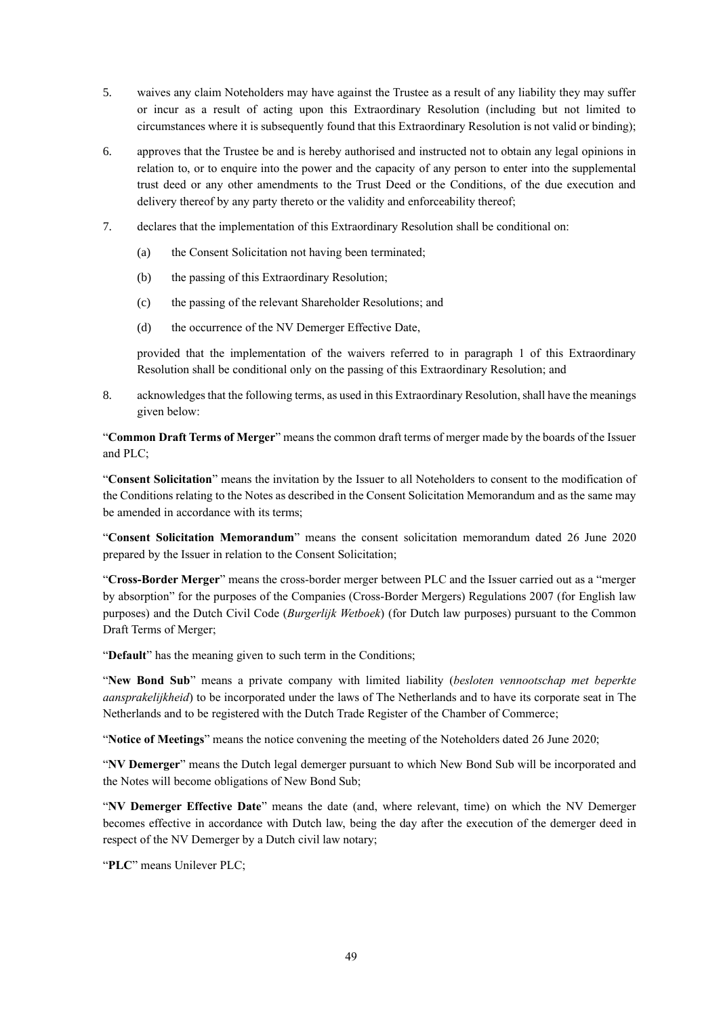- 5. waives any claim Noteholders may have against the Trustee as a result of any liability they may suffer or incur as a result of acting upon this Extraordinary Resolution (including but not limited to circumstances where it is subsequently found that this Extraordinary Resolution is not valid or binding);
- 6. approves that the Trustee be and is hereby authorised and instructed not to obtain any legal opinions in relation to, or to enquire into the power and the capacity of any person to enter into the supplemental trust deed or any other amendments to the Trust Deed or the Conditions, of the due execution and delivery thereof by any party thereto or the validity and enforceability thereof;
- 7. declares that the implementation of this Extraordinary Resolution shall be conditional on:
	- (a) the Consent Solicitation not having been terminated;
	- (b) the passing of this Extraordinary Resolution;
	- (c) the passing of the relevant Shareholder Resolutions; and
	- (d) the occurrence of the NV Demerger Effective Date,

provided that the implementation of the waivers referred to in paragraph 1 of this Extraordinary Resolution shall be conditional only on the passing of this Extraordinary Resolution; and

8. acknowledges that the following terms, as used in this Extraordinary Resolution, shall have the meanings given below:

"**Common Draft Terms of Merger**" means the common draft terms of merger made by the boards of the Issuer and PLC;

"**Consent Solicitation**" means the invitation by the Issuer to all Noteholders to consent to the modification of the Conditions relating to the Notes as described in the Consent Solicitation Memorandum and as the same may be amended in accordance with its terms;

"**Consent Solicitation Memorandum**" means the consent solicitation memorandum dated 26 June 2020 prepared by the Issuer in relation to the Consent Solicitation;

"**Cross-Border Merger**" means the cross-border merger between PLC and the Issuer carried out as a "merger by absorption" for the purposes of the Companies (Cross-Border Mergers) Regulations 2007 (for English law purposes) and the Dutch Civil Code (*Burgerlijk Wetboek*) (for Dutch law purposes) pursuant to the Common Draft Terms of Merger;

"**Default**" has the meaning given to such term in the Conditions;

"**New Bond Sub**" means a private company with limited liability (*besloten vennootschap met beperkte aansprakelijkheid*) to be incorporated under the laws of The Netherlands and to have its corporate seat in The Netherlands and to be registered with the Dutch Trade Register of the Chamber of Commerce;

"**Notice of Meetings**" means the notice convening the meeting of the Noteholders dated 26 June 2020;

"**NV Demerger**" means the Dutch legal demerger pursuant to which New Bond Sub will be incorporated and the Notes will become obligations of New Bond Sub;

"**NV Demerger Effective Date**" means the date (and, where relevant, time) on which the NV Demerger becomes effective in accordance with Dutch law, being the day after the execution of the demerger deed in respect of the NV Demerger by a Dutch civil law notary;

"**PLC**" means Unilever PLC;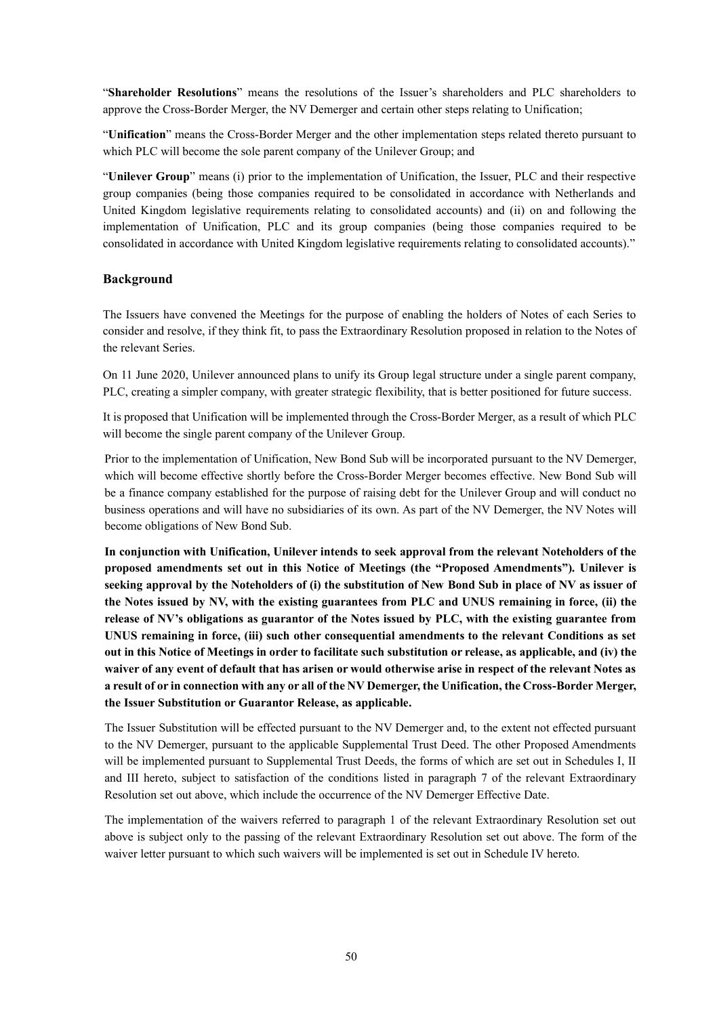"**Shareholder Resolutions**" means the resolutions of the Issuer's shareholders and PLC shareholders to approve the Cross-Border Merger, the NV Demerger and certain other steps relating to Unification;

"**Unification**" means the Cross-Border Merger and the other implementation steps related thereto pursuant to which PLC will become the sole parent company of the Unilever Group; and

"**Unilever Group**" means (i) prior to the implementation of Unification, the Issuer, PLC and their respective group companies (being those companies required to be consolidated in accordance with Netherlands and United Kingdom legislative requirements relating to consolidated accounts) and (ii) on and following the implementation of Unification, PLC and its group companies (being those companies required to be consolidated in accordance with United Kingdom legislative requirements relating to consolidated accounts)."

## **Background**

The Issuers have convened the Meetings for the purpose of enabling the holders of Notes of each Series to consider and resolve, if they think fit, to pass the Extraordinary Resolution proposed in relation to the Notes of the relevant Series.

On 11 June 2020, Unilever announced plans to unify its Group legal structure under a single parent company, PLC, creating a simpler company, with greater strategic flexibility, that is better positioned for future success.

It is proposed that Unification will be implemented through the Cross-Border Merger, as a result of which PLC will become the single parent company of the Unilever Group.

Prior to the implementation of Unification, New Bond Sub will be incorporated pursuant to the NV Demerger, which will become effective shortly before the Cross-Border Merger becomes effective. New Bond Sub will be a finance company established for the purpose of raising debt for the Unilever Group and will conduct no business operations and will have no subsidiaries of its own. As part of the NV Demerger, the NV Notes will become obligations of New Bond Sub.

**In conjunction with Unification, Unilever intends to seek approval from the relevant Noteholders of the proposed amendments set out in this Notice of Meetings (the "Proposed Amendments"). Unilever is seeking approval by the Noteholders of (i) the substitution of New Bond Sub in place of NV as issuer of the Notes issued by NV, with the existing guarantees from PLC and UNUS remaining in force, (ii) the release of NV's obligations as guarantor of the Notes issued by PLC, with the existing guarantee from UNUS remaining in force, (iii) such other consequential amendments to the relevant Conditions as set out in this Notice of Meetings in order to facilitate such substitution or release, as applicable, and (iv) the waiver of any event of default that has arisen or would otherwise arise in respect of the relevant Notes as a result of or in connection with any or all of the NV Demerger, the Unification, the Cross-Border Merger, the Issuer Substitution or Guarantor Release, as applicable.** 

The Issuer Substitution will be effected pursuant to the NV Demerger and, to the extent not effected pursuant to the NV Demerger, pursuant to the applicable Supplemental Trust Deed. The other Proposed Amendments will be implemented pursuant to Supplemental Trust Deeds, the forms of which are set out in Schedules I, II and III hereto, subject to satisfaction of the conditions listed in paragraph 7 of the relevant Extraordinary Resolution set out above, which include the occurrence of the NV Demerger Effective Date.

The implementation of the waivers referred to paragraph 1 of the relevant Extraordinary Resolution set out above is subject only to the passing of the relevant Extraordinary Resolution set out above. The form of the waiver letter pursuant to which such waivers will be implemented is set out in Schedule IV hereto.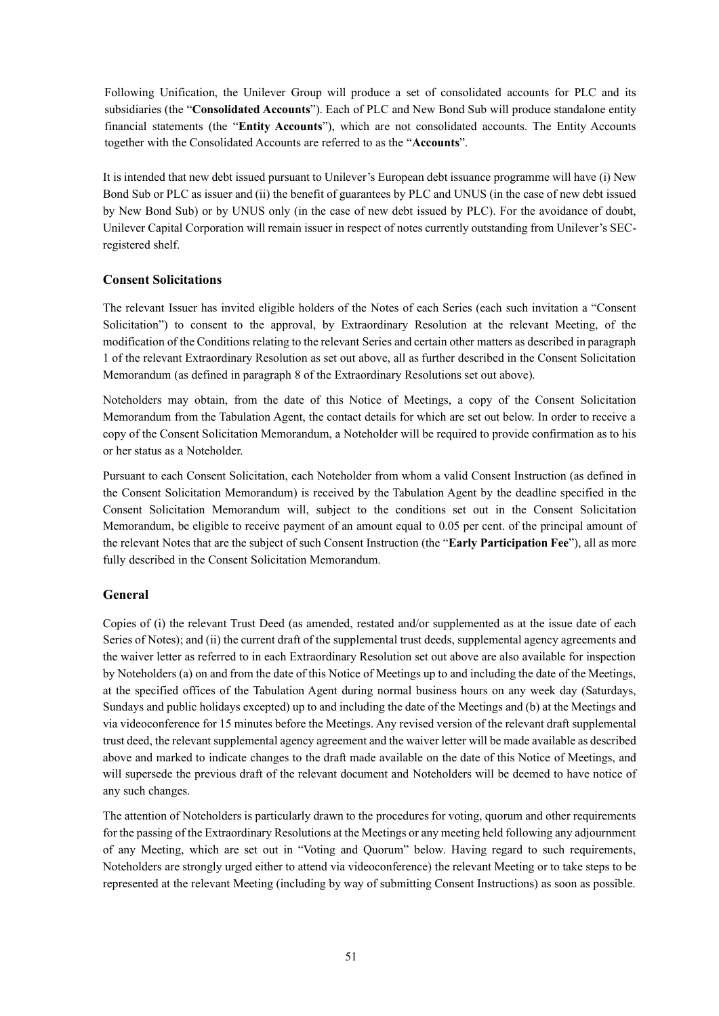Following Unification, the Unilever Group will produce a set of consolidated accounts for PLC and its subsidiaries (the "**Consolidated Accounts**"). Each of PLC and New Bond Sub will produce standalone entity financial statements (the "**Entity Accounts**"), which are not consolidated accounts. The Entity Accounts together with the Consolidated Accounts are referred to as the "**Accounts**".

It is intended that new debt issued pursuant to Unilever's European debt issuance programme will have (i) New Bond Sub or PLC as issuer and (ii) the benefit of guarantees by PLC and UNUS (in the case of new debt issued by New Bond Sub) or by UNUS only (in the case of new debt issued by PLC). For the avoidance of doubt, Unilever Capital Corporation will remain issuer in respect of notes currently outstanding from Unilever's SECregistered shelf.

#### **Consent Solicitations**

The relevant Issuer has invited eligible holders of the Notes of each Series (each such invitation a "Consent Solicitation") to consent to the approval, by Extraordinary Resolution at the relevant Meeting, of the modification of the Conditions relating to the relevant Series and certain other matters as described in paragraph 1 of the relevant Extraordinary Resolution as set out above, all as further described in the Consent Solicitation Memorandum (as defined in paragraph 8 of the Extraordinary Resolutions set out above).

Noteholders may obtain, from the date of this Notice of Meetings, a copy of the Consent Solicitation Memorandum from the Tabulation Agent, the contact details for which are set out below. In order to receive a copy of the Consent Solicitation Memorandum, a Noteholder will be required to provide confirmation as to his or her status as a Noteholder.

Pursuant to each Consent Solicitation, each Noteholder from whom a valid Consent Instruction (as defined in the Consent Solicitation Memorandum) is received by the Tabulation Agent by the deadline specified in the Consent Solicitation Memorandum will, subject to the conditions set out in the Consent Solicitation Memorandum, be eligible to receive payment of an amount equal to 0.05 per cent. of the principal amount of the relevant Notes that are the subject of such Consent Instruction (the "**Early Participation Fee**"), all as more fully described in the Consent Solicitation Memorandum.

## **General**

Copies of (i) the relevant Trust Deed (as amended, restated and/or supplemented as at the issue date of each Series of Notes); and (ii) the current draft of the supplemental trust deeds, supplemental agency agreements and the waiver letter as referred to in each Extraordinary Resolution set out above are also available for inspection by Noteholders (a) on and from the date of this Notice of Meetings up to and including the date of the Meetings, at the specified offices of the Tabulation Agent during normal business hours on any week day (Saturdays, Sundays and public holidays excepted) up to and including the date of the Meetings and (b) at the Meetings and via videoconference for 15 minutes before the Meetings. Any revised version of the relevant draft supplemental trust deed, the relevant supplemental agency agreement and the waiver letter will be made available as described above and marked to indicate changes to the draft made available on the date of this Notice of Meetings, and will supersede the previous draft of the relevant document and Noteholders will be deemed to have notice of any such changes.

The attention of Noteholders is particularly drawn to the procedures for voting, quorum and other requirements for the passing of the Extraordinary Resolutions at the Meetings or any meeting held following any adjournment of any Meeting, which are set out in "Voting and Quorum" below. Having regard to such requirements, Noteholders are strongly urged either to attend via videoconference) the relevant Meeting or to take steps to be represented at the relevant Meeting (including by way of submitting Consent Instructions) as soon as possible.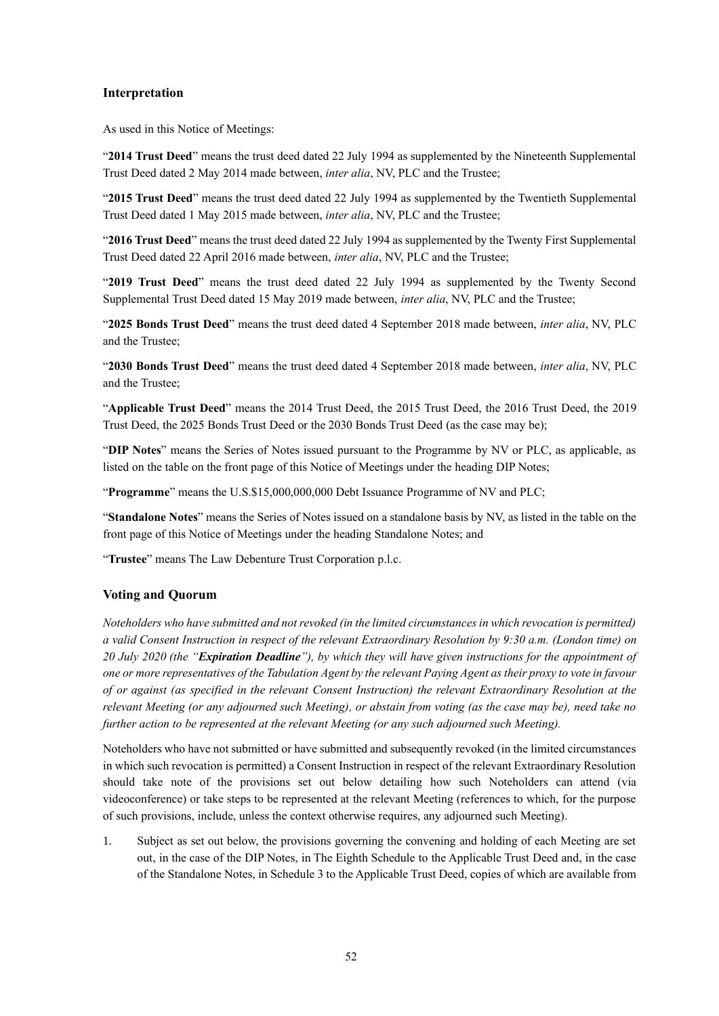#### **Interpretation**

As used in this Notice of Meetings:

"**2014 Trust Deed**" means the trust deed dated 22 July 1994 as supplemented by the Nineteenth Supplemental Trust Deed dated 2 May 2014 made between, *inter alia*, NV, PLC and the Trustee;

"**2015 Trust Deed**" means the trust deed dated 22 July 1994 as supplemented by the Twentieth Supplemental Trust Deed dated 1 May 2015 made between, *inter alia*, NV, PLC and the Trustee;

"**2016 Trust Deed**" means the trust deed dated 22 July 1994 as supplemented by the Twenty First Supplemental Trust Deed dated 22 April 2016 made between, *inter alia*, NV, PLC and the Trustee;

"**2019 Trust Deed**" means the trust deed dated 22 July 1994 as supplemented by the Twenty Second Supplemental Trust Deed dated 15 May 2019 made between, *inter alia*, NV, PLC and the Trustee;

"**2025 Bonds Trust Deed**" means the trust deed dated 4 September 2018 made between, *inter alia*, NV, PLC and the Trustee;

"**2030 Bonds Trust Deed**" means the trust deed dated 4 September 2018 made between, *inter alia*, NV, PLC and the Trustee;

"**Applicable Trust Deed**" means the 2014 Trust Deed, the 2015 Trust Deed, the 2016 Trust Deed, the 2019 Trust Deed, the 2025 Bonds Trust Deed or the 2030 Bonds Trust Deed (as the case may be);

"**DIP Notes**" means the Series of Notes issued pursuant to the Programme by NV or PLC, as applicable, as listed on the table on the front page of this Notice of Meetings under the heading DIP Notes;

"**Programme**" means the U.S.\$15,000,000,000 Debt Issuance Programme of NV and PLC;

"**Standalone Notes**" means the Series of Notes issued on a standalone basis by NV, as listed in the table on the front page of this Notice of Meetings under the heading Standalone Notes; and

"**Trustee**" means The Law Debenture Trust Corporation p.l.c.

#### **Voting and Quorum**

*Noteholders who have submitted and not revoked (in the limited circumstances in which revocation is permitted) a valid Consent Instruction in respect of the relevant Extraordinary Resolution by 9:30 a.m. (London time) on 20 July 2020 (the "Expiration Deadline"), by which they will have given instructions for the appointment of one or more representatives of the Tabulation Agent by the relevant Paying Agent as their proxy to vote in favour of or against (as specified in the relevant Consent Instruction) the relevant Extraordinary Resolution at the relevant Meeting (or any adjourned such Meeting), or abstain from voting (as the case may be), need take no further action to be represented at the relevant Meeting (or any such adjourned such Meeting).*

Noteholders who have not submitted or have submitted and subsequently revoked (in the limited circumstances in which such revocation is permitted) a Consent Instruction in respect of the relevant Extraordinary Resolution should take note of the provisions set out below detailing how such Noteholders can attend (via videoconference) or take steps to be represented at the relevant Meeting (references to which, for the purpose of such provisions, include, unless the context otherwise requires, any adjourned such Meeting).

1. Subject as set out below, the provisions governing the convening and holding of each Meeting are set out, in the case of the DIP Notes, in The Eighth Schedule to the Applicable Trust Deed and, in the case of the Standalone Notes, in Schedule 3 to the Applicable Trust Deed, copies of which are available from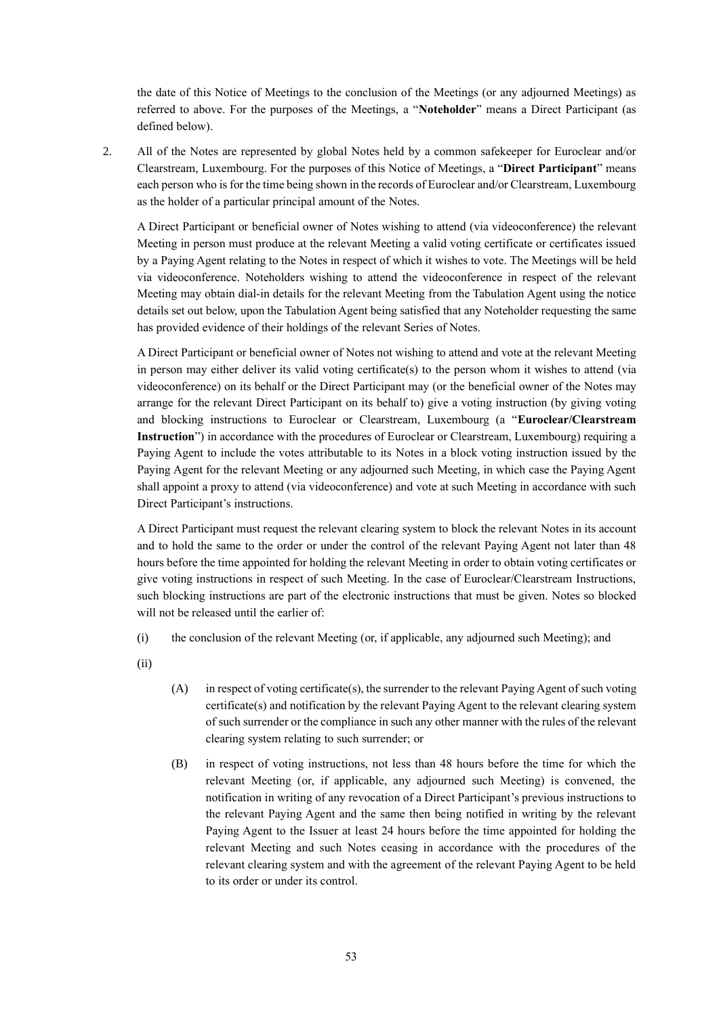the date of this Notice of Meetings to the conclusion of the Meetings (or any adjourned Meetings) as referred to above. For the purposes of the Meetings, a "**Noteholder**" means a Direct Participant (as defined below).

2. All of the Notes are represented by global Notes held by a common safekeeper for Euroclear and/or Clearstream, Luxembourg. For the purposes of this Notice of Meetings, a "**Direct Participant**" means each person who is for the time being shown in the records of Euroclear and/or Clearstream, Luxembourg as the holder of a particular principal amount of the Notes.

A Direct Participant or beneficial owner of Notes wishing to attend (via videoconference) the relevant Meeting in person must produce at the relevant Meeting a valid voting certificate or certificates issued by a Paying Agent relating to the Notes in respect of which it wishes to vote. The Meetings will be held via videoconference. Noteholders wishing to attend the videoconference in respect of the relevant Meeting may obtain dial-in details for the relevant Meeting from the Tabulation Agent using the notice details set out below, upon the Tabulation Agent being satisfied that any Noteholder requesting the same has provided evidence of their holdings of the relevant Series of Notes.

A Direct Participant or beneficial owner of Notes not wishing to attend and vote at the relevant Meeting in person may either deliver its valid voting certificate(s) to the person whom it wishes to attend (via videoconference) on its behalf or the Direct Participant may (or the beneficial owner of the Notes may arrange for the relevant Direct Participant on its behalf to) give a voting instruction (by giving voting and blocking instructions to Euroclear or Clearstream, Luxembourg (a "**Euroclear/Clearstream Instruction**") in accordance with the procedures of Euroclear or Clearstream, Luxembourg) requiring a Paying Agent to include the votes attributable to its Notes in a block voting instruction issued by the Paying Agent for the relevant Meeting or any adjourned such Meeting, in which case the Paying Agent shall appoint a proxy to attend (via videoconference) and vote at such Meeting in accordance with such Direct Participant's instructions.

A Direct Participant must request the relevant clearing system to block the relevant Notes in its account and to hold the same to the order or under the control of the relevant Paying Agent not later than 48 hours before the time appointed for holding the relevant Meeting in order to obtain voting certificates or give voting instructions in respect of such Meeting. In the case of Euroclear/Clearstream Instructions, such blocking instructions are part of the electronic instructions that must be given. Notes so blocked will not be released until the earlier of:

(i) the conclusion of the relevant Meeting (or, if applicable, any adjourned such Meeting); and

(ii)

- (A) in respect of voting certificate(s), the surrender to the relevant Paying Agent of such voting certificate(s) and notification by the relevant Paying Agent to the relevant clearing system of such surrender or the compliance in such any other manner with the rules of the relevant clearing system relating to such surrender; or
- (B) in respect of voting instructions, not less than 48 hours before the time for which the relevant Meeting (or, if applicable, any adjourned such Meeting) is convened, the notification in writing of any revocation of a Direct Participant's previous instructions to the relevant Paying Agent and the same then being notified in writing by the relevant Paying Agent to the Issuer at least 24 hours before the time appointed for holding the relevant Meeting and such Notes ceasing in accordance with the procedures of the relevant clearing system and with the agreement of the relevant Paying Agent to be held to its order or under its control.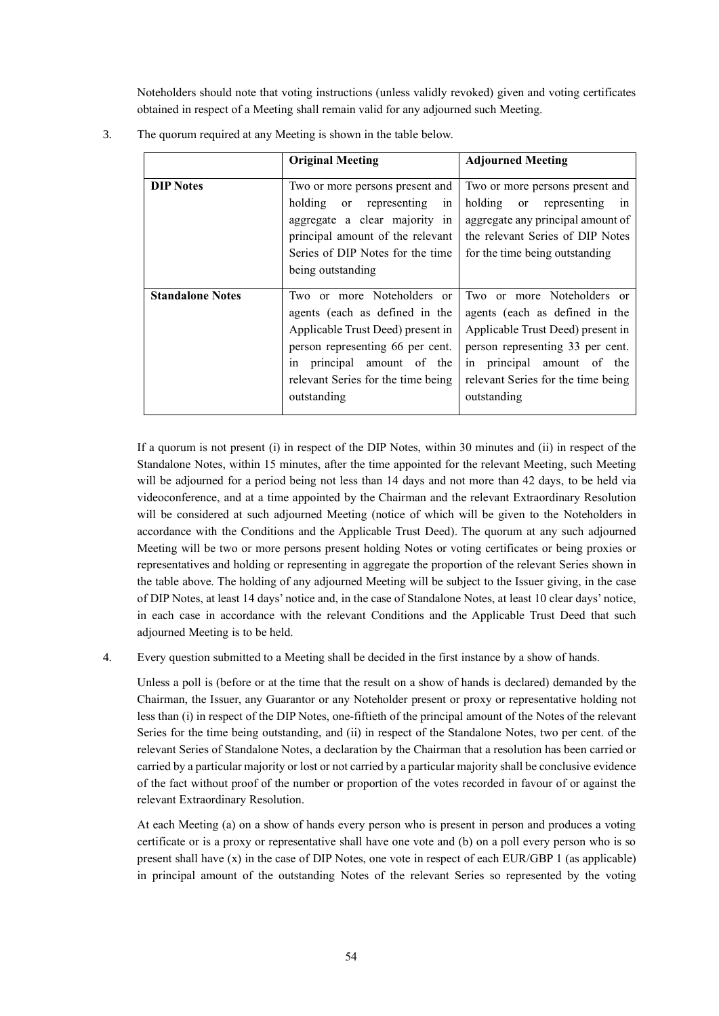Noteholders should note that voting instructions (unless validly revoked) given and voting certificates obtained in respect of a Meeting shall remain valid for any adjourned such Meeting.

|                         | <b>Original Meeting</b>                                                                                                                                                                                                  | <b>Adjourned Meeting</b>                                                                                                                                                                                                 |
|-------------------------|--------------------------------------------------------------------------------------------------------------------------------------------------------------------------------------------------------------------------|--------------------------------------------------------------------------------------------------------------------------------------------------------------------------------------------------------------------------|
| <b>DIP</b> Notes        | Two or more persons present and<br>holding or representing<br>1n<br>aggregate a clear majority in<br>principal amount of the relevant<br>Series of DIP Notes for the time<br>being outstanding                           | Two or more persons present and<br>holding or representing in<br>aggregate any principal amount of<br>the relevant Series of DIP Notes<br>for the time being outstanding                                                 |
| <b>Standalone Notes</b> | Two or more Noteholders or<br>agents (each as defined in the<br>Applicable Trust Deed) present in<br>person representing 66 per cent.<br>in principal amount of the<br>relevant Series for the time being<br>outstanding | Two or more Noteholders or<br>agents (each as defined in the<br>Applicable Trust Deed) present in<br>person representing 33 per cent.<br>in principal amount of the<br>relevant Series for the time being<br>outstanding |

3. The quorum required at any Meeting is shown in the table below.

If a quorum is not present (i) in respect of the DIP Notes, within 30 minutes and (ii) in respect of the Standalone Notes, within 15 minutes, after the time appointed for the relevant Meeting, such Meeting will be adjourned for a period being not less than 14 days and not more than 42 days, to be held via videoconference, and at a time appointed by the Chairman and the relevant Extraordinary Resolution will be considered at such adjourned Meeting (notice of which will be given to the Noteholders in accordance with the Conditions and the Applicable Trust Deed). The quorum at any such adjourned Meeting will be two or more persons present holding Notes or voting certificates or being proxies or representatives and holding or representing in aggregate the proportion of the relevant Series shown in the table above. The holding of any adjourned Meeting will be subject to the Issuer giving, in the case of DIP Notes, at least 14 days' notice and, in the case of Standalone Notes, at least 10 clear days' notice, in each case in accordance with the relevant Conditions and the Applicable Trust Deed that such adjourned Meeting is to be held.

4. Every question submitted to a Meeting shall be decided in the first instance by a show of hands.

Unless a poll is (before or at the time that the result on a show of hands is declared) demanded by the Chairman, the Issuer, any Guarantor or any Noteholder present or proxy or representative holding not less than (i) in respect of the DIP Notes, one-fiftieth of the principal amount of the Notes of the relevant Series for the time being outstanding, and (ii) in respect of the Standalone Notes, two per cent. of the relevant Series of Standalone Notes, a declaration by the Chairman that a resolution has been carried or carried by a particular majority or lost or not carried by a particular majority shall be conclusive evidence of the fact without proof of the number or proportion of the votes recorded in favour of or against the relevant Extraordinary Resolution.

At each Meeting (a) on a show of hands every person who is present in person and produces a voting certificate or is a proxy or representative shall have one vote and (b) on a poll every person who is so present shall have (x) in the case of DIP Notes, one vote in respect of each EUR/GBP 1 (as applicable) in principal amount of the outstanding Notes of the relevant Series so represented by the voting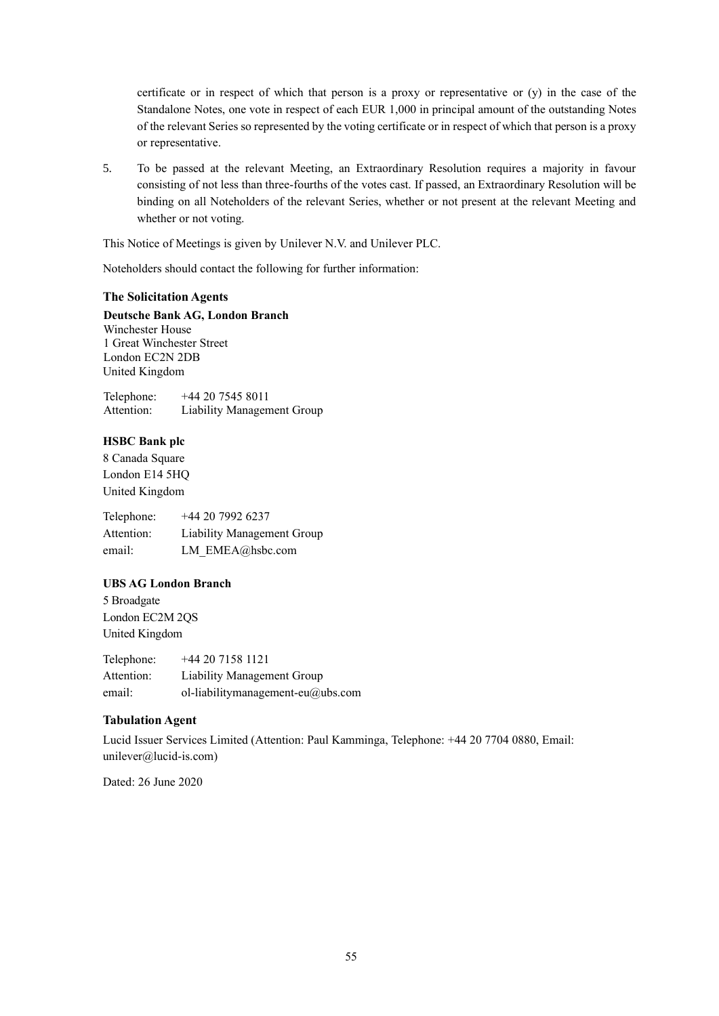certificate or in respect of which that person is a proxy or representative or (y) in the case of the Standalone Notes, one vote in respect of each EUR 1,000 in principal amount of the outstanding Notes of the relevant Series so represented by the voting certificate or in respect of which that person is a proxy or representative.

5. To be passed at the relevant Meeting, an Extraordinary Resolution requires a majority in favour consisting of not less than three-fourths of the votes cast. If passed, an Extraordinary Resolution will be binding on all Noteholders of the relevant Series, whether or not present at the relevant Meeting and whether or not voting.

This Notice of Meetings is given by Unilever N.V. and Unilever PLC.

Noteholders should contact the following for further information:

#### **The Solicitation Agents**

**Deutsche Bank AG, London Branch** Winchester House 1 Great Winchester Street London EC2N 2DB United Kingdom

Telephone: +44 20 7545 8011 Attention: Liability Management Group

#### **HSBC Bank plc**

8 Canada Square London E14 5HQ United Kingdom

Telephone: +44 20 7992 6237 Attention: Liability Management Group email: LM\_EMEA@hsbc.com

## **UBS AG London Branch**

5 Broadgate London EC2M 2QS United Kingdom

Telephone: +44 20 7158 1121 Attention: Liability Management Group email: ol-liabilitymanagement-eu@ubs.com

## **Tabulation Agent**

Lucid Issuer Services Limited (Attention: Paul Kamminga, Telephone: +44 20 7704 0880, Email: unilever@lucid-is.com)

Dated: 26 June 2020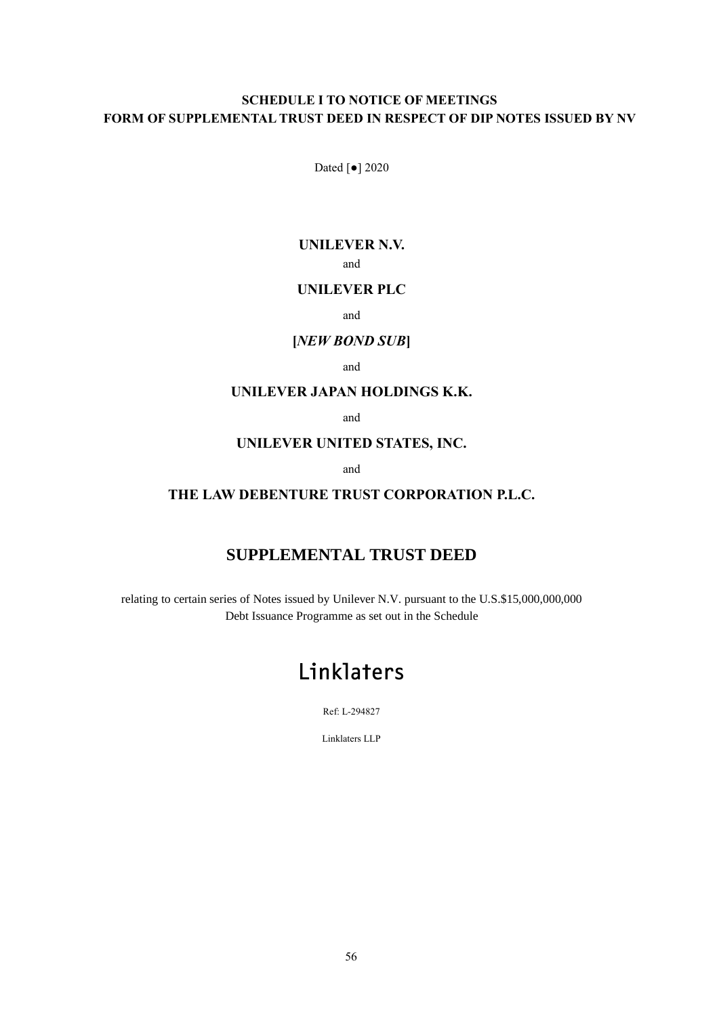# **SCHEDULE I TO NOTICE OF MEETINGS FORM OF SUPPLEMENTAL TRUST DEED IN RESPECT OF DIP NOTES ISSUED BY NV**

Dated [●] 2020

# **UNILEVER N.V.**

and

# **UNILEVER PLC**

and

# **[***NEW BOND SUB***]**

and

# **UNILEVER JAPAN HOLDINGS K.K.**

and

# **UNILEVER UNITED STATES, INC.**

and

# **THE LAW DEBENTURE TRUST CORPORATION P.L.C.**

# **SUPPLEMENTAL TRUST DEED**

relating to certain series of Notes issued by Unilever N.V. pursuant to the U.S.\$15,000,000,000 Debt Issuance Programme as set out in the Schedule

# Linklaters

Ref: L-294827

Linklaters LLP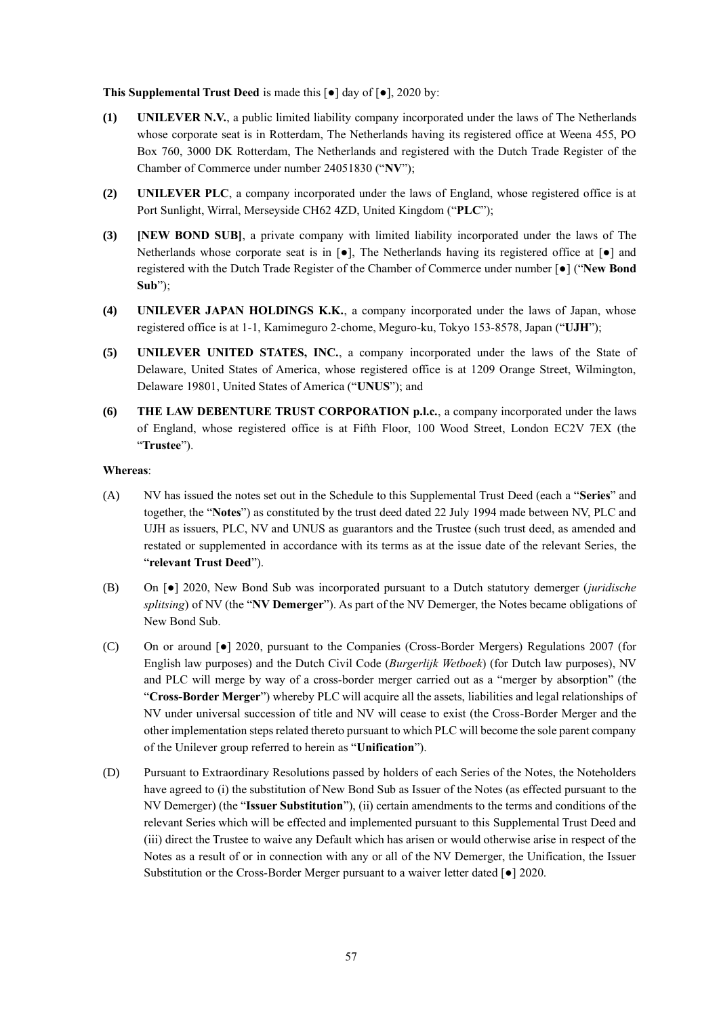**This Supplemental Trust Deed** is made this [●] day of [●], 2020 by:

- **(1) UNILEVER N.V.**, a public limited liability company incorporated under the laws of The Netherlands whose corporate seat is in Rotterdam, The Netherlands having its registered office at Weena 455, PO Box 760, 3000 DK Rotterdam, The Netherlands and registered with the Dutch Trade Register of the Chamber of Commerce under number 24051830 ("**NV**");
- **(2) UNILEVER PLC**, a company incorporated under the laws of England, whose registered office is at Port Sunlight, Wirral, Merseyside CH62 4ZD, United Kingdom ("**PLC**");
- **(3) [NEW BOND SUB]**, a private company with limited liability incorporated under the laws of The Netherlands whose corporate seat is in [●], The Netherlands having its registered office at [●] and registered with the Dutch Trade Register of the Chamber of Commerce under number [●] ("**New Bond Sub**");
- **(4) UNILEVER JAPAN HOLDINGS K.K.**, a company incorporated under the laws of Japan, whose registered office is at 1-1, Kamimeguro 2-chome, Meguro-ku, Tokyo 153-8578, Japan ("**UJH**");
- **(5) UNILEVER UNITED STATES, INC.**, a company incorporated under the laws of the State of Delaware, United States of America, whose registered office is at 1209 Orange Street, Wilmington, Delaware 19801, United States of America ("**UNUS**"); and
- **(6) THE LAW DEBENTURE TRUST CORPORATION p.l.c.**, a company incorporated under the laws of England, whose registered office is at Fifth Floor, 100 Wood Street, London EC2V 7EX (the "**Trustee**").

#### **Whereas**:

- (A) NV has issued the notes set out in the Schedule to this Supplemental Trust Deed (each a "**Series**" and together, the "**Notes**") as constituted by the trust deed dated 22 July 1994 made between NV, PLC and UJH as issuers, PLC, NV and UNUS as guarantors and the Trustee (such trust deed, as amended and restated or supplemented in accordance with its terms as at the issue date of the relevant Series, the "**relevant Trust Deed**").
- (B) On [●] 2020, New Bond Sub was incorporated pursuant to a Dutch statutory demerger (*juridische splitsing*) of NV (the "**NV Demerger**"). As part of the NV Demerger, the Notes became obligations of New Bond Sub.
- (C) On or around [●] 2020, pursuant to the Companies (Cross-Border Mergers) Regulations 2007 (for English law purposes) and the Dutch Civil Code (*Burgerlijk Wetboek*) (for Dutch law purposes), NV and PLC will merge by way of a cross-border merger carried out as a "merger by absorption" (the "**Cross-Border Merger**") whereby PLC will acquire all the assets, liabilities and legal relationships of NV under universal succession of title and NV will cease to exist (the Cross-Border Merger and the other implementation steps related thereto pursuant to which PLC will become the sole parent company of the Unilever group referred to herein as "**Unification**").
- (D) Pursuant to Extraordinary Resolutions passed by holders of each Series of the Notes, the Noteholders have agreed to (i) the substitution of New Bond Sub as Issuer of the Notes (as effected pursuant to the NV Demerger) (the "**Issuer Substitution**"), (ii) certain amendments to the terms and conditions of the relevant Series which will be effected and implemented pursuant to this Supplemental Trust Deed and (iii) direct the Trustee to waive any Default which has arisen or would otherwise arise in respect of the Notes as a result of or in connection with any or all of the NV Demerger, the Unification, the Issuer Substitution or the Cross-Border Merger pursuant to a waiver letter dated [●] 2020.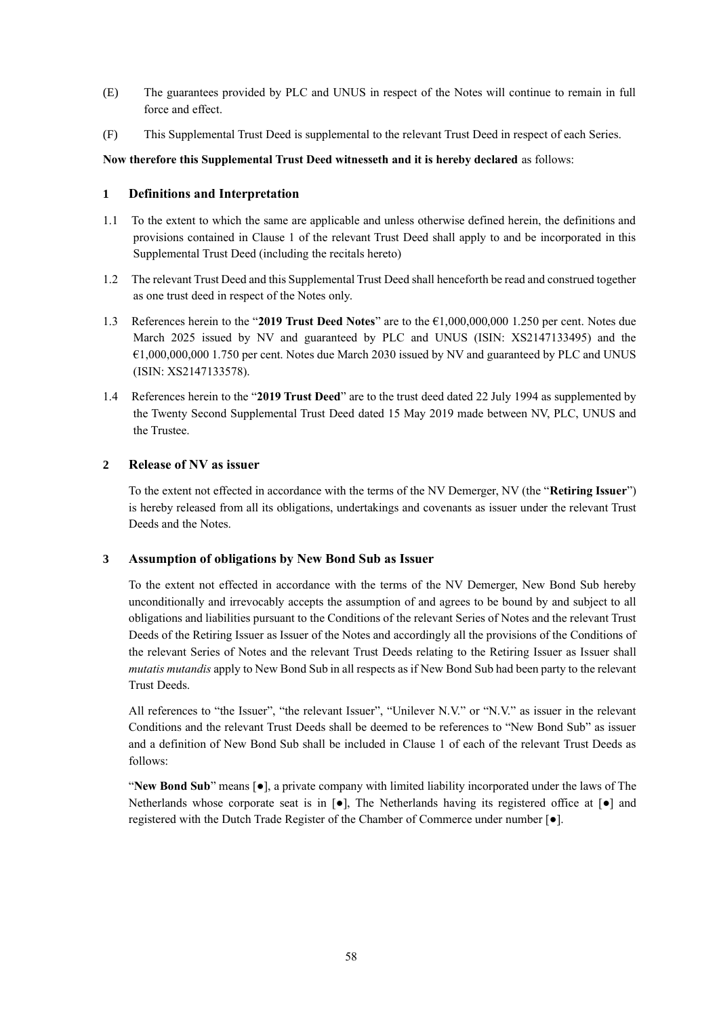- (E) The guarantees provided by PLC and UNUS in respect of the Notes will continue to remain in full force and effect.
- (F) This Supplemental Trust Deed is supplemental to the relevant Trust Deed in respect of each Series.

**Now therefore this Supplemental Trust Deed witnesseth and it is hereby declared** as follows:

## **1 Definitions and Interpretation**

- 1.1 To the extent to which the same are applicable and unless otherwise defined herein, the definitions and provisions contained in Clause 1 of the relevant Trust Deed shall apply to and be incorporated in this Supplemental Trust Deed (including the recitals hereto)
- 1.2 The relevant Trust Deed and this Supplemental Trust Deed shall henceforth be read and construed together as one trust deed in respect of the Notes only.
- 1.3 References herein to the "**2019 Trust Deed Notes**" are to the €1,000,000,000 1.250 per cent. Notes due March 2025 issued by NV and guaranteed by PLC and UNUS (ISIN: XS2147133495) and the €1,000,000,000 1.750 per cent. Notes due March 2030 issued by NV and guaranteed by PLC and UNUS (ISIN: XS2147133578).
- 1.4 References herein to the "**2019 Trust Deed**" are to the trust deed dated 22 July 1994 as supplemented by the Twenty Second Supplemental Trust Deed dated 15 May 2019 made between NV, PLC, UNUS and the Trustee.

## **2 Release of NV as issuer**

To the extent not effected in accordance with the terms of the NV Demerger, NV (the "**Retiring Issuer**") is hereby released from all its obligations, undertakings and covenants as issuer under the relevant Trust Deeds and the Notes.

## **3 Assumption of obligations by New Bond Sub as Issuer**

To the extent not effected in accordance with the terms of the NV Demerger, New Bond Sub hereby unconditionally and irrevocably accepts the assumption of and agrees to be bound by and subject to all obligations and liabilities pursuant to the Conditions of the relevant Series of Notes and the relevant Trust Deeds of the Retiring Issuer as Issuer of the Notes and accordingly all the provisions of the Conditions of the relevant Series of Notes and the relevant Trust Deeds relating to the Retiring Issuer as Issuer shall *mutatis mutandis* apply to New Bond Sub in all respects as if New Bond Sub had been party to the relevant Trust Deeds.

All references to "the Issuer", "the relevant Issuer", "Unilever N.V." or "N.V." as issuer in the relevant Conditions and the relevant Trust Deeds shall be deemed to be references to "New Bond Sub" as issuer and a definition of New Bond Sub shall be included in Clause 1 of each of the relevant Trust Deeds as follows:

"**New Bond Sub**" means [●], a private company with limited liability incorporated under the laws of The Netherlands whose corporate seat is in  $\lceil \bullet \rceil$ , The Netherlands having its registered office at  $\lceil \bullet \rceil$  and registered with the Dutch Trade Register of the Chamber of Commerce under number [●].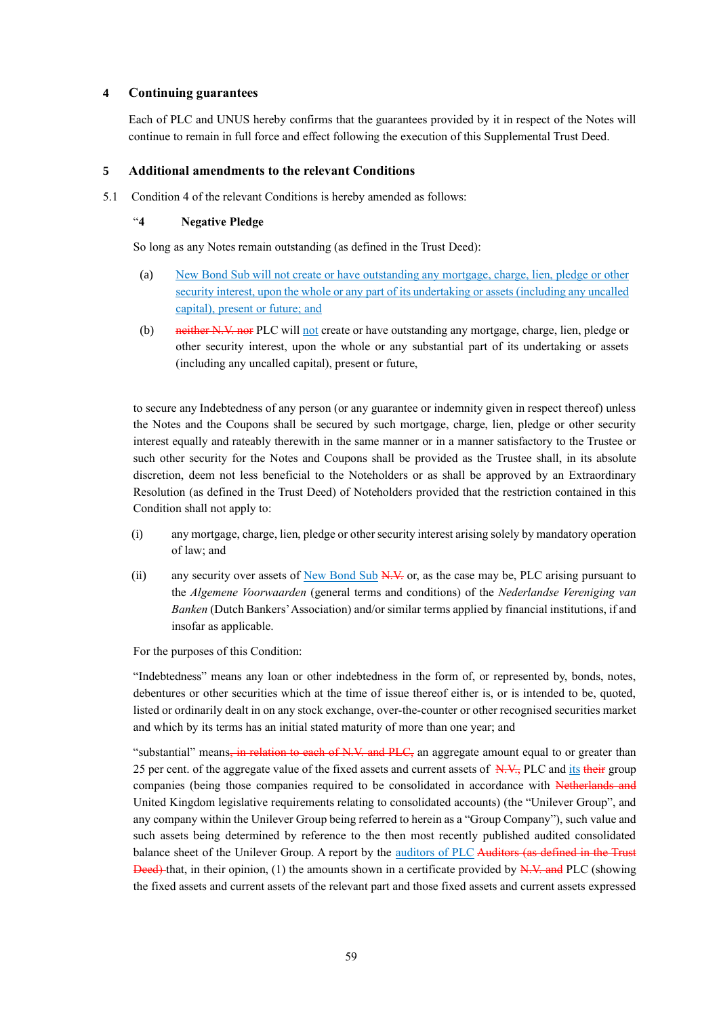#### **4 Continuing guarantees**

Each of PLC and UNUS hereby confirms that the guarantees provided by it in respect of the Notes will continue to remain in full force and effect following the execution of this Supplemental Trust Deed.

#### **5 Additional amendments to the relevant Conditions**

5.1 Condition 4 of the relevant Conditions is hereby amended as follows:

#### "**4 Negative Pledge**

So long as any Notes remain outstanding (as defined in the Trust Deed):

- (a) New Bond Sub will not create or have outstanding any mortgage, charge, lien, pledge or other security interest, upon the whole or any part of its undertaking or assets (including any uncalled capital), present or future; and
- (b) neither N.V. nor PLC will not create or have outstanding any mortgage, charge, lien, pledge or other security interest, upon the whole or any substantial part of its undertaking or assets (including any uncalled capital), present or future,

to secure any Indebtedness of any person (or any guarantee or indemnity given in respect thereof) unless the Notes and the Coupons shall be secured by such mortgage, charge, lien, pledge or other security interest equally and rateably therewith in the same manner or in a manner satisfactory to the Trustee or such other security for the Notes and Coupons shall be provided as the Trustee shall, in its absolute discretion, deem not less beneficial to the Noteholders or as shall be approved by an Extraordinary Resolution (as defined in the Trust Deed) of Noteholders provided that the restriction contained in this Condition shall not apply to:

- (i) any mortgage, charge, lien, pledge or other security interest arising solely by mandatory operation of law; and
- (ii) any security over assets of New Bond Sub  $N_y$  or, as the case may be, PLC arising pursuant to the *Algemene Voorwaarden* (general terms and conditions) of the *Nederlandse Vereniging van Banken* (Dutch Bankers' Association) and/or similar terms applied by financial institutions, if and insofar as applicable.

For the purposes of this Condition:

"Indebtedness" means any loan or other indebtedness in the form of, or represented by, bonds, notes, debentures or other securities which at the time of issue thereof either is, or is intended to be, quoted, listed or ordinarily dealt in on any stock exchange, over-the-counter or other recognised securities market and which by its terms has an initial stated maturity of more than one year; and

"substantial" means, in relation to each of N.V. and PLC, an aggregate amount equal to or greater than 25 per cent. of the aggregate value of the fixed assets and current assets of  $N_{\rm tot}$ . PLC and its their group companies (being those companies required to be consolidated in accordance with Netherlands and United Kingdom legislative requirements relating to consolidated accounts) (the "Unilever Group", and any company within the Unilever Group being referred to herein as a "Group Company"), such value and such assets being determined by reference to the then most recently published audited consolidated balance sheet of the Unilever Group. A report by the auditors of PLC Auditors (as defined in the Trust Deed) that, in their opinion, (1) the amounts shown in a certificate provided by N.V. and PLC (showing the fixed assets and current assets of the relevant part and those fixed assets and current assets expressed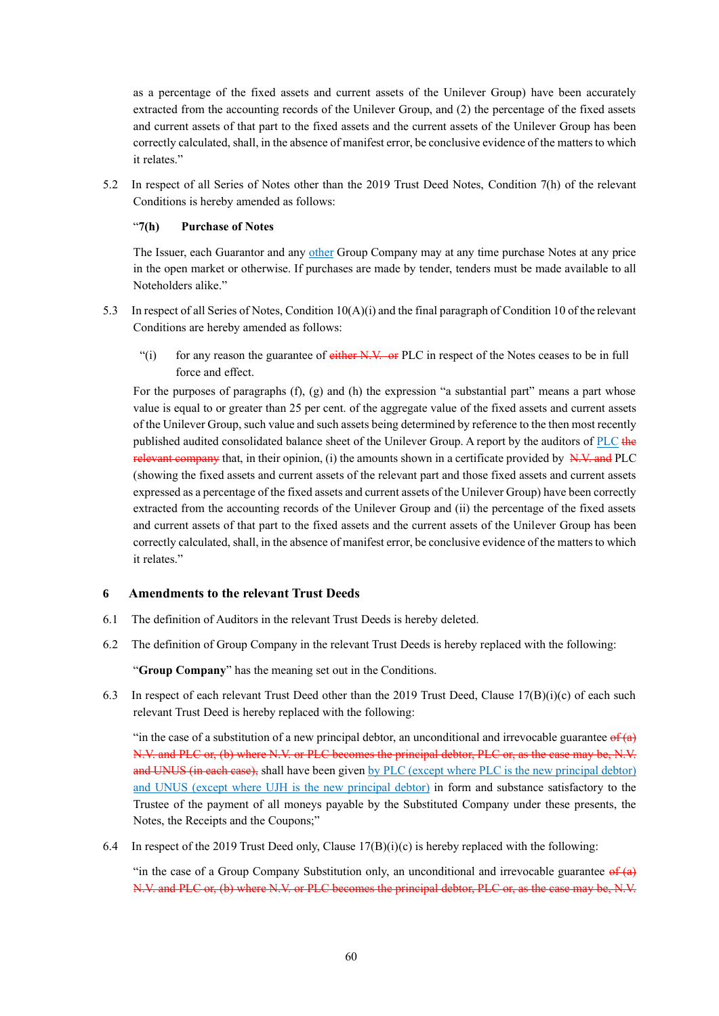as a percentage of the fixed assets and current assets of the Unilever Group) have been accurately extracted from the accounting records of the Unilever Group, and (2) the percentage of the fixed assets and current assets of that part to the fixed assets and the current assets of the Unilever Group has been correctly calculated, shall, in the absence of manifest error, be conclusive evidence of the matters to which it relates."

5.2 In respect of all Series of Notes other than the 2019 Trust Deed Notes, Condition 7(h) of the relevant Conditions is hereby amended as follows:

#### "**7(h) Purchase of Notes**

The Issuer, each Guarantor and any other Group Company may at any time purchase Notes at any price in the open market or otherwise. If purchases are made by tender, tenders must be made available to all Noteholders alike."

- 5.3 In respect of all Series of Notes, Condition 10(A)(i) and the final paragraph of Condition 10 of the relevant Conditions are hereby amended as follows:
	- $"$ (i) for any reason the guarantee of either N.V. or PLC in respect of the Notes ceases to be in full force and effect.

For the purposes of paragraphs (f), (g) and (h) the expression "a substantial part" means a part whose value is equal to or greater than 25 per cent. of the aggregate value of the fixed assets and current assets of the Unilever Group, such value and such assets being determined by reference to the then most recently published audited consolidated balance sheet of the Unilever Group. A report by the auditors of PLC the relevant company that, in their opinion, (i) the amounts shown in a certificate provided by  $N.V.$  and PLC (showing the fixed assets and current assets of the relevant part and those fixed assets and current assets expressed as a percentage of the fixed assets and current assets of the Unilever Group) have been correctly extracted from the accounting records of the Unilever Group and (ii) the percentage of the fixed assets and current assets of that part to the fixed assets and the current assets of the Unilever Group has been correctly calculated, shall, in the absence of manifest error, be conclusive evidence of the matters to which it relates."

## **6 Amendments to the relevant Trust Deeds**

- 6.1 The definition of Auditors in the relevant Trust Deeds is hereby deleted.
- 6.2 The definition of Group Company in the relevant Trust Deeds is hereby replaced with the following:

"**Group Company**" has the meaning set out in the Conditions.

6.3 In respect of each relevant Trust Deed other than the 2019 Trust Deed, Clause  $17(B)(i)(c)$  of each such relevant Trust Deed is hereby replaced with the following:

"in the case of a substitution of a new principal debtor, an unconditional and irrevocable guarantee  $\theta f(a)$ N.V. and PLC or, (b) where N.V. or PLC becomes the principal debtor, PLC or, as the case may be, N.V. and UNUS (in each case), shall have been given by PLC (except where PLC is the new principal debtor) and UNUS (except where UJH is the new principal debtor) in form and substance satisfactory to the Trustee of the payment of all moneys payable by the Substituted Company under these presents, the Notes, the Receipts and the Coupons;"

6.4 In respect of the 2019 Trust Deed only, Clause  $17(B)(i)(c)$  is hereby replaced with the following:

"in the case of a Group Company Substitution only, an unconditional and irrevocable guarantee  $\frac{\partial f}{\partial x}$ N.V. and PLC or, (b) where N.V. or PLC becomes the principal debtor, PLC or, as the case may be, N.V.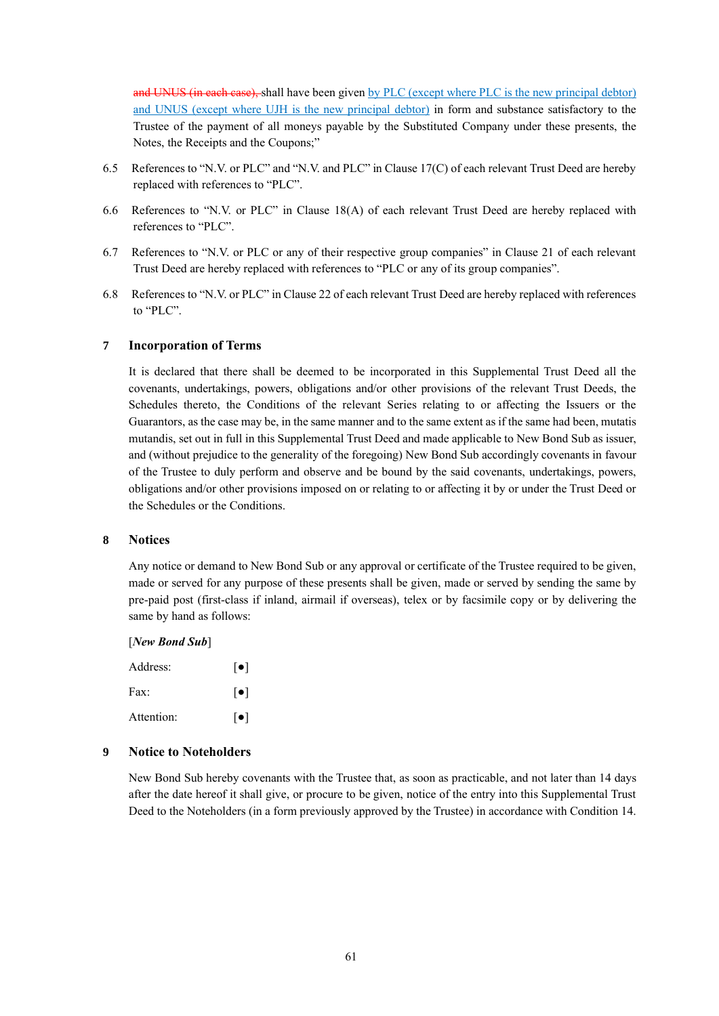and UNUS (in each case), shall have been given by PLC (except where PLC is the new principal debtor) and UNUS (except where UJH is the new principal debtor) in form and substance satisfactory to the Trustee of the payment of all moneys payable by the Substituted Company under these presents, the Notes, the Receipts and the Coupons;"

- 6.5 References to "N.V. or PLC" and "N.V. and PLC" in Clause 17(C) of each relevant Trust Deed are hereby replaced with references to "PLC".
- 6.6 References to "N.V. or PLC" in Clause 18(A) of each relevant Trust Deed are hereby replaced with references to "PLC".
- 6.7 References to "N.V. or PLC or any of their respective group companies" in Clause 21 of each relevant Trust Deed are hereby replaced with references to "PLC or any of its group companies".
- 6.8 References to "N.V. or PLC" in Clause 22 of each relevant Trust Deed are hereby replaced with references to "PLC".

#### **7 Incorporation of Terms**

It is declared that there shall be deemed to be incorporated in this Supplemental Trust Deed all the covenants, undertakings, powers, obligations and/or other provisions of the relevant Trust Deeds, the Schedules thereto, the Conditions of the relevant Series relating to or affecting the Issuers or the Guarantors, as the case may be, in the same manner and to the same extent as if the same had been, mutatis mutandis, set out in full in this Supplemental Trust Deed and made applicable to New Bond Sub as issuer, and (without prejudice to the generality of the foregoing) New Bond Sub accordingly covenants in favour of the Trustee to duly perform and observe and be bound by the said covenants, undertakings, powers, obligations and/or other provisions imposed on or relating to or affecting it by or under the Trust Deed or the Schedules or the Conditions.

#### **8 Notices**

Any notice or demand to New Bond Sub or any approval or certificate of the Trustee required to be given, made or served for any purpose of these presents shall be given, made or served by sending the same by pre-paid post (first-class if inland, airmail if overseas), telex or by facsimile copy or by delivering the same by hand as follows:

[*New Bond Sub*]

| Address:   | $\lceil \bullet \rceil$ |
|------------|-------------------------|
| Fax:       | $\lceil \bullet \rceil$ |
| Attention: | $\lceil \bullet \rceil$ |

#### **9 Notice to Noteholders**

New Bond Sub hereby covenants with the Trustee that, as soon as practicable, and not later than 14 days after the date hereof it shall give, or procure to be given, notice of the entry into this Supplemental Trust Deed to the Noteholders (in a form previously approved by the Trustee) in accordance with Condition 14.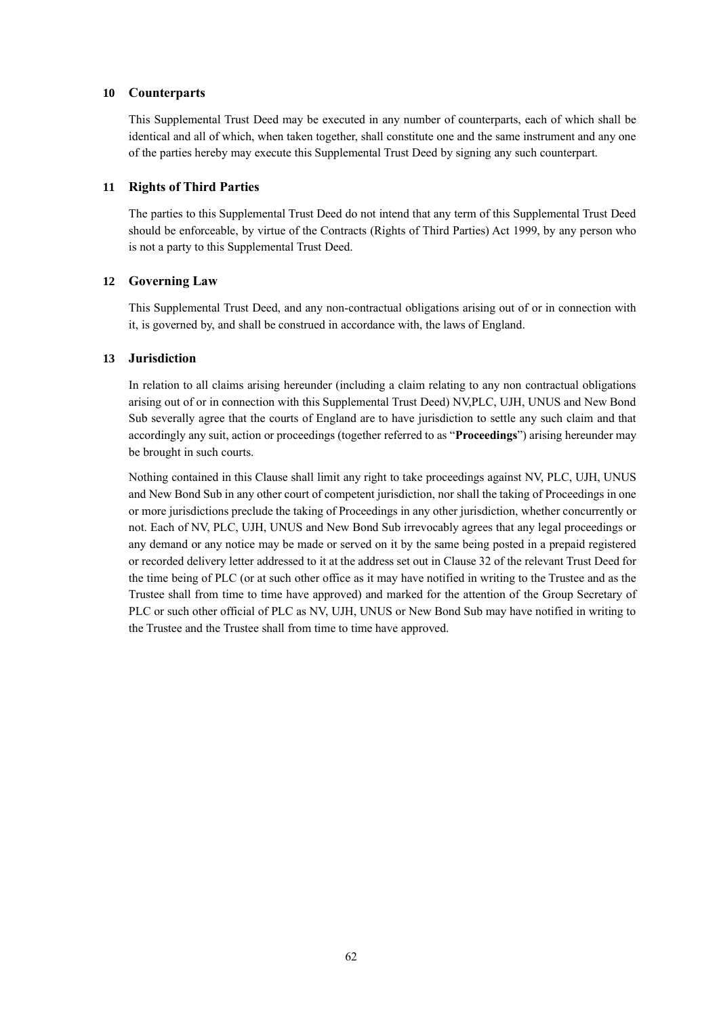#### **10 Counterparts**

This Supplemental Trust Deed may be executed in any number of counterparts, each of which shall be identical and all of which, when taken together, shall constitute one and the same instrument and any one of the parties hereby may execute this Supplemental Trust Deed by signing any such counterpart.

#### **11 Rights of Third Parties**

The parties to this Supplemental Trust Deed do not intend that any term of this Supplemental Trust Deed should be enforceable, by virtue of the Contracts (Rights of Third Parties) Act 1999, by any person who is not a party to this Supplemental Trust Deed.

#### **12 Governing Law**

This Supplemental Trust Deed, and any non-contractual obligations arising out of or in connection with it, is governed by, and shall be construed in accordance with, the laws of England.

#### **13 Jurisdiction**

In relation to all claims arising hereunder (including a claim relating to any non contractual obligations arising out of or in connection with this Supplemental Trust Deed) NV,PLC, UJH, UNUS and New Bond Sub severally agree that the courts of England are to have jurisdiction to settle any such claim and that accordingly any suit, action or proceedings (together referred to as "**Proceedings**") arising hereunder may be brought in such courts.

Nothing contained in this Clause shall limit any right to take proceedings against NV, PLC, UJH, UNUS and New Bond Sub in any other court of competent jurisdiction, nor shall the taking of Proceedings in one or more jurisdictions preclude the taking of Proceedings in any other jurisdiction, whether concurrently or not. Each of NV, PLC, UJH, UNUS and New Bond Sub irrevocably agrees that any legal proceedings or any demand or any notice may be made or served on it by the same being posted in a prepaid registered or recorded delivery letter addressed to it at the address set out in Clause 32 of the relevant Trust Deed for the time being of PLC (or at such other office as it may have notified in writing to the Trustee and as the Trustee shall from time to time have approved) and marked for the attention of the Group Secretary of PLC or such other official of PLC as NV, UJH, UNUS or New Bond Sub may have notified in writing to the Trustee and the Trustee shall from time to time have approved.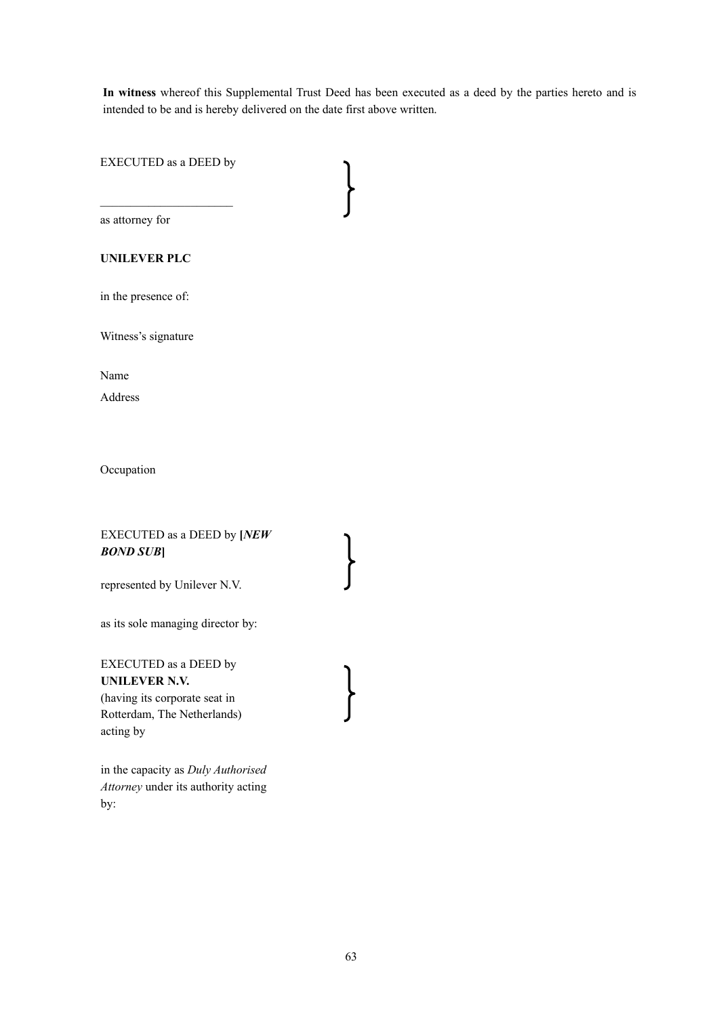**In witness** whereof this Supplemental Trust Deed has been executed as a deed by the parties hereto and is intended to be and is hereby delivered on the date first above written.

EXECUTED as a DEED by

 $\mathcal{L}=\{1,2,3,4,5\}$ 

as attorney for

## **UNILEVER PLC**

in the presence of:

Witness's signature

Name

Address

**Occupation** 

## EXECUTED as a DEED by **[***NEW BOND SUB***]**

represented by Unilever N.V.

as its sole managing director by:

EXECUTED as a DEED by **UNILEVER N.V.** (having its corporate seat in Rotterdam, The Netherlands) acting by

in the capacity as *Duly Authorised Attorney* under its authority acting by: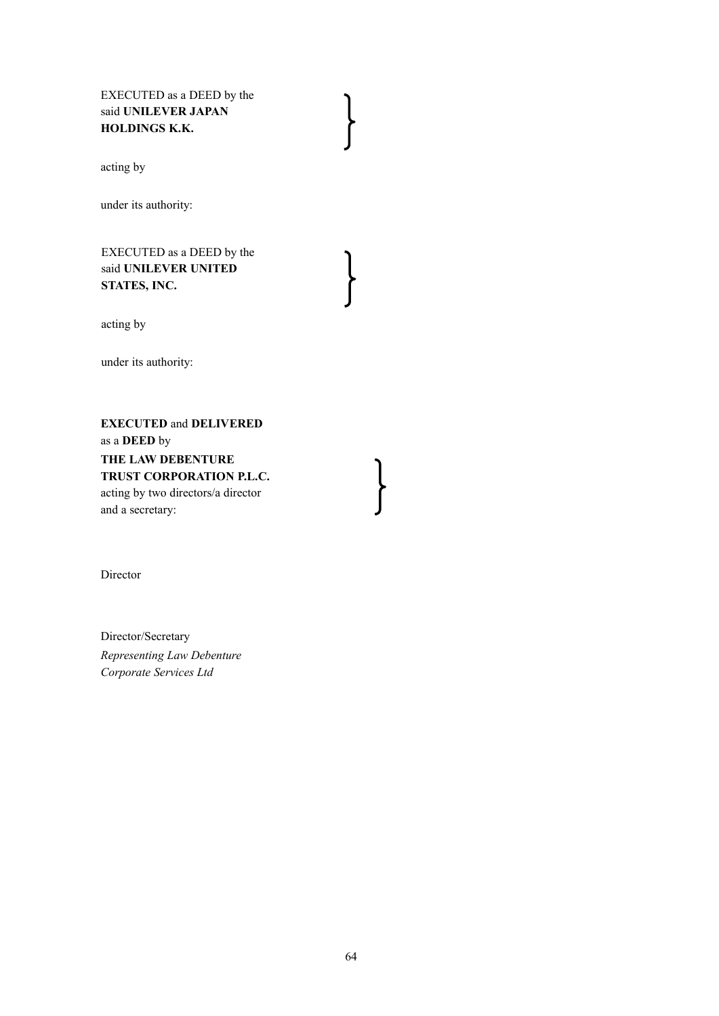EXECUTED as a DEED by the said **UNILEVER JAPAN HOLDINGS K.K.**

acting by

under its authority:

EXECUTED as a DEED by the said **UNILEVER UNITED STATES, INC.**

acting by

under its authority:

**EXECUTED** and **DELIVERED**  as a **DEED** by **THE LAW DEBENTURE TRUST CORPORATION P.L.C.** acting by two directors/a director and a secretary:

Director

Director/Secretary *Representing Law Debenture Corporate Services Ltd*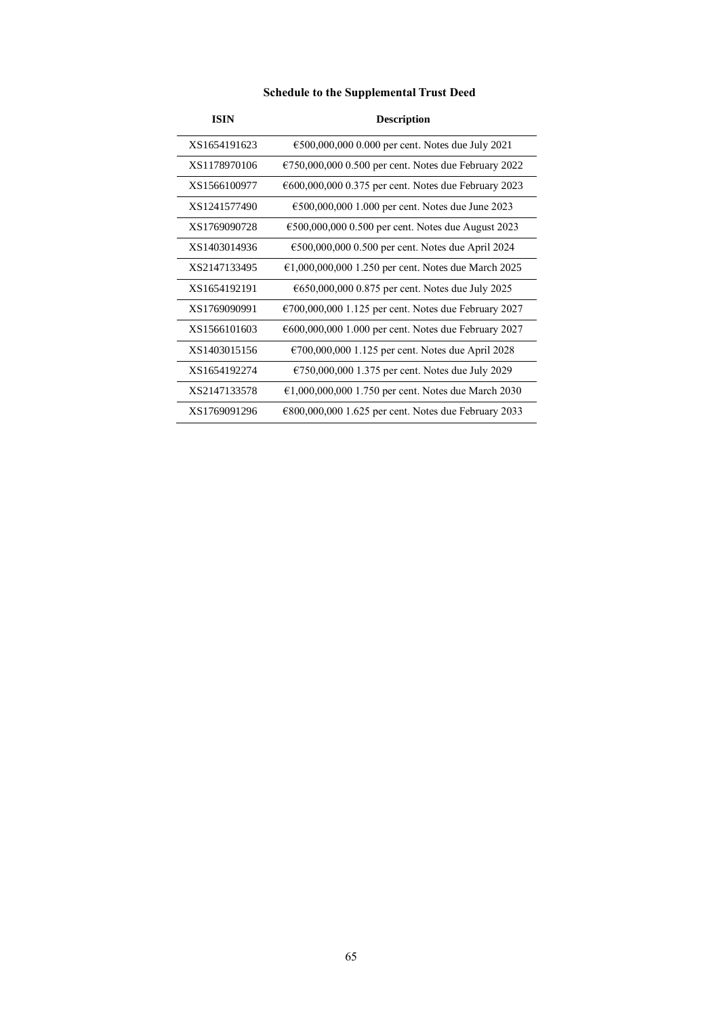|  |  | <b>Schedule to the Supplemental Trust Deed</b> |  |  |
|--|--|------------------------------------------------|--|--|
|--|--|------------------------------------------------|--|--|

| <b>ISIN</b>  | <b>Description</b>                                             |  |
|--------------|----------------------------------------------------------------|--|
| XS1654191623 | €500,000,000 0.000 per cent. Notes due July 2021               |  |
| XS1178970106 | $\epsilon$ 750,000,000 0.500 per cent. Notes due February 2022 |  |
| XS1566100977 | $\epsilon$ 600,000,000 0.375 per cent. Notes due February 2023 |  |
| XS1241577490 | €500,000,000 1.000 per cent. Notes due June 2023               |  |
| XS1769090728 | €500,000,000 0.500 per cent. Notes due August 2023             |  |
| XS1403014936 | €500,000,000 0.500 per cent. Notes due April 2024              |  |
| XS2147133495 | €1,000,000,000 1.250 per cent. Notes due March 2025            |  |
| XS1654192191 | €650,000,000 0.875 per cent. Notes due July 2025               |  |
| XS1769090991 | $\epsilon$ 700,000,000 1.125 per cent. Notes due February 2027 |  |
| XS1566101603 | $600,000,000$ 1.000 per cent. Notes due February 2027          |  |
| XS1403015156 | €700,000,000 1.125 per cent. Notes due April 2028              |  |
| XS1654192274 | €750,000,000 1.375 per cent. Notes due July 2029               |  |
| XS2147133578 | €1,000,000,000 1.750 per cent. Notes due March 2030            |  |
| XS1769091296 | $€800,000,0001.625$ per cent. Notes due February 2033          |  |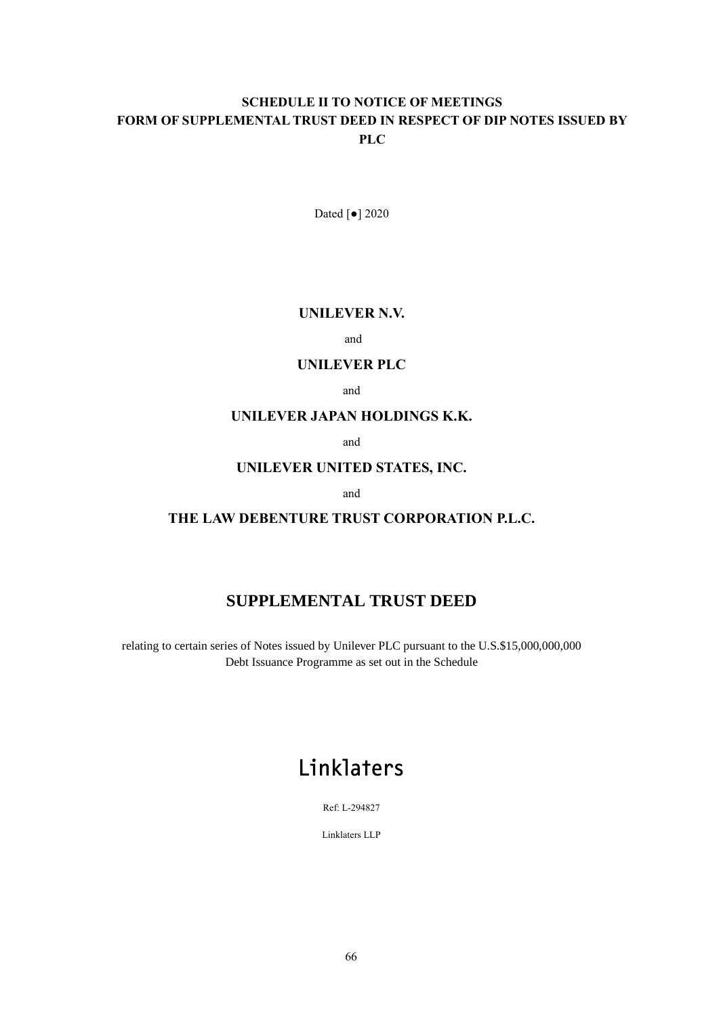# **SCHEDULE II TO NOTICE OF MEETINGS FORM OF SUPPLEMENTAL TRUST DEED IN RESPECT OF DIP NOTES ISSUED BY PLC**

Dated [●] 2020

## **UNILEVER N.V.**

and

# **UNILEVER PLC**

and

## **UNILEVER JAPAN HOLDINGS K.K.**

and

# **UNILEVER UNITED STATES, INC.**

and

## **THE LAW DEBENTURE TRUST CORPORATION P.L.C.**

# **SUPPLEMENTAL TRUST DEED**

relating to certain series of Notes issued by Unilever PLC pursuant to the U.S.\$15,000,000,000 Debt Issuance Programme as set out in the Schedule

# Linklaters

Ref: L-294827

Linklaters LLP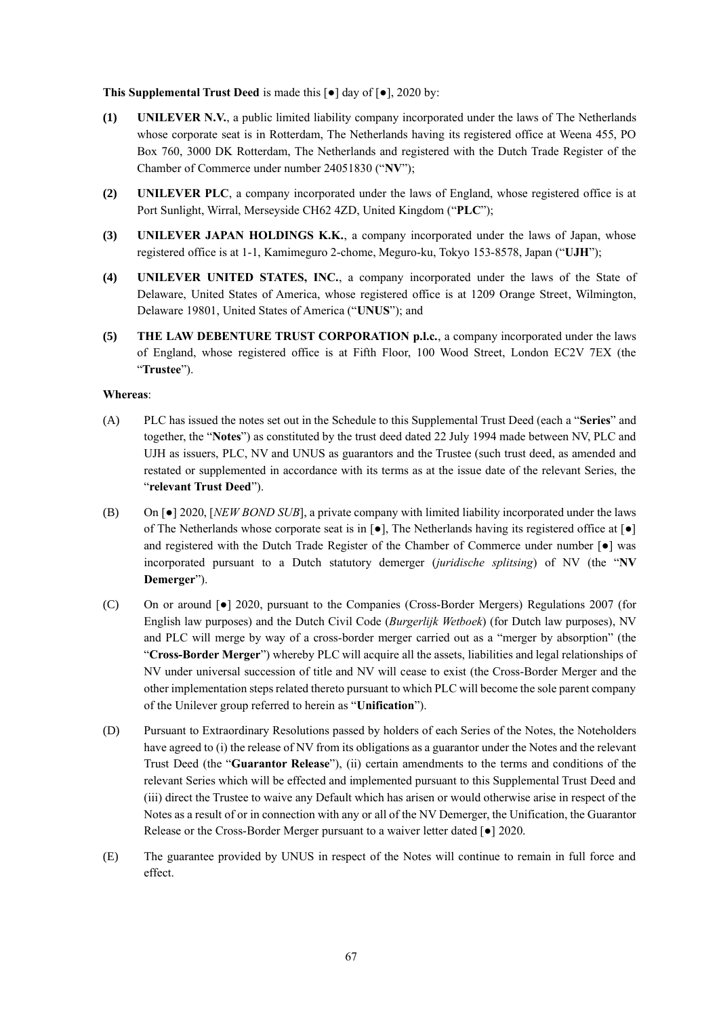**This Supplemental Trust Deed** is made this [●] day of [●], 2020 by:

- **(1) UNILEVER N.V.**, a public limited liability company incorporated under the laws of The Netherlands whose corporate seat is in Rotterdam, The Netherlands having its registered office at Weena 455, PO Box 760, 3000 DK Rotterdam, The Netherlands and registered with the Dutch Trade Register of the Chamber of Commerce under number 24051830 ("**NV**");
- **(2) UNILEVER PLC**, a company incorporated under the laws of England, whose registered office is at Port Sunlight, Wirral, Merseyside CH62 4ZD, United Kingdom ("**PLC**");
- **(3) UNILEVER JAPAN HOLDINGS K.K.**, a company incorporated under the laws of Japan, whose registered office is at 1-1, Kamimeguro 2-chome, Meguro-ku, Tokyo 153-8578, Japan ("**UJH**");
- **(4) UNILEVER UNITED STATES, INC.**, a company incorporated under the laws of the State of Delaware, United States of America, whose registered office is at 1209 Orange Street, Wilmington, Delaware 19801, United States of America ("**UNUS**"); and
- **(5) THE LAW DEBENTURE TRUST CORPORATION p.l.c.**, a company incorporated under the laws of England, whose registered office is at Fifth Floor, 100 Wood Street, London EC2V 7EX (the "**Trustee**").

#### **Whereas**:

- (A) PLC has issued the notes set out in the Schedule to this Supplemental Trust Deed (each a "**Series**" and together, the "**Notes**") as constituted by the trust deed dated 22 July 1994 made between NV, PLC and UJH as issuers, PLC, NV and UNUS as guarantors and the Trustee (such trust deed, as amended and restated or supplemented in accordance with its terms as at the issue date of the relevant Series, the "**relevant Trust Deed**").
- (B) On [●] 2020, [*NEW BOND SUB*], a private company with limited liability incorporated under the laws of The Netherlands whose corporate seat is in  $\lceil \bullet \rceil$ , The Netherlands having its registered office at  $\lceil \bullet \rceil$ and registered with the Dutch Trade Register of the Chamber of Commerce under number  $\lceil \bullet \rceil$  was incorporated pursuant to a Dutch statutory demerger (*juridische splitsing*) of NV (the "**NV Demerger**").
- (C) On or around [●] 2020, pursuant to the Companies (Cross-Border Mergers) Regulations 2007 (for English law purposes) and the Dutch Civil Code (*Burgerlijk Wetboek*) (for Dutch law purposes), NV and PLC will merge by way of a cross-border merger carried out as a "merger by absorption" (the "**Cross-Border Merger**") whereby PLC will acquire all the assets, liabilities and legal relationships of NV under universal succession of title and NV will cease to exist (the Cross-Border Merger and the other implementation steps related thereto pursuant to which PLC will become the sole parent company of the Unilever group referred to herein as "**Unification**").
- (D) Pursuant to Extraordinary Resolutions passed by holders of each Series of the Notes, the Noteholders have agreed to (i) the release of NV from its obligations as a guarantor under the Notes and the relevant Trust Deed (the "**Guarantor Release**"), (ii) certain amendments to the terms and conditions of the relevant Series which will be effected and implemented pursuant to this Supplemental Trust Deed and (iii) direct the Trustee to waive any Default which has arisen or would otherwise arise in respect of the Notes as a result of or in connection with any or all of the NV Demerger, the Unification, the Guarantor Release or the Cross-Border Merger pursuant to a waiver letter dated [●] 2020.
- (E) The guarantee provided by UNUS in respect of the Notes will continue to remain in full force and effect.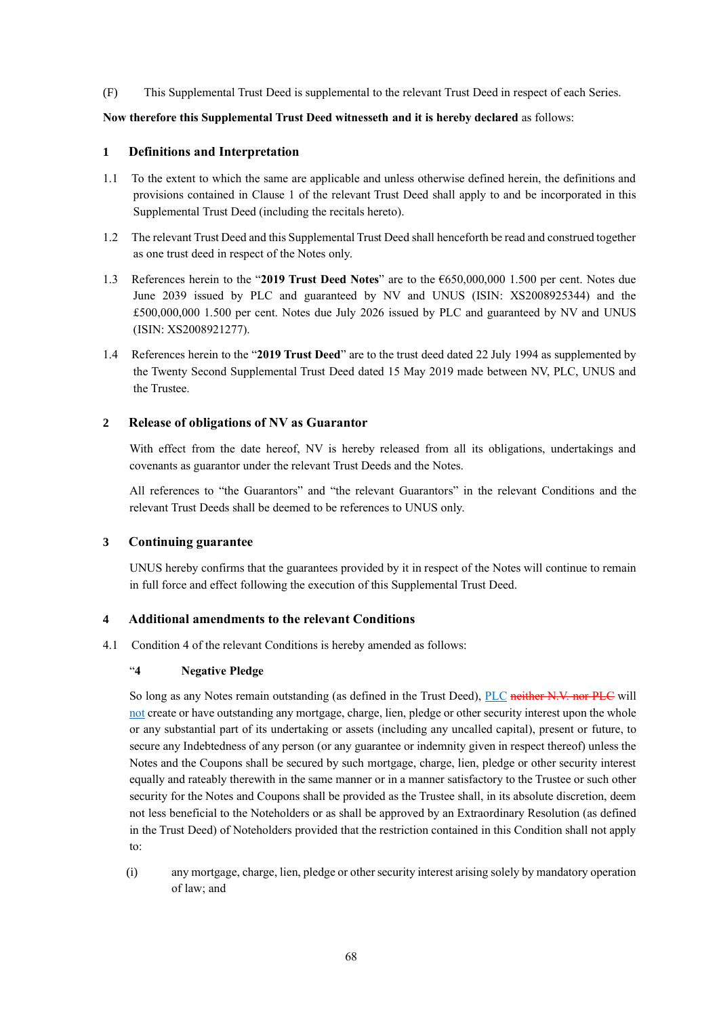(F) This Supplemental Trust Deed is supplemental to the relevant Trust Deed in respect of each Series.

#### **Now therefore this Supplemental Trust Deed witnesseth and it is hereby declared** as follows:

## **1 Definitions and Interpretation**

- 1.1 To the extent to which the same are applicable and unless otherwise defined herein, the definitions and provisions contained in Clause 1 of the relevant Trust Deed shall apply to and be incorporated in this Supplemental Trust Deed (including the recitals hereto).
- 1.2 The relevant Trust Deed and this Supplemental Trust Deed shall henceforth be read and construed together as one trust deed in respect of the Notes only.
- 1.3 References herein to the "**2019 Trust Deed Notes**" are to the €650,000,000 1.500 per cent. Notes due June 2039 issued by PLC and guaranteed by NV and UNUS (ISIN: XS2008925344) and the £500,000,000 1.500 per cent. Notes due July 2026 issued by PLC and guaranteed by NV and UNUS (ISIN: XS2008921277).
- 1.4 References herein to the "**2019 Trust Deed**" are to the trust deed dated 22 July 1994 as supplemented by the Twenty Second Supplemental Trust Deed dated 15 May 2019 made between NV, PLC, UNUS and the Trustee.

## **2 Release of obligations of NV as Guarantor**

With effect from the date hereof, NV is hereby released from all its obligations, undertakings and covenants as guarantor under the relevant Trust Deeds and the Notes.

All references to "the Guarantors" and "the relevant Guarantors" in the relevant Conditions and the relevant Trust Deeds shall be deemed to be references to UNUS only.

#### **3 Continuing guarantee**

UNUS hereby confirms that the guarantees provided by it in respect of the Notes will continue to remain in full force and effect following the execution of this Supplemental Trust Deed.

#### **4 Additional amendments to the relevant Conditions**

4.1 Condition 4 of the relevant Conditions is hereby amended as follows:

#### "**4 Negative Pledge**

So long as any Notes remain outstanding (as defined in the Trust Deed), PLC neither N.V. nor PLC will not create or have outstanding any mortgage, charge, lien, pledge or other security interest upon the whole or any substantial part of its undertaking or assets (including any uncalled capital), present or future, to secure any Indebtedness of any person (or any guarantee or indemnity given in respect thereof) unless the Notes and the Coupons shall be secured by such mortgage, charge, lien, pledge or other security interest equally and rateably therewith in the same manner or in a manner satisfactory to the Trustee or such other security for the Notes and Coupons shall be provided as the Trustee shall, in its absolute discretion, deem not less beneficial to the Noteholders or as shall be approved by an Extraordinary Resolution (as defined in the Trust Deed) of Noteholders provided that the restriction contained in this Condition shall not apply to:

(i) any mortgage, charge, lien, pledge or other security interest arising solely by mandatory operation of law; and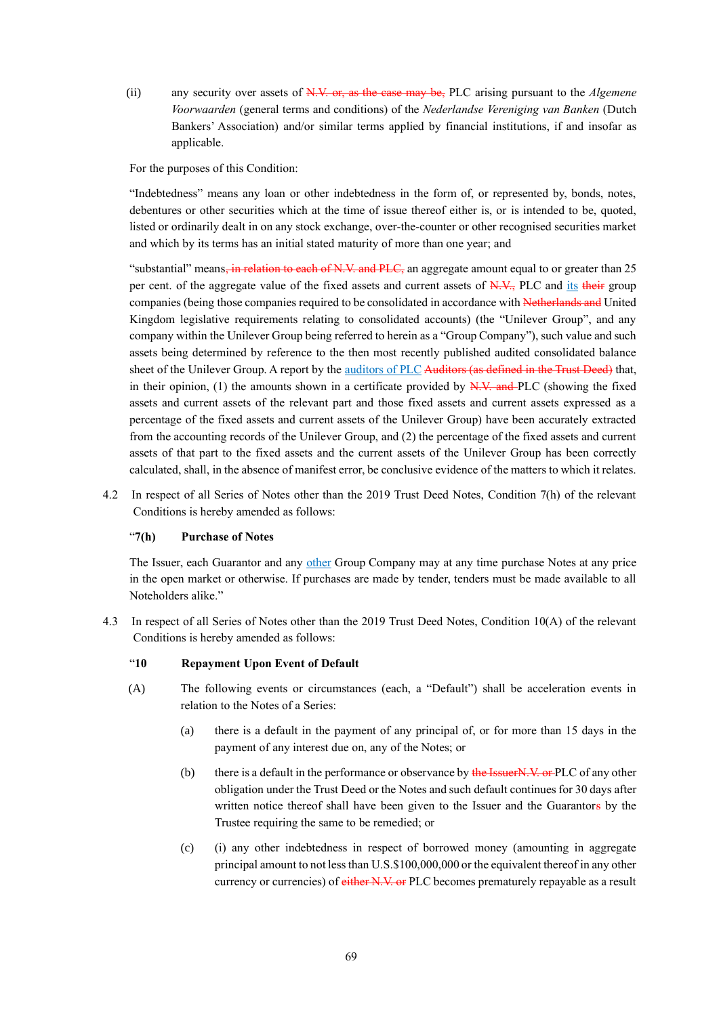(ii) any security over assets of N.V. or, as the case may be, PLC arising pursuant to the *Algemene Voorwaarden* (general terms and conditions) of the *Nederlandse Vereniging van Banken* (Dutch Bankers' Association) and/or similar terms applied by financial institutions, if and insofar as applicable.

For the purposes of this Condition:

"Indebtedness" means any loan or other indebtedness in the form of, or represented by, bonds, notes, debentures or other securities which at the time of issue thereof either is, or is intended to be, quoted, listed or ordinarily dealt in on any stock exchange, over-the-counter or other recognised securities market and which by its terms has an initial stated maturity of more than one year; and

"substantial" means, in relation to each of N.V. and PLC, an aggregate amount equal to or greater than 25 per cent. of the aggregate value of the fixed assets and current assets of N.V., PLC and its their group companies (being those companies required to be consolidated in accordance with Netherlands and United Kingdom legislative requirements relating to consolidated accounts) (the "Unilever Group", and any company within the Unilever Group being referred to herein as a "Group Company"), such value and such assets being determined by reference to the then most recently published audited consolidated balance sheet of the Unilever Group. A report by the auditors of PLC Auditors (as defined in the Trust Deed) that, in their opinion, (1) the amounts shown in a certificate provided by  $\frac{N}{N}$ . And PLC (showing the fixed assets and current assets of the relevant part and those fixed assets and current assets expressed as a percentage of the fixed assets and current assets of the Unilever Group) have been accurately extracted from the accounting records of the Unilever Group, and (2) the percentage of the fixed assets and current assets of that part to the fixed assets and the current assets of the Unilever Group has been correctly calculated, shall, in the absence of manifest error, be conclusive evidence of the matters to which it relates.

4.2 In respect of all Series of Notes other than the 2019 Trust Deed Notes, Condition 7(h) of the relevant Conditions is hereby amended as follows:

#### "**7(h) Purchase of Notes**

The Issuer, each Guarantor and any other Group Company may at any time purchase Notes at any price in the open market or otherwise. If purchases are made by tender, tenders must be made available to all Noteholders alike."

4.3 In respect of all Series of Notes other than the 2019 Trust Deed Notes, Condition 10(A) of the relevant Conditions is hereby amended as follows:

#### "**10 Repayment Upon Event of Default**

- (A) The following events or circumstances (each, a "Default") shall be acceleration events in relation to the Notes of a Series:
	- (a) there is a default in the payment of any principal of, or for more than 15 days in the payment of any interest due on, any of the Notes; or
	- (b) there is a default in the performance or observance by  $\frac{d}{d}$  **He IssuerN.V.** or PLC of any other obligation under the Trust Deed or the Notes and such default continues for 30 days after written notice thereof shall have been given to the Issuer and the Guarantors by the Trustee requiring the same to be remedied; or
	- (c) (i) any other indebtedness in respect of borrowed money (amounting in aggregate principal amount to not less than U.S.\$100,000,000 or the equivalent thereof in any other currency or currencies) of either N.V. or PLC becomes prematurely repayable as a result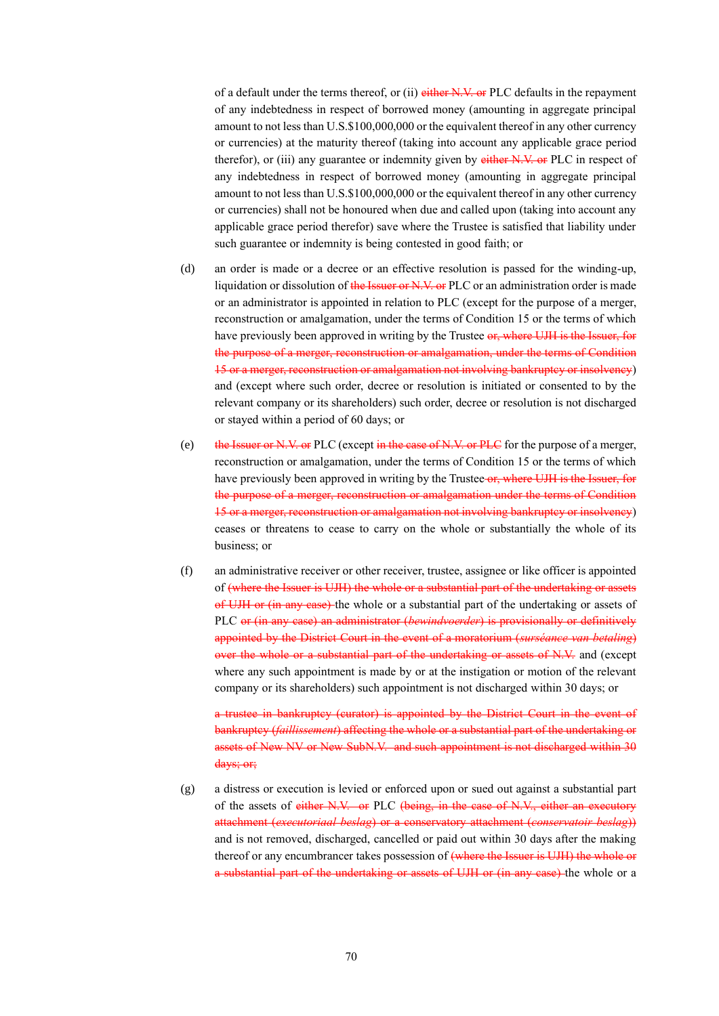of a default under the terms thereof, or (ii) either N.V. or PLC defaults in the repayment of any indebtedness in respect of borrowed money (amounting in aggregate principal amount to not less than U.S.\$100,000,000 or the equivalent thereof in any other currency or currencies) at the maturity thereof (taking into account any applicable grace period therefor), or (iii) any guarantee or indemnity given by either N.V. or PLC in respect of any indebtedness in respect of borrowed money (amounting in aggregate principal amount to not less than U.S.\$100,000,000 or the equivalent thereof in any other currency or currencies) shall not be honoured when due and called upon (taking into account any applicable grace period therefor) save where the Trustee is satisfied that liability under such guarantee or indemnity is being contested in good faith; or

- (d) an order is made or a decree or an effective resolution is passed for the winding-up, liquidation or dissolution of the Issuer or N.V. or PLC or an administration order is made or an administrator is appointed in relation to PLC (except for the purpose of a merger, reconstruction or amalgamation, under the terms of Condition 15 or the terms of which have previously been approved in writing by the Trustee or, where UJH is the Issuer, for the purpose of a merger, reconstruction or amalgamation, under the terms of Condition 15 or a merger, reconstruction or amalgamation not involving bankruptcy or insolvency) and (except where such order, decree or resolution is initiated or consented to by the relevant company or its shareholders) such order, decree or resolution is not discharged or stayed within a period of 60 days; or
- (e) the Issuer or N.V. or PLC (except in the case of N.V. or PLC for the purpose of a merger, reconstruction or amalgamation, under the terms of Condition 15 or the terms of which have previously been approved in writing by the Trustee-or, where UJH is the Issuer, for the purpose of a merger, reconstruction or amalgamation under the terms of Condition 15 or a merger, reconstruction or amalgamation not involving bankruptcy or insolvency) ceases or threatens to cease to carry on the whole or substantially the whole of its business; or
- (f) an administrative receiver or other receiver, trustee, assignee or like officer is appointed of (where the Issuer is UJH) the whole or a substantial part of the undertaking or assets of UJH or (in any case) the whole or a substantial part of the undertaking or assets of PLC or (in any case) an administrator (*bewindvoerder*) is provisionally or definitively appointed by the District Court in the event of a moratorium (*surséance van betaling*) over the whole or a substantial part of the undertaking or assets of N.V. and (except where any such appointment is made by or at the instigation or motion of the relevant company or its shareholders) such appointment is not discharged within 30 days; or

a trustee in bankruptcy (curator) is appointed by the District Court in the event of bankruptcy (*faillissement*) affecting the whole or a substantial part of the undertaking or assets of New NV or New SubN.V. and such appointment is not discharged within 30 days; or;

(g) a distress or execution is levied or enforced upon or sued out against a substantial part of the assets of either N.V. or PLC (being, in the case of N.V., either an executory attachment (*executoriaal beslag*) or a conservatory attachment (*conservatoir beslag*)) and is not removed, discharged, cancelled or paid out within 30 days after the making thereof or any encumbrancer takes possession of (where the Issuer is UJH) the whole or a substantial part of the undertaking or assets of UJH or (in any case) the whole or a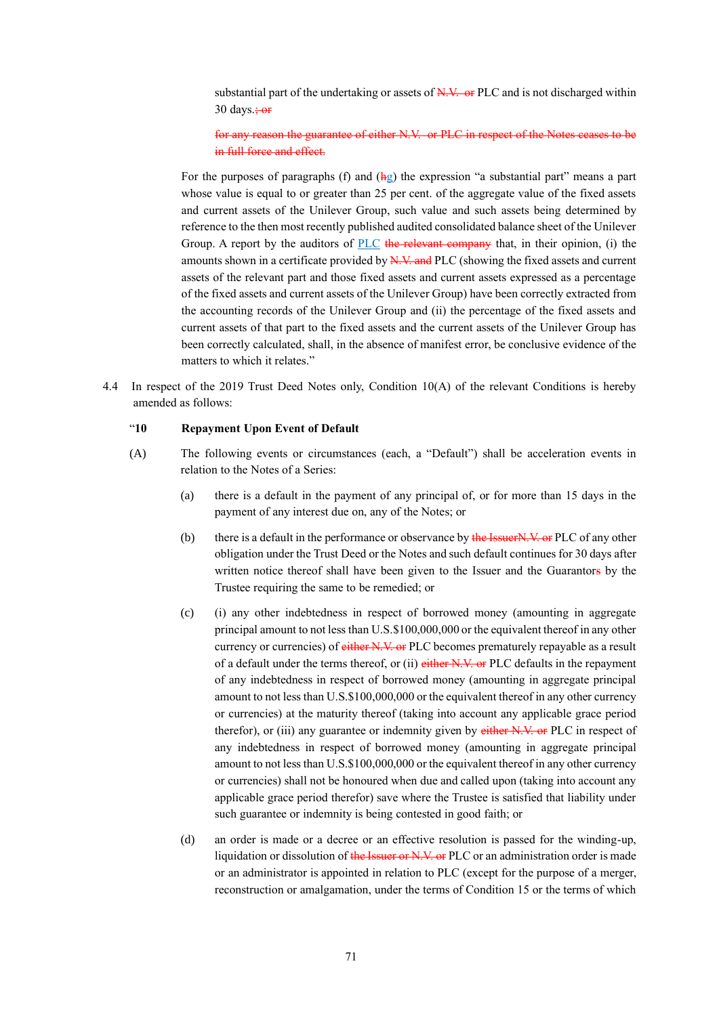substantial part of the undertaking or assets of N.V. or PLC and is not discharged within 30 days. $\frac{1}{2}$  or

for any reason the guarantee of either N.V. or PLC in respect of the Notes ceases to be in full force and effect.

For the purposes of paragraphs (f) and  $(h_2)$  the expression "a substantial part" means a part whose value is equal to or greater than 25 per cent. of the aggregate value of the fixed assets and current assets of the Unilever Group, such value and such assets being determined by reference to the then most recently published audited consolidated balance sheet of the Unilever Group. A report by the auditors of PLC the relevant company that, in their opinion, (i) the amounts shown in a certificate provided by  $N_x$ . And PLC (showing the fixed assets and current assets of the relevant part and those fixed assets and current assets expressed as a percentage of the fixed assets and current assets of the Unilever Group) have been correctly extracted from the accounting records of the Unilever Group and (ii) the percentage of the fixed assets and current assets of that part to the fixed assets and the current assets of the Unilever Group has been correctly calculated, shall, in the absence of manifest error, be conclusive evidence of the matters to which it relates."

4.4 In respect of the 2019 Trust Deed Notes only, Condition 10(A) of the relevant Conditions is hereby amended as follows:

## "**10 Repayment Upon Event of Default**

- (A) The following events or circumstances (each, a "Default") shall be acceleration events in relation to the Notes of a Series:
	- (a) there is a default in the payment of any principal of, or for more than 15 days in the payment of any interest due on, any of the Notes; or
	- (b) there is a default in the performance or observance by the IssuerN.V, or PLC of any other obligation under the Trust Deed or the Notes and such default continues for 30 days after written notice thereof shall have been given to the Issuer and the Guarantors by the Trustee requiring the same to be remedied; or
	- (c) (i) any other indebtedness in respect of borrowed money (amounting in aggregate principal amount to not less than U.S.\$100,000,000 or the equivalent thereof in any other currency or currencies) of either N.V. or PLC becomes prematurely repayable as a result of a default under the terms thereof, or (ii) either N.V. or PLC defaults in the repayment of any indebtedness in respect of borrowed money (amounting in aggregate principal amount to not less than U.S.\$100,000,000 or the equivalent thereof in any other currency or currencies) at the maturity thereof (taking into account any applicable grace period therefor), or (iii) any guarantee or indemnity given by either N.V. or PLC in respect of any indebtedness in respect of borrowed money (amounting in aggregate principal amount to not less than U.S.\$100,000,000 or the equivalent thereof in any other currency or currencies) shall not be honoured when due and called upon (taking into account any applicable grace period therefor) save where the Trustee is satisfied that liability under such guarantee or indemnity is being contested in good faith; or
	- (d) an order is made or a decree or an effective resolution is passed for the winding-up, liquidation or dissolution of the Issuer or N.V. or PLC or an administration order is made or an administrator is appointed in relation to PLC (except for the purpose of a merger, reconstruction or amalgamation, under the terms of Condition 15 or the terms of which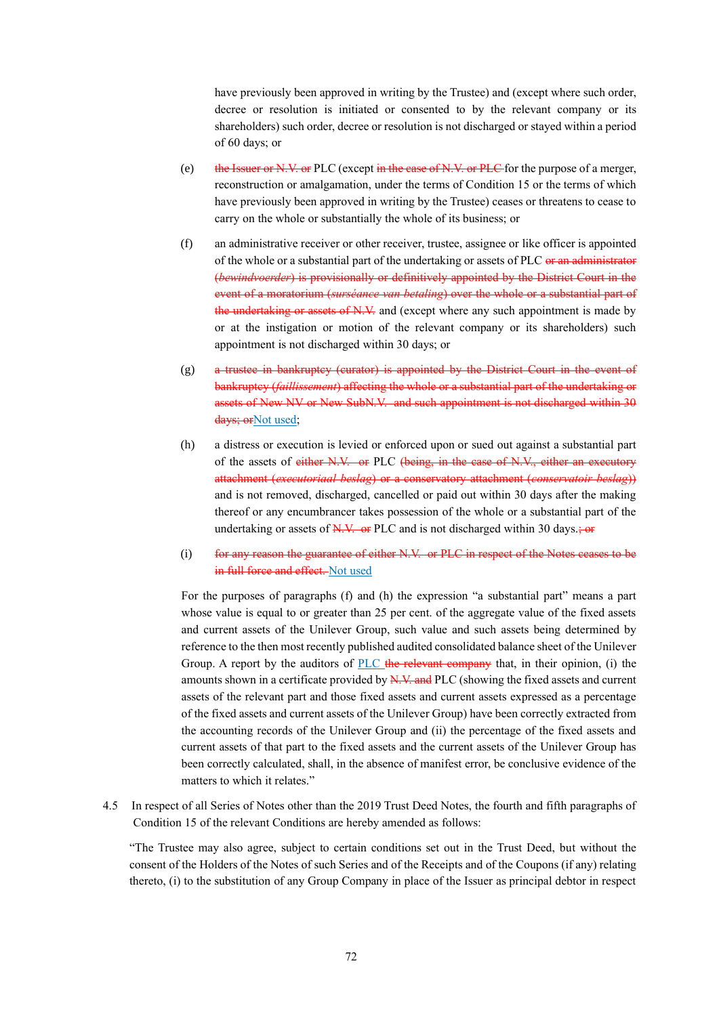have previously been approved in writing by the Trustee) and (except where such order, decree or resolution is initiated or consented to by the relevant company or its shareholders) such order, decree or resolution is not discharged or stayed within a period of 60 days; or

- (e) the Issuer or N.V. or PLC (except in the case of N.V. or PLC for the purpose of a merger, reconstruction or amalgamation, under the terms of Condition 15 or the terms of which have previously been approved in writing by the Trustee) ceases or threatens to cease to carry on the whole or substantially the whole of its business; or
- (f) an administrative receiver or other receiver, trustee, assignee or like officer is appointed of the whole or a substantial part of the undertaking or assets of PLC or an administrator (*bewindvoerder*) is provisionally or definitively appointed by the District Court in the event of a moratorium (*surséance van betaling*) over the whole or a substantial part of the undertaking or assets of N.V. and (except where any such appointment is made by or at the instigation or motion of the relevant company or its shareholders) such appointment is not discharged within 30 days; or
- (g) a trustee in bankruptcy (curator) is appointed by the District Court in the event of bankruptcy (*faillissement*) affecting the whole or a substantial part of the undertaking or assets of New NV or New SubN.V. and such appointment is not discharged within 30 days: orNot used:
- (h) a distress or execution is levied or enforced upon or sued out against a substantial part of the assets of either N.V. or PLC (being, in the case of N.V., either an executory attachment (*executoriaal beslag*) or a conservatory attachment (*conservatoir beslag*)) and is not removed, discharged, cancelled or paid out within 30 days after the making thereof or any encumbrancer takes possession of the whole or a substantial part of the undertaking or assets of  $N.V.$  or PLC and is not discharged within 30 days.; or
- (i) for any reason the guarantee of either N.V. or PLC in respect of the Notes ceases to be in full force and effect. Not used

For the purposes of paragraphs (f) and (h) the expression "a substantial part" means a part whose value is equal to or greater than 25 per cent. of the aggregate value of the fixed assets and current assets of the Unilever Group, such value and such assets being determined by reference to the then most recently published audited consolidated balance sheet of the Unilever Group. A report by the auditors of PLC the relevant company that, in their opinion, (i) the amounts shown in a certificate provided by N.V. and PLC (showing the fixed assets and current assets of the relevant part and those fixed assets and current assets expressed as a percentage of the fixed assets and current assets of the Unilever Group) have been correctly extracted from the accounting records of the Unilever Group and (ii) the percentage of the fixed assets and current assets of that part to the fixed assets and the current assets of the Unilever Group has been correctly calculated, shall, in the absence of manifest error, be conclusive evidence of the matters to which it relates."

4.5 In respect of all Series of Notes other than the 2019 Trust Deed Notes, the fourth and fifth paragraphs of Condition 15 of the relevant Conditions are hereby amended as follows:

"The Trustee may also agree, subject to certain conditions set out in the Trust Deed, but without the consent of the Holders of the Notes of such Series and of the Receipts and of the Coupons (if any) relating thereto, (i) to the substitution of any Group Company in place of the Issuer as principal debtor in respect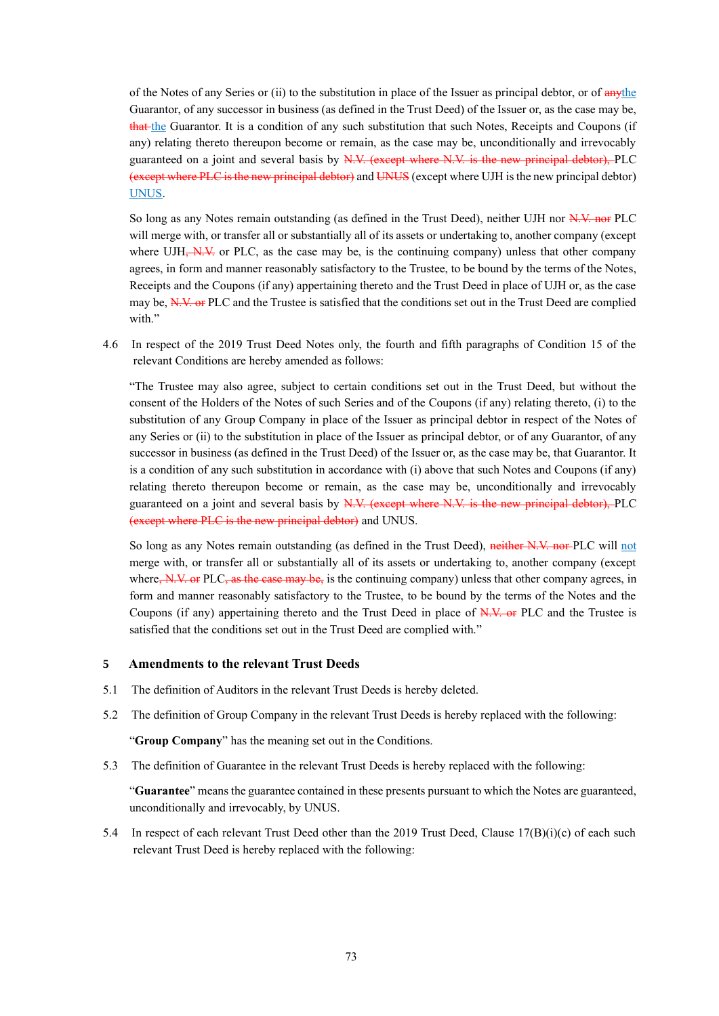of the Notes of any Series or (ii) to the substitution in place of the Issuer as principal debtor, or of  $\frac{any\theta}{and\theta}$ Guarantor, of any successor in business (as defined in the Trust Deed) of the Issuer or, as the case may be, that the Guarantor. It is a condition of any such substitution that such Notes, Receipts and Coupons (if any) relating thereto thereupon become or remain, as the case may be, unconditionally and irrevocably guaranteed on a joint and several basis by N.V. (except where N.V. is the new principal debtor), PLC (except where PLC is the new principal debtor) and UNUS(except where UJH is the new principal debtor) UNUS.

So long as any Notes remain outstanding (as defined in the Trust Deed), neither UJH nor N.V. nor PLC will merge with, or transfer all or substantially all of its assets or undertaking to, another company (except where UJH<del>, N.V.</del> or PLC, as the case may be, is the continuing company) unless that other company agrees, in form and manner reasonably satisfactory to the Trustee, to be bound by the terms of the Notes, Receipts and the Coupons (if any) appertaining thereto and the Trust Deed in place of UJH or, as the case may be, N.V. or PLC and the Trustee is satisfied that the conditions set out in the Trust Deed are complied with."

4.6 In respect of the 2019 Trust Deed Notes only, the fourth and fifth paragraphs of Condition 15 of the relevant Conditions are hereby amended as follows:

"The Trustee may also agree, subject to certain conditions set out in the Trust Deed, but without the consent of the Holders of the Notes of such Series and of the Coupons (if any) relating thereto, (i) to the substitution of any Group Company in place of the Issuer as principal debtor in respect of the Notes of any Series or (ii) to the substitution in place of the Issuer as principal debtor, or of any Guarantor, of any successor in business (as defined in the Trust Deed) of the Issuer or, as the case may be, that Guarantor. It is a condition of any such substitution in accordance with (i) above that such Notes and Coupons (if any) relating thereto thereupon become or remain, as the case may be, unconditionally and irrevocably guaranteed on a joint and several basis by N.V. (except where N.V. is the new principal debtor), PLC (except where PLC is the new principal debtor) and UNUS.

So long as any Notes remain outstanding (as defined in the Trust Deed), neither N.V. nor PLC will not merge with, or transfer all or substantially all of its assets or undertaking to, another company (except where,  $N$ ,  $V$ , or PLC, as the case may be, is the continuing company) unless that other company agrees, in form and manner reasonably satisfactory to the Trustee, to be bound by the terms of the Notes and the Coupons (if any) appertaining thereto and the Trust Deed in place of N.V. or PLC and the Trustee is satisfied that the conditions set out in the Trust Deed are complied with."

#### **5 Amendments to the relevant Trust Deeds**

- 5.1 The definition of Auditors in the relevant Trust Deeds is hereby deleted.
- 5.2 The definition of Group Company in the relevant Trust Deeds is hereby replaced with the following:

"**Group Company**" has the meaning set out in the Conditions.

5.3 The definition of Guarantee in the relevant Trust Deeds is hereby replaced with the following:

"**Guarantee**" means the guarantee contained in these presents pursuant to which the Notes are guaranteed, unconditionally and irrevocably, by UNUS.

5.4 In respect of each relevant Trust Deed other than the 2019 Trust Deed, Clause  $17(B)(i)(c)$  of each such relevant Trust Deed is hereby replaced with the following: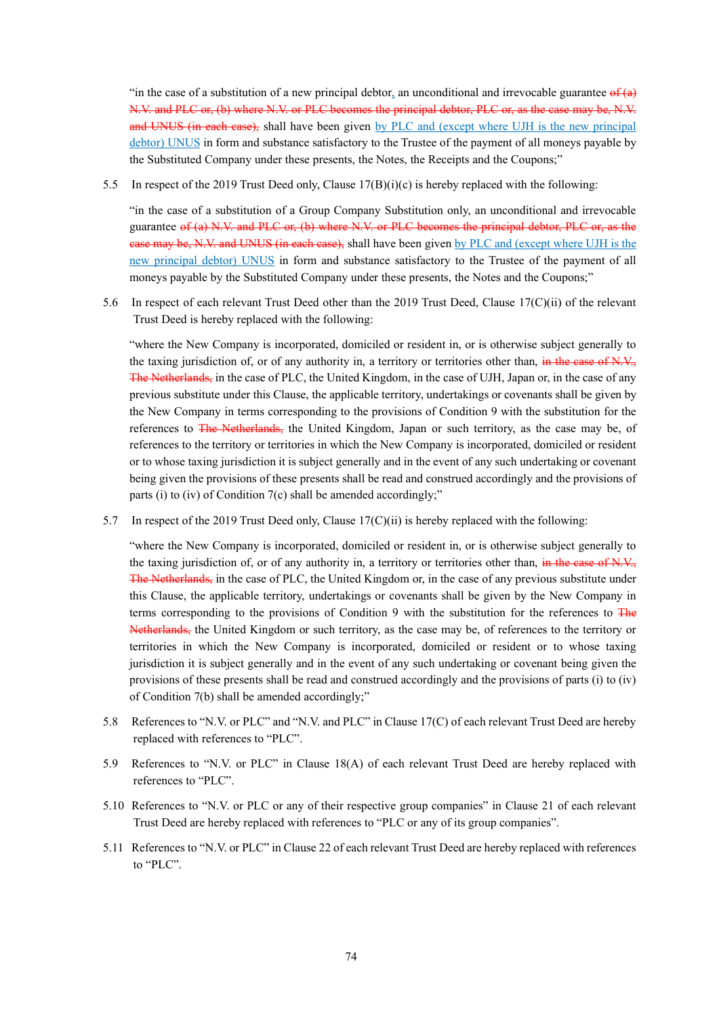"in the case of a substitution of a new principal debtor, an unconditional and irrevocable guarantee  $\theta f(\theta)$ N.V. and PLC or, (b) where N.V. or PLC becomes the principal debtor, PLC or, as the case may be, N.V. and UNUS (in each case), shall have been given by PLC and (except where UJH is the new principal debtor) UNUS in form and substance satisfactory to the Trustee of the payment of all moneys payable by the Substituted Company under these presents, the Notes, the Receipts and the Coupons;"

5.5 In respect of the 2019 Trust Deed only, Clause 17(B)(i)(c) is hereby replaced with the following:

"in the case of a substitution of a Group Company Substitution only, an unconditional and irrevocable guarantee of (a) N.V. and PLC or, (b) where N.V. or PLC becomes the principal debtor, PLC or, as the ease may be, N.V. and UNUS (in each case), shall have been given by PLC and (except where UJH is the new principal debtor) UNUS in form and substance satisfactory to the Trustee of the payment of all moneys payable by the Substituted Company under these presents, the Notes and the Coupons;"

5.6 In respect of each relevant Trust Deed other than the 2019 Trust Deed, Clause 17(C)(ii) of the relevant Trust Deed is hereby replaced with the following:

"where the New Company is incorporated, domiciled or resident in, or is otherwise subject generally to the taxing jurisdiction of, or of any authority in, a territory or territories other than, in the case of N.V., The Netherlands, in the case of PLC, the United Kingdom, in the case of UJH, Japan or, in the case of any previous substitute under this Clause, the applicable territory, undertakings or covenants shall be given by the New Company in terms corresponding to the provisions of Condition 9 with the substitution for the references to The Netherlands, the United Kingdom, Japan or such territory, as the case may be, of references to the territory or territories in which the New Company is incorporated, domiciled or resident or to whose taxing jurisdiction it is subject generally and in the event of any such undertaking or covenant being given the provisions of these presents shall be read and construed accordingly and the provisions of parts (i) to (iv) of Condition 7(c) shall be amended accordingly;"

5.7 In respect of the 2019 Trust Deed only, Clause 17(C)(ii) is hereby replaced with the following:

"where the New Company is incorporated, domiciled or resident in, or is otherwise subject generally to the taxing jurisdiction of, or of any authority in, a territory or territories other than, in the case of N.V., The Netherlands, in the case of PLC, the United Kingdom or, in the case of any previous substitute under this Clause, the applicable territory, undertakings or covenants shall be given by the New Company in terms corresponding to the provisions of Condition 9 with the substitution for the references to  $\overline{F}$ Netherlands, the United Kingdom or such territory, as the case may be, of references to the territory or territories in which the New Company is incorporated, domiciled or resident or to whose taxing jurisdiction it is subject generally and in the event of any such undertaking or covenant being given the provisions of these presents shall be read and construed accordingly and the provisions of parts (i) to (iv) of Condition 7(b) shall be amended accordingly;"

- 5.8 References to "N.V. or PLC" and "N.V. and PLC" in Clause 17(C) of each relevant Trust Deed are hereby replaced with references to "PLC".
- 5.9 References to "N.V. or PLC" in Clause 18(A) of each relevant Trust Deed are hereby replaced with references to "PLC".
- 5.10 References to "N.V. or PLC or any of their respective group companies" in Clause 21 of each relevant Trust Deed are hereby replaced with references to "PLC or any of its group companies".
- 5.11 References to "N.V. or PLC" in Clause 22 of each relevant Trust Deed are hereby replaced with references to "PLC".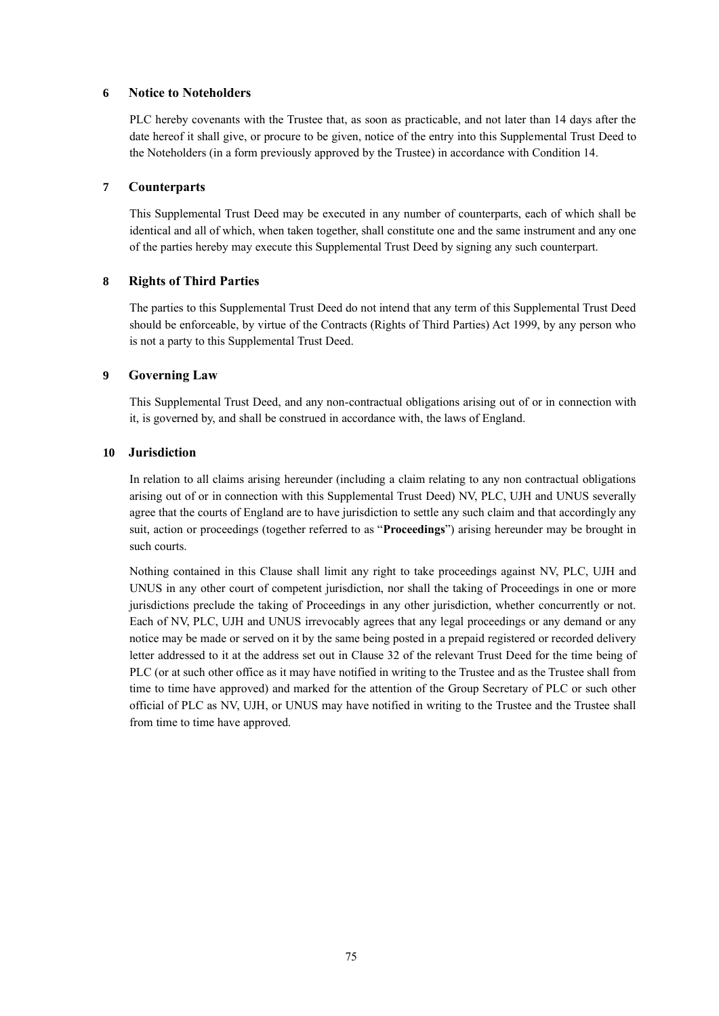#### **6 Notice to Noteholders**

PLC hereby covenants with the Trustee that, as soon as practicable, and not later than 14 days after the date hereof it shall give, or procure to be given, notice of the entry into this Supplemental Trust Deed to the Noteholders (in a form previously approved by the Trustee) in accordance with Condition 14.

#### **7 Counterparts**

This Supplemental Trust Deed may be executed in any number of counterparts, each of which shall be identical and all of which, when taken together, shall constitute one and the same instrument and any one of the parties hereby may execute this Supplemental Trust Deed by signing any such counterpart.

### **8 Rights of Third Parties**

The parties to this Supplemental Trust Deed do not intend that any term of this Supplemental Trust Deed should be enforceable, by virtue of the Contracts (Rights of Third Parties) Act 1999, by any person who is not a party to this Supplemental Trust Deed.

#### **9 Governing Law**

This Supplemental Trust Deed, and any non-contractual obligations arising out of or in connection with it, is governed by, and shall be construed in accordance with, the laws of England.

#### **10 Jurisdiction**

In relation to all claims arising hereunder (including a claim relating to any non contractual obligations arising out of or in connection with this Supplemental Trust Deed) NV, PLC, UJH and UNUS severally agree that the courts of England are to have jurisdiction to settle any such claim and that accordingly any suit, action or proceedings (together referred to as "**Proceedings**") arising hereunder may be brought in such courts.

Nothing contained in this Clause shall limit any right to take proceedings against NV, PLC, UJH and UNUS in any other court of competent jurisdiction, nor shall the taking of Proceedings in one or more jurisdictions preclude the taking of Proceedings in any other jurisdiction, whether concurrently or not. Each of NV, PLC, UJH and UNUS irrevocably agrees that any legal proceedings or any demand or any notice may be made or served on it by the same being posted in a prepaid registered or recorded delivery letter addressed to it at the address set out in Clause 32 of the relevant Trust Deed for the time being of PLC (or at such other office as it may have notified in writing to the Trustee and as the Trustee shall from time to time have approved) and marked for the attention of the Group Secretary of PLC or such other official of PLC as NV, UJH, or UNUS may have notified in writing to the Trustee and the Trustee shall from time to time have approved.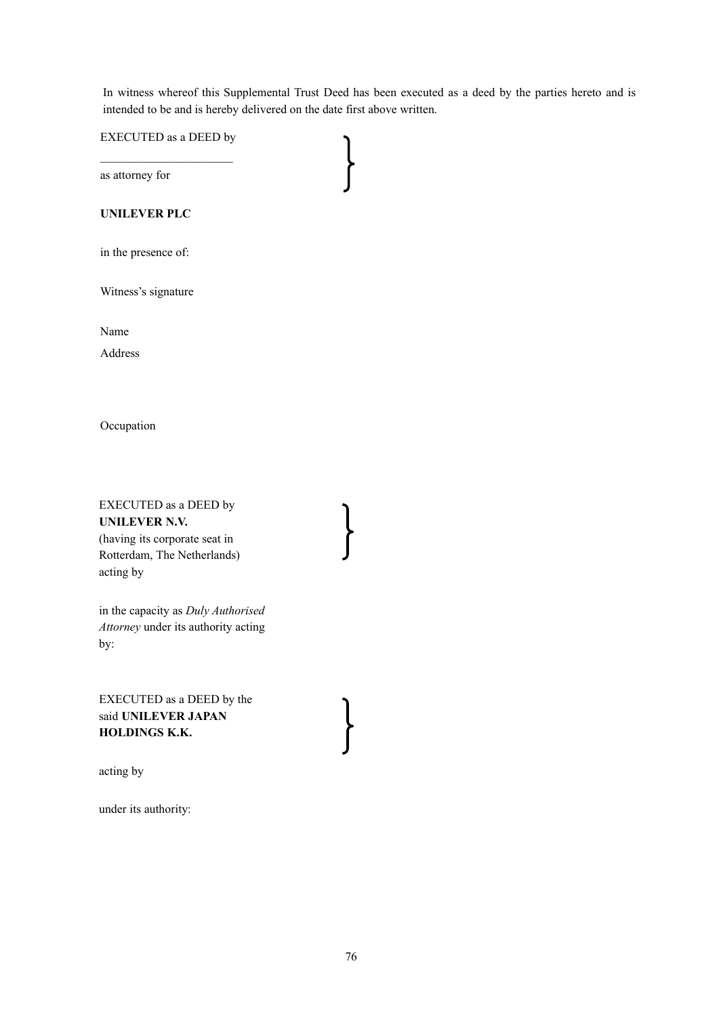In witness whereof this Supplemental Trust Deed has been executed as a deed by the parties hereto and is intended to be and is hereby delivered on the date first above written.

EXECUTED as a DEED by

as attorney for

#### **UNILEVER PLC**

in the presence of:

Witness's signature

Name

Address

**Occupation** 

### EXECUTED as a DEED by **UNILEVER N.V.** (having its corporate seat in Rotterdam, The Netherlands)

acting by

in the capacity as *Duly Authorised Attorney* under its authority acting by:

EXECUTED as a DEED by the said **UNILEVER JAPAN HOLDINGS K.K.**

acting by

under its authority: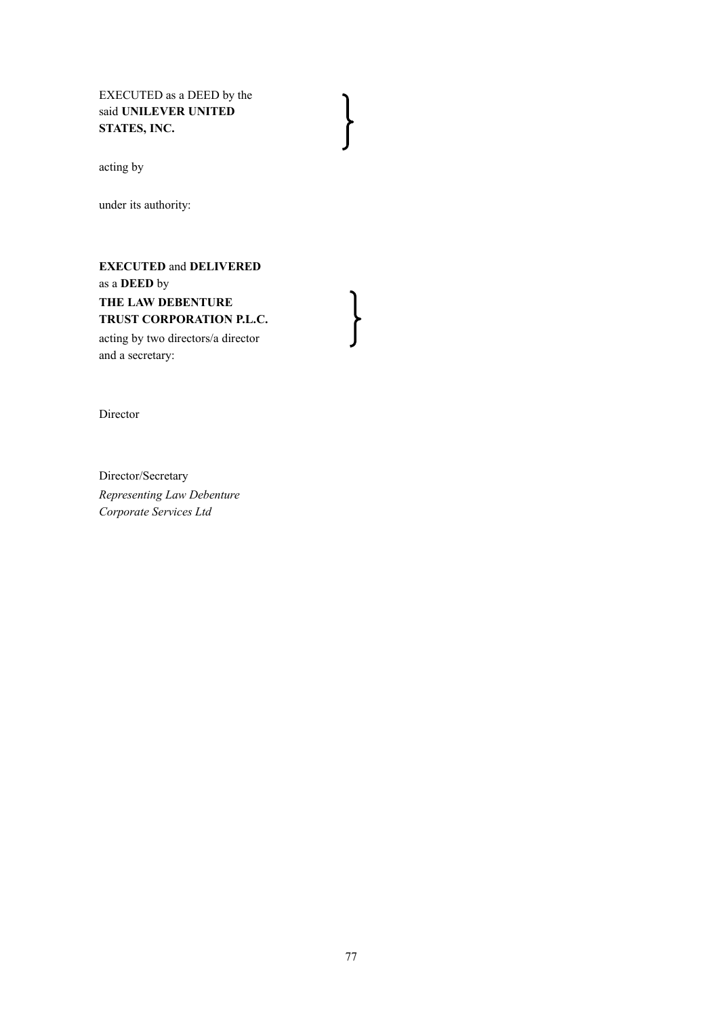EXECUTED as a DEED by the said **UNILEVER UNITED STATES, INC.**

acting by

under its authority:

**EXECUTED** and **DELIVERED**  as a **DEED** by **THE LAW DEBENTURE TRUST CORPORATION P.L.C.**

acting by two directors/a director and a secretary:

Director

Director/Secretary *Representing Law Debenture Corporate Services Ltd*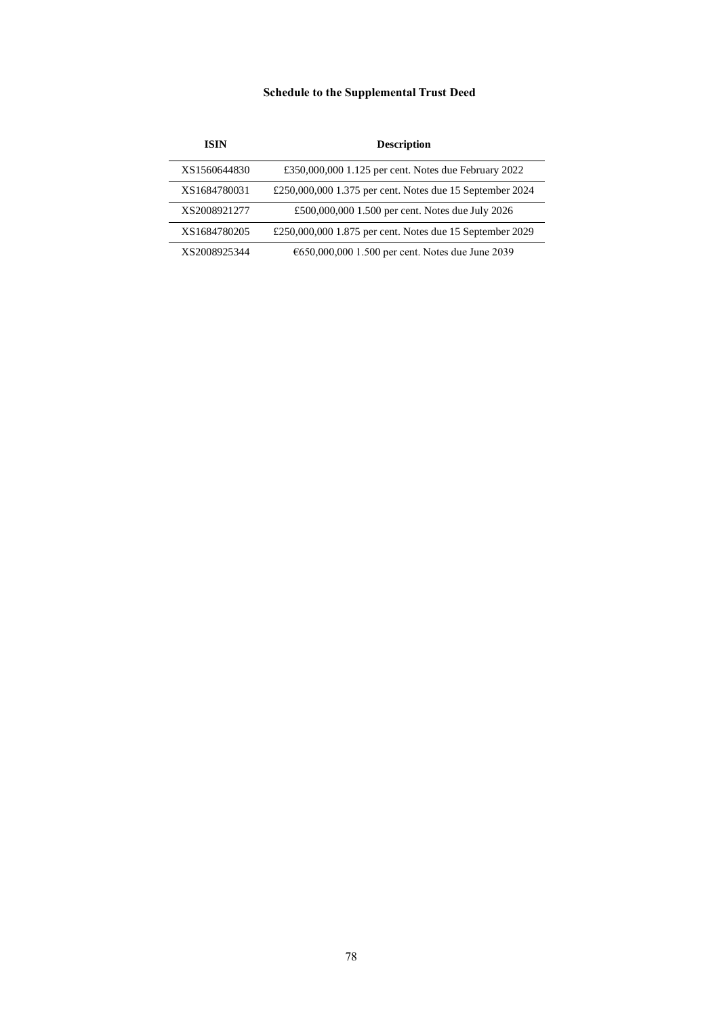# **Schedule to the Supplemental Trust Deed**

| ISIN         | <b>Description</b>                                       |
|--------------|----------------------------------------------------------|
| XS1560644830 | £350,000,000 1.125 per cent. Notes due February 2022     |
| XS1684780031 | £250,000,000 1.375 per cent. Notes due 15 September 2024 |
| XS2008921277 | £500,000,000 1.500 per cent. Notes due July 2026         |
| XS1684780205 | £250,000,000 1.875 per cent. Notes due 15 September 2029 |
| XS2008925344 | €650,000,000 1.500 per cent. Notes due June 2039         |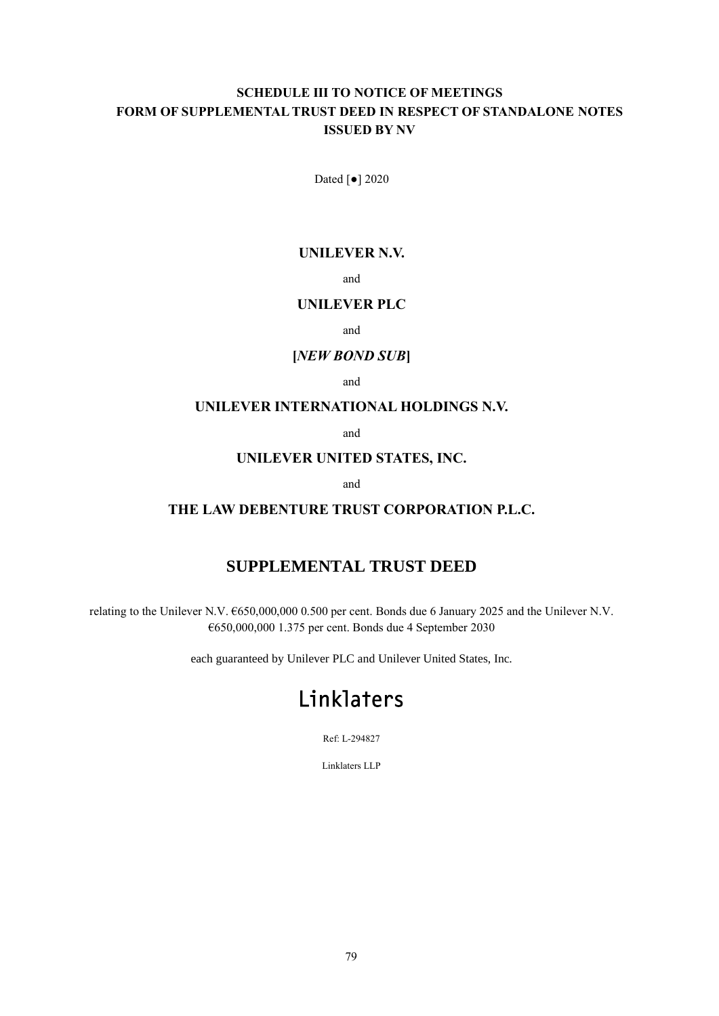# **SCHEDULE III TO NOTICE OF MEETINGS FORM OF SUPPLEMENTAL TRUST DEED IN RESPECT OF STANDALONE NOTES ISSUED BY NV**

Dated [●] 2020

### **UNILEVER N.V.**

and

## **UNILEVER PLC**

and

# **[***NEW BOND SUB***]**

and

### **UNILEVER INTERNATIONAL HOLDINGS N.V.**

and

### **UNILEVER UNITED STATES, INC.**

and

### **THE LAW DEBENTURE TRUST CORPORATION P.L.C.**

# **SUPPLEMENTAL TRUST DEED**

relating to the Unilever N.V. €650,000,000 0.500 per cent. Bonds due 6 January 2025 and the Unilever N.V. €650,000,000 1.375 per cent. Bonds due 4 September 2030

each guaranteed by Unilever PLC and Unilever United States, Inc.

# Linklaters

Ref: L-294827

Linklaters LLP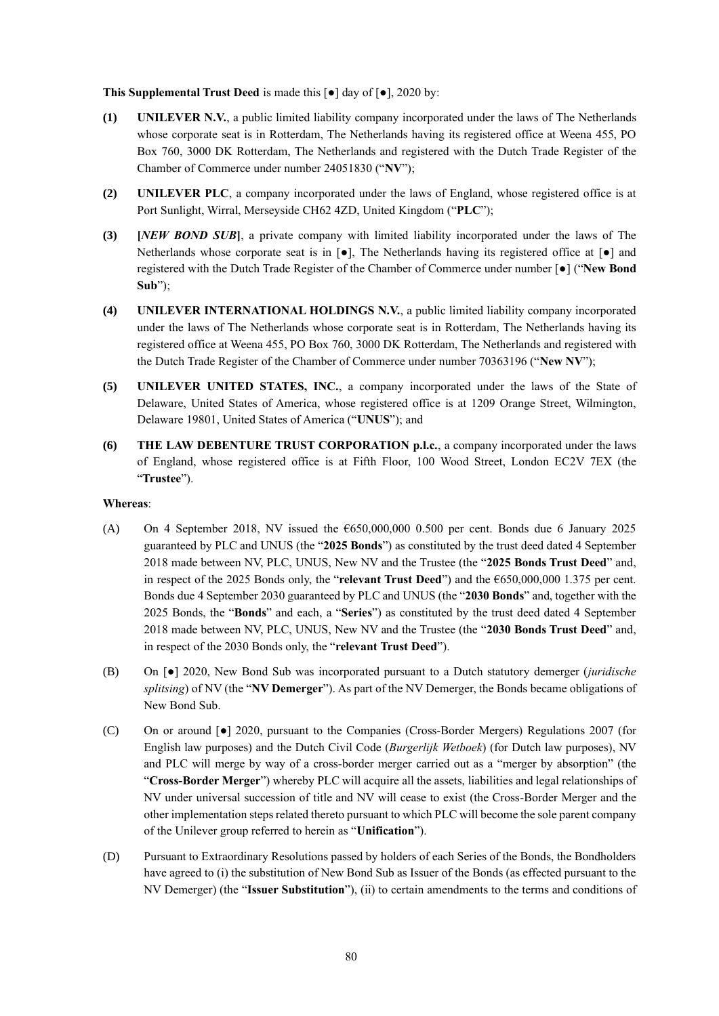**This Supplemental Trust Deed** is made this [●] day of [●], 2020 by:

- **(1) UNILEVER N.V.**, a public limited liability company incorporated under the laws of The Netherlands whose corporate seat is in Rotterdam, The Netherlands having its registered office at Weena 455, PO Box 760, 3000 DK Rotterdam, The Netherlands and registered with the Dutch Trade Register of the Chamber of Commerce under number 24051830 ("**NV**");
- **(2) UNILEVER PLC**, a company incorporated under the laws of England, whose registered office is at Port Sunlight, Wirral, Merseyside CH62 4ZD, United Kingdom ("**PLC**");
- **(3) [***NEW BOND SUB***]**, a private company with limited liability incorporated under the laws of The Netherlands whose corporate seat is in [●], The Netherlands having its registered office at [●] and registered with the Dutch Trade Register of the Chamber of Commerce under number [●] ("**New Bond Sub**");
- **(4) UNILEVER INTERNATIONAL HOLDINGS N.V.**, a public limited liability company incorporated under the laws of The Netherlands whose corporate seat is in Rotterdam, The Netherlands having its registered office at Weena 455, PO Box 760, 3000 DK Rotterdam, The Netherlands and registered with the Dutch Trade Register of the Chamber of Commerce under number 70363196 ("**New NV**");
- **(5) UNILEVER UNITED STATES, INC.**, a company incorporated under the laws of the State of Delaware, United States of America, whose registered office is at 1209 Orange Street, Wilmington, Delaware 19801, United States of America ("**UNUS**"); and
- **(6) THE LAW DEBENTURE TRUST CORPORATION p.l.c.**, a company incorporated under the laws of England, whose registered office is at Fifth Floor, 100 Wood Street, London EC2V 7EX (the "**Trustee**").

#### **Whereas**:

- (A) On 4 September 2018, NV issued the  $6650,000,000$  0.500 per cent. Bonds due 6 January 2025 guaranteed by PLC and UNUS (the "**2025 Bonds**") as constituted by the trust deed dated 4 September 2018 made between NV, PLC, UNUS, New NV and the Trustee (the "**2025 Bonds Trust Deed**" and, in respect of the 2025 Bonds only, the "**relevant Trust Deed**") and the €650,000,000 1.375 per cent. Bonds due 4 September 2030 guaranteed by PLC and UNUS (the "**2030 Bonds**" and, together with the 2025 Bonds, the "**Bonds**" and each, a "**Series**") as constituted by the trust deed dated 4 September 2018 made between NV, PLC, UNUS, New NV and the Trustee (the "**2030 Bonds Trust Deed**" and, in respect of the 2030 Bonds only, the "**relevant Trust Deed**").
- (B) On [●] 2020, New Bond Sub was incorporated pursuant to a Dutch statutory demerger (*juridische splitsing*) of NV (the "**NV Demerger**"). As part of the NV Demerger, the Bonds became obligations of New Bond Sub.
- (C) On or around [●] 2020, pursuant to the Companies (Cross-Border Mergers) Regulations 2007 (for English law purposes) and the Dutch Civil Code (*Burgerlijk Wetboek*) (for Dutch law purposes), NV and PLC will merge by way of a cross-border merger carried out as a "merger by absorption" (the "**Cross-Border Merger**") whereby PLC will acquire all the assets, liabilities and legal relationships of NV under universal succession of title and NV will cease to exist (the Cross-Border Merger and the other implementation steps related thereto pursuant to which PLC will become the sole parent company of the Unilever group referred to herein as "**Unification**").
- (D) Pursuant to Extraordinary Resolutions passed by holders of each Series of the Bonds, the Bondholders have agreed to (i) the substitution of New Bond Sub as Issuer of the Bonds (as effected pursuant to the NV Demerger) (the "**Issuer Substitution**"), (ii) to certain amendments to the terms and conditions of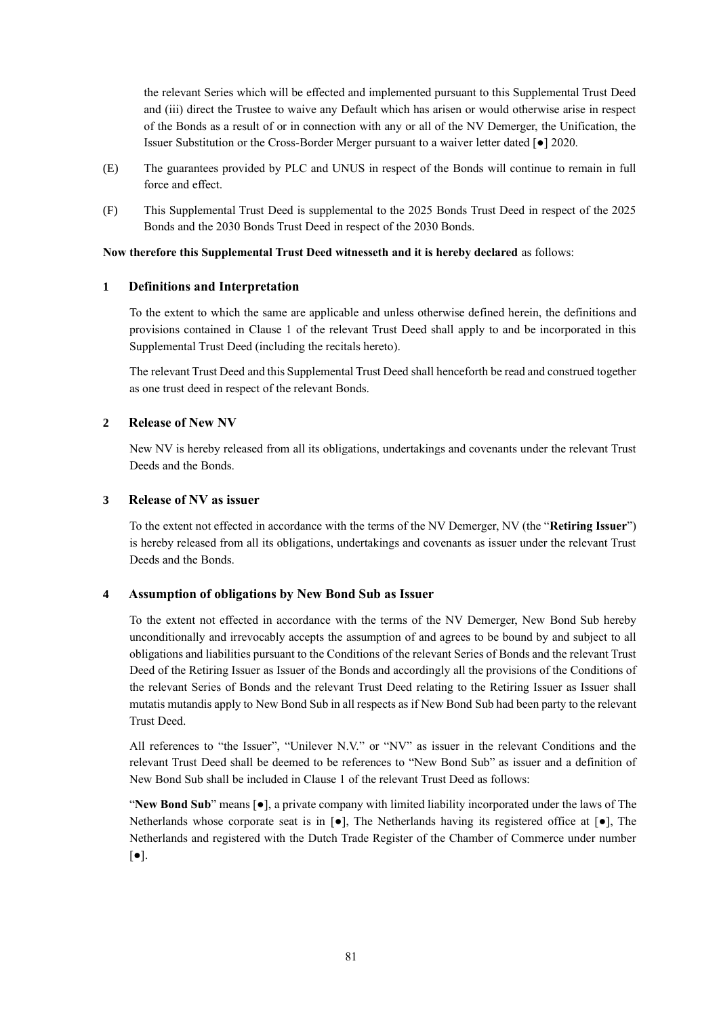the relevant Series which will be effected and implemented pursuant to this Supplemental Trust Deed and (iii) direct the Trustee to waive any Default which has arisen or would otherwise arise in respect of the Bonds as a result of or in connection with any or all of the NV Demerger, the Unification, the Issuer Substitution or the Cross-Border Merger pursuant to a waiver letter dated [●] 2020.

- (E) The guarantees provided by PLC and UNUS in respect of the Bonds will continue to remain in full force and effect.
- (F) This Supplemental Trust Deed is supplemental to the 2025 Bonds Trust Deed in respect of the 2025 Bonds and the 2030 Bonds Trust Deed in respect of the 2030 Bonds.

#### **Now therefore this Supplemental Trust Deed witnesseth and it is hereby declared** as follows:

#### **1 Definitions and Interpretation**

To the extent to which the same are applicable and unless otherwise defined herein, the definitions and provisions contained in Clause 1 of the relevant Trust Deed shall apply to and be incorporated in this Supplemental Trust Deed (including the recitals hereto).

The relevant Trust Deed and this Supplemental Trust Deed shall henceforth be read and construed together as one trust deed in respect of the relevant Bonds.

#### **2 Release of New NV**

New NV is hereby released from all its obligations, undertakings and covenants under the relevant Trust Deeds and the Bonds.

#### **3 Release of NV as issuer**

To the extent not effected in accordance with the terms of the NV Demerger, NV (the "**Retiring Issuer**") is hereby released from all its obligations, undertakings and covenants as issuer under the relevant Trust Deeds and the Bonds.

#### **4 Assumption of obligations by New Bond Sub as Issuer**

To the extent not effected in accordance with the terms of the NV Demerger, New Bond Sub hereby unconditionally and irrevocably accepts the assumption of and agrees to be bound by and subject to all obligations and liabilities pursuant to the Conditions of the relevant Series of Bonds and the relevant Trust Deed of the Retiring Issuer as Issuer of the Bonds and accordingly all the provisions of the Conditions of the relevant Series of Bonds and the relevant Trust Deed relating to the Retiring Issuer as Issuer shall mutatis mutandis apply to New Bond Sub in all respects as if New Bond Sub had been party to the relevant Trust Deed.

All references to "the Issuer", "Unilever N.V." or "NV" as issuer in the relevant Conditions and the relevant Trust Deed shall be deemed to be references to "New Bond Sub" as issuer and a definition of New Bond Sub shall be included in Clause 1 of the relevant Trust Deed as follows:

"**New Bond Sub**" means [●], a private company with limited liability incorporated under the laws of The Netherlands whose corporate seat is in  $[\bullet]$ , The Netherlands having its registered office at  $[\bullet]$ , The Netherlands and registered with the Dutch Trade Register of the Chamber of Commerce under number  $\lceil \bullet \rceil$ .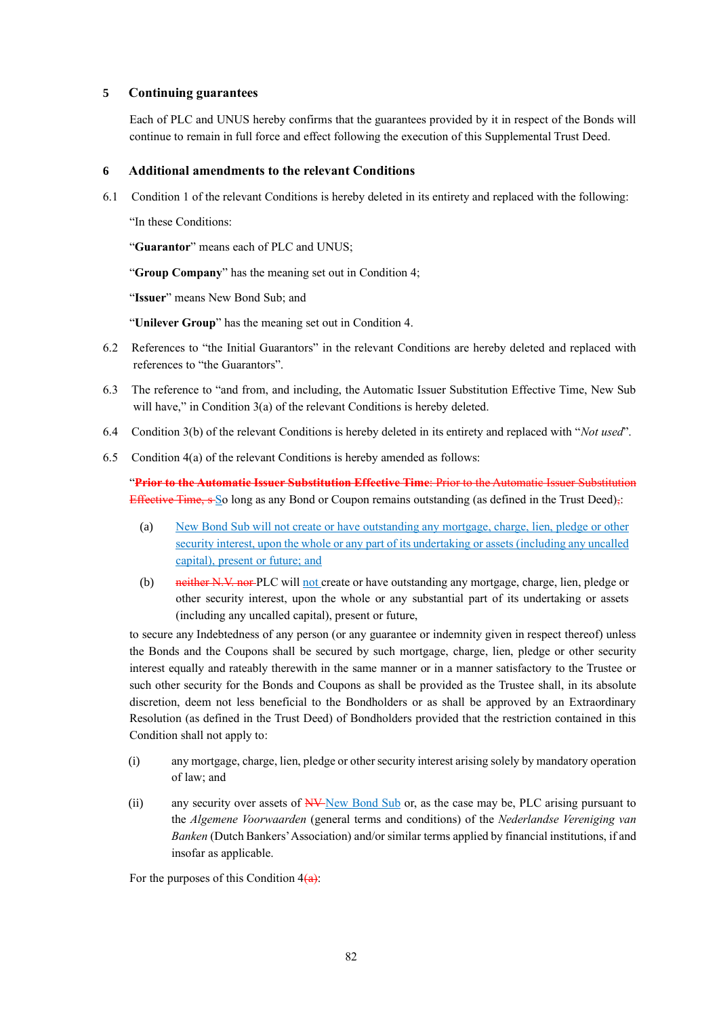#### **5 Continuing guarantees**

Each of PLC and UNUS hereby confirms that the guarantees provided by it in respect of the Bonds will continue to remain in full force and effect following the execution of this Supplemental Trust Deed.

#### **6 Additional amendments to the relevant Conditions**

6.1 Condition 1 of the relevant Conditions is hereby deleted in its entirety and replaced with the following:

"In these Conditions:

"**Guarantor**" means each of PLC and UNUS;

"**Group Company**" has the meaning set out in Condition 4;

"**Issuer**" means New Bond Sub; and

"**Unilever Group**" has the meaning set out in Condition 4.

- 6.2 References to "the Initial Guarantors" in the relevant Conditions are hereby deleted and replaced with references to "the Guarantors".
- 6.3 The reference to "and from, and including, the Automatic Issuer Substitution Effective Time, New Sub will have," in Condition 3(a) of the relevant Conditions is hereby deleted.
- 6.4 Condition 3(b) of the relevant Conditions is hereby deleted in its entirety and replaced with "*Not used*".
- 6.5 Condition 4(a) of the relevant Conditions is hereby amended as follows:

"**Prior to the Automatic Issuer Substitution Effective Time**: Prior to the Automatic Issuer Substitution Effective Time, s So long as any Bond or Coupon remains outstanding (as defined in the Trust Deed),:

- (a) New Bond Sub will not create or have outstanding any mortgage, charge, lien, pledge or other security interest, upon the whole or any part of its undertaking or assets (including any uncalled capital), present or future; and
- (b) not only not create or have outstanding any mortgage, charge, lien, pledge or other security interest, upon the whole or any substantial part of its undertaking or assets (including any uncalled capital), present or future,

to secure any Indebtedness of any person (or any guarantee or indemnity given in respect thereof) unless the Bonds and the Coupons shall be secured by such mortgage, charge, lien, pledge or other security interest equally and rateably therewith in the same manner or in a manner satisfactory to the Trustee or such other security for the Bonds and Coupons as shall be provided as the Trustee shall, in its absolute discretion, deem not less beneficial to the Bondholders or as shall be approved by an Extraordinary Resolution (as defined in the Trust Deed) of Bondholders provided that the restriction contained in this Condition shall not apply to:

- (i) any mortgage, charge, lien, pledge or other security interest arising solely by mandatory operation of law; and
- (ii) any security over assets of NV New Bond Sub or, as the case may be, PLC arising pursuant to the *Algemene Voorwaarden* (general terms and conditions) of the *Nederlandse Vereniging van Banken* (Dutch Bankers' Association) and/or similar terms applied by financial institutions, if and insofar as applicable.

For the purposes of this Condition  $4(a)$ :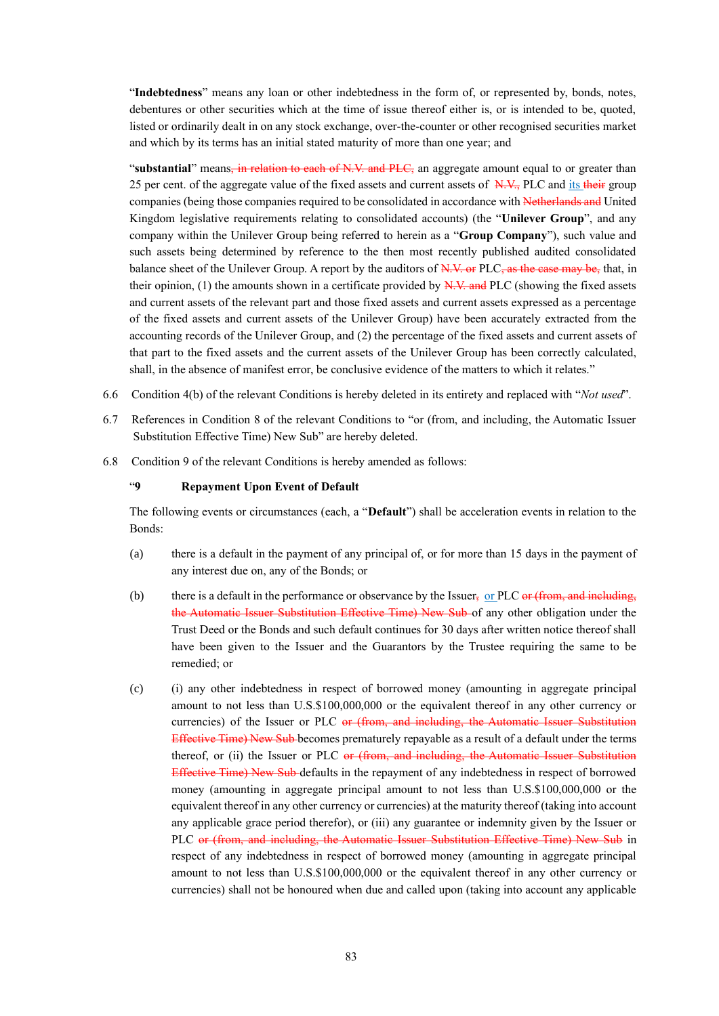"**Indebtedness**" means any loan or other indebtedness in the form of, or represented by, bonds, notes, debentures or other securities which at the time of issue thereof either is, or is intended to be, quoted, listed or ordinarily dealt in on any stock exchange, over-the-counter or other recognised securities market and which by its terms has an initial stated maturity of more than one year; and

**"substantial**" means, in relation to each of N.V. and PLC, an aggregate amount equal to or greater than 25 per cent. of the aggregate value of the fixed assets and current assets of N.V., PLC and its their group companies (being those companies required to be consolidated in accordance with Netherlands and United Kingdom legislative requirements relating to consolidated accounts) (the "**Unilever Group**", and any company within the Unilever Group being referred to herein as a "**Group Company**"), such value and such assets being determined by reference to the then most recently published audited consolidated balance sheet of the Unilever Group. A report by the auditors of N.V. or PLC, as the case may be, that, in their opinion,  $(1)$  the amounts shown in a certificate provided by  $N.V.$  and PLC (showing the fixed assets and current assets of the relevant part and those fixed assets and current assets expressed as a percentage of the fixed assets and current assets of the Unilever Group) have been accurately extracted from the accounting records of the Unilever Group, and (2) the percentage of the fixed assets and current assets of that part to the fixed assets and the current assets of the Unilever Group has been correctly calculated, shall, in the absence of manifest error, be conclusive evidence of the matters to which it relates."

- 6.6 Condition 4(b) of the relevant Conditions is hereby deleted in its entirety and replaced with "*Not used*".
- 6.7 References in Condition 8 of the relevant Conditions to "or (from, and including, the Automatic Issuer Substitution Effective Time) New Sub" are hereby deleted.
- 6.8 Condition 9 of the relevant Conditions is hereby amended as follows:

#### "**9 Repayment Upon Event of Default**

The following events or circumstances (each, a "**Default**") shall be acceleration events in relation to the Bonds:

- (a) there is a default in the payment of any principal of, or for more than 15 days in the payment of any interest due on, any of the Bonds; or
- (b) there is a default in the performance or observance by the Issuer, or PLC or (from, and including, the Automatic Issuer Substitution Effective Time) New Sub of any other obligation under the Trust Deed or the Bonds and such default continues for 30 days after written notice thereof shall have been given to the Issuer and the Guarantors by the Trustee requiring the same to be remedied; or
- (c) (i) any other indebtedness in respect of borrowed money (amounting in aggregate principal amount to not less than U.S.\$100,000,000 or the equivalent thereof in any other currency or currencies) of the Issuer or PLC or (from, and including, the Automatic Issuer Substitution Effective Time) New Sub becomes prematurely repayable as a result of a default under the terms thereof, or (ii) the Issuer or PLC or (from, and including, the Automatic Issuer Substitution Effective Time) New Sub defaults in the repayment of any indebtedness in respect of borrowed money (amounting in aggregate principal amount to not less than U.S.\$100,000,000 or the equivalent thereof in any other currency or currencies) at the maturity thereof (taking into account any applicable grace period therefor), or (iii) any guarantee or indemnity given by the Issuer or PLC or (from, and including, the Automatic Issuer Substitution Effective Time) New Sub in respect of any indebtedness in respect of borrowed money (amounting in aggregate principal amount to not less than U.S.\$100,000,000 or the equivalent thereof in any other currency or currencies) shall not be honoured when due and called upon (taking into account any applicable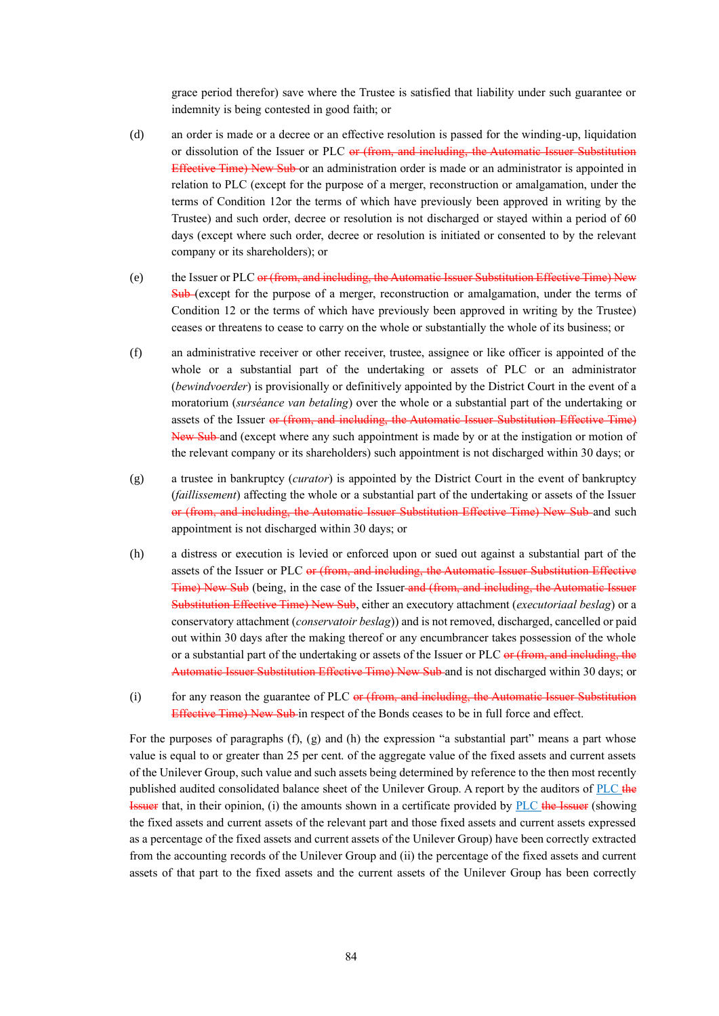grace period therefor) save where the Trustee is satisfied that liability under such guarantee or indemnity is being contested in good faith; or

- (d) an order is made or a decree or an effective resolution is passed for the winding-up, liquidation or dissolution of the Issuer or PLC or (from, and including, the Automatic Issuer Substitution Effective Time) New Sub or an administration order is made or an administrator is appointed in relation to PLC (except for the purpose of a merger, reconstruction or amalgamation, under the terms of Condition 12or the terms of which have previously been approved in writing by the Trustee) and such order, decree or resolution is not discharged or stayed within a period of 60 days (except where such order, decree or resolution is initiated or consented to by the relevant company or its shareholders); or
- (e) the Issuer or PLC or (from, and including, the Automatic Issuer Substitution Effective Time) New Sub (except for the purpose of a merger, reconstruction or amalgamation, under the terms of Condition 12 or the terms of which have previously been approved in writing by the Trustee) ceases or threatens to cease to carry on the whole or substantially the whole of its business; or
- (f) an administrative receiver or other receiver, trustee, assignee or like officer is appointed of the whole or a substantial part of the undertaking or assets of PLC or an administrator (*bewindvoerder*) is provisionally or definitively appointed by the District Court in the event of a moratorium (*surséance van betaling*) over the whole or a substantial part of the undertaking or assets of the Issuer or (from, and including, the Automatic Issuer Substitution Effective Time) New Sub and (except where any such appointment is made by or at the instigation or motion of the relevant company or its shareholders) such appointment is not discharged within 30 days; or
- (g) a trustee in bankruptcy (*curator*) is appointed by the District Court in the event of bankruptcy (*faillissement*) affecting the whole or a substantial part of the undertaking or assets of the Issuer or (from, and including, the Automatic Issuer Substitution Effective Time) New Sub-and such appointment is not discharged within 30 days; or
- (h) a distress or execution is levied or enforced upon or sued out against a substantial part of the assets of the Issuer or PLC or (from, and including, the Automatic Issuer Substitution Effective Time) New Sub (being, in the case of the Issuer and (from, and including, the Automatic Issuer Substitution Effective Time) New Sub, either an executory attachment (*executoriaal beslag*) or a conservatory attachment (*conservatoir beslag*)) and is not removed, discharged, cancelled or paid out within 30 days after the making thereof or any encumbrancer takes possession of the whole or a substantial part of the undertaking or assets of the Issuer or PLC or (from, and including, the Automatic Issuer Substitution Effective Time) New Sub and is not discharged within 30 days; or
- (i) for any reason the guarantee of PLC  $er$  (from, and including, the Automatic Issuer Substitution Effective Time) New Sub-in respect of the Bonds ceases to be in full force and effect.

For the purposes of paragraphs (f), (g) and (h) the expression "a substantial part" means a part whose value is equal to or greater than 25 per cent. of the aggregate value of the fixed assets and current assets of the Unilever Group, such value and such assets being determined by reference to the then most recently published audited consolidated balance sheet of the Unilever Group. A report by the auditors of PLC the **Issuer** that, in their opinion, (i) the amounts shown in a certificate provided by PLC the Issuer (showing the fixed assets and current assets of the relevant part and those fixed assets and current assets expressed as a percentage of the fixed assets and current assets of the Unilever Group) have been correctly extracted from the accounting records of the Unilever Group and (ii) the percentage of the fixed assets and current assets of that part to the fixed assets and the current assets of the Unilever Group has been correctly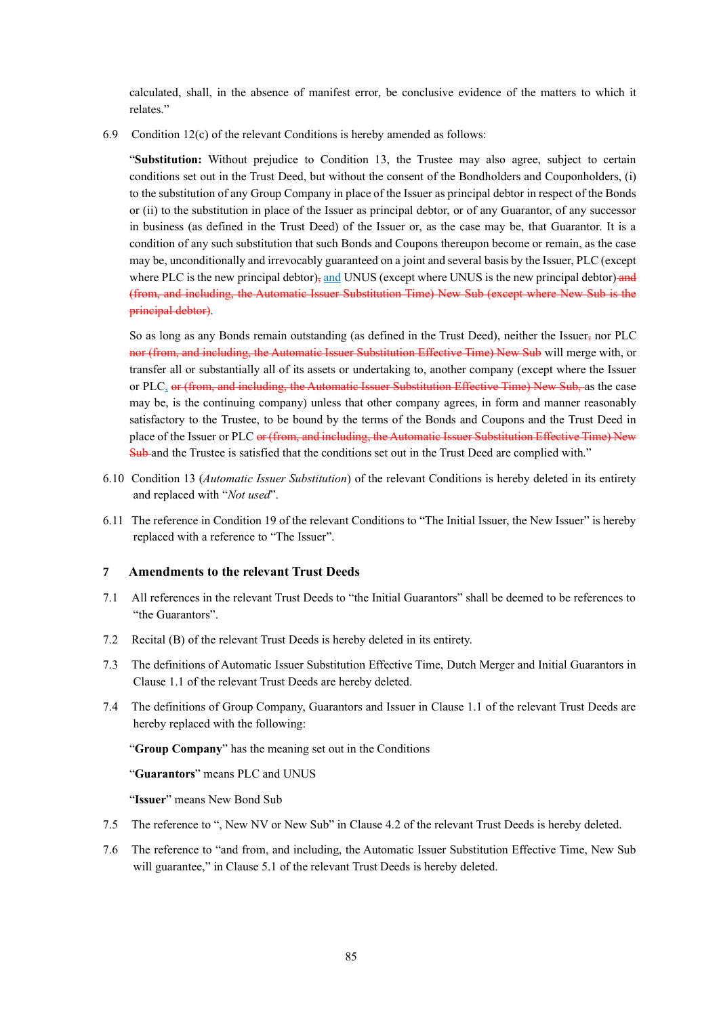calculated, shall, in the absence of manifest error, be conclusive evidence of the matters to which it relates."

6.9 Condition 12(c) of the relevant Conditions is hereby amended as follows:

"**Substitution:** Without prejudice to Condition 13, the Trustee may also agree, subject to certain conditions set out in the Trust Deed, but without the consent of the Bondholders and Couponholders, (i) to the substitution of any Group Company in place of the Issuer as principal debtor in respect of the Bonds or (ii) to the substitution in place of the Issuer as principal debtor, or of any Guarantor, of any successor in business (as defined in the Trust Deed) of the Issuer or, as the case may be, that Guarantor. It is a condition of any such substitution that such Bonds and Coupons thereupon become or remain, as the case may be, unconditionally and irrevocably guaranteed on a joint and several basis by the Issuer, PLC (except where PLC is the new principal debtor), and UNUS (except where UNUS is the new principal debtor) and (from, and including, the Automatic Issuer Substitution Time) New Sub (except where New Sub is the principal debtor).

So as long as any Bonds remain outstanding (as defined in the Trust Deed), neither the Issuer, nor PLC nor (from, and including, the Automatic Issuer Substitution Effective Time) New Sub will merge with, or transfer all or substantially all of its assets or undertaking to, another company (except where the Issuer or PLC, or (from, and including, the Automatic Issuer Substitution Effective Time) New Sub, as the case may be, is the continuing company) unless that other company agrees, in form and manner reasonably satisfactory to the Trustee, to be bound by the terms of the Bonds and Coupons and the Trust Deed in place of the Issuer or PLC or (from, and including, the Automatic Issuer Substitution Effective Time) New Sub and the Trustee is satisfied that the conditions set out in the Trust Deed are complied with."

- 6.10 Condition 13 (*Automatic Issuer Substitution*) of the relevant Conditions is hereby deleted in its entirety and replaced with "*Not used*".
- 6.11 The reference in Condition 19 of the relevant Conditions to "The Initial Issuer, the New Issuer" is hereby replaced with a reference to "The Issuer".

#### **7 Amendments to the relevant Trust Deeds**

- 7.1 All references in the relevant Trust Deeds to "the Initial Guarantors" shall be deemed to be references to "the Guarantors".
- 7.2 Recital (B) of the relevant Trust Deeds is hereby deleted in its entirety.
- 7.3 The definitions of Automatic Issuer Substitution Effective Time, Dutch Merger and Initial Guarantors in Clause 1.1 of the relevant Trust Deeds are hereby deleted.
- 7.4 The definitions of Group Company, Guarantors and Issuer in Clause 1.1 of the relevant Trust Deeds are hereby replaced with the following:

"**Group Company**" has the meaning set out in the Conditions

"**Guarantors**" means PLC and UNUS

"**Issuer**" means New Bond Sub

- 7.5 The reference to ", New NV or New Sub" in Clause 4.2 of the relevant Trust Deeds is hereby deleted.
- 7.6 The reference to "and from, and including, the Automatic Issuer Substitution Effective Time, New Sub will guarantee," in Clause 5.1 of the relevant Trust Deeds is hereby deleted.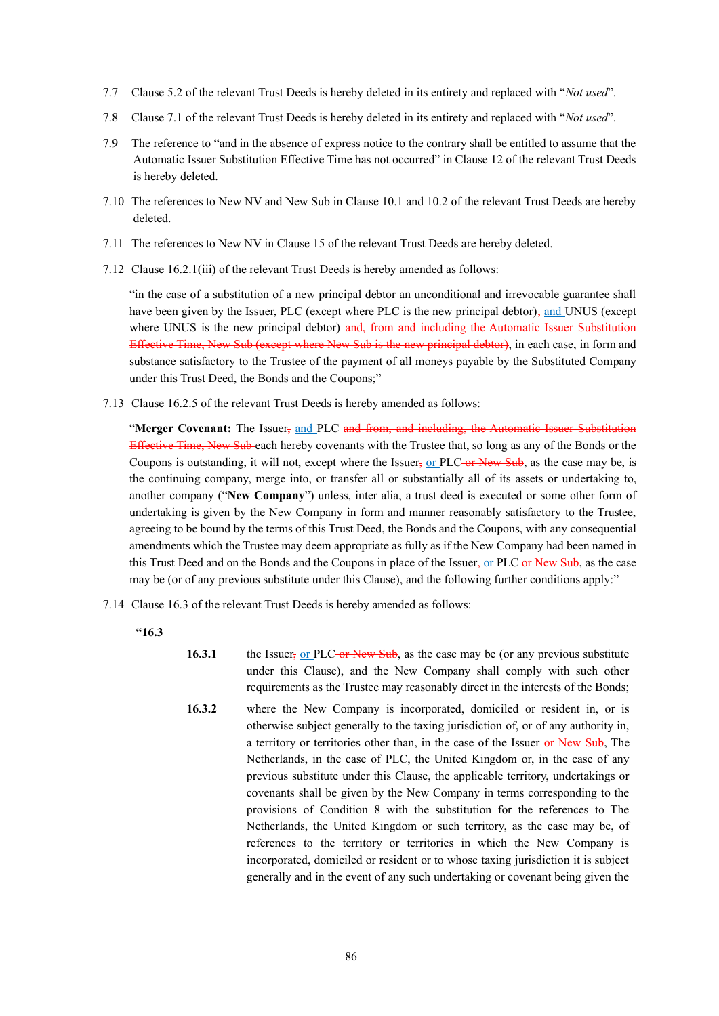- 7.7 Clause 5.2 of the relevant Trust Deeds is hereby deleted in its entirety and replaced with "*Not used*".
- 7.8 Clause 7.1 of the relevant Trust Deeds is hereby deleted in its entirety and replaced with "*Not used*".
- 7.9 The reference to "and in the absence of express notice to the contrary shall be entitled to assume that the Automatic Issuer Substitution Effective Time has not occurred" in Clause 12 of the relevant Trust Deeds is hereby deleted.
- 7.10 The references to New NV and New Sub in Clause 10.1 and 10.2 of the relevant Trust Deeds are hereby deleted.
- 7.11 The references to New NV in Clause 15 of the relevant Trust Deeds are hereby deleted.
- 7.12 Clause 16.2.1(iii) of the relevant Trust Deeds is hereby amended as follows:

"in the case of a substitution of a new principal debtor an unconditional and irrevocable guarantee shall have been given by the Issuer, PLC (except where PLC is the new principal debtor) $\frac{1}{2}$  and UNUS (except where UNUS is the new principal debtor) and, from and including the Automatic Issuer Substitution Effective Time, New Sub (except where New Sub is the new principal debtor), in each case, in form and substance satisfactory to the Trustee of the payment of all moneys payable by the Substituted Company under this Trust Deed, the Bonds and the Coupons;"

7.13 Clause 16.2.5 of the relevant Trust Deeds is hereby amended as follows:

"**Merger Covenant:** The Issuer, and PLC and from, and including, the Automatic Issuer Substitution Effective Time, New Sub each hereby covenants with the Trustee that, so long as any of the Bonds or the Coupons is outstanding, it will not, except where the Issuer, or PLC-or New Sub, as the case may be, is the continuing company, merge into, or transfer all or substantially all of its assets or undertaking to, another company ("**New Company**") unless, inter alia, a trust deed is executed or some other form of undertaking is given by the New Company in form and manner reasonably satisfactory to the Trustee, agreeing to be bound by the terms of this Trust Deed, the Bonds and the Coupons, with any consequential amendments which the Trustee may deem appropriate as fully as if the New Company had been named in this Trust Deed and on the Bonds and the Coupons in place of the Issuer, or PLC-or New Sub, as the case may be (or of any previous substitute under this Clause), and the following further conditions apply:"

- 7.14 Clause 16.3 of the relevant Trust Deeds is hereby amended as follows:
	- **"16.3**
- **16.3.1** the Issuer, or PLC-or New Sub, as the case may be (or any previous substitute under this Clause), and the New Company shall comply with such other requirements as the Trustee may reasonably direct in the interests of the Bonds;
- **16.3.2** where the New Company is incorporated, domiciled or resident in, or is otherwise subject generally to the taxing jurisdiction of, or of any authority in, a territory or territories other than, in the case of the Issuer-or New Sub, The Netherlands, in the case of PLC, the United Kingdom or, in the case of any previous substitute under this Clause, the applicable territory, undertakings or covenants shall be given by the New Company in terms corresponding to the provisions of Condition 8 with the substitution for the references to The Netherlands, the United Kingdom or such territory, as the case may be, of references to the territory or territories in which the New Company is incorporated, domiciled or resident or to whose taxing jurisdiction it is subject generally and in the event of any such undertaking or covenant being given the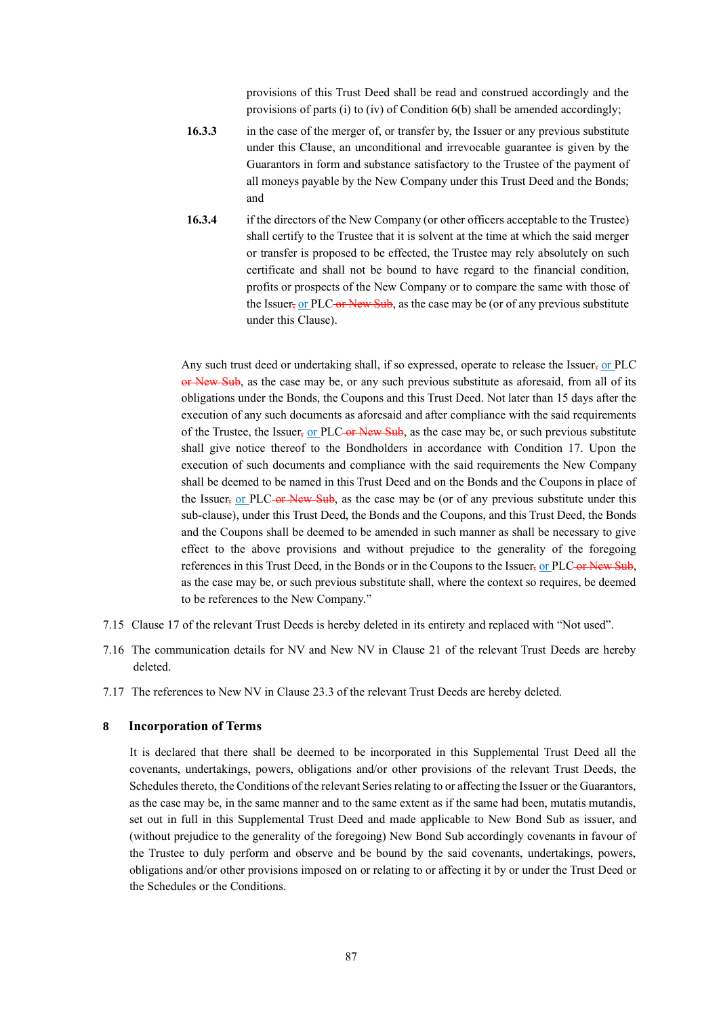provisions of this Trust Deed shall be read and construed accordingly and the provisions of parts (i) to (iv) of Condition 6(b) shall be amended accordingly;

- **16.3.3** in the case of the merger of, or transfer by, the Issuer or any previous substitute under this Clause, an unconditional and irrevocable guarantee is given by the Guarantors in form and substance satisfactory to the Trustee of the payment of all moneys payable by the New Company under this Trust Deed and the Bonds; and
- **16.3.4** if the directors of the New Company (or other officers acceptable to the Trustee) shall certify to the Trustee that it is solvent at the time at which the said merger or transfer is proposed to be effected, the Trustee may rely absolutely on such certificate and shall not be bound to have regard to the financial condition, profits or prospects of the New Company or to compare the same with those of the Issuer, or PLC-or New Sub, as the case may be (or of any previous substitute under this Clause).

Any such trust deed or undertaking shall, if so expressed, operate to release the Issuer, or PLC or New Sub, as the case may be, or any such previous substitute as aforesaid, from all of its obligations under the Bonds, the Coupons and this Trust Deed. Not later than 15 days after the execution of any such documents as aforesaid and after compliance with the said requirements of the Trustee, the Issuer, or PLC or New Sub, as the case may be, or such previous substitute shall give notice thereof to the Bondholders in accordance with Condition 17. Upon the execution of such documents and compliance with the said requirements the New Company shall be deemed to be named in this Trust Deed and on the Bonds and the Coupons in place of the Issuer, or PLC-or New Sub, as the case may be (or of any previous substitute under this sub-clause), under this Trust Deed, the Bonds and the Coupons, and this Trust Deed, the Bonds and the Coupons shall be deemed to be amended in such manner as shall be necessary to give effect to the above provisions and without prejudice to the generality of the foregoing references in this Trust Deed, in the Bonds or in the Coupons to the Issuer, or PLC or New Sub, as the case may be, or such previous substitute shall, where the context so requires, be deemed to be references to the New Company."

- 7.15 Clause 17 of the relevant Trust Deeds is hereby deleted in its entirety and replaced with "Not used".
- 7.16 The communication details for NV and New NV in Clause 21 of the relevant Trust Deeds are hereby deleted.
- 7.17 The references to New NV in Clause 23.3 of the relevant Trust Deeds are hereby deleted.

#### **8 Incorporation of Terms**

It is declared that there shall be deemed to be incorporated in this Supplemental Trust Deed all the covenants, undertakings, powers, obligations and/or other provisions of the relevant Trust Deeds, the Schedules thereto, the Conditions of the relevant Series relating to or affecting the Issuer or the Guarantors, as the case may be, in the same manner and to the same extent as if the same had been, mutatis mutandis, set out in full in this Supplemental Trust Deed and made applicable to New Bond Sub as issuer, and (without prejudice to the generality of the foregoing) New Bond Sub accordingly covenants in favour of the Trustee to duly perform and observe and be bound by the said covenants, undertakings, powers, obligations and/or other provisions imposed on or relating to or affecting it by or under the Trust Deed or the Schedules or the Conditions.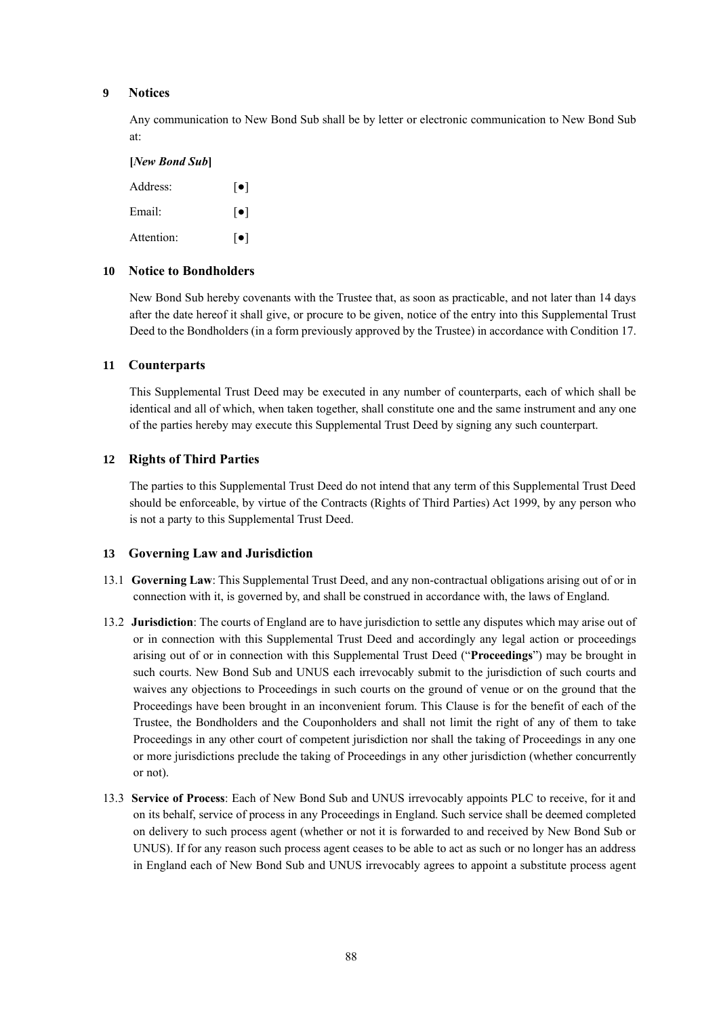#### **9 Notices**

Any communication to New Bond Sub shall be by letter or electronic communication to New Bond Sub at:

#### **[***New Bond Sub***]**

| Address:   | $\lceil \bullet \rceil$ |
|------------|-------------------------|
| Email:     | $\lceil \bullet \rceil$ |
| Attention: | $\lceil \bullet \rceil$ |

#### **10 Notice to Bondholders**

New Bond Sub hereby covenants with the Trustee that, as soon as practicable, and not later than 14 days after the date hereof it shall give, or procure to be given, notice of the entry into this Supplemental Trust Deed to the Bondholders (in a form previously approved by the Trustee) in accordance with Condition 17.

#### **11 Counterparts**

This Supplemental Trust Deed may be executed in any number of counterparts, each of which shall be identical and all of which, when taken together, shall constitute one and the same instrument and any one of the parties hereby may execute this Supplemental Trust Deed by signing any such counterpart.

#### **12 Rights of Third Parties**

The parties to this Supplemental Trust Deed do not intend that any term of this Supplemental Trust Deed should be enforceable, by virtue of the Contracts (Rights of Third Parties) Act 1999, by any person who is not a party to this Supplemental Trust Deed.

#### **13 Governing Law and Jurisdiction**

- 13.1 **Governing Law**: This Supplemental Trust Deed, and any non-contractual obligations arising out of or in connection with it, is governed by, and shall be construed in accordance with, the laws of England.
- 13.2 **Jurisdiction**: The courts of England are to have jurisdiction to settle any disputes which may arise out of or in connection with this Supplemental Trust Deed and accordingly any legal action or proceedings arising out of or in connection with this Supplemental Trust Deed ("**Proceedings**") may be brought in such courts. New Bond Sub and UNUS each irrevocably submit to the jurisdiction of such courts and waives any objections to Proceedings in such courts on the ground of venue or on the ground that the Proceedings have been brought in an inconvenient forum. This Clause is for the benefit of each of the Trustee, the Bondholders and the Couponholders and shall not limit the right of any of them to take Proceedings in any other court of competent jurisdiction nor shall the taking of Proceedings in any one or more jurisdictions preclude the taking of Proceedings in any other jurisdiction (whether concurrently or not).
- 13.3 **Service of Process**: Each of New Bond Sub and UNUS irrevocably appoints PLC to receive, for it and on its behalf, service of process in any Proceedings in England. Such service shall be deemed completed on delivery to such process agent (whether or not it is forwarded to and received by New Bond Sub or UNUS). If for any reason such process agent ceases to be able to act as such or no longer has an address in England each of New Bond Sub and UNUS irrevocably agrees to appoint a substitute process agent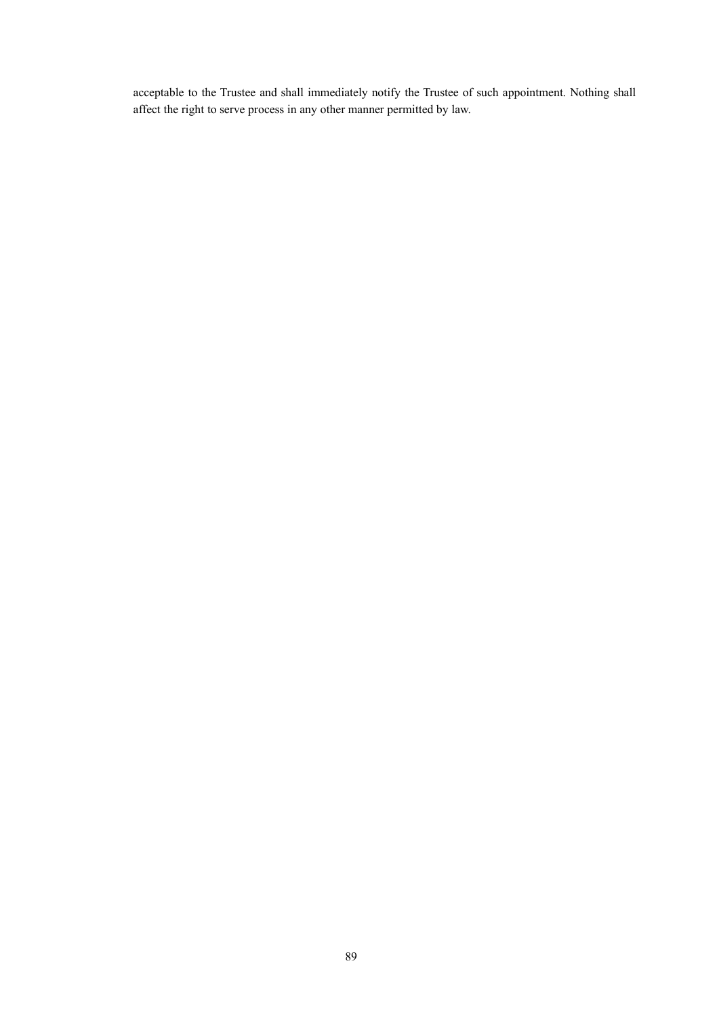acceptable to the Trustee and shall immediately notify the Trustee of such appointment. Nothing shall affect the right to serve process in any other manner permitted by law.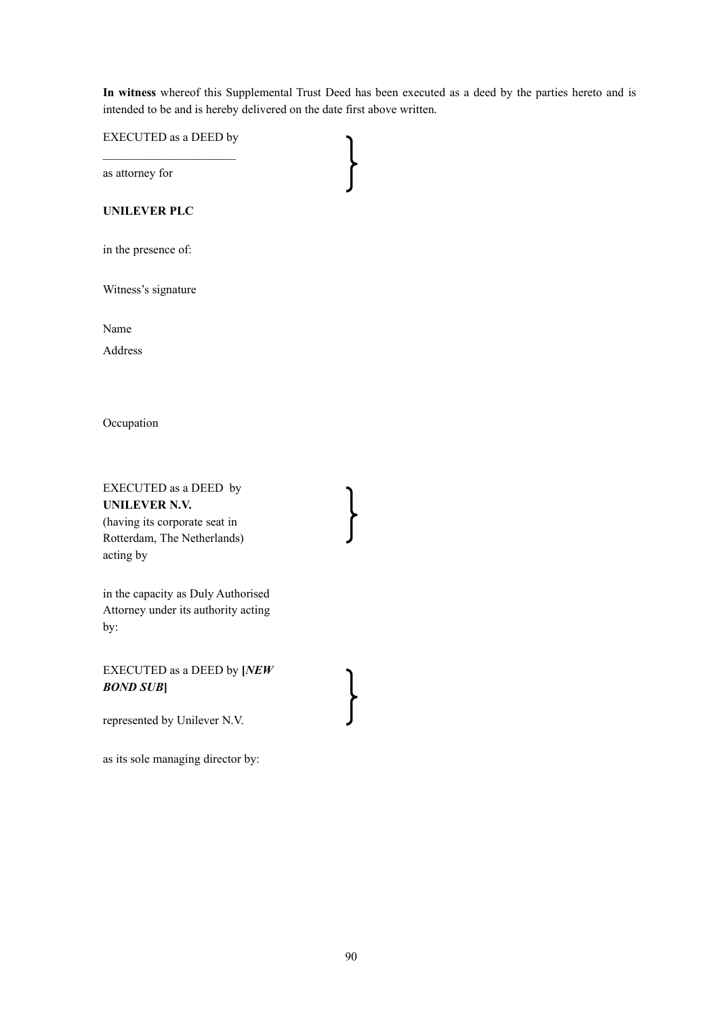**In witness** whereof this Supplemental Trust Deed has been executed as a deed by the parties hereto and is intended to be and is hereby delivered on the date first above written.

EXECUTED as a DEED by  $\mathcal{L}_\text{max}$  , we have the set of the set of the set of the set of the set of the set of the set of the set of the set of the set of the set of the set of the set of the set of the set of the set of the set of the set of

as attorney for

#### **UNILEVER PLC**

in the presence of:

Witness's signature

Name

Address

Occupation

EXECUTED as a DEED by **UNILEVER N.V.**  (having its corporate seat in Rotterdam, The Netherlands) acting by

in the capacity as Duly Authorised Attorney under its authority acting by:

EXECUTED as a DEED by **[***NEW BOND SUB***]**

represented by Unilever N.V.

as its sole managing director by: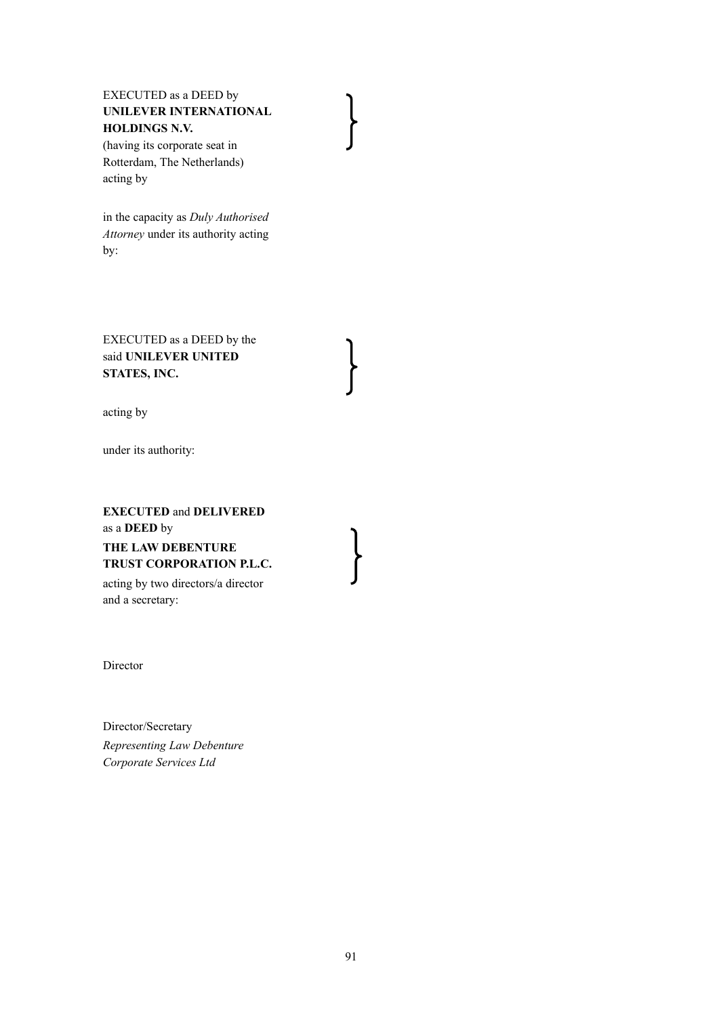### EXECUTED as a DEED by **UNILEVER INTERNATIONAL HOLDINGS N.V.**

(having its corporate seat in Rotterdam, The Netherlands) acting by

in the capacity as *Duly Authorised Attorney* under its authority acting by:

EXECUTED as a DEED by the said **UNILEVER UNITED STATES, INC.**

acting by

under its authority:

# **EXECUTED** and **DELIVERED**  as a **DEED** by **THE LAW DEBENTURE TRUST CORPORATION P.L.C.**

acting by two directors/a director and a secretary:

Director

Director/Secretary *Representing Law Debenture Corporate Services Ltd*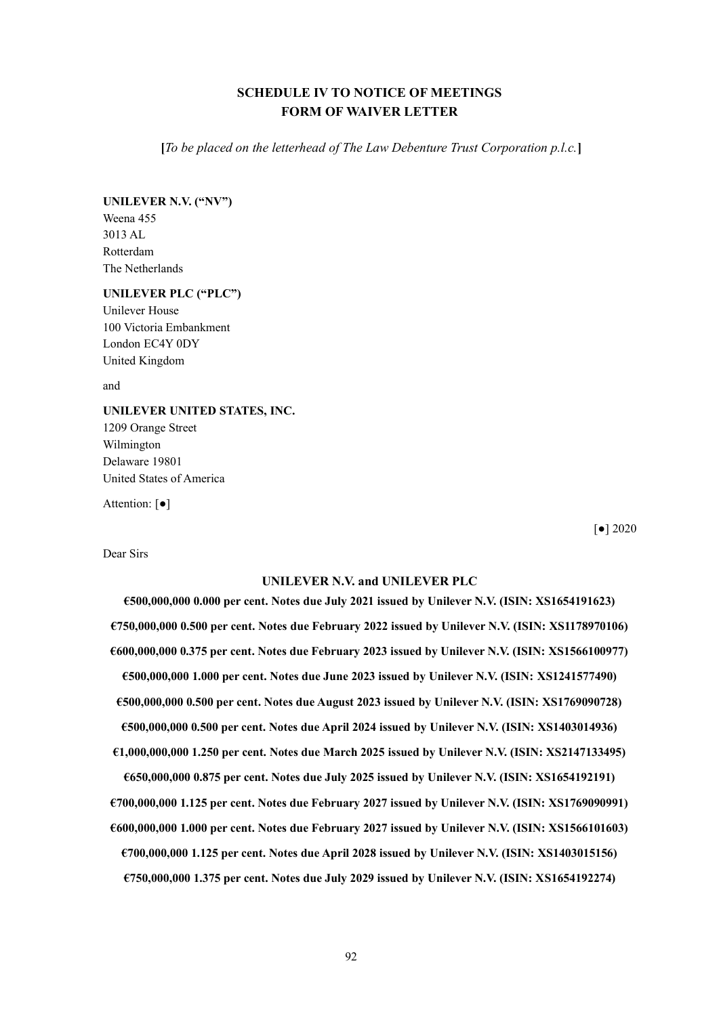### **SCHEDULE IV TO NOTICE OF MEETINGS FORM OF WAIVER LETTER**

**[***To be placed on the letterhead of The Law Debenture Trust Corporation p.l.c.***]**

**UNILEVER N.V. ("NV")** Weena 455 3013 AL

Rotterdam The Netherlands

#### **UNILEVER PLC ("PLC")**

Unilever House 100 Victoria Embankment London EC4Y 0DY United Kingdom

and

# **UNILEVER UNITED STATES, INC.**

1209 Orange Street Wilmington Delaware 19801 United States of America

Attention: [●]

[●] 2020

#### Dear Sirs

#### **UNILEVER N.V. and UNILEVER PLC**

**€500,000,000 0.000 per cent. Notes due July 2021 issued by Unilever N.V. (ISIN: XS1654191623) €750,000,000 0.500 per cent. Notes due February 2022 issued by Unilever N.V. (ISIN: XS1178970106) €600,000,000 0.375 per cent. Notes due February 2023 issued by Unilever N.V. (ISIN: XS1566100977) €500,000,000 1.000 per cent. Notes due June 2023 issued by Unilever N.V. (ISIN: XS1241577490) €500,000,000 0.500 per cent. Notes due August 2023 issued by Unilever N.V. (ISIN: XS1769090728) €500,000,000 0.500 per cent. Notes due April 2024 issued by Unilever N.V. (ISIN: XS1403014936) €1,000,000,000 1.250 per cent. Notes due March 2025 issued by Unilever N.V. (ISIN: XS2147133495) €650,000,000 0.875 per cent. Notes due July 2025 issued by Unilever N.V. (ISIN: XS1654192191)**

**€700,000,000 1.125 per cent. Notes due February 2027 issued by Unilever N.V. (ISIN: XS1769090991) €600,000,000 1.000 per cent. Notes due February 2027 issued by Unilever N.V. (ISIN: XS1566101603) €700,000,000 1.125 per cent. Notes due April 2028 issued by Unilever N.V. (ISIN: XS1403015156) €750,000,000 1.375 per cent. Notes due July 2029 issued by Unilever N.V. (ISIN: XS1654192274)**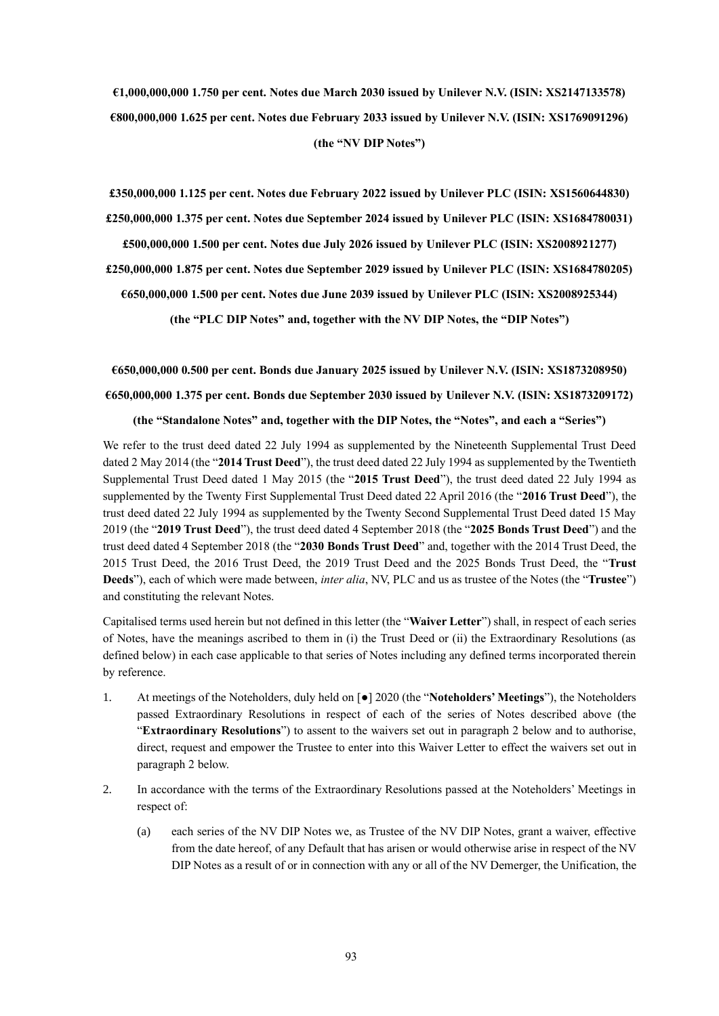**€1,000,000,000 1.750 per cent. Notes due March 2030 issued by Unilever N.V. (ISIN: XS2147133578) €800,000,000 1.625 per cent. Notes due February 2033 issued by Unilever N.V. (ISIN: XS1769091296) (the "NV DIP Notes")**

**£350,000,000 1.125 per cent. Notes due February 2022 issued by Unilever PLC (ISIN: XS1560644830) £250,000,000 1.375 per cent. Notes due September 2024 issued by Unilever PLC (ISIN: XS1684780031)**

**£500,000,000 1.500 per cent. Notes due July 2026 issued by Unilever PLC (ISIN: XS2008921277)**

**£250,000,000 1.875 per cent. Notes due September 2029 issued by Unilever PLC (ISIN: XS1684780205)**

**€650,000,000 1.500 per cent. Notes due June 2039 issued by Unilever PLC (ISIN: XS2008925344)**

**(the "PLC DIP Notes" and, together with the NV DIP Notes, the "DIP Notes")**

#### **€650,000,000 0.500 per cent. Bonds due January 2025 issued by Unilever N.V. (ISIN: XS1873208950)**

**€650,000,000 1.375 per cent. Bonds due September 2030 issued by Unilever N.V. (ISIN: XS1873209172)**

#### **(the "Standalone Notes" and, together with the DIP Notes, the "Notes", and each a "Series")**

We refer to the trust deed dated 22 July 1994 as supplemented by the Nineteenth Supplemental Trust Deed dated 2 May 2014 (the "**2014 Trust Deed**"), the trust deed dated 22 July 1994 as supplemented by the Twentieth Supplemental Trust Deed dated 1 May 2015 (the "**2015 Trust Deed**"), the trust deed dated 22 July 1994 as supplemented by the Twenty First Supplemental Trust Deed dated 22 April 2016 (the "**2016 Trust Deed**"), the trust deed dated 22 July 1994 as supplemented by the Twenty Second Supplemental Trust Deed dated 15 May 2019 (the "**2019 Trust Deed**"), the trust deed dated 4 September 2018 (the "**2025 Bonds Trust Deed**") and the trust deed dated 4 September 2018 (the "**2030 Bonds Trust Deed**" and, together with the 2014 Trust Deed, the 2015 Trust Deed, the 2016 Trust Deed, the 2019 Trust Deed and the 2025 Bonds Trust Deed, the "**Trust Deeds**"), each of which were made between, *inter alia*, NV, PLC and us as trustee of the Notes (the "**Trustee**") and constituting the relevant Notes.

Capitalised terms used herein but not defined in this letter (the "**Waiver Letter**") shall, in respect of each series of Notes, have the meanings ascribed to them in (i) the Trust Deed or (ii) the Extraordinary Resolutions (as defined below) in each case applicable to that series of Notes including any defined terms incorporated therein by reference.

- 1. At meetings of the Noteholders, duly held on [●] 2020 (the "**Noteholders' Meetings**"), the Noteholders passed Extraordinary Resolutions in respect of each of the series of Notes described above (the "**Extraordinary Resolutions**") to assent to the waivers set out in paragraph 2 below and to authorise, direct, request and empower the Trustee to enter into this Waiver Letter to effect the waivers set out in paragraph 2 below.
- 2. In accordance with the terms of the Extraordinary Resolutions passed at the Noteholders' Meetings in respect of:
	- (a) each series of the NV DIP Notes we, as Trustee of the NV DIP Notes, grant a waiver, effective from the date hereof, of any Default that has arisen or would otherwise arise in respect of the NV DIP Notes as a result of or in connection with any or all of the NV Demerger, the Unification, the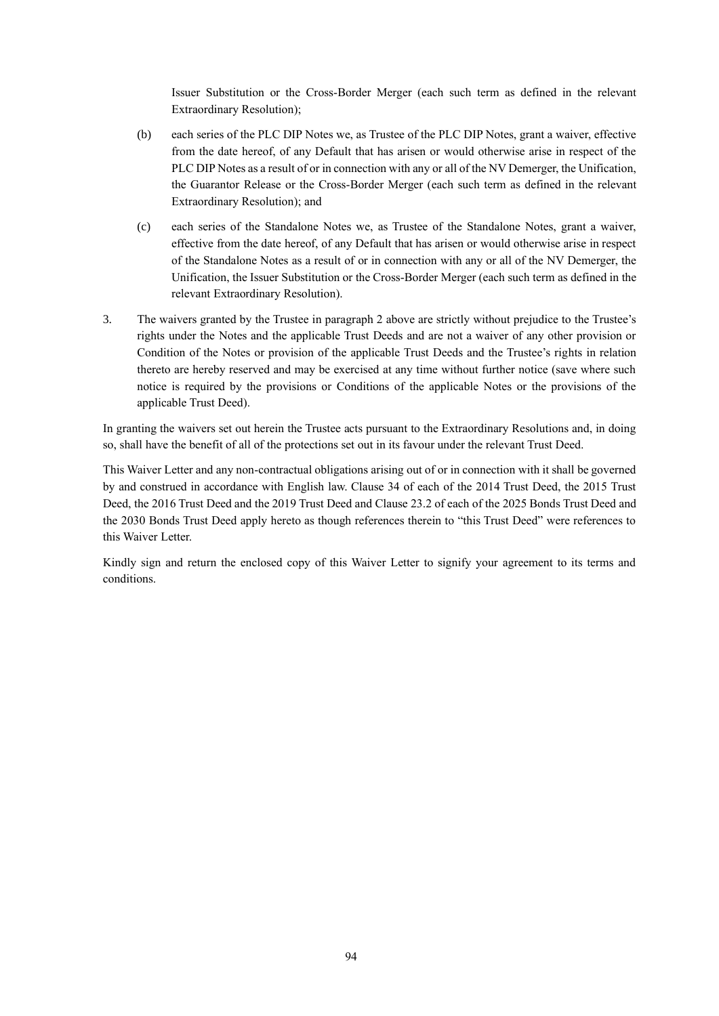Issuer Substitution or the Cross-Border Merger (each such term as defined in the relevant Extraordinary Resolution);

- (b) each series of the PLC DIP Notes we, as Trustee of the PLC DIP Notes, grant a waiver, effective from the date hereof, of any Default that has arisen or would otherwise arise in respect of the PLC DIP Notes as a result of or in connection with any or all of the NV Demerger, the Unification, the Guarantor Release or the Cross-Border Merger (each such term as defined in the relevant Extraordinary Resolution); and
- (c) each series of the Standalone Notes we, as Trustee of the Standalone Notes, grant a waiver, effective from the date hereof, of any Default that has arisen or would otherwise arise in respect of the Standalone Notes as a result of or in connection with any or all of the NV Demerger, the Unification, the Issuer Substitution or the Cross-Border Merger (each such term as defined in the relevant Extraordinary Resolution).
- 3. The waivers granted by the Trustee in paragraph 2 above are strictly without prejudice to the Trustee's rights under the Notes and the applicable Trust Deeds and are not a waiver of any other provision or Condition of the Notes or provision of the applicable Trust Deeds and the Trustee's rights in relation thereto are hereby reserved and may be exercised at any time without further notice (save where such notice is required by the provisions or Conditions of the applicable Notes or the provisions of the applicable Trust Deed).

In granting the waivers set out herein the Trustee acts pursuant to the Extraordinary Resolutions and, in doing so, shall have the benefit of all of the protections set out in its favour under the relevant Trust Deed.

This Waiver Letter and any non-contractual obligations arising out of or in connection with it shall be governed by and construed in accordance with English law. Clause 34 of each of the 2014 Trust Deed, the 2015 Trust Deed, the 2016 Trust Deed and the 2019 Trust Deed and Clause 23.2 of each of the 2025 Bonds Trust Deed and the 2030 Bonds Trust Deed apply hereto as though references therein to "this Trust Deed" were references to this Waiver Letter.

Kindly sign and return the enclosed copy of this Waiver Letter to signify your agreement to its terms and conditions.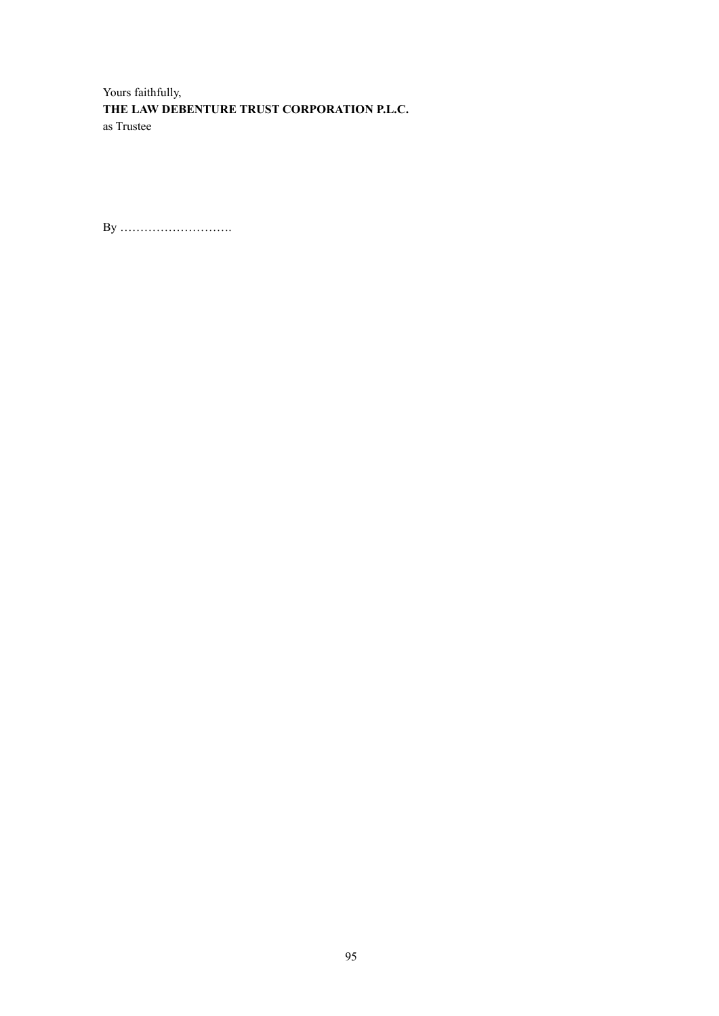Yours faithfully, **THE LAW DEBENTURE TRUST CORPORATION P.L.C.** as Trustee

By ……………………….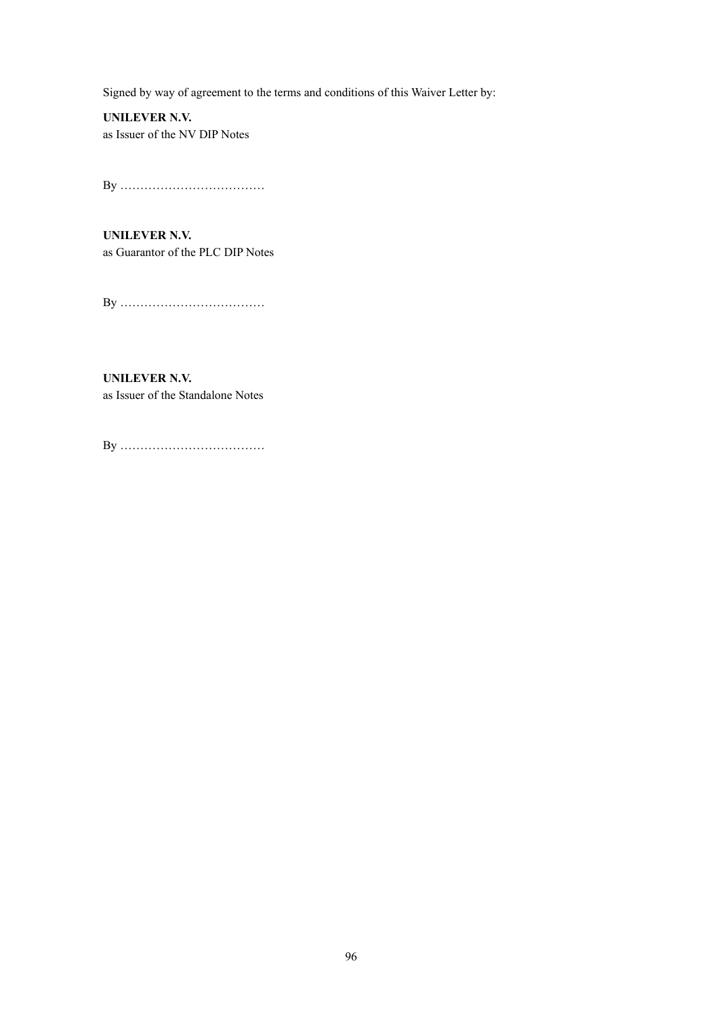Signed by way of agreement to the terms and conditions of this Waiver Letter by:

**UNILEVER N.V.** as Issuer of the NV DIP Notes

By ………………………………

**UNILEVER N.V.** as Guarantor of the PLC DIP Notes

By ………………………………

**UNILEVER N.V.** as Issuer of the Standalone Notes

By ………………………………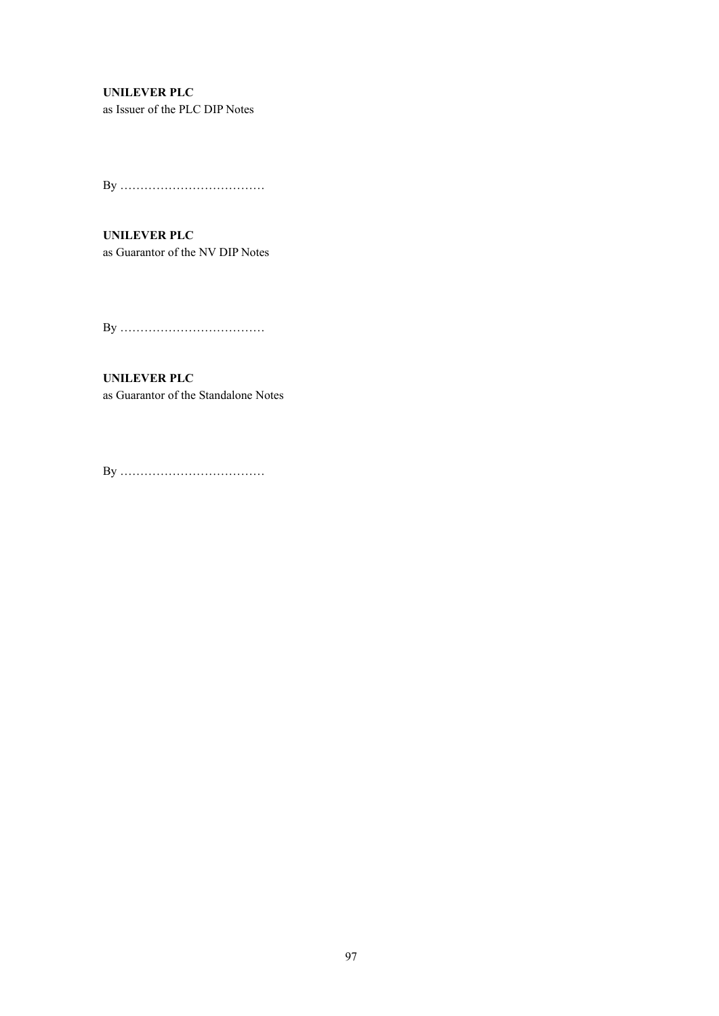### **UNILEVER PLC**

as Issuer of the PLC DIP Notes

By ………………………………

**UNILEVER PLC** as Guarantor of the NV DIP Notes

By ………………………………

**UNILEVER PLC** as Guarantor of the Standalone Notes

By ………………………………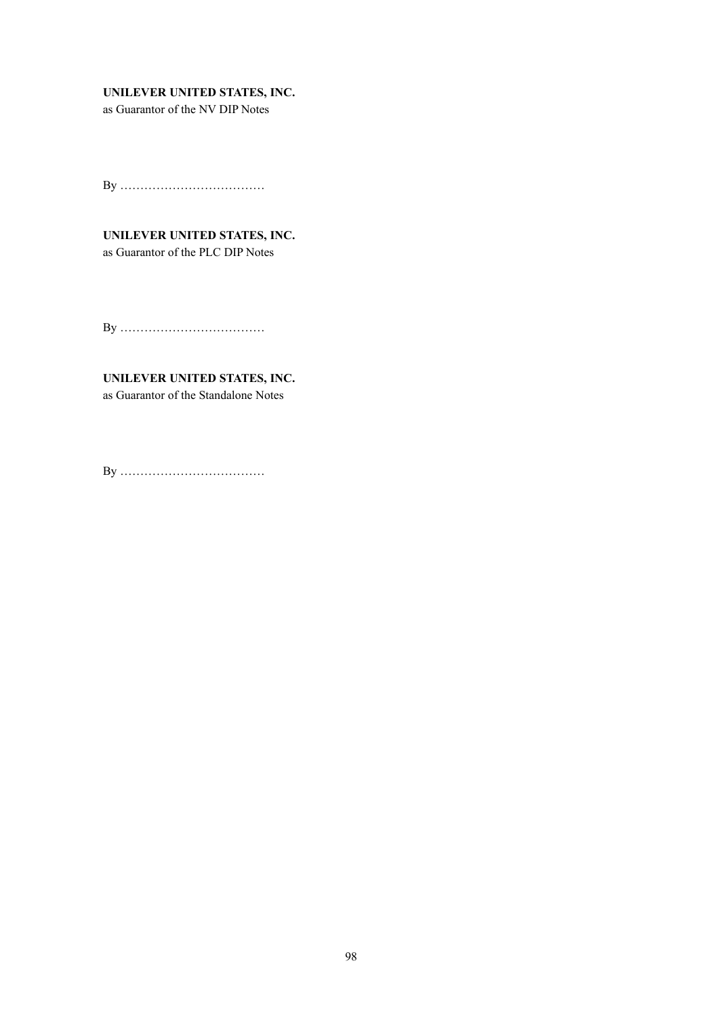### **UNILEVER UNITED STATES, INC.**

as Guarantor of the NV DIP Notes

By ………………………………

# **UNILEVER UNITED STATES, INC.**

as Guarantor of the PLC DIP Notes

By ………………………………

# **UNILEVER UNITED STATES, INC.**

as Guarantor of the Standalone Notes

By ………………………………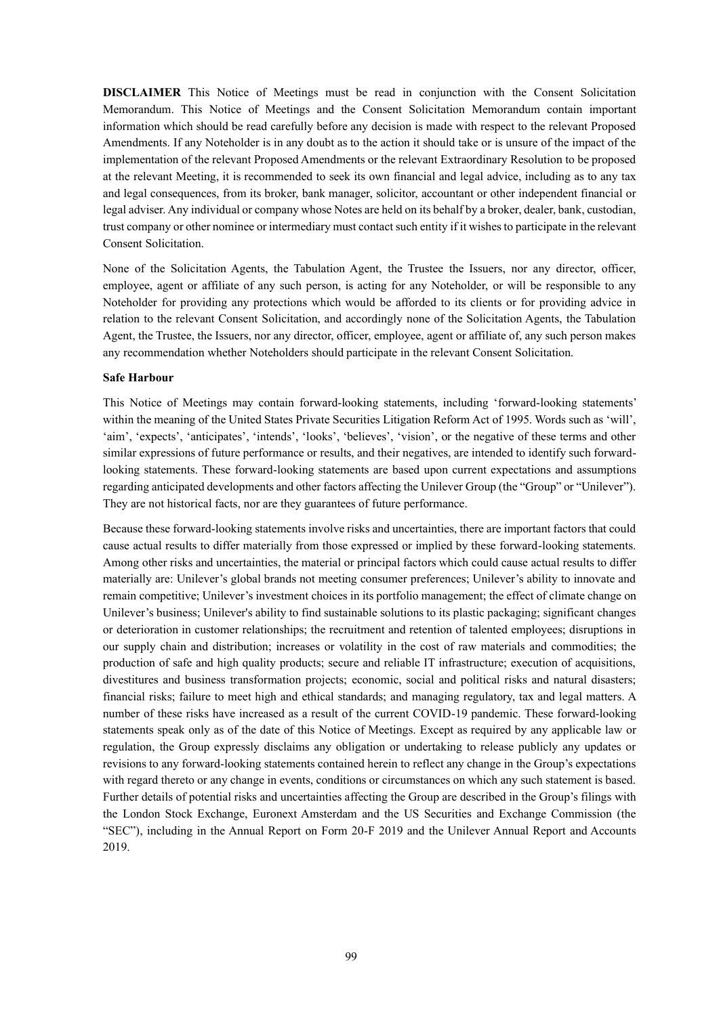**DISCLAIMER** This Notice of Meetings must be read in conjunction with the Consent Solicitation Memorandum. This Notice of Meetings and the Consent Solicitation Memorandum contain important information which should be read carefully before any decision is made with respect to the relevant Proposed Amendments. If any Noteholder is in any doubt as to the action it should take or is unsure of the impact of the implementation of the relevant Proposed Amendments or the relevant Extraordinary Resolution to be proposed at the relevant Meeting, it is recommended to seek its own financial and legal advice, including as to any tax and legal consequences, from its broker, bank manager, solicitor, accountant or other independent financial or legal adviser. Any individual or company whose Notes are held on its behalf by a broker, dealer, bank, custodian, trust company or other nominee or intermediary must contact such entity if it wishes to participate in the relevant Consent Solicitation.

None of the Solicitation Agents, the Tabulation Agent, the Trustee the Issuers, nor any director, officer, employee, agent or affiliate of any such person, is acting for any Noteholder, or will be responsible to any Noteholder for providing any protections which would be afforded to its clients or for providing advice in relation to the relevant Consent Solicitation, and accordingly none of the Solicitation Agents, the Tabulation Agent, the Trustee, the Issuers, nor any director, officer, employee, agent or affiliate of, any such person makes any recommendation whether Noteholders should participate in the relevant Consent Solicitation.

#### **Safe Harbour**

This Notice of Meetings may contain forward-looking statements, including 'forward-looking statements' within the meaning of the United States Private Securities Litigation Reform Act of 1995. Words such as 'will', 'aim', 'expects', 'anticipates', 'intends', 'looks', 'believes', 'vision', or the negative of these terms and other similar expressions of future performance or results, and their negatives, are intended to identify such forwardlooking statements. These forward-looking statements are based upon current expectations and assumptions regarding anticipated developments and other factors affecting the Unilever Group (the "Group" or "Unilever"). They are not historical facts, nor are they guarantees of future performance.

Because these forward-looking statements involve risks and uncertainties, there are important factors that could cause actual results to differ materially from those expressed or implied by these forward-looking statements. Among other risks and uncertainties, the material or principal factors which could cause actual results to differ materially are: Unilever's global brands not meeting consumer preferences; Unilever's ability to innovate and remain competitive; Unilever's investment choices in its portfolio management; the effect of climate change on Unilever's business; Unilever's ability to find sustainable solutions to its plastic packaging; significant changes or deterioration in customer relationships; the recruitment and retention of talented employees; disruptions in our supply chain and distribution; increases or volatility in the cost of raw materials and commodities; the production of safe and high quality products; secure and reliable IT infrastructure; execution of acquisitions, divestitures and business transformation projects; economic, social and political risks and natural disasters; financial risks; failure to meet high and ethical standards; and managing regulatory, tax and legal matters. A number of these risks have increased as a result of the current COVID-19 pandemic. These forward-looking statements speak only as of the date of this Notice of Meetings. Except as required by any applicable law or regulation, the Group expressly disclaims any obligation or undertaking to release publicly any updates or revisions to any forward-looking statements contained herein to reflect any change in the Group's expectations with regard thereto or any change in events, conditions or circumstances on which any such statement is based. Further details of potential risks and uncertainties affecting the Group are described in the Group's filings with the London Stock Exchange, Euronext Amsterdam and the US Securities and Exchange Commission (the "SEC"), including in the Annual Report on Form 20-F 2019 and the Unilever Annual Report and Accounts 2019.